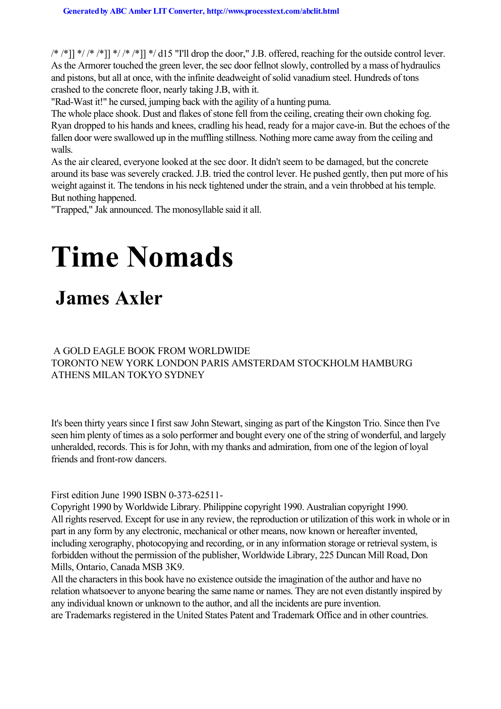$/$ \* /\*  $|$ \* /\* /\*  $|$ \* /\* /\*  $|$ \* /\*  $|$ \* /d15 "I'll drop the door," J.B. offered, reaching for the outside control lever. As the Armorer touched the green lever, the sec door fellnot slowly, controlled by a mass of hydraulics and pistons, but all at once, with the infinite deadweight of solid vanadium steel. Hundreds of tons crashed to the concrete floor, nearly taking J.B, with it.

"Rad-Wast it!" he cursed, jumping back with the agility of a hunting puma.

The whole place shook. Dust and flakes of stone fell from the ceiling, creating their own choking fog. Ryan dropped to his hands and knees, cradling his head, ready for a major cave-in. But the echoes of the fallen door were swallowed up in the muffling stillness. Nothing more came away from the ceiling and walls.

As the air cleared, everyone looked at the sec door. It didn't seem to be damaged, but the concrete around its base was severely cracked. J.B. tried the control lever. He pushed gently, then put more of his weight against it. The tendons in his neck tightened under the strain, and a vein throbbed at his temple. But nothing happened.

"Trapped," Jak announced. The monosyllable said it all.

# **Time Nomads**

#### **James Axler**

#### A GOLD EAGLE BOOK FROM WORLDWIDE TORONTO NEW YORK LONDON PARIS AMSTERDAM STOCKHOLM HAMBURG ATHENS MILAN TOKYO SYDNEY

It's been thirty years since I first saw John Stewart, singing as part of the Kingston Trio. Since then I've seen him plenty of times as a solo performer and bought every one of the string of wonderful, and largely unheralded, records. This is for John, with my thanks and admiration, from one of the legion of loyal friends and front-row dancers.

First edition June 1990 ISBN 0-373-62511-

Copyright 1990 by Worldwide Library. Philippine copyright 1990. Australian copyright 1990. All rights reserved. Except for use in any review, the reproduction or utilization of this work in whole or in part in any form by any electronic, mechanical or other means, now known or hereafter invented, including xerography, photocopying and recording, or in any information storage or retrieval system, is forbidden without the permission of the publisher, Worldwide Library, 225 Duncan Mill Road, Don Mills, Ontario, Canada MSB 3K9.

All the characters in this book have no existence outside the imagination of the author and have no relation whatsoever to anyone bearing the same name or names. They are not even distantly inspired by any individual known or unknown to the author, and all the incidents are pure invention. are Trademarks registered in the United States Patent and Trademark Office and in other countries.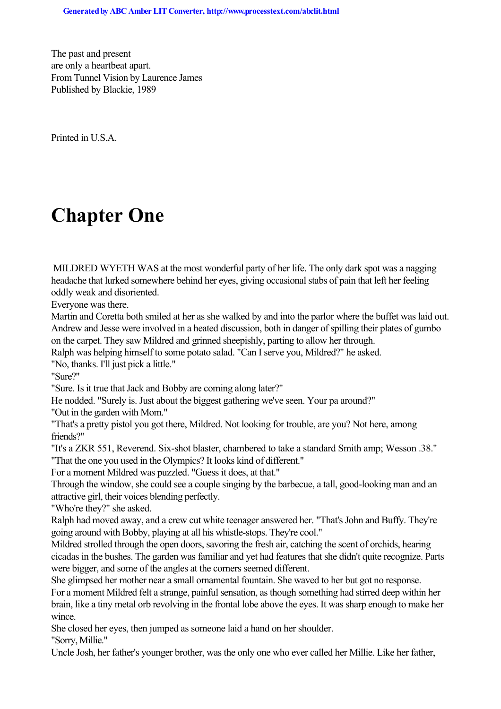The past and present are only a heartbeat apart. From Tunnel Vision by Laurence James Published by Blackie, 1989

Printed in **IISA** 

#### **Chapter One**

 MILDRED WYETH WAS at the most wonderful party of her life. The only dark spot was a nagging headache that lurked somewhere behind her eyes, giving occasional stabs of pain that left her feeling oddly weak and disoriented.

Everyone was there.

Martin and Coretta both smiled at her as she walked by and into the parlor where the buffet was laid out. Andrew and Jesse were involved in a heated discussion, both in danger of spilling their plates of gumbo on the carpet. They saw Mildred and grinned sheepishly, parting to allow her through.

Ralph was helping himself to some potato salad. "Can I serve you, Mildred?" he asked.

"No, thanks. I'll just pick a little."

"Sure?"

"Sure. Is it true that Jack and Bobby are coming along later?"

He nodded. "Surely is. Just about the biggest gathering we've seen. Your pa around?"

"Out in the garden with Mom."

"That's a pretty pistol you got there, Mildred. Not looking for trouble, are you? Not here, among friends?"

"It's a ZKR 551, Reverend. Six-shot blaster, chambered to take a standard Smith amp; Wesson .38." "That the one you used in the Olympics? It looks kind of different."

For a moment Mildred was puzzled. "Guess it does, at that."

Through the window, she could see a couple singing by the barbecue, a tall, good-looking man and an attractive girl, their voices blending perfectly.

"Who're they?" she asked.

Ralph had moved away, and a crew cut white teenager answered her. "That's John and Buffy. They're going around with Bobby, playing at all his whistle-stops. They're cool."

Mildred strolled through the open doors, savoring the fresh air, catching the scent of orchids, hearing cicadas in the bushes. The garden was familiar and yet had features that she didn't quite recognize. Parts were bigger, and some of the angles at the corners seemed different.

She glimpsed her mother near a small ornamental fountain. She waved to her but got no response. For a moment Mildred felt a strange, painful sensation, as though something had stirred deep within her

brain, like a tiny metal orb revolving in the frontal lobe above the eyes. It was sharp enough to make her wince.

She closed her eyes, then jumped as someone laid a hand on her shoulder.

"Sorry, Millie."

Uncle Josh, her father's younger brother, was the only one who ever called her Millie. Like her father,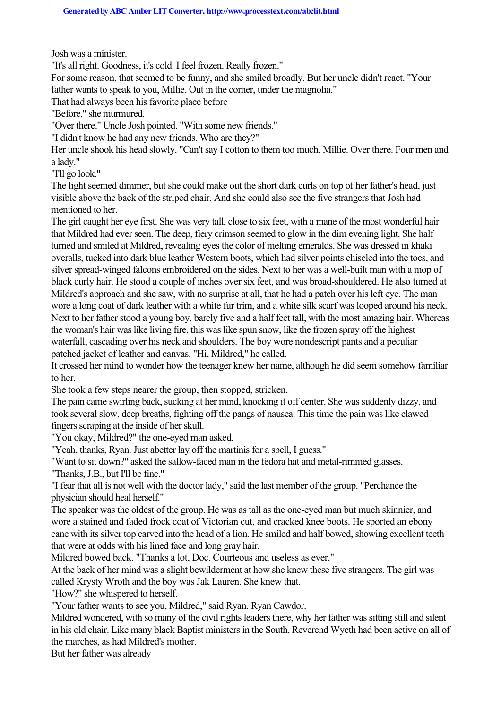Josh was a minister.

"It's all right. Goodness, it's cold. I feel frozen. Really frozen."

For some reason, that seemed to be funny, and she smiled broadly. But her uncle didn't react. "Your father wants to speak to you, Millie. Out in the corner, under the magnolia."

That had always been his favorite place before

"Before," she murmured.

"Over there." Uncle Josh pointed. "With some new friends."

"I didn't know he had any new friends. Who are they?"

Her uncle shook his head slowly. "Can't say I cotton to them too much, Millie. Over there. Four men and a lady."

"I'll go look."

The light seemed dimmer, but she could make out the short dark curls on top of her father's head, just visible above the back of the striped chair. And she could also see the five strangers that Josh had mentioned to her.

The girl caught her eye first. She was very tall, close to six feet, with a mane of the most wonderful hair that Mildred had ever seen. The deep, fiery crimson seemed to glow in the dim evening light. She half turned and smiled at Mildred, revealing eyes the color of melting emeralds. She was dressed in khaki overalls, tucked into dark blue leather Western boots, which had silver points chiseled into the toes, and silver spread-winged falcons embroidered on the sides. Next to her was a well-built man with a mop of black curly hair. He stood a couple of inches over six feet, and was broad-shouldered. He also turned at Mildred's approach and she saw, with no surprise at all, that he had a patch over his left eye. The man wore a long coat of dark leather with a white fur trim, and a white silk scarf was looped around his neck. Next to her father stood a young boy, barely five and a half feet tall, with the most amazing hair. Whereas the woman's hair was like living fire, this was like spun snow, like the frozen spray off the highest waterfall, cascading over his neck and shoulders. The boy wore nondescript pants and a peculiar patched jacket of leather and canvas. "Hi, Mildred," he called.

It crossed her mind to wonder how the teenager knew her name, although he did seem somehow familiar to her.

She took a few steps nearer the group, then stopped, stricken.

The pain came swirling back, sucking at her mind, knocking it off center. She was suddenly dizzy, and took several slow, deep breaths, fighting off the pangs of nausea. This time the pain was like clawed fingers scraping at the inside of her skull.

"You okay, Mildred?" the one-eyed man asked.

"Yeah, thanks, Ryan. Just abetter lay off the martinis for a spell, I guess."

"Want to sit down?" asked the sallow-faced man in the fedora hat and metal-rimmed glasses.

"Thanks, J.B., but I'll be fine."

"I fear that all is not well with the doctor lady," said the last member of the group. "Perchance the physician should heal herself."

The speaker was the oldest of the group. He was as tall as the one-eyed man but much skinnier, and wore a stained and faded frock coat of Victorian cut, and cracked knee boots. He sported an ebony cane with its silver top carved into the head of a lion. He smiled and half bowed, showing excellent teeth that were at odds with his lined face and long gray hair.

Mildred bowed back. "Thanks a lot, Doc. Courteous and useless as ever."

At the back of her mind was a slight bewilderment at how she knew these five strangers. The girl was called Krysty Wroth and the boy was Jak Lauren. She knew that.

"How?" she whispered to herself.

"Your father wants to see you, Mildred," said Ryan. Ryan Cawdor.

Mildred wondered, with so many of the civil rights leaders there, why her father was sitting still and silent in his old chair. Like many black Baptist ministers in the South, Reverend Wyeth had been active on all of the marches, as had Mildred's mother.

But her father was already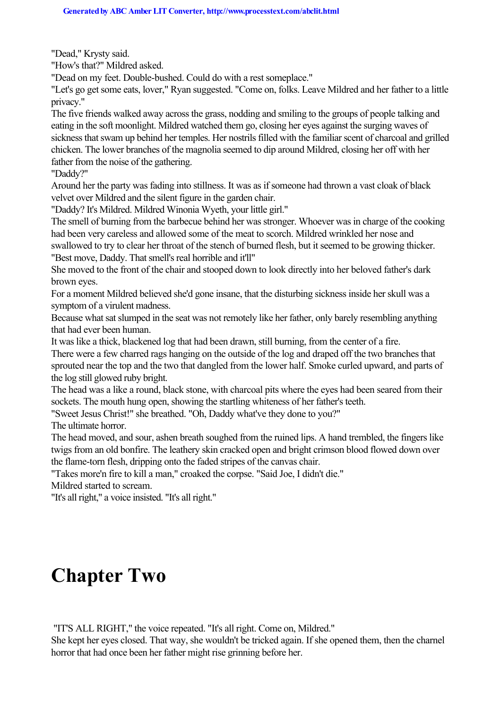"Dead," Krysty said.

"How's that?" Mildred asked.

"Dead on my feet. Double-bushed. Could do with a rest someplace."

"Let's go get some eats, lover," Ryan suggested. "Come on, folks. Leave Mildred and her father to a little privacy."

The five friends walked away across the grass, nodding and smiling to the groups of people talking and eating in the soft moonlight. Mildred watched them go, closing her eyes against the surging waves of sickness that swam up behind her temples. Her nostrils filled with the familiar scent of charcoal and grilled chicken. The lower branches of the magnolia seemed to dip around Mildred, closing her off with her father from the noise of the gathering.

"Daddy?"

Around her the party was fading into stillness. It was as if someone had thrown a vast cloak of black velvet over Mildred and the silent figure in the garden chair.

"Daddy? It's Mildred. Mildred Winonia Wyeth, your little girl."

The smell of burning from the barbecue behind her was stronger. Whoever was in charge of the cooking had been very careless and allowed some of the meat to scorch. Mildred wrinkled her nose and

swallowed to try to clear her throat of the stench of burned flesh, but it seemed to be growing thicker. "Best move, Daddy. That smell's real horrible and it'll"

She moved to the front of the chair and stooped down to look directly into her beloved father's dark brown eyes.

For a moment Mildred believed she'd gone insane, that the disturbing sickness inside her skull was a symptom of a virulent madness.

Because what sat slumped in the seat was not remotely like her father, only barely resembling anything that had ever been human.

It was like a thick, blackened log that had been drawn, still burning, from the center of a fire.

There were a few charred rags hanging on the outside of the log and draped off the two branches that sprouted near the top and the two that dangled from the lower half. Smoke curled upward, and parts of the log still glowed ruby bright.

The head was a like a round, black stone, with charcoal pits where the eyes had been seared from their sockets. The mouth hung open, showing the startling whiteness of her father's teeth.

"Sweet Jesus Christ!" she breathed. "Oh, Daddy what've they done to you?"

The ultimate horror.

The head moved, and sour, ashen breath soughed from the ruined lips. A hand trembled, the fingers like twigs from an old bonfire. The leathery skin cracked open and bright crimson blood flowed down over the flame-torn flesh, dripping onto the faded stripes of the canvas chair.

"Takes more'n fire to kill a man," croaked the corpse. "Said Joe, I didn't die."

Mildred started to scream.

"It's all right," a voice insisted. "It's all right."

## **Chapter Two**

"IT'S ALL RIGHT," the voice repeated. "It's all right. Come on, Mildred."

She kept her eyes closed. That way, she wouldn't be tricked again. If she opened them, then the charnel horror that had once been her father might rise grinning before her.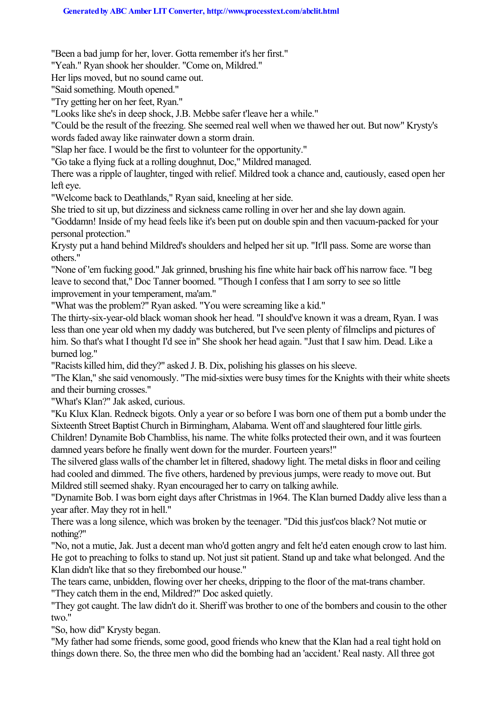"Been a bad jump for her, lover. Gotta remember it's her first."

"Yeah." Ryan shook her shoulder. "Come on, Mildred."

Her lips moved, but no sound came out.

"Said something. Mouth opened."

"Try getting her on her feet, Ryan."

"Looks like she's in deep shock, J.B. Mebbe safer t'leave her a while."

"Could be the result of the freezing. She seemed real well when we thawed her out. But now" Krysty's words faded away like rainwater down a storm drain.

"Slap her face. I would be the first to volunteer for the opportunity."

"Go take a flying fuck at a rolling doughnut, Doc," Mildred managed.

There was a ripple of laughter, tinged with relief. Mildred took a chance and, cautiously, eased open her left eye.

"Welcome back to Deathlands," Ryan said, kneeling at her side.

She tried to sit up, but dizziness and sickness came rolling in over her and she lay down again.

"Goddamn! Inside of my head feels like it's been put on double spin and then vacuum-packed for your personal protection."

Krysty put a hand behind Mildred's shoulders and helped her sit up. "It'll pass. Some are worse than others."

"None of 'em fucking good." Jak grinned, brushing his fine white hair back off his narrow face. "I beg leave to second that," Doc Tanner boomed. "Though I confess that I am sorry to see so little improvement in your temperament, ma'am."

"What was the problem?" Ryan asked. "You were screaming like a kid."

The thirty-six-year-old black woman shook her head. "I should've known it was a dream, Ryan. I was less than one year old when my daddy was butchered, but I've seen plenty of filmclips and pictures of him. So that's what I thought I'd see in" She shook her head again. "Just that I saw him. Dead. Like a burned log."

"Racists killed him, did they?" asked J. B. Dix, polishing his glasses on his sleeve.

"The Klan," she said venomously. "The mid-sixties were busy times for the Knights with their white sheets and their burning crosses."

"What's Klan?" Jak asked, curious.

"Ku Klux Klan. Redneck bigots. Only a year or so before I was born one of them put a bomb under the Sixteenth Street Baptist Church in Birmingham, Alabama. Went off and slaughtered four little girls. Children! Dynamite Bob Chambliss, his name. The white folks protected their own, and it was fourteen

damned years before he finally went down for the murder. Fourteen years!"

The silvered glass walls of the chamber let in filtered, shadowy light. The metal disks in floor and ceiling had cooled and dimmed. The five others, hardened by previous jumps, were ready to move out. But Mildred still seemed shaky. Ryan encouraged her to carry on talking awhile.

"Dynamite Bob. I was born eight days after Christmas in 1964. The Klan burned Daddy alive less than a year after. May they rot in hell."

There was a long silence, which was broken by the teenager. "Did this just'cos black? Not mutie or nothing?"

"No, not a mutie, Jak. Just a decent man who'd gotten angry and felt he'd eaten enough crow to last him. He got to preaching to folks to stand up. Not just sit patient. Stand up and take what belonged. And the Klan didn't like that so they firebombed our house."

The tears came, unbidden, flowing over her cheeks, dripping to the floor of the mat-trans chamber. "They catch them in the end, Mildred?" Doc asked quietly.

"They got caught. The law didn't do it. Sheriff was brother to one of the bombers and cousin to the other two."

"So, how did" Krysty began.

"My father had some friends, some good, good friends who knew that the Klan had a real tight hold on things down there. So, the three men who did the bombing had an 'accident.' Real nasty. All three got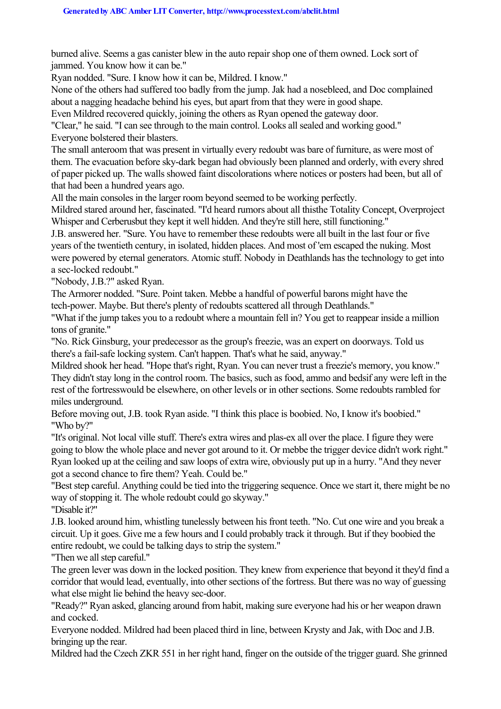burned alive. Seems a gas canister blew in the auto repair shop one of them owned. Lock sort of jammed. You know how it can be."

Ryan nodded. "Sure. I know how it can be, Mildred. I know."

None of the others had suffered too badly from the jump. Jak had a nosebleed, and Doc complained about a nagging headache behind his eyes, but apart from that they were in good shape.

Even Mildred recovered quickly, joining the others as Ryan opened the gateway door.

"Clear," he said. "I can see through to the main control. Looks all sealed and working good." Everyone bolstered their blasters.

The small anteroom that was present in virtually every redoubt was bare of furniture, as were most of them. The evacuation before sky-dark began had obviously been planned and orderly, with every shred of paper picked up. The walls showed faint discolorations where notices or posters had been, but all of that had been a hundred years ago.

All the main consoles in the larger room beyond seemed to be working perfectly.

Mildred stared around her, fascinated. "I'd heard rumors about all thisthe Totality Concept, Overproject Whisper and Cerberusbut they kept it well hidden. And they're still here, still functioning."

J.B. answered her. "Sure. You have to remember these redoubts were all built in the last four or five years of the twentieth century, in isolated, hidden places. And most of 'em escaped the nuking. Most were powered by eternal generators. Atomic stuff. Nobody in Deathlands has the technology to get into a sec-locked redoubt."

"Nobody, J.B.?" asked Ryan.

The Armorer nodded. "Sure. Point taken. Mebbe a handful of powerful barons might have the tech-power. Maybe. But there's plenty of redoubts scattered all through Deathlands."

"What if the jump takes you to a redoubt where a mountain fell in? You get to reappear inside a million tons of granite."

"No. Rick Ginsburg, your predecessor as the group's freezie, was an expert on doorways. Told us there's a fail-safe locking system. Can't happen. That's what he said, anyway."

Mildred shook her head. "Hope that's right, Ryan. You can never trust a freezie's memory, you know." They didn't stay long in the control room. The basics, such as food, ammo and bedsif any were left in the rest of the fortresswould be elsewhere, on other levels or in other sections. Some redoubts rambled for miles underground.

Before moving out, J.B. took Ryan aside. "I think this place is boobied. No, I know it's boobied." "Who by?"

"It's original. Not local ville stuff. There's extra wires and plas-ex all over the place. I figure they were going to blow the whole place and never got around to it. Or mebbe the trigger device didn't work right." Ryan looked up at the ceiling and saw loops of extra wire, obviously put up in a hurry. "And they never got a second chance to fire them? Yeah. Could be."

"Best step careful. Anything could be tied into the triggering sequence. Once we start it, there might be no way of stopping it. The whole redoubt could go skyway."

"Disable it?"

J.B. looked around him, whistling tunelessly between his front teeth. "No. Cut one wire and you break a circuit. Up it goes. Give me a few hours and I could probably track it through. But if they boobied the entire redoubt, we could be talking days to strip the system."

"Then we all step careful."

The green lever was down in the locked position. They knew from experience that beyond it they'd find a corridor that would lead, eventually, into other sections of the fortress. But there was no way of guessing what else might lie behind the heavy sec-door.

"Ready?" Ryan asked, glancing around from habit, making sure everyone had his or her weapon drawn and cocked.

Everyone nodded. Mildred had been placed third in line, between Krysty and Jak, with Doc and J.B. bringing up the rear.

Mildred had the Czech ZKR 551 in her right hand, finger on the outside of the trigger guard. She grinned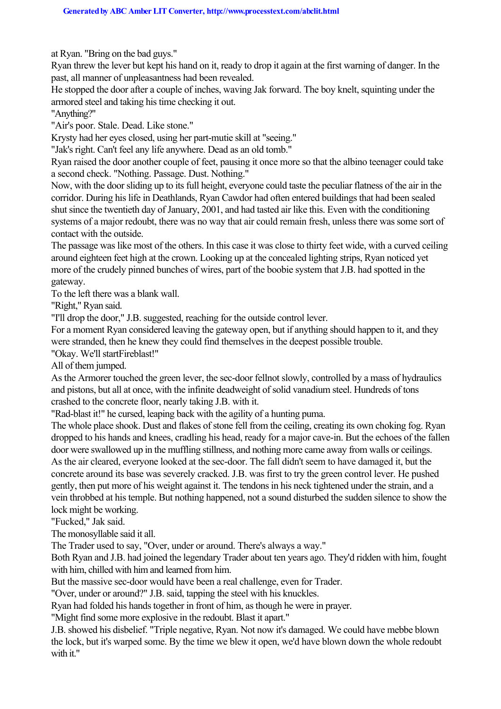at Ryan. "Bring on the bad guys."

Ryan threw the lever but kept his hand on it, ready to drop it again at the first warning of danger. In the past, all manner of unpleasantness had been revealed.

He stopped the door after a couple of inches, waving Jak forward. The boy knelt, squinting under the armored steel and taking his time checking it out.

"Anything?"

"Air's poor. Stale. Dead. Like stone."

Krysty had her eyes closed, using her part-mutie skill at "seeing."

"Jak's right. Can't feel any life anywhere. Dead as an old tomb."

Ryan raised the door another couple of feet, pausing it once more so that the albino teenager could take a second check. "Nothing. Passage. Dust. Nothing."

Now, with the door sliding up to its full height, everyone could taste the peculiar flatness of the air in the corridor. During his life in Deathlands, Ryan Cawdor had often entered buildings that had been sealed shut since the twentieth day of January, 2001, and had tasted air like this. Even with the conditioning systems of a major redoubt, there was no way that air could remain fresh, unless there was some sort of contact with the outside.

The passage was like most of the others. In this case it was close to thirty feet wide, with a curved ceiling around eighteen feet high at the crown. Looking up at the concealed lighting strips, Ryan noticed yet more of the crudely pinned bunches of wires, part of the boobie system that J.B. had spotted in the gateway.

To the left there was a blank wall.

"Right," Ryan said.

"I'll drop the door," J.B. suggested, reaching for the outside control lever.

For a moment Ryan considered leaving the gateway open, but if anything should happen to it, and they were stranded, then he knew they could find themselves in the deepest possible trouble.

"Okay. We'll startFireblast!"

All of them jumped.

As the Armorer touched the green lever, the sec-door fellnot slowly, controlled by a mass of hydraulics and pistons, but all at once, with the infinite deadweight of solid vanadium steel. Hundreds of tons crashed to the concrete floor, nearly taking J.B. with it.

"Rad-blast it!" he cursed, leaping back with the agility of a hunting puma.

The whole place shook. Dust and flakes of stone fell from the ceiling, creating its own choking fog. Ryan dropped to his hands and knees, cradling his head, ready for a major cave-in. But the echoes of the fallen door were swallowed up in the muffling stillness, and nothing more came away from walls or ceilings. As the air cleared, everyone looked at the sec-door. The fall didn't seem to have damaged it, but the concrete around its base was severely cracked. J.B. was first to try the green control lever. He pushed gently, then put more of his weight against it. The tendons in his neck tightened under the strain, and a vein throbbed at his temple. But nothing happened, not a sound disturbed the sudden silence to show the lock might be working.

"Fucked," Jak said.

The monosyllable said it all.

The Trader used to say, "Over, under or around. There's always a way."

Both Ryan and J.B. had joined the legendary Trader about ten years ago. They'd ridden with him, fought with him, chilled with him and learned from him.

But the massive sec-door would have been a real challenge, even for Trader.

"Over, under or around?" J.B. said, tapping the steel with his knuckles.

Ryan had folded his hands together in front of him, as though he were in prayer.

"Might find some more explosive in the redoubt. Blast it apart."

J.B. showed his disbelief. "Triple negative, Ryan. Not now it's damaged. We could have mebbe blown the lock, but it's warped some. By the time we blew it open, we'd have blown down the whole redoubt with it."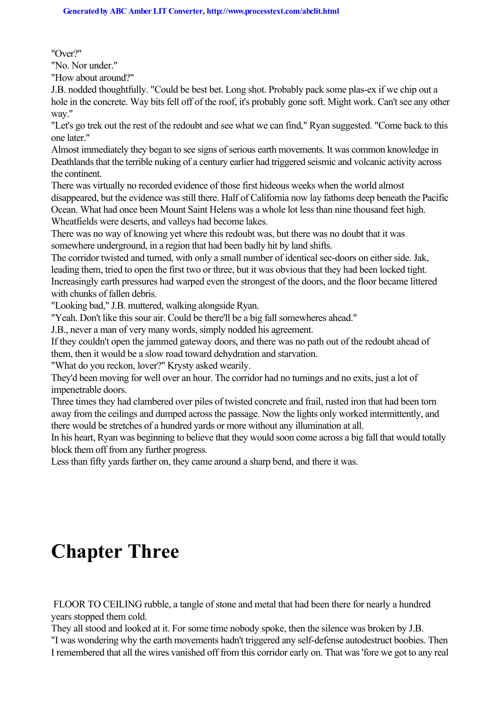"Over?"

"No. Nor under."

"How about around?"

J.B. nodded thoughtfully. "Could be best bet. Long shot. Probably pack some plas-ex if we chip out a hole in the concrete. Way bits fell off of the roof, it's probably gone soft. Might work. Can't see any other way."

"Let's go trek out the rest of the redoubt and see what we can find," Ryan suggested. "Come back to this one later."

Almost immediately they began to see signs of serious earth movements. It was common knowledge in Deathlands that the terrible nuking of a century earlier had triggered seismic and volcanic activity across the continent.

There was virtually no recorded evidence of those first hideous weeks when the world almost disappeared, but the evidence was still there. Half of California now lay fathoms deep beneath the Pacific Ocean. What had once been Mount Saint Helens was a whole lot less than nine thousand feet high. Wheatfields were deserts, and valleys had become lakes.

There was no way of knowing yet where this redoubt was, but there was no doubt that it was somewhere underground, in a region that had been badly hit by land shifts.

The corridor twisted and turned, with only a small number of identical sec-doors on either side. Jak, leading them, tried to open the first two or three, but it was obvious that they had been locked tight. Increasingly earth pressures had warped even the strongest of the doors, and the floor became littered with chunks of fallen debris.

"Looking bad," J.B. muttered, walking alongside Ryan.

"Yeah. Don't like this sour air. Could be there'll be a big fall somewheres ahead."

J.B., never a man of very many words, simply nodded his agreement.

If they couldn't open the jammed gateway doors, and there was no path out of the redoubt ahead of them, then it would be a slow road toward dehydration and starvation.

"What do you reckon, lover?" Krysty asked wearily.

They'd been moving for well over an hour. The corridor had no turnings and no exits, just a lot of impenetrable doors.

Three times they had clambered over piles of twisted concrete and frail, rusted iron that had been torn away from the ceilings and dumped across the passage. Now the lights only worked intermittently, and there would be stretches of a hundred yards or more without any illumination at all.

In his heart, Ryan was beginning to believe that they would soon come across a big fall that would totally block them off from any further progress.

Less than fifty yards farther on, they came around a sharp bend, and there it was.

#### **Chapter Three**

 FLOOR TO CEILING rubble, a tangle of stone and metal that had been there for nearly a hundred years stopped them cold.

They all stood and looked at it. For some time nobody spoke, then the silence was broken by J.B. "I was wondering why the earth movements hadn't triggered any self-defense autodestruct boobies. Then I remembered that all the wires vanished off from this corridor early on. That was 'fore we got to any real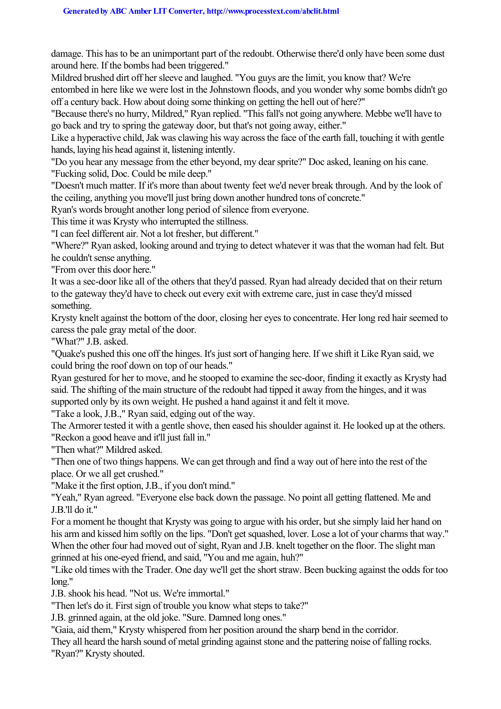damage. This has to be an unimportant part of the redoubt. Otherwise there'd only have been some dust around here. If the bombs had been triggered."

Mildred brushed dirt off her sleeve and laughed. "You guys are the limit, you know that? We're entombed in here like we were lost in the Johnstown floods, and you wonder why some bombs didn't go off a century back. How about doing some thinking on getting the hell out of here?"

"Because there's no hurry, Mildred," Ryan replied. "This fall's not going anywhere. Mebbe we'll have to go back and try to spring the gateway door, but that's not going away, either."

Like a hyperactive child, Jak was clawing his way across the face of the earth fall, touching it with gentle hands, laying his head against it, listening intently.

"Do you hear any message from the ether beyond, my dear sprite?" Doc asked, leaning on his cane. "Fucking solid, Doc. Could be mile deep."

"Doesn't much matter. If it's more than about twenty feet we'd never break through. And by the look of the ceiling, anything you move'll just bring down another hundred tons of concrete."

Ryan's words brought another long period of silence from everyone.

This time it was Krysty who interrupted the stillness.

"I can feel different air. Not a lot fresher, but different."

"Where?" Ryan asked, looking around and trying to detect whatever it was that the woman had felt. But he couldn't sense anything.

"From over this door here."

It was a sec-door like all of the others that they'd passed. Ryan had already decided that on their return to the gateway they'd have to check out every exit with extreme care, just in case they'd missed something.

Krysty knelt against the bottom of the door, closing her eyes to concentrate. Her long red hair seemed to caress the pale gray metal of the door.

"What?" J.B. asked.

"Quake's pushed this one off the hinges. It's just sort of hanging here. If we shift it Like Ryan said, we could bring the roof down on top of our heads."

Ryan gestured for her to move, and he stooped to examine the sec-door, finding it exactly as Krysty had said. The shifting of the main structure of the redoubt had tipped it away from the hinges, and it was supported only by its own weight. He pushed a hand against it and felt it move.

"Take a look, J.B.," Ryan said, edging out of the way.

The Armorer tested it with a gentle shove, then eased his shoulder against it. He looked up at the others. "Reckon a good heave and it'll just fall in."

"Then what?" Mildred asked.

"Then one of two things happens. We can get through and find a way out of here into the rest of the place. Or we all get crushed."

"Make it the first option, J.B., if you don't mind."

"Yeah," Ryan agreed. "Everyone else back down the passage. No point all getting flattened. Me and J.B.'ll do it."

For a moment he thought that Krysty was going to argue with his order, but she simply laid her hand on his arm and kissed him softly on the lips. "Don't get squashed, lover. Lose a lot of your charms that way." When the other four had moved out of sight, Ryan and J.B. knelt together on the floor. The slight man grinned at his one-eyed friend, and said, "You and me again, huh?"

"Like old times with the Trader. One day we'll get the short straw. Been bucking against the odds for too long."

J.B. shook his head. "Not us. We're immortal."

"Then let's do it. First sign of trouble you know what steps to take?"

J.B. grinned again, at the old joke. "Sure. Damned long ones."

"Gaia, aid them," Krysty whispered from her position around the sharp bend in the corridor.

They all heard the harsh sound of metal grinding against stone and the pattering noise of falling rocks. "Ryan?" Krysty shouted.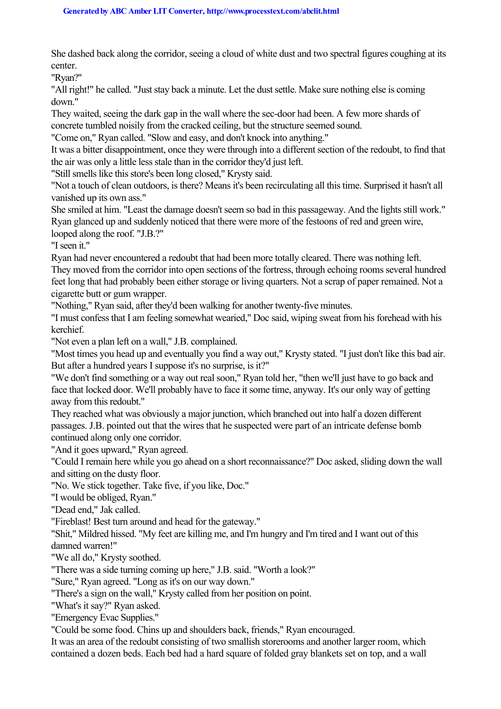She dashed back along the corridor, seeing a cloud of white dust and two spectral figures coughing at its center.

"Ryan?"

"All right!" he called. "Just stay back a minute. Let the dust settle. Make sure nothing else is coming down."

They waited, seeing the dark gap in the wall where the sec-door had been. A few more shards of concrete tumbled noisily from the cracked ceiling, but the structure seemed sound.

"Come on," Ryan called. "Slow and easy, and don't knock into anything."

It was a bitter disappointment, once they were through into a different section of the redoubt, to find that the air was only a little less stale than in the corridor they'd just left.

"Still smells like this store's been long closed," Krysty said.

"Not a touch of clean outdoors, is there? Means it's been recirculating all this time. Surprised it hasn't all vanished up its own ass."

She smiled at him. "Least the damage doesn't seem so bad in this passageway. And the lights still work." Ryan glanced up and suddenly noticed that there were more of the festoons of red and green wire, looped along the roof. "J.B.?"

"I seen it."

Ryan had never encountered a redoubt that had been more totally cleared. There was nothing left.

They moved from the corridor into open sections of the fortress, through echoing rooms several hundred feet long that had probably been either storage or living quarters. Not a scrap of paper remained. Not a cigarette butt or gum wrapper.

"Nothing," Ryan said, after they'd been walking for another twenty-five minutes.

"I must confess that I am feeling somewhat wearied," Doc said, wiping sweat from his forehead with his kerchief.

"Not even a plan left on a wall," J.B. complained.

"Most times you head up and eventually you find a way out," Krysty stated. "I just don't like this bad air. But after a hundred years I suppose it's no surprise, is it?"

"We don't find something or a way out real soon," Ryan told her, "then we'll just have to go back and face that locked door. We'll probably have to face it some time, anyway. It's our only way of getting away from this redoubt."

They reached what was obviously a major junction, which branched out into half a dozen different passages. J.B. pointed out that the wires that he suspected were part of an intricate defense bomb continued along only one corridor.

"And it goes upward," Ryan agreed.

"Could I remain here while you go ahead on a short reconnaissance?" Doc asked, sliding down the wall and sitting on the dusty floor.

"No. We stick together. Take five, if you like, Doc."

"I would be obliged, Ryan."

"Dead end," Jak called.

"Fireblast! Best turn around and head for the gateway."

"Shit," Mildred hissed. "My feet are killing me, and I'm hungry and I'm tired and I want out of this damned warren!"

"We all do," Krysty soothed.

"There was a side turning coming up here," J.B. said. "Worth a look?"

"Sure," Ryan agreed. "Long as it's on our way down."

"There's a sign on the wall," Krysty called from her position on point.

"What's it say?" Ryan asked.

"Emergency Evac Supplies."

"Could be some food. Chins up and shoulders back, friends," Ryan encouraged.

It was an area of the redoubt consisting of two smallish storerooms and another larger room, which contained a dozen beds. Each bed had a hard square of folded gray blankets set on top, and a wall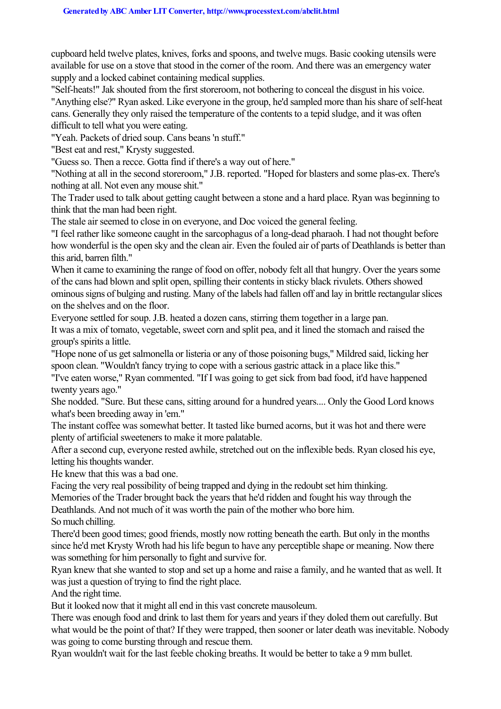cupboard held twelve plates, knives, forks and spoons, and twelve mugs. Basic cooking utensils were available for use on a stove that stood in the corner of the room. And there was an emergency water supply and a locked cabinet containing medical supplies.

"Self-heats!" Jak shouted from the first storeroom, not bothering to conceal the disgust in his voice. "Anything else?" Ryan asked. Like everyone in the group, he'd sampled more than his share of self-heat cans. Generally they only raised the temperature of the contents to a tepid sludge, and it was often difficult to tell what you were eating.

"Yeah. Packets of dried soup. Cans beans 'n stuff."

"Best eat and rest," Krysty suggested.

"Guess so. Then a recce. Gotta find if there's a way out of here."

"Nothing at all in the second storeroom," J.B. reported. "Hoped for blasters and some plas-ex. There's nothing at all. Not even any mouse shit."

The Trader used to talk about getting caught between a stone and a hard place. Ryan was beginning to think that the man had been right.

The stale air seemed to close in on everyone, and Doc voiced the general feeling.

"I feel rather like someone caught in the sarcophagus of a long-dead pharaoh. I had not thought before how wonderful is the open sky and the clean air. Even the fouled air of parts of Deathlands is better than this arid, barren filth."

When it came to examining the range of food on offer, nobody felt all that hungry. Over the years some of the cans had blown and split open, spilling their contents in sticky black rivulets. Others showed ominous signs of bulging and rusting. Many of the labels had fallen off and lay in brittle rectangular slices on the shelves and on the floor.

Everyone settled for soup. J.B. heated a dozen cans, stirring them together in a large pan.

It was a mix of tomato, vegetable, sweet corn and split pea, and it lined the stomach and raised the group's spirits a little.

"Hope none of us get salmonella or listeria or any of those poisoning bugs," Mildred said, licking her spoon clean. "Wouldn't fancy trying to cope with a serious gastric attack in a place like this."

"I've eaten worse," Ryan commented. "If I was going to get sick from bad food, it'd have happened twenty years ago."

She nodded. "Sure. But these cans, sitting around for a hundred years.... Only the Good Lord knows what's been breeding away in 'em."

The instant coffee was somewhat better. It tasted like burned acorns, but it was hot and there were plenty of artificial sweeteners to make it more palatable.

After a second cup, everyone rested awhile, stretched out on the inflexible beds. Ryan closed his eye, letting his thoughts wander.

He knew that this was a bad one.

Facing the very real possibility of being trapped and dying in the redoubt set him thinking.

Memories of the Trader brought back the years that he'd ridden and fought his way through the Deathlands. And not much of it was worth the pain of the mother who bore him.

So much chilling.

There'd been good times; good friends, mostly now rotting beneath the earth. But only in the months since he'd met Krysty Wroth had his life begun to have any perceptible shape or meaning. Now there was something for him personally to fight and survive for.

Ryan knew that she wanted to stop and set up a home and raise a family, and he wanted that as well. It was just a question of trying to find the right place.

And the right time.

But it looked now that it might all end in this vast concrete mausoleum.

There was enough food and drink to last them for years and years if they doled them out carefully. But what would be the point of that? If they were trapped, then sooner or later death was inevitable. Nobody was going to come bursting through and rescue them.

Ryan wouldn't wait for the last feeble choking breaths. It would be better to take a 9 mm bullet.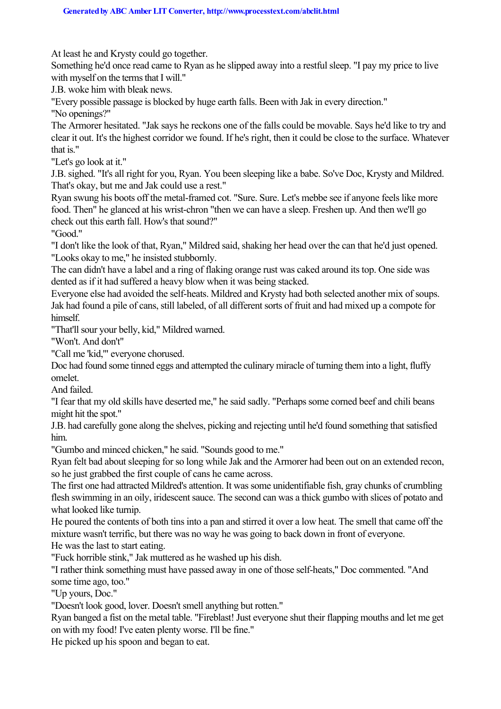At least he and Krysty could go together.

Something he'd once read came to Ryan as he slipped away into a restful sleep. "I pay my price to live with myself on the terms that I will."

J.B. woke him with bleak news.

"Every possible passage is blocked by huge earth falls. Been with Jak in every direction."

"No openings?"

The Armorer hesitated. "Jak says he reckons one of the falls could be movable. Says he'd like to try and clear it out. It's the highest corridor we found. If he's right, then it could be close to the surface. Whatever that is."

"Let's go look at it."

J.B. sighed. "It's all right for you, Ryan. You been sleeping like a babe. So've Doc, Krysty and Mildred. That's okay, but me and Jak could use a rest."

Ryan swung his boots off the metal-framed cot. "Sure. Sure. Let's mebbe see if anyone feels like more food. Then" he glanced at his wrist-chron "then we can have a sleep. Freshen up. And then we'll go check out this earth fall. How's that sound?"

"Good."

"I don't like the look of that, Ryan," Mildred said, shaking her head over the can that he'd just opened. "Looks okay to me," he insisted stubbornly.

The can didn't have a label and a ring of flaking orange rust was caked around its top. One side was dented as if it had suffered a heavy blow when it was being stacked.

Everyone else had avoided the self-heats. Mildred and Krysty had both selected another mix of soups. Jak had found a pile of cans, still labeled, of all different sorts of fruit and had mixed up a compote for himself.

"That'll sour your belly, kid," Mildred warned.

"Won't. And don't"

"Call me 'kid,'" everyone chorused.

Doc had found some tinned eggs and attempted the culinary miracle of turning them into a light, fluffy omelet.

And failed.

"I fear that my old skills have deserted me," he said sadly. "Perhaps some corned beef and chili beans might hit the spot."

J.B. had carefully gone along the shelves, picking and rejecting until he'd found something that satisfied him.

"Gumbo and minced chicken," he said. "Sounds good to me."

Ryan felt bad about sleeping for so long while Jak and the Armorer had been out on an extended recon, so he just grabbed the first couple of cans he came across.

The first one had attracted Mildred's attention. It was some unidentifiable fish, gray chunks of crumbling flesh swimming in an oily, iridescent sauce. The second can was a thick gumbo with slices of potato and what looked like turnip.

He poured the contents of both tins into a pan and stirred it over a low heat. The smell that came off the mixture wasn't terrific, but there was no way he was going to back down in front of everyone. He was the last to start eating.

"Fuck horrible stink," Jak muttered as he washed up his dish.

"I rather think something must have passed away in one of those self-heats," Doc commented. "And some time ago, too."

"Up yours, Doc."

"Doesn't look good, lover. Doesn't smell anything but rotten."

Ryan banged a fist on the metal table. "Fireblast! Just everyone shut their flapping mouths and let me get on with my food! I've eaten plenty worse. I'll be fine."

He picked up his spoon and began to eat.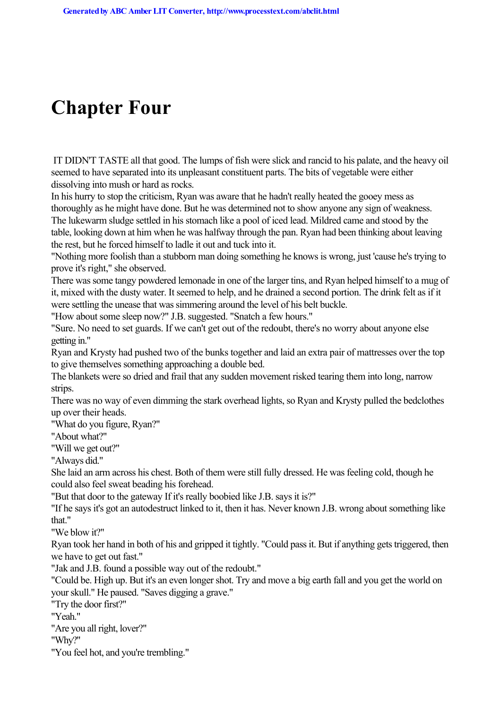### **Chapter Four**

 IT DIDN'T TASTE all that good. The lumps of fish were slick and rancid to his palate, and the heavy oil seemed to have separated into its unpleasant constituent parts. The bits of vegetable were either dissolving into mush or hard as rocks.

In his hurry to stop the criticism, Ryan was aware that he hadn't really heated the gooey mess as thoroughly as he might have done. But he was determined not to show anyone any sign of weakness. The lukewarm sludge settled in his stomach like a pool of iced lead. Mildred came and stood by the table, looking down at him when he was halfway through the pan. Ryan had been thinking about leaving the rest, but he forced himself to ladle it out and tuck into it.

"Nothing more foolish than a stubborn man doing something he knows is wrong, just 'cause he's trying to prove it's right," she observed.

There was some tangy powdered lemonade in one of the larger tins, and Ryan helped himself to a mug of it, mixed with the dusty water. It seemed to help, and he drained a second portion. The drink felt as if it were settling the unease that was simmering around the level of his belt buckle.

"How about some sleep now?" J.B. suggested. "Snatch a few hours."

"Sure. No need to set guards. If we can't get out of the redoubt, there's no worry about anyone else getting in."

Ryan and Krysty had pushed two of the bunks together and laid an extra pair of mattresses over the top to give themselves something approaching a double bed.

The blankets were so dried and frail that any sudden movement risked tearing them into long, narrow strips.

There was no way of even dimming the stark overhead lights, so Ryan and Krysty pulled the bedclothes up over their heads.

"What do you figure, Ryan?"

"About what?"

"Will we get out?"

"Always did."

She laid an arm across his chest. Both of them were still fully dressed. He was feeling cold, though he could also feel sweat beading his forehead.

"But that door to the gateway If it's really boobied like J.B. says it is?"

"If he says it's got an autodestruct linked to it, then it has. Never known J.B. wrong about something like that."

"We blow it?"

Ryan took her hand in both of his and gripped it tightly. "Could pass it. But if anything gets triggered, then we have to get out fast."

"Jak and J.B. found a possible way out of the redoubt."

"Could be. High up. But it's an even longer shot. Try and move a big earth fall and you get the world on your skull." He paused. "Saves digging a grave."

"Try the door first?"

"Yeah."

"Are you all right, lover?"

"Why?"

"You feel hot, and you're trembling."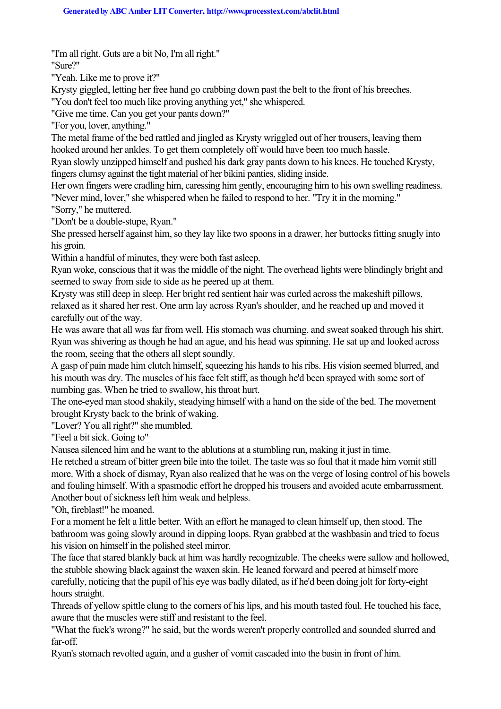"I'm all right. Guts are a bit No, I'm all right."

"Sure?"

"Yeah. Like me to prove it?"

Krysty giggled, letting her free hand go crabbing down past the belt to the front of his breeches.

"You don't feel too much like proving anything yet," she whispered.

"Give me time. Can you get your pants down?"

"For you, lover, anything."

The metal frame of the bed rattled and jingled as Krysty wriggled out of her trousers, leaving them hooked around her ankles. To get them completely off would have been too much hassle.

Ryan slowly unzipped himself and pushed his dark gray pants down to his knees. He touched Krysty, fingers clumsy against the tight material of her bikini panties, sliding inside.

Her own fingers were cradling him, caressing him gently, encouraging him to his own swelling readiness. "Never mind, lover," she whispered when he failed to respond to her. "Try it in the morning." "Sorry," he muttered.

"Don't be a double-stupe, Ryan."

She pressed herself against him, so they lay like two spoons in a drawer, her buttocks fitting snugly into his groin.

Within a handful of minutes, they were both fast asleep.

Ryan woke, conscious that it was the middle of the night. The overhead lights were blindingly bright and seemed to sway from side to side as he peered up at them.

Krysty was still deep in sleep. Her bright red sentient hair was curled across the makeshift pillows, relaxed as it shared her rest. One arm lay across Ryan's shoulder, and he reached up and moved it carefully out of the way.

He was aware that all was far from well. His stomach was churning, and sweat soaked through his shirt. Ryan was shivering as though he had an ague, and his head was spinning. He sat up and looked across the room, seeing that the others all slept soundly.

A gasp of pain made him clutch himself, squeezing his hands to his ribs. His vision seemed blurred, and his mouth was dry. The muscles of his face felt stiff, as though he'd been sprayed with some sort of numbing gas. When he tried to swallow, his throat hurt.

The one-eyed man stood shakily, steadying himself with a hand on the side of the bed. The movement brought Krysty back to the brink of waking.

"Lover? You all right?" she mumbled.

"Feel a bit sick. Going to"

Nausea silenced him and he want to the ablutions at a stumbling run, making it just in time.

He retched a stream of bitter green bile into the toilet. The taste was so foul that it made him vomit still more. With a shock of dismay, Ryan also realized that he was on the verge of losing control of his bowels and fouling himself. With a spasmodic effort he dropped his trousers and avoided acute embarrassment. Another bout of sickness left him weak and helpless.

"Oh, fireblast!" he moaned.

For a moment he felt a little better. With an effort he managed to clean himself up, then stood. The bathroom was going slowly around in dipping loops. Ryan grabbed at the washbasin and tried to focus his vision on himself in the polished steel mirror.

The face that stared blankly back at him was hardly recognizable. The cheeks were sallow and hollowed, the stubble showing black against the waxen skin. He leaned forward and peered at himself more carefully, noticing that the pupil of his eye was badly dilated, as if he'd been doing jolt for forty-eight hours straight.

Threads of yellow spittle clung to the corners of his lips, and his mouth tasted foul. He touched his face, aware that the muscles were stiff and resistant to the feel.

"What the fuck's wrong?" he said, but the words weren't properly controlled and sounded slurred and far-off.

Ryan's stomach revolted again, and a gusher of vomit cascaded into the basin in front of him.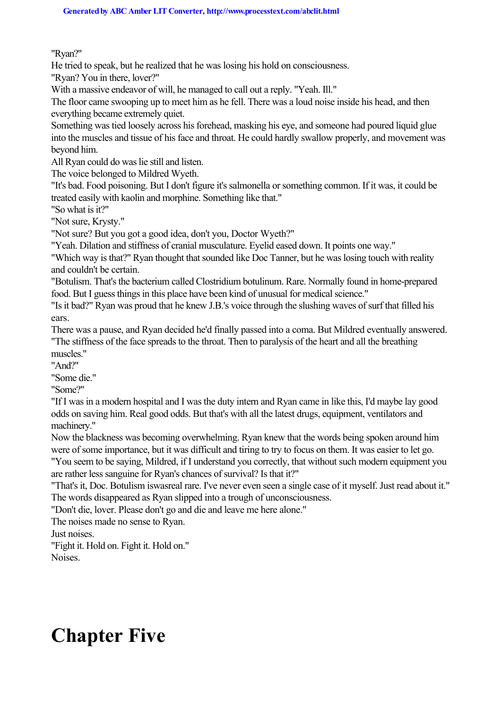"Ryan?"

He tried to speak, but he realized that he was losing his hold on consciousness.

"Ryan? You in there, lover?"

With a massive endeavor of will, he managed to call out a reply. "Yeah. Ill."

The floor came swooping up to meet him as he fell. There was a loud noise inside his head, and then everything became extremely quiet.

Something was tied loosely across his forehead, masking his eye, and someone had poured liquid glue into the muscles and tissue of his face and throat. He could hardly swallow properly, and movement was beyond him.

All Ryan could do was lie still and listen.

The voice belonged to Mildred Wyeth.

"It's bad. Food poisoning. But I don't figure it's salmonella or something common. If it was, it could be treated easily with kaolin and morphine. Something like that."

"So what is it?"

"Not sure, Krysty."

"Not sure? But you got a good idea, don't you, Doctor Wyeth?"

"Yeah. Dilation and stiffness of cranial musculature. Eyelid eased down. It points one way."

"Which way is that?" Ryan thought that sounded like Doc Tanner, but he was losing touch with reality and couldn't be certain.

"Botulism. That's the bacterium called Clostridium botulinum. Rare. Normally found in home-prepared food. But I guess things in this place have been kind of unusual for medical science."

"Is it bad?" Ryan was proud that he knew J.B.'s voice through the slushing waves of surf that filled his ears.

There was a pause, and Ryan decided he'd finally passed into a coma. But Mildred eventually answered. "The stiffness of the face spreads to the throat. Then to paralysis of the heart and all the breathing muscles."

"And?"

"Some die."

"Some?"

"If I was in a modern hospital and I was the duty intern and Ryan came in like this, I'd maybe lay good odds on saving him. Real good odds. But that's with all the latest drugs, equipment, ventilators and machinery."

Now the blackness was becoming overwhelming. Ryan knew that the words being spoken around him were of some importance, but it was difficult and tiring to try to focus on them. It was easier to let go. "You seem to be saying, Mildred, if I understand you correctly, that without such modern equipment you are rather less sanguine for Ryan's chances of survival? Is that it?"

"That's it, Doc. Botulism iswasreal rare. I've never even seen a single case of it myself. Just read about it." The words disappeared as Ryan slipped into a trough of unconsciousness.

"Don't die, lover. Please don't go and die and leave me here alone."

The noises made no sense to Ryan.

Just noises.

"Fight it. Hold on. Fight it. Hold on." Noises.

#### **Chapter Five**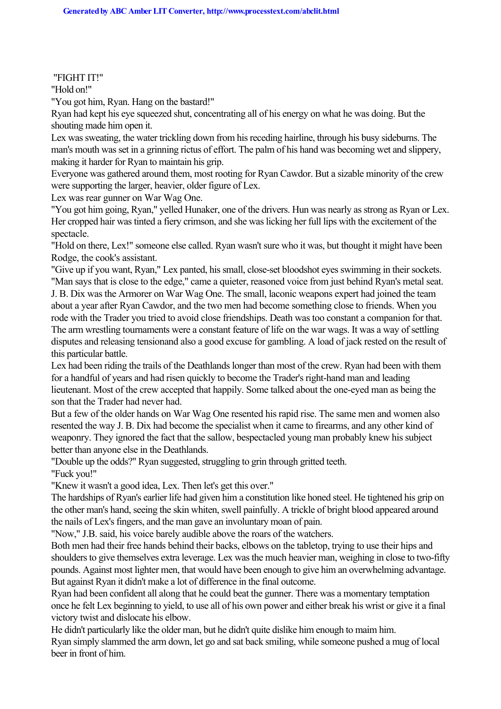"FIGHT IT!" "Hold on!"

"You got him, Ryan. Hang on the bastard!"

Ryan had kept his eye squeezed shut, concentrating all of his energy on what he was doing. But the shouting made him open it.

Lex was sweating, the water trickling down from his receding hairline, through his busy sideburns. The man's mouth was set in a grinning rictus of effort. The palm of his hand was becoming wet and slippery, making it harder for Ryan to maintain his grip.

Everyone was gathered around them, most rooting for Ryan Cawdor. But a sizable minority of the crew were supporting the larger, heavier, older figure of Lex.

Lex was rear gunner on War Wag One.

"You got him going, Ryan," yelled Hunaker, one of the drivers. Hun was nearly as strong as Ryan or Lex. Her cropped hair was tinted a fiery crimson, and she was licking her full lips with the excitement of the spectacle.

"Hold on there, Lex!" someone else called. Ryan wasn't sure who it was, but thought it might have been Rodge, the cook's assistant.

"Give up if you want, Ryan," Lex panted, his small, close-set bloodshot eyes swimming in their sockets. "Man says that is close to the edge," came a quieter, reasoned voice from just behind Ryan's metal seat. J. B. Dix was the Armorer on War Wag One. The small, laconic weapons expert had joined the team about a year after Ryan Cawdor, and the two men had become something close to friends. When you rode with the Trader you tried to avoid close friendships. Death was too constant a companion for that. The arm wrestling tournaments were a constant feature of life on the war wags. It was a way of settling disputes and releasing tensionand also a good excuse for gambling. A load of jack rested on the result of this particular battle.

Lex had been riding the trails of the Deathlands longer than most of the crew. Ryan had been with them for a handful of years and had risen quickly to become the Trader's right-hand man and leading lieutenant. Most of the crew accepted that happily. Some talked about the one-eyed man as being the son that the Trader had never had.

But a few of the older hands on War Wag One resented his rapid rise. The same men and women also resented the way J. B. Dix had become the specialist when it came to firearms, and any other kind of weaponry. They ignored the fact that the sallow, bespectacled young man probably knew his subject better than anyone else in the Deathlands.

"Double up the odds?" Ryan suggested, struggling to grin through gritted teeth. "Fuck you!"

"Knew it wasn't a good idea, Lex. Then let's get this over."

The hardships of Ryan's earlier life had given him a constitution like honed steel. He tightened his grip on the other man's hand, seeing the skin whiten, swell painfully. A trickle of bright blood appeared around the nails of Lex's fingers, and the man gave an involuntary moan of pain.

"Now," J.B. said, his voice barely audible above the roars of the watchers.

Both men had their free hands behind their backs, elbows on the tabletop, trying to use their hips and shoulders to give themselves extra leverage. Lex was the much heavier man, weighing in close to two-fifty pounds. Against most lighter men, that would have been enough to give him an overwhelming advantage. But against Ryan it didn't make a lot of difference in the final outcome.

Ryan had been confident all along that he could beat the gunner. There was a momentary temptation once he felt Lex beginning to yield, to use all of his own power and either break his wrist or give it a final victory twist and dislocate his elbow.

He didn't particularly like the older man, but he didn't quite dislike him enough to maim him. Ryan simply slammed the arm down, let go and sat back smiling, while someone pushed a mug of local beer in front of him.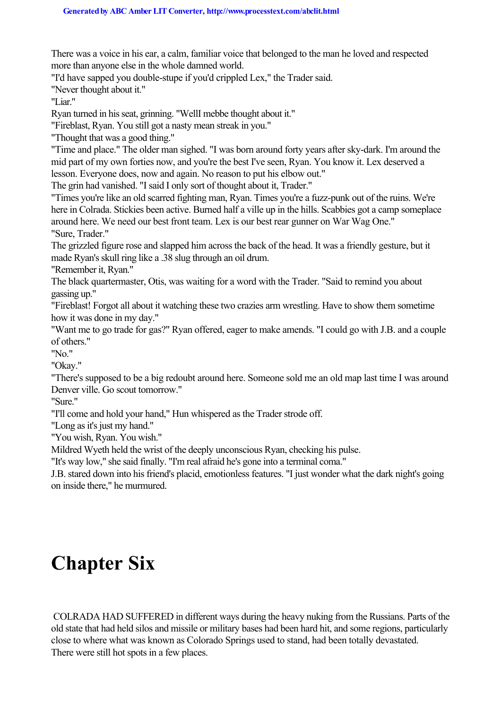There was a voice in his ear, a calm, familiar voice that belonged to the man he loved and respected more than anyone else in the whole damned world.

"I'd have sapped you double-stupe if you'd crippled Lex," the Trader said.

"Never thought about it."

"Liar"

Ryan turned in his seat, grinning. "WellI mebbe thought about it."

"Fireblast, Ryan. You still got a nasty mean streak in you."

"Thought that was a good thing."

"Time and place." The older man sighed. "I was born around forty years after sky-dark. I'm around the mid part of my own forties now, and you're the best I've seen, Ryan. You know it. Lex deserved a lesson. Everyone does, now and again. No reason to put his elbow out."

The grin had vanished. "I said I only sort of thought about it, Trader."

"Times you're like an old scarred fighting man, Ryan. Times you're a fuzz-punk out of the ruins. We're here in Colrada. Stickies been active. Burned half a ville up in the hills. Scabbies got a camp someplace around here. We need our best front team. Lex is our best rear gunner on War Wag One." "Sure, Trader."

The grizzled figure rose and slapped him across the back of the head. It was a friendly gesture, but it made Ryan's skull ring like a .38 slug through an oil drum.

"Remember it, Ryan."

The black quartermaster, Otis, was waiting for a word with the Trader. "Said to remind you about gassing up."

"Fireblast! Forgot all about it watching these two crazies arm wrestling. Have to show them sometime how it was done in my day."

"Want me to go trade for gas?" Ryan offered, eager to make amends. "I could go with J.B. and a couple of others."

"No."

"Okay."

"There's supposed to be a big redoubt around here. Someone sold me an old map last time I was around Denver ville. Go scout tomorrow."

"Sure."

"I'll come and hold your hand," Hun whispered as the Trader strode off.

"Long as it's just my hand."

"You wish, Ryan. You wish."

Mildred Wyeth held the wrist of the deeply unconscious Ryan, checking his pulse.

"It's way low," she said finally. "I'm real afraid he's gone into a terminal coma."

J.B. stared down into his friend's placid, emotionless features. "I just wonder what the dark night's going on inside there," he murmured.

#### **Chapter Six**

 COLRADA HAD SUFFERED in different ways during the heavy nuking from the Russians. Parts of the old state that had held silos and missile or military bases had been hard hit, and some regions, particularly close to where what was known as Colorado Springs used to stand, had been totally devastated. There were still hot spots in a few places.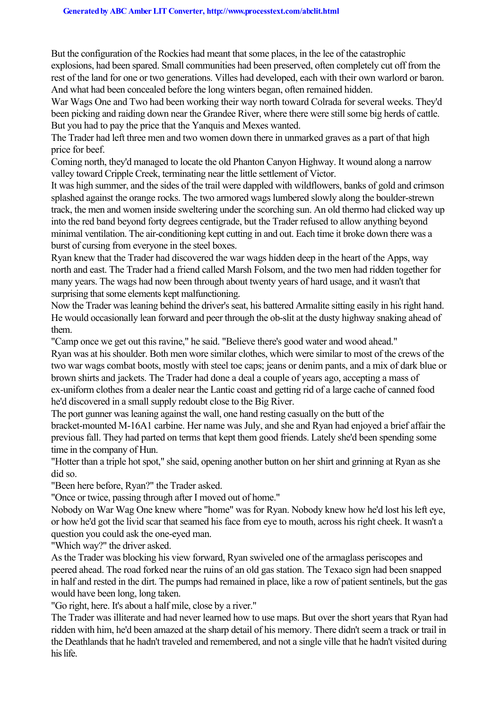But the configuration of the Rockies had meant that some places, in the lee of the catastrophic explosions, had been spared. Small communities had been preserved, often completely cut off from the rest of the land for one or two generations. Villes had developed, each with their own warlord or baron. And what had been concealed before the long winters began, often remained hidden.

War Wags One and Two had been working their way north toward Colrada for several weeks. They'd been picking and raiding down near the Grandee River, where there were still some big herds of cattle. But you had to pay the price that the Yanquis and Mexes wanted.

The Trader had left three men and two women down there in unmarked graves as a part of that high price for beef.

Coming north, they'd managed to locate the old Phanton Canyon Highway. It wound along a narrow valley toward Cripple Creek, terminating near the little settlement of Victor.

It was high summer, and the sides of the trail were dappled with wildflowers, banks of gold and crimson splashed against the orange rocks. The two armored wags lumbered slowly along the boulder-strewn track, the men and women inside sweltering under the scorching sun. An old thermo had clicked way up into the red band beyond forty degrees centigrade, but the Trader refused to allow anything beyond minimal ventilation. The air-conditioning kept cutting in and out. Each time it broke down there was a burst of cursing from everyone in the steel boxes.

Ryan knew that the Trader had discovered the war wags hidden deep in the heart of the Apps, way north and east. The Trader had a friend called Marsh Folsom, and the two men had ridden together for many years. The wags had now been through about twenty years of hard usage, and it wasn't that surprising that some elements kept malfunctioning.

Now the Trader was leaning behind the driver's seat, his battered Armalite sitting easily in his right hand. He would occasionally lean forward and peer through the ob-slit at the dusty highway snaking ahead of them.

"Camp once we get out this ravine," he said. "Believe there's good water and wood ahead."

Ryan was at his shoulder. Both men wore similar clothes, which were similar to most of the crews of the two war wags combat boots, mostly with steel toe caps; jeans or denim pants, and a mix of dark blue or brown shirts and jackets. The Trader had done a deal a couple of years ago, accepting a mass of ex-uniform clothes from a dealer near the Lantic coast and getting rid of a large cache of canned food he'd discovered in a small supply redoubt close to the Big River.

The port gunner was leaning against the wall, one hand resting casually on the butt of the bracket-mounted M-16A1 carbine. Her name was July, and she and Ryan had enjoyed a brief affair the previous fall. They had parted on terms that kept them good friends. Lately she'd been spending some time in the company of Hun.

"Hotter than a triple hot spot," she said, opening another button on her shirt and grinning at Ryan as she did so.

"Been here before, Ryan?" the Trader asked.

"Once or twice, passing through after I moved out of home."

Nobody on War Wag One knew where "home" was for Ryan. Nobody knew how he'd lost his left eye, or how he'd got the livid scar that seamed his face from eye to mouth, across his right cheek. It wasn't a question you could ask the one-eyed man.

"Which way?" the driver asked.

As the Trader was blocking his view forward, Ryan swiveled one of the armaglass periscopes and peered ahead. The road forked near the ruins of an old gas station. The Texaco sign had been snapped in half and rested in the dirt. The pumps had remained in place, like a row of patient sentinels, but the gas would have been long, long taken.

"Go right, here. It's about a half mile, close by a river."

The Trader was illiterate and had never learned how to use maps. But over the short years that Ryan had ridden with him, he'd been amazed at the sharp detail of his memory. There didn't seem a track or trail in the Deathlands that he hadn't traveled and remembered, and not a single ville that he hadn't visited during his life.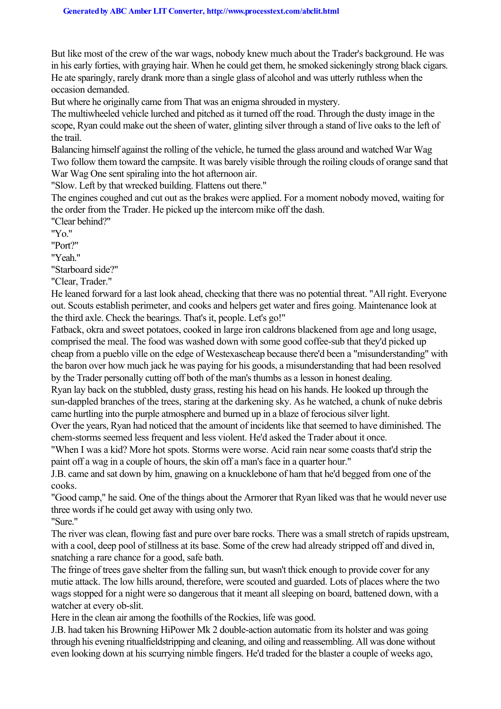But like most of the crew of the war wags, nobody knew much about the Trader's background. He was in his early forties, with graying hair. When he could get them, he smoked sickeningly strong black cigars. He ate sparingly, rarely drank more than a single glass of alcohol and was utterly ruthless when the occasion demanded.

But where he originally came from That was an enigma shrouded in mystery.

The multiwheeled vehicle lurched and pitched as it turned off the road. Through the dusty image in the scope, Ryan could make out the sheen of water, glinting silver through a stand of live oaks to the left of the trail.

Balancing himself against the rolling of the vehicle, he turned the glass around and watched War Wag Two follow them toward the campsite. It was barely visible through the roiling clouds of orange sand that War Wag One sent spiraling into the hot afternoon air.

"Slow. Left by that wrecked building. Flattens out there."

The engines coughed and cut out as the brakes were applied. For a moment nobody moved, waiting for the order from the Trader. He picked up the intercom mike off the dash.

"Clear behind?"

"Yo."

"Port?"

"Yeah."

"Starboard side?"

"Clear, Trader."

He leaned forward for a last look ahead, checking that there was no potential threat. "All right. Everyone out. Scouts establish perimeter, and cooks and helpers get water and fires going. Maintenance look at the third axle. Check the bearings. That's it, people. Let's go!"

Fatback, okra and sweet potatoes, cooked in large iron caldrons blackened from age and long usage, comprised the meal. The food was washed down with some good coffee-sub that they'd picked up cheap from a pueblo ville on the edge of Westexascheap because there'd been a "misunderstanding" with the baron over how much jack he was paying for his goods, a misunderstanding that had been resolved by the Trader personally cutting off both of the man's thumbs as a lesson in honest dealing.

Ryan lay back on the stubbled, dusty grass, resting his head on his hands. He looked up through the sun-dappled branches of the trees, staring at the darkening sky. As he watched, a chunk of nuke debris came hurtling into the purple atmosphere and burned up in a blaze of ferocious silver light.

Over the years, Ryan had noticed that the amount of incidents like that seemed to have diminished. The chem-storms seemed less frequent and less violent. He'd asked the Trader about it once.

"When I was a kid? More hot spots. Storms were worse. Acid rain near some coasts that'd strip the paint off a wag in a couple of hours, the skin off a man's face in a quarter hour."

J.B. came and sat down by him, gnawing on a knucklebone of ham that he'd begged from one of the cooks.

"Good camp," he said. One of the things about the Armorer that Ryan liked was that he would never use three words if he could get away with using only two.

"Sure."

The river was clean, flowing fast and pure over bare rocks. There was a small stretch of rapids upstream, with a cool, deep pool of stillness at its base. Some of the crew had already stripped off and dived in, snatching a rare chance for a good, safe bath.

The fringe of trees gave shelter from the falling sun, but wasn't thick enough to provide cover for any mutie attack. The low hills around, therefore, were scouted and guarded. Lots of places where the two wags stopped for a night were so dangerous that it meant all sleeping on board, battened down, with a watcher at every ob-slit.

Here in the clean air among the foothills of the Rockies, life was good.

J.B. had taken his Browning HiPower Mk 2 double-action automatic from its holster and was going through his evening ritualfieldstripping and cleaning, and oiling and reassembling. All was done without even looking down at his scurrying nimble fingers. He'd traded for the blaster a couple of weeks ago,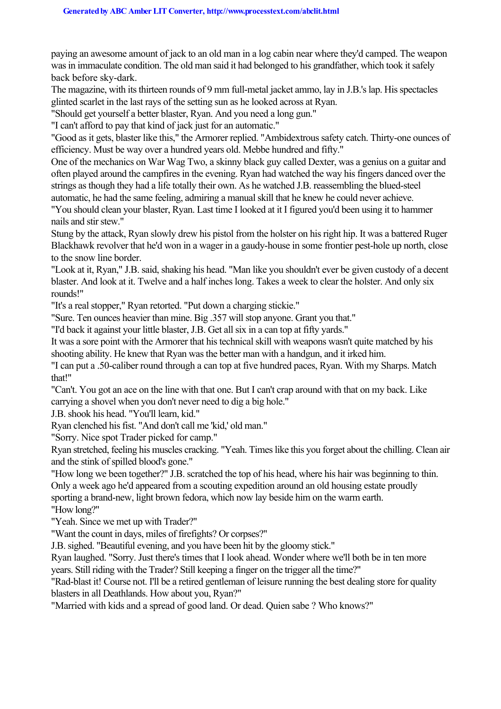paying an awesome amount of jack to an old man in a log cabin near where they'd camped. The weapon was in immaculate condition. The old man said it had belonged to his grandfather, which took it safely back before sky-dark.

The magazine, with its thirteen rounds of 9 mm full-metal jacket ammo, lay in J.B.'s lap. His spectacles glinted scarlet in the last rays of the setting sun as he looked across at Ryan.

"Should get yourself a better blaster, Ryan. And you need a long gun."

"I can't afford to pay that kind of jack just for an automatic."

"Good as it gets, blaster like this," the Armorer replied. "Ambidextrous safety catch. Thirty-one ounces of efficiency. Must be way over a hundred years old. Mebbe hundred and fifty."

One of the mechanics on War Wag Two, a skinny black guy called Dexter, was a genius on a guitar and often played around the campfires in the evening. Ryan had watched the way his fingers danced over the strings as though they had a life totally their own. As he watched J.B. reassembling the blued-steel automatic, he had the same feeling, admiring a manual skill that he knew he could never achieve.

"You should clean your blaster, Ryan. Last time I looked at it I figured you'd been using it to hammer nails and stir stew."

Stung by the attack, Ryan slowly drew his pistol from the holster on his right hip. It was a battered Ruger Blackhawk revolver that he'd won in a wager in a gaudy-house in some frontier pest-hole up north, close to the snow line border.

"Look at it, Ryan," J.B. said, shaking his head. "Man like you shouldn't ever be given custody of a decent blaster. And look at it. Twelve and a half inches long. Takes a week to clear the holster. And only six rounds!"

"It's a real stopper," Ryan retorted. "Put down a charging stickie."

"Sure. Ten ounces heavier than mine. Big .357 will stop anyone. Grant you that."

"I'd back it against your little blaster, J.B. Get all six in a can top at fifty yards."

It was a sore point with the Armorer that his technical skill with weapons wasn't quite matched by his shooting ability. He knew that Ryan was the better man with a handgun, and it irked him.

"I can put a .50-caliber round through a can top at five hundred paces, Ryan. With my Sharps. Match that!"

"Can't. You got an ace on the line with that one. But I can't crap around with that on my back. Like carrying a shovel when you don't never need to dig a big hole."

J.B. shook his head. "You'll learn, kid."

Ryan clenched his fist. "And don't call me 'kid,' old man."

"Sorry. Nice spot Trader picked for camp."

Ryan stretched, feeling his muscles cracking. "Yeah. Times like this you forget about the chilling. Clean air and the stink of spilled blood's gone."

"How long we been together?" J.B. scratched the top of his head, where his hair was beginning to thin. Only a week ago he'd appeared from a scouting expedition around an old housing estate proudly

sporting a brand-new, light brown fedora, which now lay beside him on the warm earth.

"How long?"

"Yeah. Since we met up with Trader?"

"Want the count in days, miles of firefights? Or corpses?"

J.B. sighed. "Beautiful evening, and you have been hit by the gloomy stick."

Ryan laughed. "Sorry. Just there's times that I look ahead. Wonder where we'll both be in ten more years. Still riding with the Trader? Still keeping a finger on the trigger all the time?"

"Rad-blast it! Course not. I'll be a retired gentleman of leisure running the best dealing store for quality blasters in all Deathlands. How about you, Ryan?"

"Married with kids and a spread of good land. Or dead. Quien sabe ? Who knows?"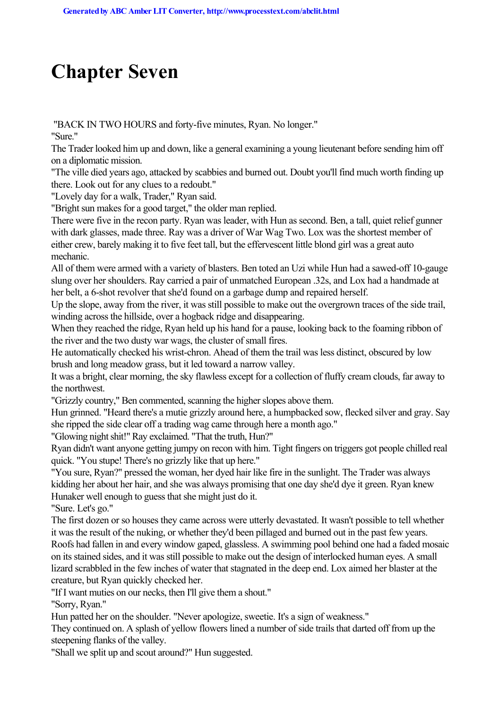# **Chapter Seven**

"BACK IN TWO HOURS and forty-five minutes, Ryan. No longer."

"Sure."

The Trader looked him up and down, like a general examining a young lieutenant before sending him off on a diplomatic mission.

"The ville died years ago, attacked by scabbies and burned out. Doubt you'll find much worth finding up there. Look out for any clues to a redoubt."

"Lovely day for a walk, Trader," Ryan said.

"Bright sun makes for a good target," the older man replied.

There were five in the recon party. Ryan was leader, with Hun as second. Ben, a tall, quiet relief gunner with dark glasses, made three. Ray was a driver of War Wag Two. Lox was the shortest member of either crew, barely making it to five feet tall, but the effervescent little blond girl was a great auto mechanic.

All of them were armed with a variety of blasters. Ben toted an Uzi while Hun had a sawed-off 10-gauge slung over her shoulders. Ray carried a pair of unmatched European .32s, and Lox had a handmade at her belt, a 6-shot revolver that she'd found on a garbage dump and repaired herself.

Up the slope, away from the river, it was still possible to make out the overgrown traces of the side trail, winding across the hillside, over a hogback ridge and disappearing.

When they reached the ridge, Ryan held up his hand for a pause, looking back to the foaming ribbon of the river and the two dusty war wags, the cluster of small fires.

He automatically checked his wrist-chron. Ahead of them the trail was less distinct, obscured by low brush and long meadow grass, but it led toward a narrow valley.

It was a bright, clear morning, the sky flawless except for a collection of fluffy cream clouds, far away to the northwest.

"Grizzly country," Ben commented, scanning the higher slopes above them.

Hun grinned. "Heard there's a mutie grizzly around here, a humpbacked sow, flecked silver and gray. Say she ripped the side clear off a trading wag came through here a month ago."

"Glowing night shit!" Ray exclaimed. "That the truth, Hun?"

Ryan didn't want anyone getting jumpy on recon with him. Tight fingers on triggers got people chilled real quick. "You stupe! There's no grizzly like that up here."

"You sure, Ryan?" pressed the woman, her dyed hair like fire in the sunlight. The Trader was always kidding her about her hair, and she was always promising that one day she'd dye it green. Ryan knew Hunaker well enough to guess that she might just do it.

"Sure. Let's go."

The first dozen or so houses they came across were utterly devastated. It wasn't possible to tell whether it was the result of the nuking, or whether they'd been pillaged and burned out in the past few years. Roofs had fallen in and every window gaped, glassless. A swimming pool behind one had a faded mosaic on its stained sides, and it was still possible to make out the design of interlocked human eyes. A small lizard scrabbled in the few inches of water that stagnated in the deep end. Lox aimed her blaster at the creature, but Ryan quickly checked her.

"If I want muties on our necks, then I'll give them a shout."

"Sorry, Ryan."

Hun patted her on the shoulder. "Never apologize, sweetie. It's a sign of weakness."

They continued on. A splash of yellow flowers lined a number of side trails that darted off from up the steepening flanks of the valley.

"Shall we split up and scout around?" Hun suggested.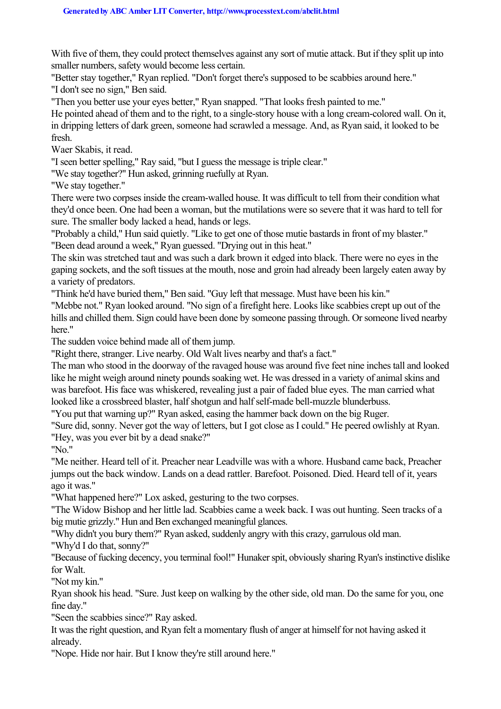With five of them, they could protect themselves against any sort of mutie attack. But if they split up into smaller numbers, safety would become less certain.

"Better stay together," Ryan replied. "Don't forget there's supposed to be scabbies around here."

"I don't see no sign," Ben said.

"Then you better use your eyes better," Ryan snapped. "That looks fresh painted to me."

He pointed ahead of them and to the right, to a single-story house with a long cream-colored wall. On it, in dripping letters of dark green, someone had scrawled a message. And, as Ryan said, it looked to be fresh.

Waer Skabis, it read.

"I seen better spelling," Ray said, "but I guess the message is triple clear."

"We stay together?" Hun asked, grinning ruefully at Ryan.

"We stay together."

There were two corpses inside the cream-walled house. It was difficult to tell from their condition what they'd once been. One had been a woman, but the mutilations were so severe that it was hard to tell for sure. The smaller body lacked a head, hands or legs.

"Probably a child," Hun said quietly. "Like to get one of those mutie bastards in front of my blaster." "Been dead around a week," Ryan guessed. "Drying out in this heat."

The skin was stretched taut and was such a dark brown it edged into black. There were no eyes in the gaping sockets, and the soft tissues at the mouth, nose and groin had already been largely eaten away by a variety of predators.

"Think he'd have buried them," Ben said. "Guy left that message. Must have been his kin."

"Mebbe not." Ryan looked around. "No sign of a firefight here. Looks like scabbies crept up out of the hills and chilled them. Sign could have been done by someone passing through. Or someone lived nearby here."

The sudden voice behind made all of them jump.

"Right there, stranger. Live nearby. Old Walt lives nearby and that's a fact."

The man who stood in the doorway of the ravaged house was around five feet nine inches tall and looked like he might weigh around ninety pounds soaking wet. He was dressed in a variety of animal skins and was barefoot. His face was whiskered, revealing just a pair of faded blue eyes. The man carried what looked like a crossbreed blaster, half shotgun and half self-made bell-muzzle blunderbuss.

"You put that warning up?" Ryan asked, easing the hammer back down on the big Ruger.

"Sure did, sonny. Never got the way of letters, but I got close as I could." He peered owlishly at Ryan. "Hey, was you ever bit by a dead snake?"

"No."

"Me neither. Heard tell of it. Preacher near Leadville was with a whore. Husband came back, Preacher jumps out the back window. Lands on a dead rattler. Barefoot. Poisoned. Died. Heard tell of it, years ago it was."

"What happened here?" Lox asked, gesturing to the two corpses.

"The Widow Bishop and her little lad. Scabbies came a week back. I was out hunting. Seen tracks of a big mutie grizzly." Hun and Ben exchanged meaningful glances.

"Why didn't you bury them?" Ryan asked, suddenly angry with this crazy, garrulous old man. "Why'd I do that, sonny?"

"Because of fucking decency, you terminal fool!" Hunaker spit, obviously sharing Ryan's instinctive dislike for Walt.

"Not my kin."

Ryan shook his head. "Sure. Just keep on walking by the other side, old man. Do the same for you, one fine day."

"Seen the scabbies since?" Ray asked.

It was the right question, and Ryan felt a momentary flush of anger at himself for not having asked it already.

"Nope. Hide nor hair. But I know they're still around here."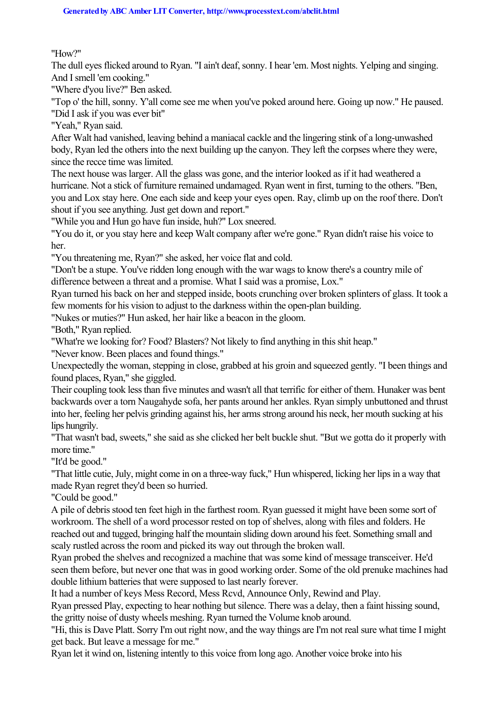"How?"

The dull eyes flicked around to Ryan. "I ain't deaf, sonny. I hear 'em. Most nights. Yelping and singing. And I smell 'em cooking."

"Where d'you live?" Ben asked.

"Top o' the hill, sonny. Y'all come see me when you've poked around here. Going up now." He paused. "Did I ask if you was ever bit"

"Yeah," Ryan said.

After Walt had vanished, leaving behind a maniacal cackle and the lingering stink of a long-unwashed body, Ryan led the others into the next building up the canyon. They left the corpses where they were, since the recce time was limited.

The next house was larger. All the glass was gone, and the interior looked as if it had weathered a hurricane. Not a stick of furniture remained undamaged. Ryan went in first, turning to the others. "Ben, you and Lox stay here. One each side and keep your eyes open. Ray, climb up on the roof there. Don't shout if you see anything. Just get down and report."

"While you and Hun go have fun inside, huh?" Lox sneered.

"You do it, or you stay here and keep Walt company after we're gone." Ryan didn't raise his voice to her.

"You threatening me, Ryan?" she asked, her voice flat and cold.

"Don't be a stupe. You've ridden long enough with the war wags to know there's a country mile of difference between a threat and a promise. What I said was a promise, Lox."

Ryan turned his back on her and stepped inside, boots crunching over broken splinters of glass. It took a few moments for his vision to adjust to the darkness within the open-plan building.

"Nukes or muties?" Hun asked, her hair like a beacon in the gloom.

"Both," Ryan replied.

"What're we looking for? Food? Blasters? Not likely to find anything in this shit heap."

"Never know. Been places and found things."

Unexpectedly the woman, stepping in close, grabbed at his groin and squeezed gently. "I been things and found places, Ryan," she giggled.

Their coupling took less than five minutes and wasn't all that terrific for either of them. Hunaker was bent backwards over a torn Naugahyde sofa, her pants around her ankles. Ryan simply unbuttoned and thrust into her, feeling her pelvis grinding against his, her arms strong around his neck, her mouth sucking at his lips hungrily.

"That wasn't bad, sweets," she said as she clicked her belt buckle shut. "But we gotta do it properly with more time."

"It'd be good."

"That little cutie, July, might come in on a three-way fuck," Hun whispered, licking her lips in a way that made Ryan regret they'd been so hurried.

"Could be good."

A pile of debris stood ten feet high in the farthest room. Ryan guessed it might have been some sort of workroom. The shell of a word processor rested on top of shelves, along with files and folders. He reached out and tugged, bringing half the mountain sliding down around his feet. Something small and scaly rustled across the room and picked its way out through the broken wall.

Ryan probed the shelves and recognized a machine that was some kind of message transceiver. He'd seen them before, but never one that was in good working order. Some of the old prenuke machines had double lithium batteries that were supposed to last nearly forever.

It had a number of keys Mess Record, Mess Rcvd, Announce Only, Rewind and Play.

Ryan pressed Play, expecting to hear nothing but silence. There was a delay, then a faint hissing sound, the gritty noise of dusty wheels meshing. Ryan turned the Volume knob around.

"Hi, this is Dave Platt. Sorry I'm out right now, and the way things are I'm not real sure what time I might get back. But leave a message for me."

Ryan let it wind on, listening intently to this voice from long ago. Another voice broke into his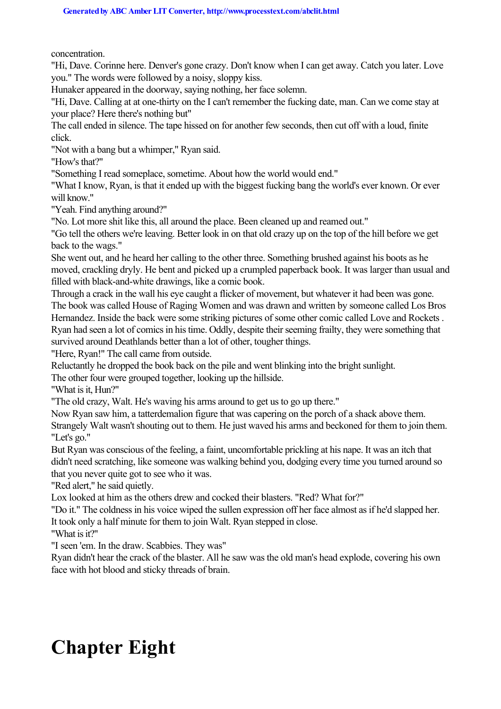concentration.

"Hi, Dave. Corinne here. Denver's gone crazy. Don't know when I can get away. Catch you later. Love you." The words were followed by a noisy, sloppy kiss.

Hunaker appeared in the doorway, saying nothing, her face solemn.

"Hi, Dave. Calling at at one-thirty on the I can't remember the fucking date, man. Can we come stay at your place? Here there's nothing but"

The call ended in silence. The tape hissed on for another few seconds, then cut off with a loud, finite click.

"Not with a bang but a whimper," Ryan said.

"How's that?"

"Something I read someplace, sometime. About how the world would end."

"What I know, Ryan, is that it ended up with the biggest fucking bang the world's ever known. Or ever will know"

"Yeah. Find anything around?"

"No. Lot more shit like this, all around the place. Been cleaned up and reamed out."

"Go tell the others we're leaving. Better look in on that old crazy up on the top of the hill before we get back to the wags."

She went out, and he heard her calling to the other three. Something brushed against his boots as he moved, crackling dryly. He bent and picked up a crumpled paperback book. It was larger than usual and filled with black-and-white drawings, like a comic book.

Through a crack in the wall his eve caught a flicker of movement, but whatever it had been was gone. The book was called House of Raging Women and was drawn and written by someone called Los Bros Hernandez. Inside the back were some striking pictures of some other comic called Love and Rockets . Ryan had seen a lot of comics in his time. Oddly, despite their seeming frailty, they were something that survived around Deathlands better than a lot of other, tougher things.

"Here, Ryan!" The call came from outside.

Reluctantly he dropped the book back on the pile and went blinking into the bright sunlight.

The other four were grouped together, looking up the hillside.

"What is it, Hun?"

"The old crazy, Walt. He's waving his arms around to get us to go up there."

Now Ryan saw him, a tatterdemalion figure that was capering on the porch of a shack above them. Strangely Walt wasn't shouting out to them. He just waved his arms and beckoned for them to join them.

"Let's go."

But Ryan was conscious of the feeling, a faint, uncomfortable prickling at his nape. It was an itch that didn't need scratching, like someone was walking behind you, dodging every time you turned around so that you never quite got to see who it was.

"Red alert." he said quietly.

Lox looked at him as the others drew and cocked their blasters. "Red? What for?"

"Do it." The coldness in his voice wiped the sullen expression off her face almost as if he'd slapped her. It took only a half minute for them to join Walt. Ryan stepped in close.

"What is it?"

"I seen 'em. In the draw. Scabbies. They was"

Ryan didn't hear the crack of the blaster. All he saw was the old man's head explode, covering his own face with hot blood and sticky threads of brain.

# **Chapter Eight**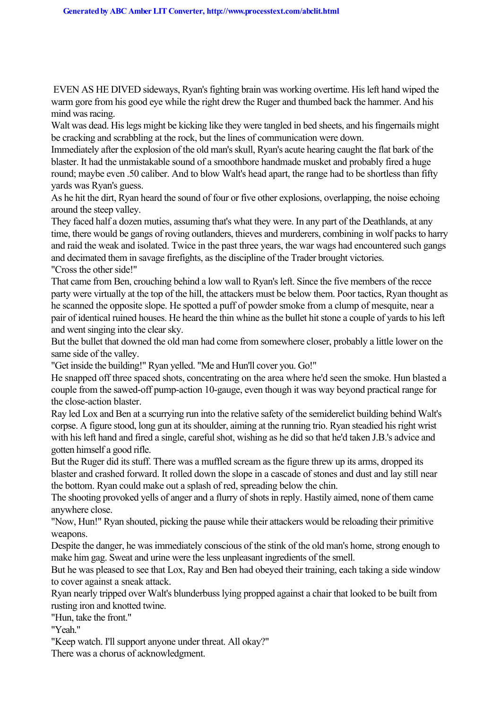EVEN AS HE DIVED sideways, Ryan's fighting brain was working overtime. His left hand wiped the warm gore from his good eye while the right drew the Ruger and thumbed back the hammer. And his mind was racing.

Walt was dead. His legs might be kicking like they were tangled in bed sheets, and his fingernails might be cracking and scrabbling at the rock, but the lines of communication were down.

Immediately after the explosion of the old man's skull, Ryan's acute hearing caught the flat bark of the blaster. It had the unmistakable sound of a smoothbore handmade musket and probably fired a huge round; maybe even .50 caliber. And to blow Walt's head apart, the range had to be shortless than fifty yards was Ryan's guess.

As he hit the dirt, Ryan heard the sound of four or five other explosions, overlapping, the noise echoing around the steep valley.

They faced half a dozen muties, assuming that's what they were. In any part of the Deathlands, at any time, there would be gangs of roving outlanders, thieves and murderers, combining in wolf packs to harry and raid the weak and isolated. Twice in the past three years, the war wags had encountered such gangs and decimated them in savage firefights, as the discipline of the Trader brought victories. "Cross the other side!"

That came from Ben, crouching behind a low wall to Ryan's left. Since the five members of the recce party were virtually at the top of the hill, the attackers must be below them. Poor tactics, Ryan thought as he scanned the opposite slope. He spotted a puff of powder smoke from a clump of mesquite, near a pair of identical ruined houses. He heard the thin whine as the bullet hit stone a couple of yards to his left and went singing into the clear sky.

But the bullet that downed the old man had come from somewhere closer, probably a little lower on the same side of the valley.

"Get inside the building!" Ryan yelled. "Me and Hun'll cover you. Go!"

He snapped off three spaced shots, concentrating on the area where he'd seen the smoke. Hun blasted a couple from the sawed-off pump-action 10-gauge, even though it was way beyond practical range for the close-action blaster.

Ray led Lox and Ben at a scurrying run into the relative safety of the semiderelict building behind Walt's corpse. A figure stood, long gun at its shoulder, aiming at the running trio. Ryan steadied his right wrist with his left hand and fired a single, careful shot, wishing as he did so that he'd taken J.B.'s advice and gotten himself a good rifle.

But the Ruger did its stuff. There was a muffled scream as the figure threw up its arms, dropped its blaster and crashed forward. It rolled down the slope in a cascade of stones and dust and lay still near the bottom. Ryan could make out a splash of red, spreading below the chin.

The shooting provoked yells of anger and a flurry of shots in reply. Hastily aimed, none of them came anywhere close.

"Now, Hun!" Ryan shouted, picking the pause while their attackers would be reloading their primitive weapons.

Despite the danger, he was immediately conscious of the stink of the old man's home, strong enough to make him gag. Sweat and urine were the less unpleasant ingredients of the smell.

But he was pleased to see that Lox, Ray and Ben had obeyed their training, each taking a side window to cover against a sneak attack.

Ryan nearly tripped over Walt's blunderbuss lying propped against a chair that looked to be built from rusting iron and knotted twine.

"Hun, take the front."

"Yeah"

"Keep watch. I'll support anyone under threat. All okay?"

There was a chorus of acknowledgment.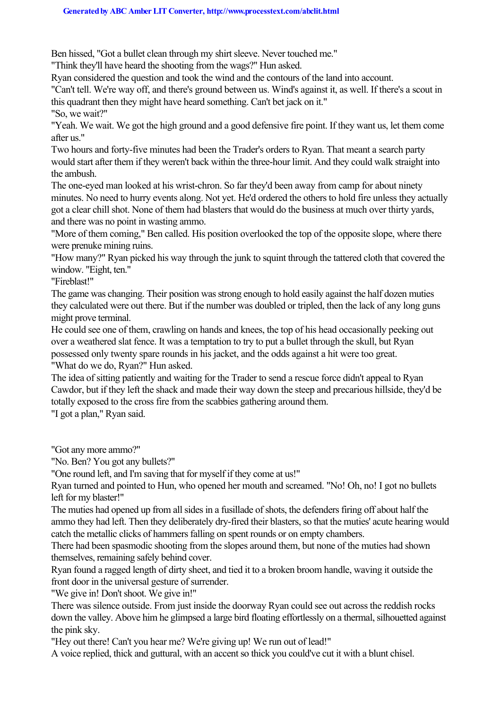Ben hissed, "Got a bullet clean through my shirt sleeve. Never touched me."

"Think they'll have heard the shooting from the wags?" Hun asked.

Ryan considered the question and took the wind and the contours of the land into account.

"Can't tell. We're way off, and there's ground between us. Wind's against it, as well. If there's a scout in this quadrant then they might have heard something. Can't bet jack on it."

"So, we wait?"

"Yeah. We wait. We got the high ground and a good defensive fire point. If they want us, let them come after us."

Two hours and forty-five minutes had been the Trader's orders to Ryan. That meant a search party would start after them if they weren't back within the three-hour limit. And they could walk straight into the ambush.

The one-eyed man looked at his wrist-chron. So far they'd been away from camp for about ninety minutes. No need to hurry events along. Not yet. He'd ordered the others to hold fire unless they actually got a clear chill shot. None of them had blasters that would do the business at much over thirty yards, and there was no point in wasting ammo.

"More of them coming," Ben called. His position overlooked the top of the opposite slope, where there were prenuke mining ruins.

"How many?" Ryan picked his way through the junk to squint through the tattered cloth that covered the window. "Eight, ten."

"Fireblast!"

The game was changing. Their position was strong enough to hold easily against the half dozen muties they calculated were out there. But if the number was doubled or tripled, then the lack of any long guns might prove terminal.

He could see one of them, crawling on hands and knees, the top of his head occasionally peeking out over a weathered slat fence. It was a temptation to try to put a bullet through the skull, but Ryan possessed only twenty spare rounds in his jacket, and the odds against a hit were too great. "What do we do, Ryan?" Hun asked.

The idea of sitting patiently and waiting for the Trader to send a rescue force didn't appeal to Ryan Cawdor, but if they left the shack and made their way down the steep and precarious hillside, they'd be totally exposed to the cross fire from the scabbies gathering around them.

"I got a plan," Ryan said.

"Got any more ammo?"

"No. Ben? You got any bullets?"

"One round left, and I'm saving that for myself if they come at us!"

Ryan turned and pointed to Hun, who opened her mouth and screamed. "No! Oh, no! I got no bullets left for my blaster!"

The muties had opened up from all sides in a fusillade of shots, the defenders firing off about half the ammo they had left. Then they deliberately dry-fired their blasters, so that the muties' acute hearing would catch the metallic clicks of hammers falling on spent rounds or on empty chambers.

There had been spasmodic shooting from the slopes around them, but none of the muties had shown themselves, remaining safely behind cover.

Ryan found a ragged length of dirty sheet, and tied it to a broken broom handle, waving it outside the front door in the universal gesture of surrender.

"We give in! Don't shoot. We give in!"

There was silence outside. From just inside the doorway Ryan could see out across the reddish rocks down the valley. Above him he glimpsed a large bird floating effortlessly on a thermal, silhouetted against the pink sky.

"Hey out there! Can't you hear me? We're giving up! We run out of lead!"

A voice replied, thick and guttural, with an accent so thick you could've cut it with a blunt chisel.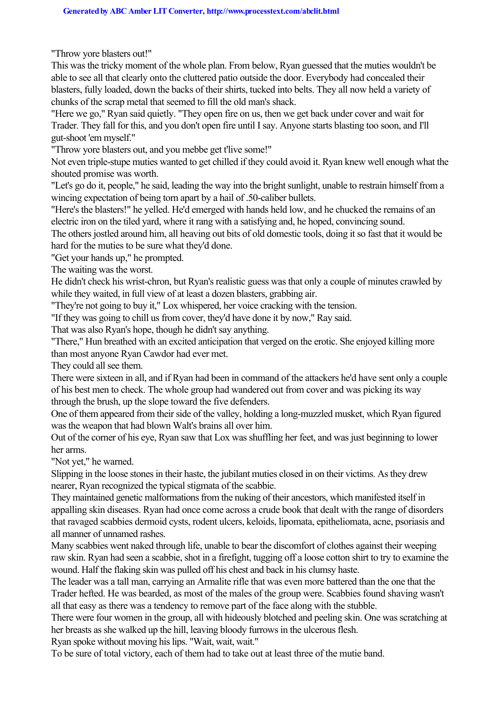"Throw yore blasters out!"

This was the tricky moment of the whole plan. From below, Ryan guessed that the muties wouldn't be able to see all that clearly onto the cluttered patio outside the door. Everybody had concealed their blasters, fully loaded, down the backs of their shirts, tucked into belts. They all now held a variety of chunks of the scrap metal that seemed to fill the old man's shack.

"Here we go," Ryan said quietly. "They open fire on us, then we get back under cover and wait for Trader. They fall for this, and you don't open fire until I say. Anyone starts blasting too soon, and I'll gut-shoot 'em myself."

"Throw yore blasters out, and you mebbe get t'live some!"

Not even triple-stupe muties wanted to get chilled if they could avoid it. Ryan knew well enough what the shouted promise was worth.

"Let's go do it, people," he said, leading the way into the bright sunlight, unable to restrain himself from a wincing expectation of being torn apart by a hail of .50-caliber bullets.

"Here's the blasters!" he yelled. He'd emerged with hands held low, and he chucked the remains of an electric iron on the tiled yard, where it rang with a satisfying and, he hoped, convincing sound.

The others jostled around him, all heaving out bits of old domestic tools, doing it so fast that it would be hard for the muties to be sure what they'd done.

"Get your hands up," he prompted.

The waiting was the worst.

He didn't check his wrist-chron, but Ryan's realistic guess was that only a couple of minutes crawled by while they waited, in full view of at least a dozen blasters, grabbing air.

"They're not going to buy it," Lox whispered, her voice cracking with the tension.

"If they was going to chill us from cover, they'd have done it by now," Ray said.

That was also Ryan's hope, though he didn't say anything.

"There," Hun breathed with an excited anticipation that verged on the erotic. She enjoyed killing more than most anyone Ryan Cawdor had ever met.

They could all see them.

There were sixteen in all, and if Ryan had been in command of the attackers he'd have sent only a couple of his best men to check. The whole group had wandered out from cover and was picking its way through the brush, up the slope toward the five defenders.

One of them appeared from their side of the valley, holding a long-muzzled musket, which Ryan figured was the weapon that had blown Walt's brains all over him.

Out of the corner of his eye, Ryan saw that Lox was shuffling her feet, and was just beginning to lower her arms.

"Not yet," he warned.

Slipping in the loose stones in their haste, the jubilant muties closed in on their victims. As they drew nearer, Ryan recognized the typical stigmata of the scabbie.

They maintained genetic malformations from the nuking of their ancestors, which manifested itself in appalling skin diseases. Ryan had once come across a crude book that dealt with the range of disorders that ravaged scabbies dermoid cysts, rodent ulcers, keloids, lipomata, epitheliomata, acne, psoriasis and all manner of unnamed rashes.

Many scabbies went naked through life, unable to bear the discomfort of clothes against their weeping raw skin. Ryan had seen a scabbie, shot in a firefight, tugging off a loose cotton shirt to try to examine the wound. Half the flaking skin was pulled off his chest and back in his clumsy haste.

The leader was a tall man, carrying an Armalite rifle that was even more battered than the one that the Trader hefted. He was bearded, as most of the males of the group were. Scabbies found shaving wasn't all that easy as there was a tendency to remove part of the face along with the stubble.

There were four women in the group, all with hideously blotched and peeling skin. One was scratching at her breasts as she walked up the hill, leaving bloody furrows in the ulcerous flesh.

Ryan spoke without moving his lips. "Wait, wait, wait."

To be sure of total victory, each of them had to take out at least three of the mutie band.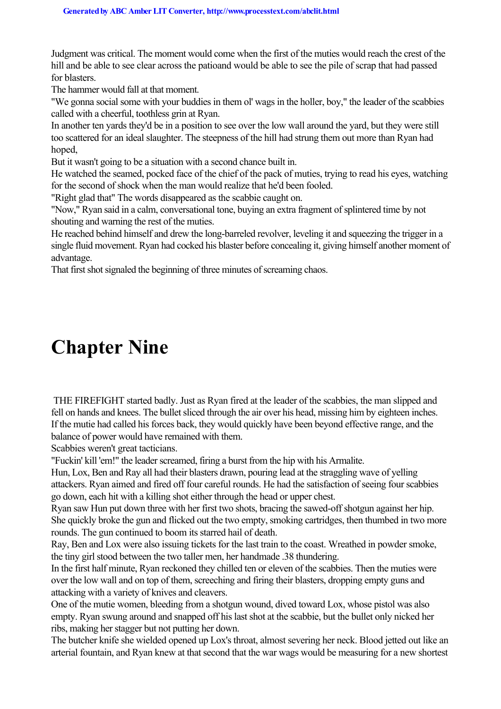Judgment was critical. The moment would come when the first of the muties would reach the crest of the hill and be able to see clear across the patioand would be able to see the pile of scrap that had passed for blasters.

The hammer would fall at that moment.

"We gonna social some with your buddies in them ol' wags in the holler, boy," the leader of the scabbies called with a cheerful, toothless grin at Ryan.

In another ten yards they'd be in a position to see over the low wall around the yard, but they were still too scattered for an ideal slaughter. The steepness of the hill had strung them out more than Ryan had hoped,

But it wasn't going to be a situation with a second chance built in.

He watched the seamed, pocked face of the chief of the pack of muties, trying to read his eyes, watching for the second of shock when the man would realize that he'd been fooled.

"Right glad that" The words disappeared as the scabbie caught on.

"Now," Ryan said in a calm, conversational tone, buying an extra fragment of splintered time by not shouting and warning the rest of the muties.

He reached behind himself and drew the long-barreled revolver, leveling it and squeezing the trigger in a single fluid movement. Ryan had cocked his blaster before concealing it, giving himself another moment of advantage.

That first shot signaled the beginning of three minutes of screaming chaos.

#### **Chapter Nine**

 THE FIREFIGHT started badly. Just as Ryan fired at the leader of the scabbies, the man slipped and fell on hands and knees. The bullet sliced through the air over his head, missing him by eighteen inches. If the mutie had called his forces back, they would quickly have been beyond effective range, and the balance of power would have remained with them.

Scabbies weren't great tacticians.

"Fuckin' kill 'em!" the leader screamed, firing a burst from the hip with his Armalite.

Hun, Lox, Ben and Ray all had their blasters drawn, pouring lead at the straggling wave of yelling attackers. Ryan aimed and fired off four careful rounds. He had the satisfaction of seeing four scabbies go down, each hit with a killing shot either through the head or upper chest.

Ryan saw Hun put down three with her first two shots, bracing the sawed-off shotgun against her hip. She quickly broke the gun and flicked out the two empty, smoking cartridges, then thumbed in two more rounds. The gun continued to boom its starred hail of death.

Ray, Ben and Lox were also issuing tickets for the last train to the coast. Wreathed in powder smoke, the tiny girl stood between the two taller men, her handmade .38 thundering.

In the first half minute, Ryan reckoned they chilled ten or eleven of the scabbies. Then the muties were over the low wall and on top of them, screeching and firing their blasters, dropping empty guns and attacking with a variety of knives and cleavers.

One of the mutie women, bleeding from a shotgun wound, dived toward Lox, whose pistol was also empty. Ryan swung around and snapped off his last shot at the scabbie, but the bullet only nicked her ribs, making her stagger but not putting her down.

The butcher knife she wielded opened up Lox's throat, almost severing her neck. Blood jetted out like an arterial fountain, and Ryan knew at that second that the war wags would be measuring for a new shortest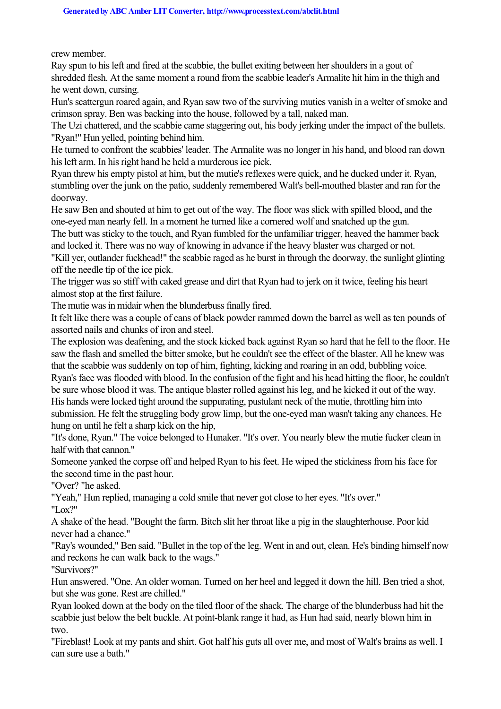crew member.

Ray spun to his left and fired at the scabbie, the bullet exiting between her shoulders in a gout of shredded flesh. At the same moment a round from the scabbie leader's Armalite hit him in the thigh and he went down, cursing.

Hun's scattergun roared again, and Ryan saw two of the surviving muties vanish in a welter of smoke and crimson spray. Ben was backing into the house, followed by a tall, naked man.

The Uzi chattered, and the scabbie came staggering out, his body jerking under the impact of the bullets. "Ryan!" Hun yelled, pointing behind him.

He turned to confront the scabbies' leader. The Armalite was no longer in his hand, and blood ran down his left arm. In his right hand he held a murderous ice pick.

Ryan threw his empty pistol at him, but the mutie's reflexes were quick, and he ducked under it. Ryan, stumbling over the junk on the patio, suddenly remembered Walt's bell-mouthed blaster and ran for the doorway.

He saw Ben and shouted at him to get out of the way. The floor was slick with spilled blood, and the one-eyed man nearly fell. In a moment he turned like a cornered wolf and snatched up the gun.

The butt was sticky to the touch, and Ryan fumbled for the unfamiliar trigger, heaved the hammer back and locked it. There was no way of knowing in advance if the heavy blaster was charged or not.

"Kill yer, outlander fuckhead!" the scabbie raged as he burst in through the doorway, the sunlight glinting off the needle tip of the ice pick.

The trigger was so stiff with caked grease and dirt that Ryan had to jerk on it twice, feeling his heart almost stop at the first failure.

The mutie was in midair when the blunderbuss finally fired.

It felt like there was a couple of cans of black powder rammed down the barrel as well as ten pounds of assorted nails and chunks of iron and steel.

The explosion was deafening, and the stock kicked back against Ryan so hard that he fell to the floor. He saw the flash and smelled the bitter smoke, but he couldn't see the effect of the blaster. All he knew was that the scabbie was suddenly on top of him, fighting, kicking and roaring in an odd, bubbling voice. Ryan's face was flooded with blood. In the confusion of the fight and his head hitting the floor, he couldn't be sure whose blood it was. The antique blaster rolled against his leg, and he kicked it out of the way. His hands were locked tight around the suppurating, pustulant neck of the mutie, throttling him into submission. He felt the struggling body grow limp, but the one-eyed man wasn't taking any chances. He hung on until he felt a sharp kick on the hip,

"It's done, Ryan." The voice belonged to Hunaker. "It's over. You nearly blew the mutie fucker clean in half with that cannon."

Someone yanked the corpse off and helped Ryan to his feet. He wiped the stickiness from his face for the second time in the past hour.

"Over? "he asked.

"Yeah," Hun replied, managing a cold smile that never got close to her eyes. "It's over." "Lox?"

A shake of the head. "Bought the farm. Bitch slit her throat like a pig in the slaughterhouse. Poor kid never had a chance."

"Ray's wounded," Ben said. "Bullet in the top of the leg. Went in and out, clean. He's binding himself now and reckons he can walk back to the wags."

"Survivors?"

Hun answered. "One. An older woman. Turned on her heel and legged it down the hill. Ben tried a shot, but she was gone. Rest are chilled."

Ryan looked down at the body on the tiled floor of the shack. The charge of the blunderbuss had hit the scabbie just below the belt buckle. At point-blank range it had, as Hun had said, nearly blown him in two.

"Fireblast! Look at my pants and shirt. Got half his guts all over me, and most of Walt's brains as well. I can sure use a bath."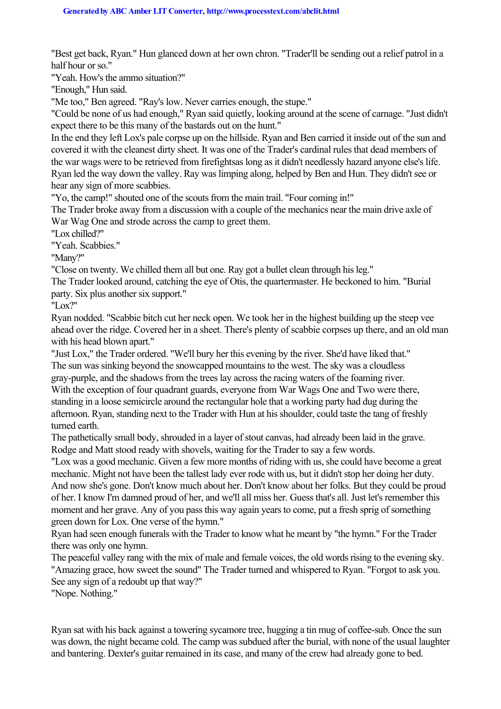"Best get back, Ryan." Hun glanced down at her own chron. "Trader'll be sending out a relief patrol in a half hour or so."

"Yeah. How's the ammo situation?"

"Enough," Hun said.

"Me too," Ben agreed. "Ray's low. Never carries enough, the stupe."

"Could be none of us had enough," Ryan said quietly, looking around at the scene of carnage. "Just didn't expect there to be this many of the bastards out on the hunt."

In the end they left Lox's pale corpse up on the hillside. Ryan and Ben carried it inside out of the sun and covered it with the cleanest dirty sheet. It was one of the Trader's cardinal rules that dead members of the war wags were to be retrieved from firefightsas long as it didn't needlessly hazard anyone else's life. Ryan led the way down the valley. Ray was limping along, helped by Ben and Hun. They didn't see or hear any sign of more scabbies.

"Yo, the camp!" shouted one of the scouts from the main trail. "Four coming in!"

The Trader broke away from a discussion with a couple of the mechanics near the main drive axle of War Wag One and strode across the camp to greet them.

"Lox chilled?"

"Yeah. Scabbies."

"Many?"

"Close on twenty. We chilled them all but one. Ray got a bullet clean through his leg."

The Trader looked around, catching the eye of Otis, the quartermaster. He beckoned to him. "Burial party. Six plus another six support."

"Lox?"

Ryan nodded. "Scabbie bitch cut her neck open. We took her in the highest building up the steep vee ahead over the ridge. Covered her in a sheet. There's plenty of scabbie corpses up there, and an old man with his head blown apart."

"Just Lox," the Trader ordered. "We'll bury her this evening by the river. She'd have liked that." The sun was sinking beyond the snowcapped mountains to the west. The sky was a cloudless gray-purple, and the shadows from the trees lay across the racing waters of the foaming river.

With the exception of four quadrant guards, everyone from War Wags One and Two were there, standing in a loose semicircle around the rectangular hole that a working party had dug during the afternoon. Ryan, standing next to the Trader with Hun at his shoulder, could taste the tang of freshly turned earth

The pathetically small body, shrouded in a layer of stout canvas, had already been laid in the grave. Rodge and Matt stood ready with shovels, waiting for the Trader to say a few words.

"Lox was a good mechanic. Given a few more months of riding with us, she could have become a great mechanic. Might not have been the tallest lady ever rode with us, but it didn't stop her doing her duty. And now she's gone. Don't know much about her. Don't know about her folks. But they could be proud of her. I know I'm damned proud of her, and we'll all miss her. Guess that's all. Just let's remember this moment and her grave. Any of you pass this way again years to come, put a fresh sprig of something green down for Lox. One verse of the hymn."

Ryan had seen enough funerals with the Trader to know what he meant by "the hymn." For the Trader there was only one hymn.

The peaceful valley rang with the mix of male and female voices, the old words rising to the evening sky. "Amazing grace, how sweet the sound" The Trader turned and whispered to Ryan. "Forgot to ask you. See any sign of a redoubt up that way?"

"Nope. Nothing."

Ryan sat with his back against a towering sycamore tree, hugging a tin mug of coffee-sub. Once the sun was down, the night became cold. The camp was subdued after the burial, with none of the usual laughter and bantering. Dexter's guitar remained in its case, and many of the crew had already gone to bed.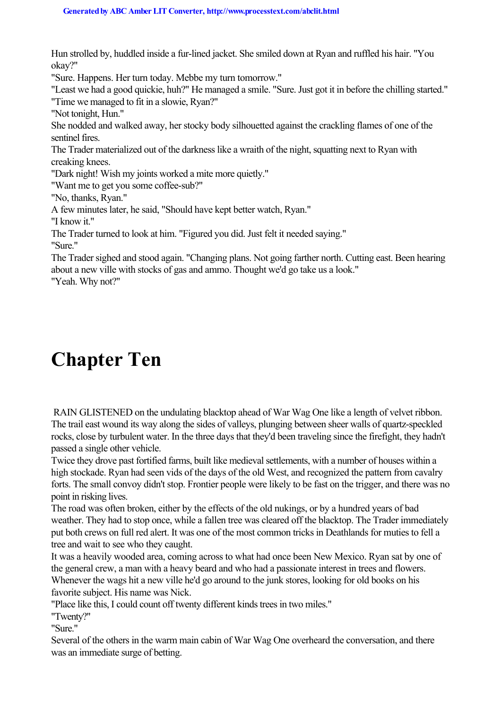Hun strolled by, huddled inside a fur-lined jacket. She smiled down at Ryan and ruffled his hair. "You okay?"

"Sure. Happens. Her turn today. Mebbe my turn tomorrow."

"Least we had a good quickie, huh?" He managed a smile. "Sure. Just got it in before the chilling started." "Time we managed to fit in a slowie, Ryan?"

"Not tonight, Hun."

She nodded and walked away, her stocky body silhouetted against the crackling flames of one of the sentinel fires.

The Trader materialized out of the darkness like a wraith of the night, squatting next to Ryan with creaking knees.

"Dark night! Wish my joints worked a mite more quietly."

"Want me to get you some coffee-sub?"

"No, thanks, Ryan."

A few minutes later, he said, "Should have kept better watch, Ryan."

"I know it."

The Trader turned to look at him. "Figured you did. Just felt it needed saying." "Sure."

The Trader sighed and stood again. "Changing plans. Not going farther north. Cutting east. Been hearing about a new ville with stocks of gas and ammo. Thought we'd go take us a look."

"Yeah. Why not?"

# **Chapter Ten**

 RAIN GLISTENED on the undulating blacktop ahead of War Wag One like a length of velvet ribbon. The trail east wound its way along the sides of valleys, plunging between sheer walls of quartz-speckled rocks, close by turbulent water. In the three days that they'd been traveling since the firefight, they hadn't passed a single other vehicle.

Twice they drove past fortified farms, built like medieval settlements, with a number of houses within a high stockade. Ryan had seen vids of the days of the old West, and recognized the pattern from cavalry forts. The small convoy didn't stop. Frontier people were likely to be fast on the trigger, and there was no point in risking lives.

The road was often broken, either by the effects of the old nukings, or by a hundred years of bad weather. They had to stop once, while a fallen tree was cleared off the blacktop. The Trader immediately put both crews on full red alert. It was one of the most common tricks in Deathlands for muties to fell a tree and wait to see who they caught.

It was a heavily wooded area, coming across to what had once been New Mexico. Ryan sat by one of the general crew, a man with a heavy beard and who had a passionate interest in trees and flowers. Whenever the wags hit a new ville he'd go around to the junk stores, looking for old books on his favorite subject. His name was Nick.

"Place like this, I could count off twenty different kinds trees in two miles."

"Twenty?"

"Sure."

Several of the others in the warm main cabin of War Wag One overheard the conversation, and there was an immediate surge of betting.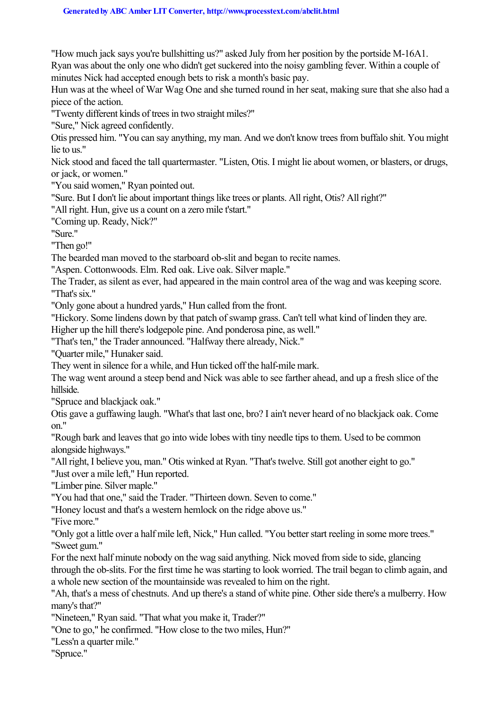"How much jack says you're bullshitting us?" asked July from her position by the portside M-16A1. Ryan was about the only one who didn't get suckered into the noisy gambling fever. Within a couple of minutes Nick had accepted enough bets to risk a month's basic pay.

Hun was at the wheel of War Wag One and she turned round in her seat, making sure that she also had a piece of the action.

"Twenty different kinds of trees in two straight miles?"

"Sure," Nick agreed confidently.

Otis pressed him. "You can say anything, my man. And we don't know trees from buffalo shit. You might lie to us."

Nick stood and faced the tall quartermaster. "Listen, Otis. I might lie about women, or blasters, or drugs, or jack, or women."

"You said women," Ryan pointed out.

"Sure. But I don't lie about important things like trees or plants. All right, Otis? All right?"

"All right. Hun, give us a count on a zero mile t'start."

"Coming up. Ready, Nick?"

"Sure."

"Then go!"

The bearded man moved to the starboard ob-slit and began to recite names.

"Aspen. Cottonwoods. Elm. Red oak. Live oak. Silver maple."

The Trader, as silent as ever, had appeared in the main control area of the wag and was keeping score. "That's six."

"Only gone about a hundred yards," Hun called from the front.

"Hickory. Some lindens down by that patch of swamp grass. Can't tell what kind of linden they are.

Higher up the hill there's lodgepole pine. And ponderosa pine, as well."

"That's ten," the Trader announced. "Halfway there already, Nick."

"Quarter mile," Hunaker said.

They went in silence for a while, and Hun ticked off the half-mile mark.

The wag went around a steep bend and Nick was able to see farther ahead, and up a fresh slice of the hillside.

"Spruce and blackjack oak."

Otis gave a guffawing laugh. "What's that last one, bro? I ain't never heard of no blackjack oak. Come on."

"Rough bark and leaves that go into wide lobes with tiny needle tips to them. Used to be common alongside highways."

"All right, I believe you, man." Otis winked at Ryan. "That's twelve. Still got another eight to go."

"Just over a mile left," Hun reported.

"Limber pine. Silver maple."

"You had that one," said the Trader. "Thirteen down. Seven to come."

"Honey locust and that's a western hemlock on the ridge above us."

"Five more."

"Only got a little over a half mile left, Nick," Hun called. "You better start reeling in some more trees." "Sweet gum."

For the next half minute nobody on the wag said anything. Nick moved from side to side, glancing through the ob-slits. For the first time he was starting to look worried. The trail began to climb again, and a whole new section of the mountainside was revealed to him on the right.

"Ah, that's a mess of chestnuts. And up there's a stand of white pine. Other side there's a mulberry. How many's that?"

"Nineteen," Ryan said. "That what you make it, Trader?"

"One to go," he confirmed. "How close to the two miles, Hun?"

"Less'n a quarter mile."

"Spruce."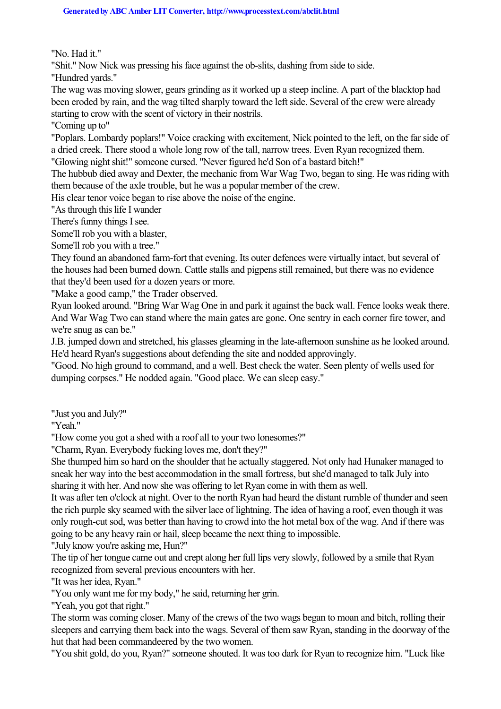"No. Had it."

"Shit." Now Nick was pressing his face against the ob-slits, dashing from side to side.

"Hundred yards."

The wag was moving slower, gears grinding as it worked up a steep incline. A part of the blacktop had been eroded by rain, and the wag tilted sharply toward the left side. Several of the crew were already starting to crow with the scent of victory in their nostrils.

"Coming up to"

"Poplars. Lombardy poplars!" Voice cracking with excitement, Nick pointed to the left, on the far side of a dried creek. There stood a whole long row of the tall, narrow trees. Even Ryan recognized them. "Glowing night shit!" someone cursed. "Never figured he'd Son of a bastard bitch!"

The hubbub died away and Dexter, the mechanic from War Wag Two, began to sing. He was riding with them because of the axle trouble, but he was a popular member of the crew.

His clear tenor voice began to rise above the noise of the engine.

"As through this life I wander

There's funny things I see.

Some'll rob you with a blaster,

Some'll rob you with a tree."

They found an abandoned farm-fort that evening. Its outer defences were virtually intact, but several of the houses had been burned down. Cattle stalls and pigpens still remained, but there was no evidence that they'd been used for a dozen years or more.

"Make a good camp," the Trader observed.

Ryan looked around. "Bring War Wag One in and park it against the back wall. Fence looks weak there. And War Wag Two can stand where the main gates are gone. One sentry in each corner fire tower, and we're snug as can be."

J.B. jumped down and stretched, his glasses gleaming in the late-afternoon sunshine as he looked around. He'd heard Ryan's suggestions about defending the site and nodded approvingly.

"Good. No high ground to command, and a well. Best check the water. Seen plenty of wells used for dumping corpses." He nodded again. "Good place. We can sleep easy."

"Just you and July?"

"Yeah"

"How come you got a shed with a roof all to your two lonesomes?"

"Charm, Ryan. Everybody fucking loves me, don't they?"

She thumped him so hard on the shoulder that he actually staggered. Not only had Hunaker managed to sneak her way into the best accommodation in the small fortress, but she'd managed to talk July into sharing it with her. And now she was offering to let Ryan come in with them as well.

It was after ten o'clock at night. Over to the north Ryan had heard the distant rumble of thunder and seen the rich purple sky seamed with the silver lace of lightning. The idea of having a roof, even though it was only rough-cut sod, was better than having to crowd into the hot metal box of the wag. And if there was going to be any heavy rain or hail, sleep became the next thing to impossible.

"July know you're asking me, Hun?"

The tip of her tongue came out and crept along her full lips very slowly, followed by a smile that Ryan recognized from several previous encounters with her.

"It was her idea, Ryan."

"You only want me for my body," he said, returning her grin.

"Yeah, you got that right."

The storm was coming closer. Many of the crews of the two wags began to moan and bitch, rolling their sleepers and carrying them back into the wags. Several of them saw Ryan, standing in the doorway of the hut that had been commandeered by the two women.

"You shit gold, do you, Ryan?" someone shouted. It was too dark for Ryan to recognize him. "Luck like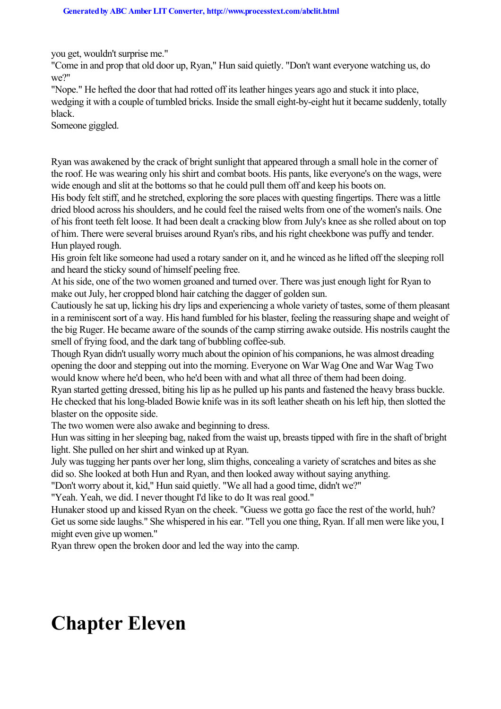you get, wouldn't surprise me."

"Come in and prop that old door up, Ryan," Hun said quietly. "Don't want everyone watching us, do we?"

"Nope." He hefted the door that had rotted off its leather hinges years ago and stuck it into place, wedging it with a couple of tumbled bricks. Inside the small eight-by-eight hut it became suddenly, totally black.

Someone giggled.

Ryan was awakened by the crack of bright sunlight that appeared through a small hole in the corner of the roof. He was wearing only his shirt and combat boots. His pants, like everyone's on the wags, were wide enough and slit at the bottoms so that he could pull them off and keep his boots on.

His body felt stiff, and he stretched, exploring the sore places with questing fingertips. There was a little dried blood across his shoulders, and he could feel the raised welts from one of the women's nails. One of his front teeth felt loose. It had been dealt a cracking blow from July's knee as she rolled about on top of him. There were several bruises around Ryan's ribs, and his right cheekbone was puffy and tender. Hun played rough.

His groin felt like someone had used a rotary sander on it, and he winced as he lifted off the sleeping roll and heard the sticky sound of himself peeling free.

At his side, one of the two women groaned and turned over. There was just enough light for Ryan to make out July, her cropped blond hair catching the dagger of golden sun.

Cautiously he sat up, licking his dry lips and experiencing a whole variety of tastes, some of them pleasant in a reminiscent sort of a way. His hand fumbled for his blaster, feeling the reassuring shape and weight of the big Ruger. He became aware of the sounds of the camp stirring awake outside. His nostrils caught the smell of frying food, and the dark tang of bubbling coffee-sub.

Though Ryan didn't usually worry much about the opinion of his companions, he was almost dreading opening the door and stepping out into the morning. Everyone on War Wag One and War Wag Two would know where he'd been, who he'd been with and what all three of them had been doing.

Ryan started getting dressed, biting his lip as he pulled up his pants and fastened the heavy brass buckle. He checked that his long-bladed Bowie knife was in its soft leather sheath on his left hip, then slotted the blaster on the opposite side.

The two women were also awake and beginning to dress.

Hun was sitting in her sleeping bag, naked from the waist up, breasts tipped with fire in the shaft of bright light. She pulled on her shirt and winked up at Ryan.

July was tugging her pants over her long, slim thighs, concealing a variety of scratches and bites as she did so. She looked at both Hun and Ryan, and then looked away without saying anything.

"Don't worry about it, kid," Hun said quietly. "We all had a good time, didn't we?"

"Yeah. Yeah, we did. I never thought I'd like to do It was real good."

Hunaker stood up and kissed Ryan on the cheek. "Guess we gotta go face the rest of the world, huh? Get us some side laughs." She whispered in his ear. "Tell you one thing, Ryan. If all men were like you, I might even give up women."

Ryan threw open the broken door and led the way into the camp.

#### **Chapter Eleven**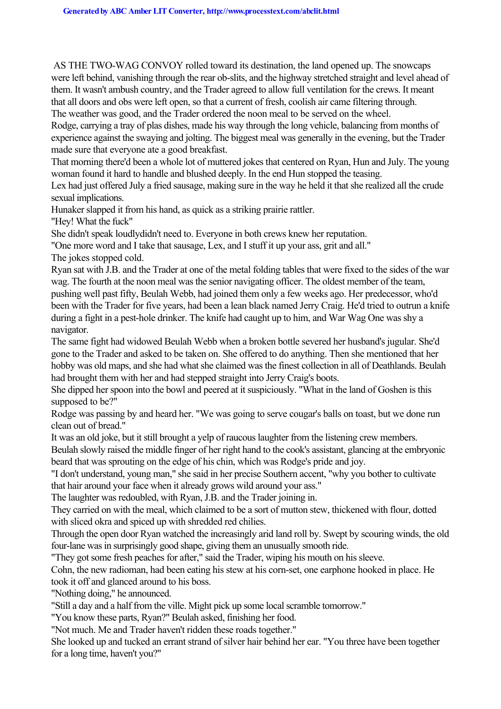AS THE TWO-WAG CONVOY rolled toward its destination, the land opened up. The snowcaps were left behind, vanishing through the rear ob-slits, and the highway stretched straight and level ahead of them. It wasn't ambush country, and the Trader agreed to allow full ventilation for the crews. It meant that all doors and obs were left open, so that a current of fresh, coolish air came filtering through. The weather was good, and the Trader ordered the noon meal to be served on the wheel.

Rodge, carrying a tray of plas dishes, made his way through the long vehicle, balancing from months of experience against the swaying and jolting. The biggest meal was generally in the evening, but the Trader made sure that everyone ate a good breakfast.

That morning there'd been a whole lot of muttered jokes that centered on Ryan, Hun and July. The young woman found it hard to handle and blushed deeply. In the end Hun stopped the teasing.

Lex had just offered July a fried sausage, making sure in the way he held it that she realized all the crude sexual implications.

Hunaker slapped it from his hand, as quick as a striking prairie rattler.

"Hey! What the fuck"

She didn't speak loudlydidn't need to. Everyone in both crews knew her reputation.

"One more word and I take that sausage, Lex, and I stuff it up your ass, grit and all."

The jokes stopped cold.

Ryan sat with J.B. and the Trader at one of the metal folding tables that were fixed to the sides of the war wag. The fourth at the noon meal was the senior navigating officer. The oldest member of the team, pushing well past fifty, Beulah Webb, had joined them only a few weeks ago. Her predecessor, who'd been with the Trader for five years, had been a lean black named Jerry Craig. He'd tried to outrun a knife during a fight in a pest-hole drinker. The knife had caught up to him, and War Wag One was shy a navigator.

The same fight had widowed Beulah Webb when a broken bottle severed her husband's jugular. She'd gone to the Trader and asked to be taken on. She offered to do anything. Then she mentioned that her hobby was old maps, and she had what she claimed was the finest collection in all of Deathlands. Beulah had brought them with her and had stepped straight into Jerry Craig's boots.

She dipped her spoon into the bowl and peered at it suspiciously. "What in the land of Goshen is this supposed to be?"

Rodge was passing by and heard her. "We was going to serve cougar's balls on toast, but we done run clean out of bread."

It was an old joke, but it still brought a yelp of raucous laughter from the listening crew members.

Beulah slowly raised the middle finger of her right hand to the cook's assistant, glancing at the embryonic beard that was sprouting on the edge of his chin, which was Rodge's pride and joy.

"I don't understand, young man," she said in her precise Southern accent, "why you bother to cultivate that hair around your face when it already grows wild around your ass."

The laughter was redoubled, with Ryan, J.B. and the Trader joining in.

They carried on with the meal, which claimed to be a sort of mutton stew, thickened with flour, dotted with sliced okra and spiced up with shredded red chilies.

Through the open door Ryan watched the increasingly arid land roll by. Swept by scouring winds, the old four-lane was in surprisingly good shape, giving them an unusually smooth ride.

"They got some fresh peaches for after," said the Trader, wiping his mouth on his sleeve.

Cohn, the new radioman, had been eating his stew at his corn-set, one earphone hooked in place. He took it off and glanced around to his boss.

"Nothing doing," he announced.

"Still a day and a half from the ville. Might pick up some local scramble tomorrow."

"You know these parts, Ryan?" Beulah asked, finishing her food.

"Not much. Me and Trader haven't ridden these roads together."

She looked up and tucked an errant strand of silver hair behind her ear. "You three have been together for a long time, haven't you?"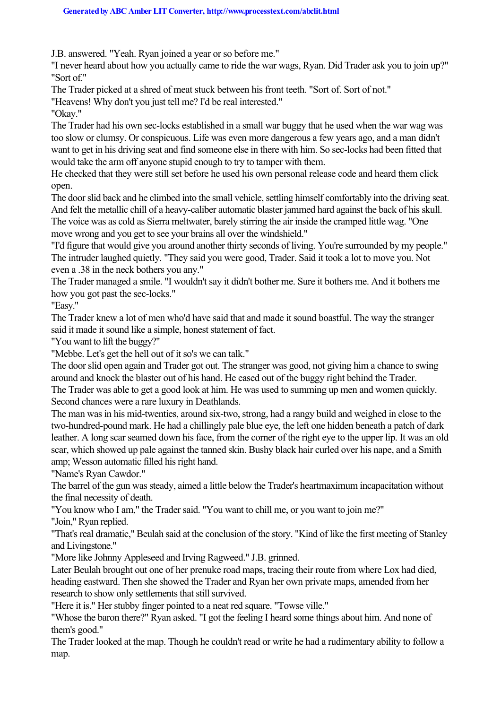J.B. answered. "Yeah. Ryan joined a year or so before me."

"I never heard about how you actually came to ride the war wags, Ryan. Did Trader ask you to join up?" "Sort of."

The Trader picked at a shred of meat stuck between his front teeth. "Sort of. Sort of not."

"Heavens! Why don't you just tell me? I'd be real interested."

"Okay."

The Trader had his own sec-locks established in a small war buggy that he used when the war wag was too slow or clumsy. Or conspicuous. Life was even more dangerous a few years ago, and a man didn't want to get in his driving seat and find someone else in there with him. So sec-locks had been fitted that would take the arm off anyone stupid enough to try to tamper with them.

He checked that they were still set before he used his own personal release code and heard them click open.

The door slid back and he climbed into the small vehicle, settling himself comfortably into the driving seat. And felt the metallic chill of a heavy-caliber automatic blaster jammed hard against the back of his skull. The voice was as cold as Sierra meltwater, barely stirring the air inside the cramped little wag. "One move wrong and you get to see your brains all over the windshield."

"I'd figure that would give you around another thirty seconds of living. You're surrounded by my people." The intruder laughed quietly. "They said you were good, Trader. Said it took a lot to move you. Not even a .38 in the neck bothers you any."

The Trader managed a smile. "I wouldn't say it didn't bother me. Sure it bothers me. And it bothers me how you got past the sec-locks."

"Easy."

The Trader knew a lot of men who'd have said that and made it sound boastful. The way the stranger said it made it sound like a simple, honest statement of fact.

"You want to lift the buggy?"

"Mebbe. Let's get the hell out of it so's we can talk."

The door slid open again and Trader got out. The stranger was good, not giving him a chance to swing around and knock the blaster out of his hand. He eased out of the buggy right behind the Trader.

The Trader was able to get a good look at him. He was used to summing up men and women quickly. Second chances were a rare luxury in Deathlands.

The man was in his mid-twenties, around six-two, strong, had a rangy build and weighed in close to the two-hundred-pound mark. He had a chillingly pale blue eye, the left one hidden beneath a patch of dark leather. A long scar seamed down his face, from the corner of the right eye to the upper lip. It was an old scar, which showed up pale against the tanned skin. Bushy black hair curled over his nape, and a Smith amp; Wesson automatic filled his right hand.

"Name's Ryan Cawdor."

The barrel of the gun was steady, aimed a little below the Trader's heartmaximum incapacitation without the final necessity of death.

"You know who I am," the Trader said. "You want to chill me, or you want to join me?"

"Join," Ryan replied.

"That's real dramatic," Beulah said at the conclusion of the story. "Kind of like the first meeting of Stanley and Livingstone."

"More like Johnny Appleseed and Irving Ragweed." J.B. grinned.

Later Beulah brought out one of her prenuke road maps, tracing their route from where Lox had died, heading eastward. Then she showed the Trader and Ryan her own private maps, amended from her research to show only settlements that still survived.

"Here it is." Her stubby finger pointed to a neat red square. "Towse ville."

"Whose the baron there?" Ryan asked. "I got the feeling I heard some things about him. And none of them's good."

The Trader looked at the map. Though he couldn't read or write he had a rudimentary ability to follow a map.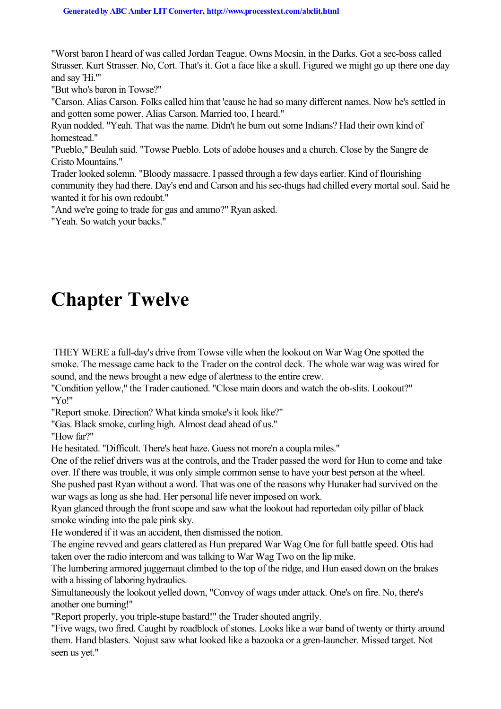"Worst baron I heard of was called Jordan Teague. Owns Mocsin, in the Darks. Got a sec-boss called Strasser. Kurt Strasser. No, Cort. That's it. Got a face like a skull. Figured we might go up there one day and say 'Hi.'"

"But who's baron in Towse?"

"Carson. Alias Carson. Folks called him that 'cause he had so many different names. Now he's settled in and gotten some power. Alias Carson. Married too, I heard."

Ryan nodded. "Yeah. That was the name. Didn't he burn out some Indians? Had their own kind of homestead."

"Pueblo," Beulah said. "Towse Pueblo. Lots of adobe houses and a church. Close by the Sangre de Cristo Mountains."

Trader looked solemn. "Bloody massacre. I passed through a few days earlier. Kind of flourishing community they had there. Day's end and Carson and his sec-thugs had chilled every mortal soul. Said he wanted it for his own redoubt."

"And we're going to trade for gas and ammo?" Ryan asked.

"Yeah. So watch your backs."

#### **Chapter Twelve**

 THEY WERE a full-day's drive from Towse ville when the lookout on War Wag One spotted the smoke. The message came back to the Trader on the control deck. The whole war wag was wired for sound, and the news brought a new edge of alertness to the entire crew.

"Condition yellow," the Trader cautioned. "Close main doors and watch the ob-slits. Lookout?" "Yo!"

"Report smoke. Direction? What kinda smoke's it look like?"

"Gas. Black smoke, curling high. Almost dead ahead of us."

"How far?"

He hesitated. "Difficult. There's heat haze. Guess not more'n a coupla miles."

One of the relief drivers was at the controls, and the Trader passed the word for Hun to come and take over. If there was trouble, it was only simple common sense to have your best person at the wheel. She pushed past Ryan without a word. That was one of the reasons why Hunaker had survived on the war wags as long as she had. Her personal life never imposed on work.

Ryan glanced through the front scope and saw what the lookout had reportedan oily pillar of black smoke winding into the pale pink sky.

He wondered if it was an accident, then dismissed the notion.

The engine revved and gears clattered as Hun prepared War Wag One for full battle speed. Otis had taken over the radio intercom and was talking to War Wag Two on the lip mike.

The lumbering armored juggernaut climbed to the top of the ridge, and Hun eased down on the brakes with a hissing of laboring hydraulics.

Simultaneously the lookout yelled down, "Convoy of wags under attack. One's on fire. No, there's another one burning!"

"Report properly, you triple-stupe bastard!" the Trader shouted angrily.

"Five wags, two fired. Caught by roadblock of stones. Looks like a war band of twenty or thirty around them. Hand blasters. Nojust saw what looked like a bazooka or a gren-launcher. Missed target. Not seen us yet."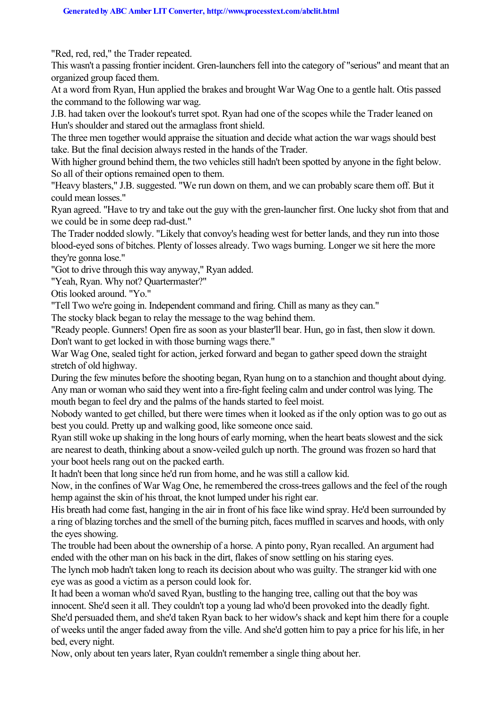"Red, red, red," the Trader repeated.

This wasn't a passing frontier incident. Gren-launchers fell into the category of "serious" and meant that an organized group faced them.

At a word from Ryan, Hun applied the brakes and brought War Wag One to a gentle halt. Otis passed the command to the following war wag.

J.B. had taken over the lookout's turret spot. Ryan had one of the scopes while the Trader leaned on Hun's shoulder and stared out the armaglass front shield.

The three men together would appraise the situation and decide what action the war wags should best take. But the final decision always rested in the hands of the Trader.

With higher ground behind them, the two vehicles still hadn't been spotted by anyone in the fight below. So all of their options remained open to them.

"Heavy blasters," J.B. suggested. "We run down on them, and we can probably scare them off. But it could mean losses."

Ryan agreed. "Have to try and take out the guy with the gren-launcher first. One lucky shot from that and we could be in some deep rad-dust."

The Trader nodded slowly. "Likely that convoy's heading west for better lands, and they run into those blood-eyed sons of bitches. Plenty of losses already. Two wags burning. Longer we sit here the more they're gonna lose."

"Got to drive through this way anyway," Ryan added.

"Yeah, Ryan. Why not? Quartermaster?"

Otis looked around. "Yo."

"Tell Two we're going in. Independent command and firing. Chill as many as they can."

The stocky black began to relay the message to the wag behind them.

"Ready people. Gunners! Open fire as soon as your blaster'll bear. Hun, go in fast, then slow it down. Don't want to get locked in with those burning wags there."

War Wag One, sealed tight for action, jerked forward and began to gather speed down the straight stretch of old highway.

During the few minutes before the shooting began, Ryan hung on to a stanchion and thought about dying. Any man or woman who said they went into a fire-fight feeling calm and under control was lying. The mouth began to feel dry and the palms of the hands started to feel moist.

Nobody wanted to get chilled, but there were times when it looked as if the only option was to go out as best you could. Pretty up and walking good, like someone once said.

Ryan still woke up shaking in the long hours of early morning, when the heart beats slowest and the sick are nearest to death, thinking about a snow-veiled gulch up north. The ground was frozen so hard that your boot heels rang out on the packed earth.

It hadn't been that long since he'd run from home, and he was still a callow kid.

Now, in the confines of War Wag One, he remembered the cross-trees gallows and the feel of the rough hemp against the skin of his throat, the knot lumped under his right ear.

His breath had come fast, hanging in the air in front of his face like wind spray. He'd been surrounded by a ring of blazing torches and the smell of the burning pitch, faces muffled in scarves and hoods, with only the eyes showing.

The trouble had been about the ownership of a horse. A pinto pony, Ryan recalled. An argument had ended with the other man on his back in the dirt, flakes of snow settling on his staring eyes.

The lynch mob hadn't taken long to reach its decision about who was guilty. The stranger kid with one eye was as good a victim as a person could look for.

It had been a woman who'd saved Ryan, bustling to the hanging tree, calling out that the boy was innocent. She'd seen it all. They couldn't top a young lad who'd been provoked into the deadly fight. She'd persuaded them, and she'd taken Ryan back to her widow's shack and kept him there for a couple of weeks until the anger faded away from the ville. And she'd gotten him to pay a price for his life, in her bed, every night.

Now, only about ten years later, Ryan couldn't remember a single thing about her.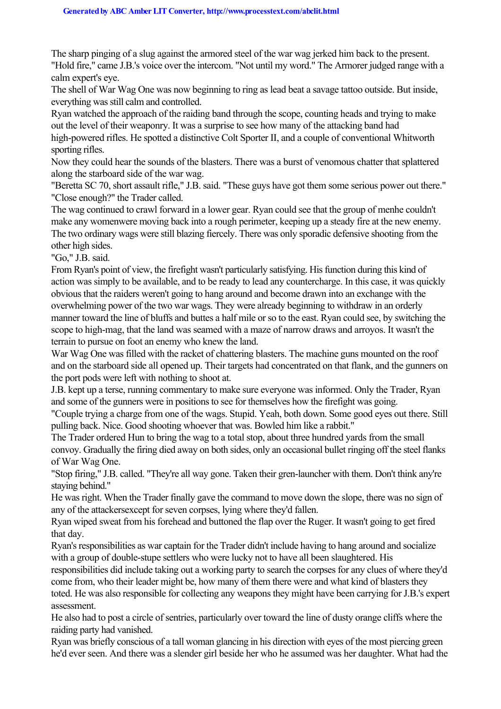The sharp pinging of a slug against the armored steel of the war wag jerked him back to the present. "Hold fire," came J.B.'s voice over the intercom. "Not until my word." The Armorer judged range with a calm expert's eye.

The shell of War Wag One was now beginning to ring as lead beat a savage tattoo outside. But inside, everything was still calm and controlled.

Ryan watched the approach of the raiding band through the scope, counting heads and trying to make out the level of their weaponry. It was a surprise to see how many of the attacking band had high-powered rifles. He spotted a distinctive Colt Sporter II, and a couple of conventional Whitworth sporting rifles.

Now they could hear the sounds of the blasters. There was a burst of venomous chatter that splattered along the starboard side of the war wag.

"Beretta SC 70, short assault rifle," J.B. said. "These guys have got them some serious power out there." "Close enough?" the Trader called.

The wag continued to crawl forward in a lower gear. Ryan could see that the group of menhe couldn't make any womenwere moving back into a rough perimeter, keeping up a steady fire at the new enemy. The two ordinary wags were still blazing fiercely. There was only sporadic defensive shooting from the other high sides.

"Go," J.B. said.

From Ryan's point of view, the firefight wasn't particularly satisfying. His function during this kind of action was simply to be available, and to be ready to lead any countercharge. In this case, it was quickly obvious that the raiders weren't going to hang around and become drawn into an exchange with the overwhelming power of the two war wags. They were already beginning to withdraw in an orderly manner toward the line of bluffs and buttes a half mile or so to the east. Ryan could see, by switching the scope to high-mag, that the land was seamed with a maze of narrow draws and arroyos. It wasn't the terrain to pursue on foot an enemy who knew the land.

War Wag One was filled with the racket of chattering blasters. The machine guns mounted on the roof and on the starboard side all opened up. Their targets had concentrated on that flank, and the gunners on the port pods were left with nothing to shoot at.

J.B. kept up a terse, running commentary to make sure everyone was informed. Only the Trader, Ryan and some of the gunners were in positions to see for themselves how the firefight was going.

"Couple trying a charge from one of the wags. Stupid. Yeah, both down. Some good eyes out there. Still pulling back. Nice. Good shooting whoever that was. Bowled him like a rabbit."

The Trader ordered Hun to bring the wag to a total stop, about three hundred yards from the small convoy. Gradually the firing died away on both sides, only an occasional bullet ringing off the steel flanks of War Wag One.

"Stop firing," J.B. called. "They're all way gone. Taken their gren-launcher with them. Don't think any're staying behind."

He was right. When the Trader finally gave the command to move down the slope, there was no sign of any of the attackersexcept for seven corpses, lying where they'd fallen.

Ryan wiped sweat from his forehead and buttoned the flap over the Ruger. It wasn't going to get fired that day.

Ryan's responsibilities as war captain for the Trader didn't include having to hang around and socialize with a group of double-stupe settlers who were lucky not to have all been slaughtered. His

responsibilities did include taking out a working party to search the corpses for any clues of where they'd come from, who their leader might be, how many of them there were and what kind of blasters they toted. He was also responsible for collecting any weapons they might have been carrying for J.B.'s expert assessment.

He also had to post a circle of sentries, particularly over toward the line of dusty orange cliffs where the raiding party had vanished.

Ryan was briefly conscious of a tall woman glancing in his direction with eyes of the most piercing green he'd ever seen. And there was a slender girl beside her who he assumed was her daughter. What had the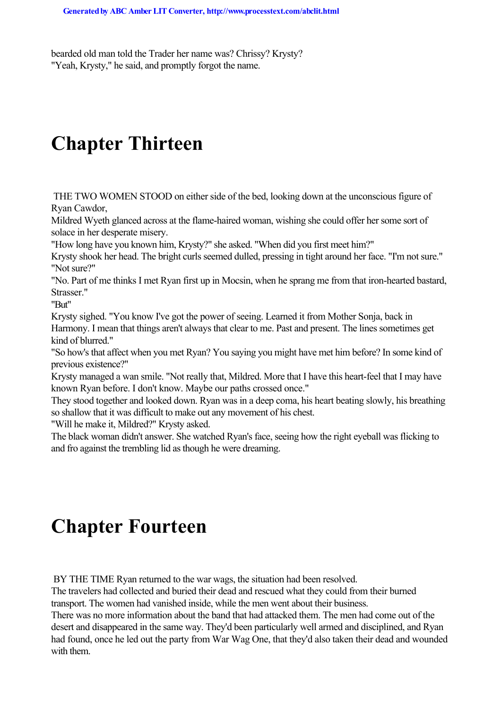bearded old man told the Trader her name was? Chrissy? Krysty? "Yeah, Krysty," he said, and promptly forgot the name.

## **Chapter Thirteen**

 THE TWO WOMEN STOOD on either side of the bed, looking down at the unconscious figure of Ryan Cawdor,

Mildred Wyeth glanced across at the flame-haired woman, wishing she could offer her some sort of solace in her desperate misery.

"How long have you known him, Krysty?" she asked. "When did you first meet him?"

Krysty shook her head. The bright curls seemed dulled, pressing in tight around her face. "I'm not sure." "Not sure?"

"No. Part of me thinks I met Ryan first up in Mocsin, when he sprang me from that iron-hearted bastard, Strasser<sup>"</sup>

"But"

Krysty sighed. "You know I've got the power of seeing. Learned it from Mother Sonja, back in Harmony. I mean that things aren't always that clear to me. Past and present. The lines sometimes get kind of blurred."

"So how's that affect when you met Ryan? You saying you might have met him before? In some kind of previous existence?"

Krysty managed a wan smile. "Not really that, Mildred. More that I have this heart-feel that I may have known Ryan before. I don't know. Maybe our paths crossed once."

They stood together and looked down. Ryan was in a deep coma, his heart beating slowly, his breathing so shallow that it was difficult to make out any movement of his chest.

"Will he make it, Mildred?" Krysty asked.

The black woman didn't answer. She watched Ryan's face, seeing how the right eyeball was flicking to and fro against the trembling lid as though he were dreaming.

#### **Chapter Fourteen**

BY THE TIME Ryan returned to the war wags, the situation had been resolved.

The travelers had collected and buried their dead and rescued what they could from their burned transport. The women had vanished inside, while the men went about their business.

There was no more information about the band that had attacked them. The men had come out of the desert and disappeared in the same way. They'd been particularly well armed and disciplined, and Ryan had found, once he led out the party from War Wag One, that they'd also taken their dead and wounded with them.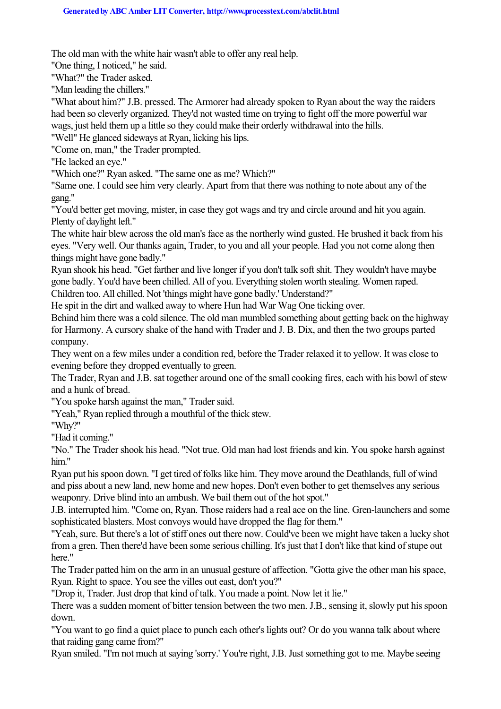The old man with the white hair wasn't able to offer any real help.

"One thing, I noticed," he said.

"What?" the Trader asked.

"Man leading the chillers."

"What about him?" J.B. pressed. The Armorer had already spoken to Ryan about the way the raiders had been so cleverly organized. They'd not wasted time on trying to fight off the more powerful war wags, just held them up a little so they could make their orderly withdrawal into the hills.

"Well" He glanced sideways at Ryan, licking his lips.

"Come on, man," the Trader prompted.

"He lacked an eye."

"Which one?" Ryan asked. "The same one as me? Which?"

"Same one. I could see him very clearly. Apart from that there was nothing to note about any of the gang."

"You'd better get moving, mister, in case they got wags and try and circle around and hit you again. Plenty of daylight left."

The white hair blew across the old man's face as the northerly wind gusted. He brushed it back from his eyes. "Very well. Our thanks again, Trader, to you and all your people. Had you not come along then things might have gone badly."

Ryan shook his head. "Get farther and live longer if you don't talk soft shit. They wouldn't have maybe gone badly. You'd have been chilled. All of you. Everything stolen worth stealing. Women raped. Children too. All chilled. Not 'things might have gone badly.' Understand?"

He spit in the dirt and walked away to where Hun had War Wag One ticking over.

Behind him there was a cold silence. The old man mumbled something about getting back on the highway for Harmony. A cursory shake of the hand with Trader and J. B. Dix, and then the two groups parted company.

They went on a few miles under a condition red, before the Trader relaxed it to yellow. It was close to evening before they dropped eventually to green.

The Trader, Ryan and J.B. sat together around one of the small cooking fires, each with his bowl of stew and a hunk of bread.

"You spoke harsh against the man," Trader said.

"Yeah," Ryan replied through a mouthful of the thick stew.

"Why?"

"Had it coming."

"No." The Trader shook his head. "Not true. Old man had lost friends and kin. You spoke harsh against him."

Ryan put his spoon down. "I get tired of folks like him. They move around the Deathlands, full of wind and piss about a new land, new home and new hopes. Don't even bother to get themselves any serious weaponry. Drive blind into an ambush. We bail them out of the hot spot."

J.B. interrupted him. "Come on, Ryan. Those raiders had a real ace on the line. Gren-launchers and some sophisticated blasters. Most convoys would have dropped the flag for them."

"Yeah, sure. But there's a lot of stiff ones out there now. Could've been we might have taken a lucky shot from a gren. Then there'd have been some serious chilling. It's just that I don't like that kind of stupe out here."

The Trader patted him on the arm in an unusual gesture of affection. "Gotta give the other man his space, Ryan. Right to space. You see the villes out east, don't you?"

"Drop it, Trader. Just drop that kind of talk. You made a point. Now let it lie."

There was a sudden moment of bitter tension between the two men. J.B., sensing it, slowly put his spoon down.

"You want to go find a quiet place to punch each other's lights out? Or do you wanna talk about where that raiding gang came from?"

Ryan smiled. "I'm not much at saying 'sorry.' You're right, J.B. Just something got to me. Maybe seeing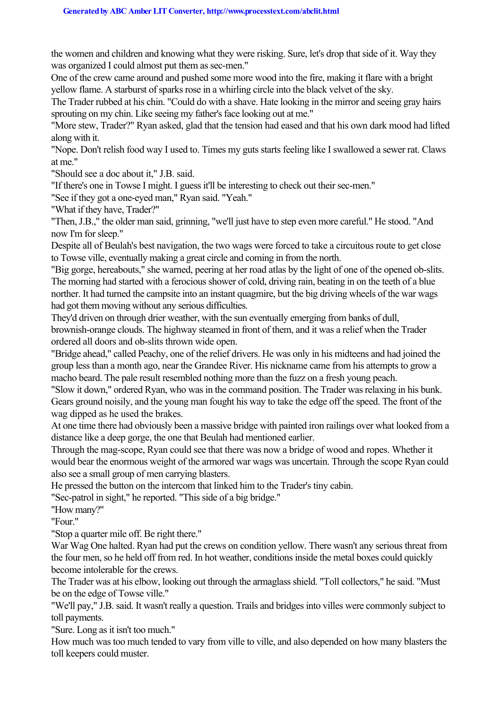the women and children and knowing what they were risking. Sure, let's drop that side of it. Way they was organized I could almost put them as sec-men."

One of the crew came around and pushed some more wood into the fire, making it flare with a bright yellow flame. A starburst of sparks rose in a whirling circle into the black velvet of the sky.

The Trader rubbed at his chin. "Could do with a shave. Hate looking in the mirror and seeing gray hairs sprouting on my chin. Like seeing my father's face looking out at me."

"More stew, Trader?" Ryan asked, glad that the tension had eased and that his own dark mood had lifted along with it.

"Nope. Don't relish food way I used to. Times my guts starts feeling like I swallowed a sewer rat. Claws at me."

"Should see a doc about it," J.B. said.

"If there's one in Towse I might. I guess it'll be interesting to check out their sec-men."

"See if they got a one-eyed man," Ryan said. "Yeah."

"What if they have, Trader?"

"Then, J.B.," the older man said, grinning, "we'll just have to step even more careful." He stood. "And now I'm for sleep."

Despite all of Beulah's best navigation, the two wags were forced to take a circuitous route to get close to Towse ville, eventually making a great circle and coming in from the north.

"Big gorge, hereabouts," she warned, peering at her road atlas by the light of one of the opened ob-slits. The morning had started with a ferocious shower of cold, driving rain, beating in on the teeth of a blue norther. It had turned the campsite into an instant quagmire, but the big driving wheels of the war wags had got them moving without any serious difficulties.

They'd driven on through drier weather, with the sun eventually emerging from banks of dull, brownish-orange clouds. The highway steamed in front of them, and it was a relief when the Trader ordered all doors and ob-slits thrown wide open.

"Bridge ahead," called Peachy, one of the relief drivers. He was only in his midteens and had joined the group less than a month ago, near the Grandee River. His nickname came from his attempts to grow a macho beard. The pale result resembled nothing more than the fuzz on a fresh young peach.

"Slow it down," ordered Ryan, who was in the command position. The Trader was relaxing in his bunk. Gears ground noisily, and the young man fought his way to take the edge off the speed. The front of the wag dipped as he used the brakes.

At one time there had obviously been a massive bridge with painted iron railings over what looked from a distance like a deep gorge, the one that Beulah had mentioned earlier.

Through the mag-scope, Ryan could see that there was now a bridge of wood and ropes. Whether it would bear the enormous weight of the armored war wags was uncertain. Through the scope Ryan could also see a small group of men carrying blasters.

He pressed the button on the intercom that linked him to the Trader's tiny cabin.

"Sec-patrol in sight," he reported. "This side of a big bridge."

"How many?"

"Four."

"Stop a quarter mile off. Be right there."

War Wag One halted. Ryan had put the crews on condition yellow. There wasn't any serious threat from the four men, so he held off from red. In hot weather, conditions inside the metal boxes could quickly become intolerable for the crews.

The Trader was at his elbow, looking out through the armaglass shield. "Toll collectors," he said. "Must be on the edge of Towse ville."

"We'll pay," J.B. said. It wasn't really a question. Trails and bridges into villes were commonly subject to toll payments.

"Sure. Long as it isn't too much."

How much was too much tended to vary from ville to ville, and also depended on how many blasters the toll keepers could muster.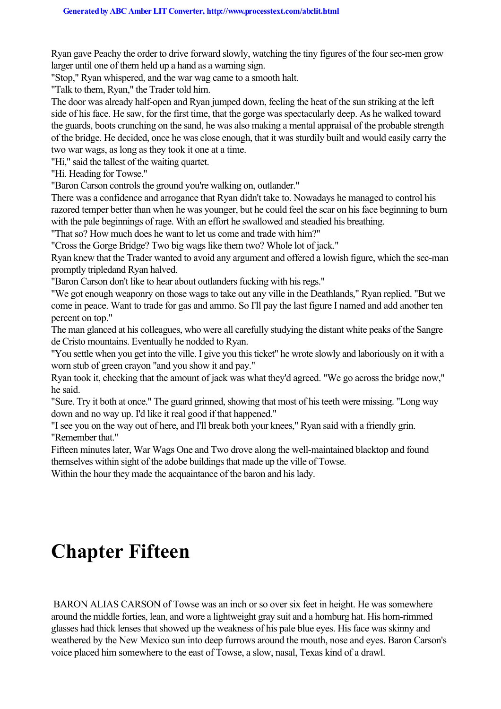Ryan gave Peachy the order to drive forward slowly, watching the tiny figures of the four sec-men grow larger until one of them held up a hand as a warning sign.

"Stop," Ryan whispered, and the war wag came to a smooth halt.

"Talk to them, Ryan," the Trader told him.

The door was already half-open and Ryan jumped down, feeling the heat of the sun striking at the left side of his face. He saw, for the first time, that the gorge was spectacularly deep. As he walked toward the guards, boots crunching on the sand, he was also making a mental appraisal of the probable strength of the bridge. He decided, once he was close enough, that it was sturdily built and would easily carry the two war wags, as long as they took it one at a time.

"Hi," said the tallest of the waiting quartet.

"Hi. Heading for Towse."

"Baron Carson controls the ground you're walking on, outlander."

There was a confidence and arrogance that Ryan didn't take to. Nowadays he managed to control his razored temper better than when he was younger, but he could feel the scar on his face beginning to burn with the pale beginnings of rage. With an effort he swallowed and steadied his breathing.

"That so? How much does he want to let us come and trade with him?"

"Cross the Gorge Bridge? Two big wags like them two? Whole lot of jack."

Ryan knew that the Trader wanted to avoid any argument and offered a lowish figure, which the sec-man promptly tripledand Ryan halved.

"Baron Carson don't like to hear about outlanders fucking with his regs."

"We got enough weaponry on those wags to take out any ville in the Deathlands," Ryan replied. "But we come in peace. Want to trade for gas and ammo. So I'll pay the last figure I named and add another ten percent on top."

The man glanced at his colleagues, who were all carefully studying the distant white peaks of the Sangre de Cristo mountains. Eventually he nodded to Ryan.

"You settle when you get into the ville. I give you this ticket" he wrote slowly and laboriously on it with a worn stub of green crayon "and you show it and pay."

Ryan took it, checking that the amount of jack was what they'd agreed. "We go across the bridge now," he said.

"Sure. Try it both at once." The guard grinned, showing that most of his teeth were missing. "Long way down and no way up. I'd like it real good if that happened."

"I see you on the way out of here, and I'll break both your knees," Ryan said with a friendly grin. "Remember that."

Fifteen minutes later, War Wags One and Two drove along the well-maintained blacktop and found themselves within sight of the adobe buildings that made up the ville of Towse.

Within the hour they made the acquaintance of the baron and his lady.

## **Chapter Fifteen**

 BARON ALIAS CARSON of Towse was an inch or so over six feet in height. He was somewhere around the middle forties, lean, and wore a lightweight gray suit and a homburg hat. His horn-rimmed glasses had thick lenses that showed up the weakness of his pale blue eyes. His face was skinny and weathered by the New Mexico sun into deep furrows around the mouth, nose and eyes. Baron Carson's voice placed him somewhere to the east of Towse, a slow, nasal, Texas kind of a drawl.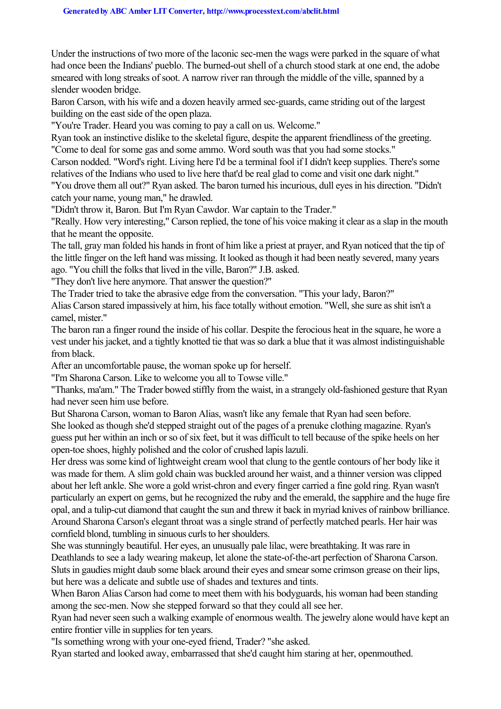Under the instructions of two more of the laconic sec-men the wags were parked in the square of what had once been the Indians' pueblo. The burned-out shell of a church stood stark at one end, the adobe smeared with long streaks of soot. A narrow river ran through the middle of the ville, spanned by a slender wooden bridge.

Baron Carson, with his wife and a dozen heavily armed sec-guards, came striding out of the largest building on the east side of the open plaza.

"You're Trader. Heard you was coming to pay a call on us. Welcome."

Ryan took an instinctive dislike to the skeletal figure, despite the apparent friendliness of the greeting. "Come to deal for some gas and some ammo. Word south was that you had some stocks."

Carson nodded. "Word's right. Living here I'd be a terminal fool if I didn't keep supplies. There's some relatives of the Indians who used to live here that'd be real glad to come and visit one dark night."

"You drove them all out?" Ryan asked. The baron turned his incurious, dull eyes in his direction. "Didn't catch your name, young man," he drawled.

"Didn't throw it, Baron. But I'm Ryan Cawdor. War captain to the Trader."

"Really. How very interesting," Carson replied, the tone of his voice making it clear as a slap in the mouth that he meant the opposite.

The tall, gray man folded his hands in front of him like a priest at prayer, and Ryan noticed that the tip of the little finger on the left hand was missing. It looked as though it had been neatly severed, many years ago. "You chill the folks that lived in the ville, Baron?" J.B. asked.

"They don't live here anymore. That answer the question?"

The Trader tried to take the abrasive edge from the conversation. "This your lady, Baron?"

Alias Carson stared impassively at him, his face totally without emotion. "Well, she sure as shit isn't a camel, mister."

The baron ran a finger round the inside of his collar. Despite the ferocious heat in the square, he wore a vest under his jacket, and a tightly knotted tie that was so dark a blue that it was almost indistinguishable from black.

After an uncomfortable pause, the woman spoke up for herself.

"I'm Sharona Carson. Like to welcome you all to Towse ville."

"Thanks, ma'am." The Trader bowed stiffly from the waist, in a strangely old-fashioned gesture that Ryan had never seen him use before.

But Sharona Carson, woman to Baron Alias, wasn't like any female that Ryan had seen before. She looked as though she'd stepped straight out of the pages of a prenuke clothing magazine. Ryan's guess put her within an inch or so of six feet, but it was difficult to tell because of the spike heels on her open-toe shoes, highly polished and the color of crushed lapis lazuli.

Her dress was some kind of lightweight cream wool that clung to the gentle contours of her body like it was made for them. A slim gold chain was buckled around her waist, and a thinner version was clipped about her left ankle. She wore a gold wrist-chron and every finger carried a fine gold ring. Ryan wasn't particularly an expert on gems, but he recognized the ruby and the emerald, the sapphire and the huge fire opal, and a tulip-cut diamond that caught the sun and threw it back in myriad knives of rainbow brilliance. Around Sharona Carson's elegant throat was a single strand of perfectly matched pearls. Her hair was cornfield blond, tumbling in sinuous curls to her shoulders.

She was stunningly beautiful. Her eyes, an unusually pale lilac, were breathtaking. It was rare in Deathlands to see a lady wearing makeup, let alone the state-of-the-art perfection of Sharona Carson. Sluts in gaudies might daub some black around their eyes and smear some crimson grease on their lips, but here was a delicate and subtle use of shades and textures and tints.

When Baron Alias Carson had come to meet them with his bodyguards, his woman had been standing among the sec-men. Now she stepped forward so that they could all see her.

Ryan had never seen such a walking example of enormous wealth. The jewelry alone would have kept an entire frontier ville in supplies for ten years.

"Is something wrong with your one-eyed friend, Trader? "she asked.

Ryan started and looked away, embarrassed that she'd caught him staring at her, openmouthed.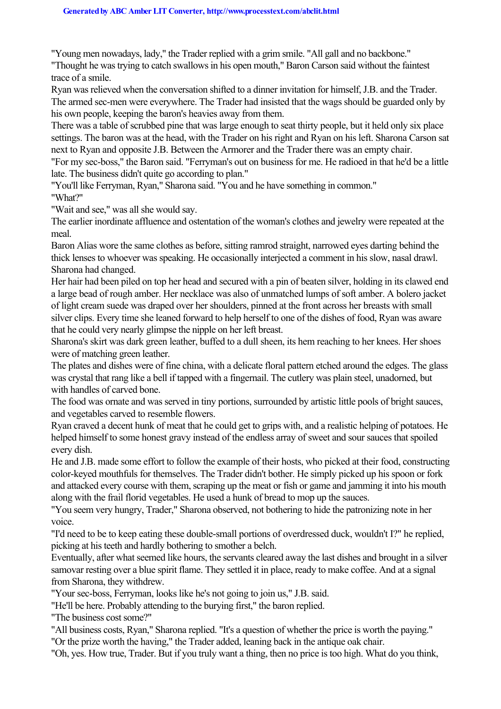"Young men nowadays, lady," the Trader replied with a grim smile. "All gall and no backbone." "Thought he was trying to catch swallows in his open mouth," Baron Carson said without the faintest trace of a smile.

Ryan was relieved when the conversation shifted to a dinner invitation for himself, J.B. and the Trader. The armed sec-men were everywhere. The Trader had insisted that the wags should be guarded only by his own people, keeping the baron's heavies away from them.

There was a table of scrubbed pine that was large enough to seat thirty people, but it held only six place settings. The baron was at the head, with the Trader on his right and Ryan on his left. Sharona Carson sat next to Ryan and opposite J.B. Between the Armorer and the Trader there was an empty chair.

"For my sec-boss," the Baron said. "Ferryman's out on business for me. He radioed in that he'd be a little late. The business didn't quite go according to plan."

"You'll like Ferryman, Ryan," Sharona said. "You and he have something in common." "What?"

"Wait and see," was all she would say.

The earlier inordinate affluence and ostentation of the woman's clothes and jewelry were repeated at the meal.

Baron Alias wore the same clothes as before, sitting ramrod straight, narrowed eyes darting behind the thick lenses to whoever was speaking. He occasionally interjected a comment in his slow, nasal drawl. Sharona had changed.

Her hair had been piled on top her head and secured with a pin of beaten silver, holding in its clawed end a large bead of rough amber. Her necklace was also of unmatched lumps of soft amber. A bolero jacket of light cream suede was draped over her shoulders, pinned at the front across her breasts with small silver clips. Every time she leaned forward to help herself to one of the dishes of food, Ryan was aware that he could very nearly glimpse the nipple on her left breast.

Sharona's skirt was dark green leather, buffed to a dull sheen, its hem reaching to her knees. Her shoes were of matching green leather.

The plates and dishes were of fine china, with a delicate floral pattern etched around the edges. The glass was crystal that rang like a bell if tapped with a fingernail. The cutlery was plain steel, unadorned, but with handles of carved bone.

The food was ornate and was served in tiny portions, surrounded by artistic little pools of bright sauces, and vegetables carved to resemble flowers.

Ryan craved a decent hunk of meat that he could get to grips with, and a realistic helping of potatoes. He helped himself to some honest gravy instead of the endless array of sweet and sour sauces that spoiled every dish.

He and J.B. made some effort to follow the example of their hosts, who picked at their food, constructing color-keyed mouthfuls for themselves. The Trader didn't bother. He simply picked up his spoon or fork and attacked every course with them, scraping up the meat or fish or game and jamming it into his mouth along with the frail florid vegetables. He used a hunk of bread to mop up the sauces.

"You seem very hungry, Trader," Sharona observed, not bothering to hide the patronizing note in her voice.

"I'd need to be to keep eating these double-small portions of overdressed duck, wouldn't I?" he replied, picking at his teeth and hardly bothering to smother a belch.

Eventually, after what seemed like hours, the servants cleared away the last dishes and brought in a silver samovar resting over a blue spirit flame. They settled it in place, ready to make coffee. And at a signal from Sharona, they withdrew.

"Your sec-boss, Ferryman, looks like he's not going to join us," J.B. said.

"He'll be here. Probably attending to the burying first," the baron replied.

"The business cost some?"

"All business costs, Ryan," Sharona replied. "It's a question of whether the price is worth the paying." "Or the prize worth the having," the Trader added, leaning back in the antique oak chair.

"Oh, yes. How true, Trader. But if you truly want a thing, then no price is too high. What do you think,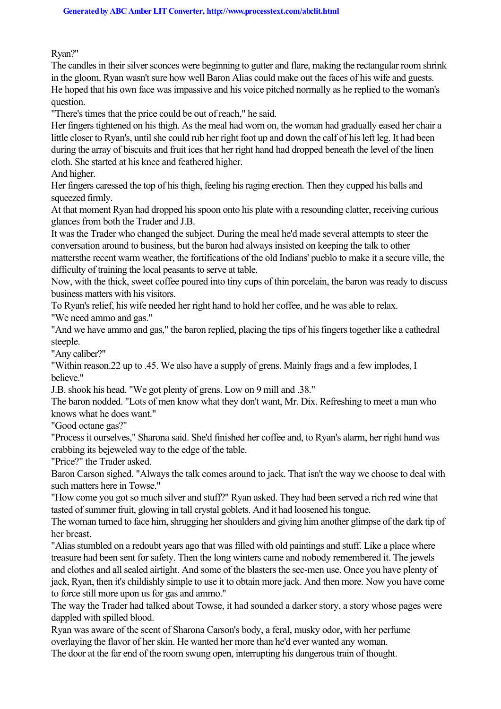Ryan?"

The candles in their silver sconces were beginning to gutter and flare, making the rectangular room shrink in the gloom. Ryan wasn't sure how well Baron Alias could make out the faces of his wife and guests. He hoped that his own face was impassive and his voice pitched normally as he replied to the woman's question.

"There's times that the price could be out of reach," he said.

Her fingers tightened on his thigh. As the meal had worn on, the woman had gradually eased her chair a little closer to Ryan's, until she could rub her right foot up and down the calf of his left leg. It had been during the array of biscuits and fruit ices that her right hand had dropped beneath the level of the linen cloth. She started at his knee and feathered higher.

And higher.

Her fingers caressed the top of his thigh, feeling his raging erection. Then they cupped his balls and squeezed firmly.

At that moment Ryan had dropped his spoon onto his plate with a resounding clatter, receiving curious glances from both the Trader and J.B.

It was the Trader who changed the subject. During the meal he'd made several attempts to steer the conversation around to business, but the baron had always insisted on keeping the talk to other mattersthe recent warm weather, the fortifications of the old Indians' pueblo to make it a secure ville, the difficulty of training the local peasants to serve at table.

Now, with the thick, sweet coffee poured into tiny cups of thin porcelain, the baron was ready to discuss business matters with his visitors.

To Ryan's relief, his wife needed her right hand to hold her coffee, and he was able to relax. "We need ammo and gas."

"And we have ammo and gas," the baron replied, placing the tips of his fingers together like a cathedral steeple.

"Any caliber?"

"Within reason.22 up to .45. We also have a supply of grens. Mainly frags and a few implodes, I believe."

J.B. shook his head. "We got plenty of grens. Low on 9 mill and .38."

The baron nodded. "Lots of men know what they don't want, Mr. Dix. Refreshing to meet a man who knows what he does want."

"Good octane gas?"

"Process it ourselves," Sharona said. She'd finished her coffee and, to Ryan's alarm, her right hand was crabbing its bejeweled way to the edge of the table.

"Price?" the Trader asked.

Baron Carson sighed. "Always the talk comes around to jack. That isn't the way we choose to deal with such matters here in Towse."

"How come you got so much silver and stuff?" Ryan asked. They had been served a rich red wine that tasted of summer fruit, glowing in tall crystal goblets. And it had loosened his tongue.

The woman turned to face him, shrugging her shoulders and giving him another glimpse of the dark tip of her breast.

"Alias stumbled on a redoubt years ago that was filled with old paintings and stuff. Like a place where treasure had been sent for safety. Then the long winters came and nobody remembered it. The jewels and clothes and all sealed airtight. And some of the blasters the sec-men use. Once you have plenty of jack, Ryan, then it's childishly simple to use it to obtain more jack. And then more. Now you have come to force still more upon us for gas and ammo."

The way the Trader had talked about Towse, it had sounded a darker story, a story whose pages were dappled with spilled blood.

Ryan was aware of the scent of Sharona Carson's body, a feral, musky odor, with her perfume overlaying the flavor of her skin. He wanted her more than he'd ever wanted any woman.

The door at the far end of the room swung open, interrupting his dangerous train of thought.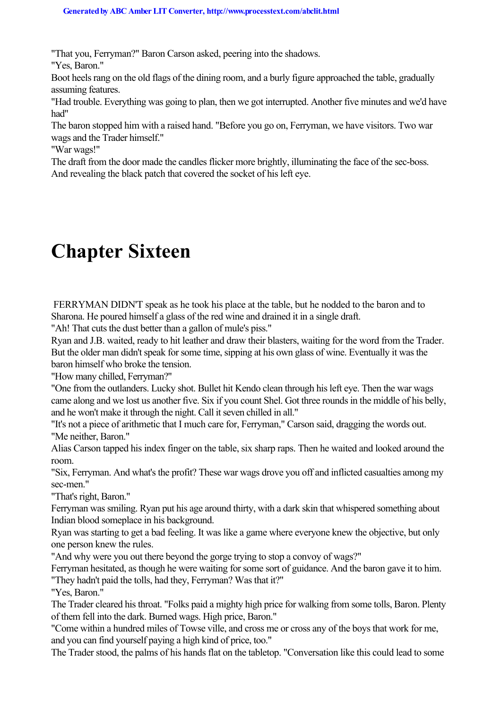"That you, Ferryman?" Baron Carson asked, peering into the shadows.

"Yes, Baron."

Boot heels rang on the old flags of the dining room, and a burly figure approached the table, gradually assuming features.

"Had trouble. Everything was going to plan, then we got interrupted. Another five minutes and we'd have had"

The baron stopped him with a raised hand. "Before you go on, Ferryman, we have visitors. Two war wags and the Trader himself."

"War wags!"

The draft from the door made the candles flicker more brightly, illuminating the face of the sec-boss. And revealing the black patch that covered the socket of his left eve.

## **Chapter Sixteen**

 FERRYMAN DIDN'T speak as he took his place at the table, but he nodded to the baron and to Sharona. He poured himself a glass of the red wine and drained it in a single draft.

"Ah! That cuts the dust better than a gallon of mule's piss."

Ryan and J.B. waited, ready to hit leather and draw their blasters, waiting for the word from the Trader. But the older man didn't speak for some time, sipping at his own glass of wine. Eventually it was the baron himself who broke the tension.

"How many chilled, Ferryman?"

"One from the outlanders. Lucky shot. Bullet hit Kendo clean through his left eye. Then the war wags came along and we lost us another five. Six if you count Shel. Got three rounds in the middle of his belly, and he won't make it through the night. Call it seven chilled in all."

"It's not a piece of arithmetic that I much care for, Ferryman," Carson said, dragging the words out. "Me neither, Baron."

Alias Carson tapped his index finger on the table, six sharp raps. Then he waited and looked around the room.

"Six, Ferryman. And what's the profit? These war wags drove you off and inflicted casualties among my sec-men."

"That's right, Baron."

Ferryman was smiling. Ryan put his age around thirty, with a dark skin that whispered something about Indian blood someplace in his background.

Ryan was starting to get a bad feeling. It was like a game where everyone knew the objective, but only one person knew the rules.

"And why were you out there beyond the gorge trying to stop a convoy of wags?"

Ferryman hesitated, as though he were waiting for some sort of guidance. And the baron gave it to him. "They hadn't paid the tolls, had they, Ferryman? Was that it?"

"Yes, Baron."

The Trader cleared his throat. "Folks paid a mighty high price for walking from some tolls, Baron. Plenty of them fell into the dark. Burned wags. High price, Baron."

"Come within a hundred miles of Towse ville, and cross me or cross any of the boys that work for me, and you can find yourself paying a high kind of price, too."

The Trader stood, the palms of his hands flat on the tabletop. "Conversation like this could lead to some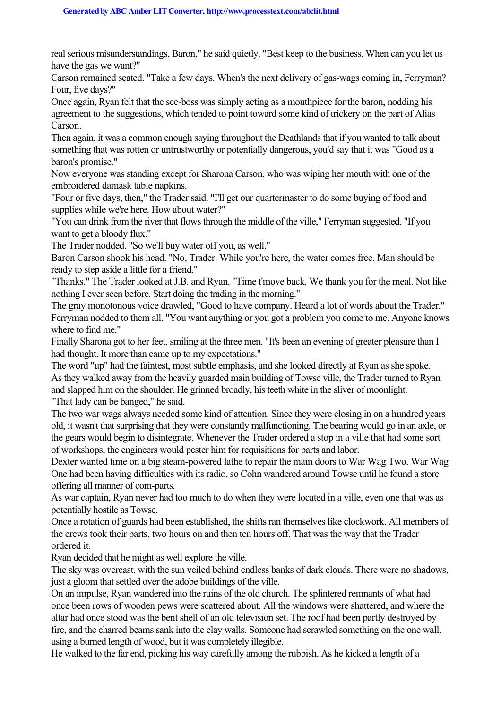real serious misunderstandings, Baron," he said quietly. "Best keep to the business. When can you let us have the gas we want?"

Carson remained seated. "Take a few days. When's the next delivery of gas-wags coming in, Ferryman? Four, five days?"

Once again, Ryan felt that the sec-boss was simply acting as a mouthpiece for the baron, nodding his agreement to the suggestions, which tended to point toward some kind of trickery on the part of Alias Carson.

Then again, it was a common enough saying throughout the Deathlands that if you wanted to talk about something that was rotten or untrustworthy or potentially dangerous, you'd say that it was "Good as a baron's promise."

Now everyone was standing except for Sharona Carson, who was wiping her mouth with one of the embroidered damask table napkins.

"Four or five days, then," the Trader said. "I'll get our quartermaster to do some buying of food and supplies while we're here. How about water?"

"You can drink from the river that flows through the middle of the ville," Ferryman suggested. "If you want to get a bloody flux."

The Trader nodded. "So we'll buy water off you, as well."

Baron Carson shook his head. "No, Trader. While you're here, the water comes free. Man should be ready to step aside a little for a friend."

"Thanks." The Trader looked at J.B. and Ryan. "Time t'move back. We thank you for the meal. Not like nothing I ever seen before. Start doing the trading in the morning."

The gray monotonous voice drawled, "Good to have company. Heard a lot of words about the Trader." Ferryman nodded to them all. "You want anything or you got a problem you come to me. Anyone knows where to find me."

Finally Sharona got to her feet, smiling at the three men. "It's been an evening of greater pleasure than I had thought. It more than came up to my expectations."

The word "up" had the faintest, most subtle emphasis, and she looked directly at Ryan as she spoke. As they walked away from the heavily guarded main building of Towse ville, the Trader turned to Ryan and slapped him on the shoulder. He grinned broadly, his teeth white in the sliver of moonlight. "That lady can be banged," he said.

The two war wags always needed some kind of attention. Since they were closing in on a hundred years old, it wasn't that surprising that they were constantly malfunctioning. The bearing would go in an axle, or the gears would begin to disintegrate. Whenever the Trader ordered a stop in a ville that had some sort of workshops, the engineers would pester him for requisitions for parts and labor.

Dexter wanted time on a big steam-powered lathe to repair the main doors to War Wag Two. War Wag One had been having difficulties with its radio, so Cohn wandered around Towse until he found a store offering all manner of com-parts.

As war captain, Ryan never had too much to do when they were located in a ville, even one that was as potentially hostile as Towse.

Once a rotation of guards had been established, the shifts ran themselves like clockwork. All members of the crews took their parts, two hours on and then ten hours off. That was the way that the Trader ordered it.

Ryan decided that he might as well explore the ville.

The sky was overcast, with the sun veiled behind endless banks of dark clouds. There were no shadows, just a gloom that settled over the adobe buildings of the ville.

On an impulse, Ryan wandered into the ruins of the old church. The splintered remnants of what had once been rows of wooden pews were scattered about. All the windows were shattered, and where the altar had once stood was the bent shell of an old television set. The roof had been partly destroyed by fire, and the charred beams sank into the clay walls. Someone had scrawled something on the one wall, using a burned length of wood, but it was completely illegible.

He walked to the far end, picking his way carefully among the rubbish. As he kicked a length of a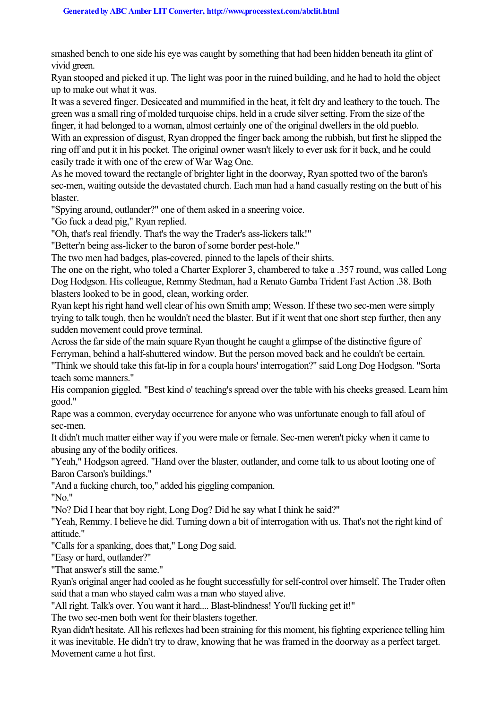smashed bench to one side his eye was caught by something that had been hidden beneath ita glint of vivid green.

Ryan stooped and picked it up. The light was poor in the ruined building, and he had to hold the object up to make out what it was.

It was a severed finger. Desiccated and mummified in the heat, it felt dry and leathery to the touch. The green was a small ring of molded turquoise chips, held in a crude silver setting. From the size of the finger, it had belonged to a woman, almost certainly one of the original dwellers in the old pueblo. With an expression of disgust, Ryan dropped the finger back among the rubbish, but first he slipped the

ring off and put it in his pocket. The original owner wasn't likely to ever ask for it back, and he could easily trade it with one of the crew of War Wag One.

As he moved toward the rectangle of brighter light in the doorway, Ryan spotted two of the baron's sec-men, waiting outside the devastated church. Each man had a hand casually resting on the butt of his blaster.

"Spying around, outlander?" one of them asked in a sneering voice.

"Go fuck a dead pig," Ryan replied.

"Oh, that's real friendly. That's the way the Trader's ass-lickers talk!"

"Better'n being ass-licker to the baron of some border pest-hole."

The two men had badges, plas-covered, pinned to the lapels of their shirts.

The one on the right, who toled a Charter Explorer 3, chambered to take a .357 round, was called Long Dog Hodgson. His colleague, Remmy Stedman, had a Renato Gamba Trident Fast Action .38. Both blasters looked to be in good, clean, working order.

Ryan kept his right hand well clear of his own Smith amp; Wesson. If these two sec-men were simply trying to talk tough, then he wouldn't need the blaster. But if it went that one short step further, then any sudden movement could prove terminal.

Across the far side of the main square Ryan thought he caught a glimpse of the distinctive figure of Ferryman, behind a half-shuttered window. But the person moved back and he couldn't be certain.

"Think we should take this fat-lip in for a coupla hours' interrogation?" said Long Dog Hodgson. "Sorta teach some manners."

His companion giggled. "Best kind o' teaching's spread over the table with his cheeks greased. Learn him good."

Rape was a common, everyday occurrence for anyone who was unfortunate enough to fall afoul of sec-men.

It didn't much matter either way if you were male or female. Sec-men weren't picky when it came to abusing any of the bodily orifices.

"Yeah," Hodgson agreed. "Hand over the blaster, outlander, and come talk to us about looting one of Baron Carson's buildings."

"And a fucking church, too," added his giggling companion.

"No."

"No? Did I hear that boy right, Long Dog? Did he say what I think he said?"

"Yeah, Remmy. I believe he did. Turning down a bit of interrogation with us. That's not the right kind of attitude."

"Calls for a spanking, does that," Long Dog said.

"Easy or hard, outlander?"

"That answer's still the same."

Ryan's original anger had cooled as he fought successfully for self-control over himself. The Trader often said that a man who stayed calm was a man who stayed alive.

"All right. Talk's over. You want it hard.... Blast-blindness! You'll fucking get it!"

The two sec-men both went for their blasters together.

Ryan didn't hesitate. All his reflexes had been straining for this moment, his fighting experience telling him it was inevitable. He didn't try to draw, knowing that he was framed in the doorway as a perfect target. Movement came a hot first.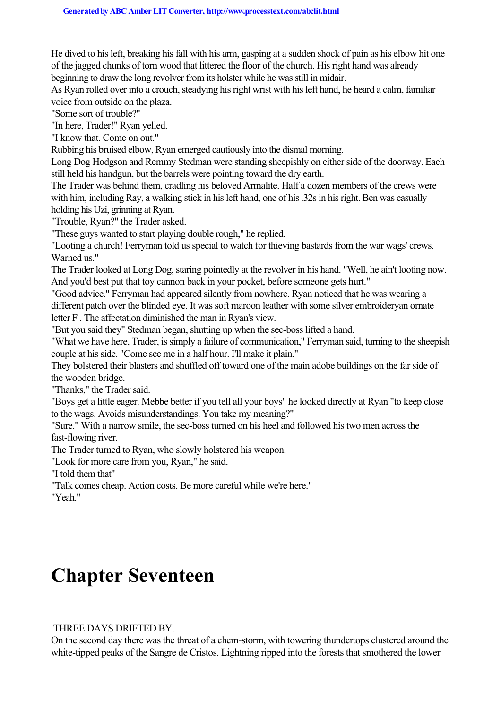He dived to his left, breaking his fall with his arm, gasping at a sudden shock of pain as his elbow hit one of the jagged chunks of torn wood that littered the floor of the church. His right hand was already beginning to draw the long revolver from its holster while he was still in midair.

As Ryan rolled over into a crouch, steadying his right wrist with his left hand, he heard a calm, familiar voice from outside on the plaza.

"Some sort of trouble?"

"In here, Trader!" Ryan yelled.

"I know that. Come on out."

Rubbing his bruised elbow, Ryan emerged cautiously into the dismal morning.

Long Dog Hodgson and Remmy Stedman were standing sheepishly on either side of the doorway. Each still held his handgun, but the barrels were pointing toward the dry earth.

The Trader was behind them, cradling his beloved Armalite. Half a dozen members of the crews were with him, including Ray, a walking stick in his left hand, one of his .32s in his right. Ben was casually holding his Uzi, grinning at Ryan.

"Trouble, Ryan?" the Trader asked.

"These guys wanted to start playing double rough," he replied.

"Looting a church! Ferryman told us special to watch for thieving bastards from the war wags' crews. Warned us."

The Trader looked at Long Dog, staring pointedly at the revolver in his hand. "Well, he ain't looting now. And you'd best put that toy cannon back in your pocket, before someone gets hurt."

"Good advice." Ferryman had appeared silently from nowhere. Ryan noticed that he was wearing a different patch over the blinded eye. It was soft maroon leather with some silver embroideryan ornate letter F . The affectation diminished the man in Ryan's view.

"But you said they" Stedman began, shutting up when the sec-boss lifted a hand.

"What we have here, Trader, is simply a failure of communication," Ferryman said, turning to the sheepish couple at his side. "Come see me in a half hour. I'll make it plain."

They bolstered their blasters and shuffled off toward one of the main adobe buildings on the far side of the wooden bridge.

"Thanks," the Trader said.

"Boys get a little eager. Mebbe better if you tell all your boys" he looked directly at Ryan "to keep close to the wags. Avoids misunderstandings. You take my meaning?"

"Sure." With a narrow smile, the sec-boss turned on his heel and followed his two men across the fast-flowing river.

The Trader turned to Ryan, who slowly holstered his weapon.

"Look for more care from you, Ryan," he said.

"I told them that"

"Talk comes cheap. Action costs. Be more careful while we're here."

"Yeah"

#### **Chapter Seventeen**

#### THREE DAYS DRIFTED BY.

On the second day there was the threat of a chem-storm, with towering thundertops clustered around the white-tipped peaks of the Sangre de Cristos. Lightning ripped into the forests that smothered the lower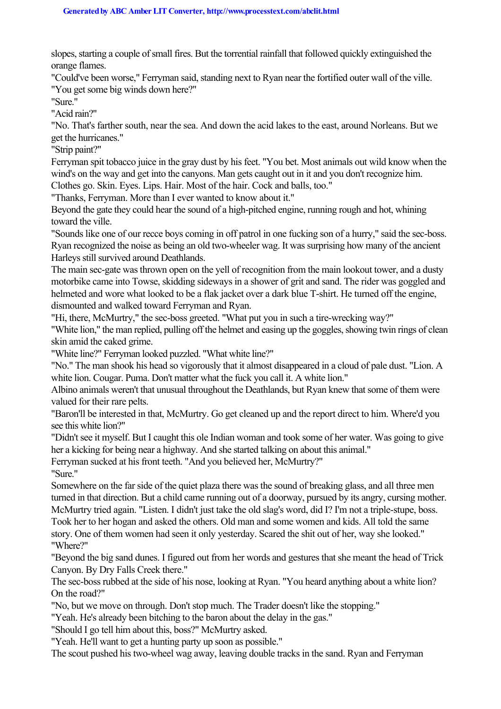slopes, starting a couple of small fires. But the torrential rainfall that followed quickly extinguished the orange flames.

"Could've been worse," Ferryman said, standing next to Ryan near the fortified outer wall of the ville. "You get some big winds down here?"

"Sure."

"Acid rain?"

"No. That's farther south, near the sea. And down the acid lakes to the east, around Norleans. But we get the hurricanes."

"Strip paint?"

Ferryman spit tobacco juice in the gray dust by his feet. "You bet. Most animals out wild know when the wind's on the way and get into the canyons. Man gets caught out in it and you don't recognize him. Clothes go. Skin. Eyes. Lips. Hair. Most of the hair. Cock and balls, too."

"Thanks, Ferryman. More than I ever wanted to know about it."

Beyond the gate they could hear the sound of a high-pitched engine, running rough and hot, whining toward the ville.

"Sounds like one of our recce boys coming in off patrol in one fucking son of a hurry," said the sec-boss. Ryan recognized the noise as being an old two-wheeler wag. It was surprising how many of the ancient Harleys still survived around Deathlands.

The main sec-gate was thrown open on the yell of recognition from the main lookout tower, and a dusty motorbike came into Towse, skidding sideways in a shower of grit and sand. The rider was goggled and helmeted and wore what looked to be a flak jacket over a dark blue T-shirt. He turned off the engine, dismounted and walked toward Ferryman and Ryan.

"Hi, there, McMurtry," the sec-boss greeted. "What put you in such a tire-wrecking way?"

"White lion," the man replied, pulling off the helmet and easing up the goggles, showing twin rings of clean skin amid the caked grime.

"White line?" Ferryman looked puzzled. "What white line?"

"No." The man shook his head so vigorously that it almost disappeared in a cloud of pale dust. "Lion. A white lion. Cougar. Puma. Don't matter what the fuck you call it. A white lion."

Albino animals weren't that unusual throughout the Deathlands, but Ryan knew that some of them were valued for their rare pelts.

"Baron'll be interested in that, McMurtry. Go get cleaned up and the report direct to him. Where'd you see this white lion?"

"Didn't see it myself. But I caught this ole Indian woman and took some of her water. Was going to give her a kicking for being near a highway. And she started talking on about this animal."

Ferryman sucked at his front teeth. "And you believed her, McMurtry?" "Sure."

Somewhere on the far side of the quiet plaza there was the sound of breaking glass, and all three men turned in that direction. But a child came running out of a doorway, pursued by its angry, cursing mother. McMurtry tried again. "Listen. I didn't just take the old slag's word, did I? I'm not a triple-stupe, boss. Took her to her hogan and asked the others. Old man and some women and kids. All told the same story. One of them women had seen it only yesterday. Scared the shit out of her, way she looked." "Where?"

"Beyond the big sand dunes. I figured out from her words and gestures that she meant the head of Trick Canyon. By Dry Falls Creek there."

The sec-boss rubbed at the side of his nose, looking at Ryan. "You heard anything about a white lion? On the road?"

"No, but we move on through. Don't stop much. The Trader doesn't like the stopping."

"Yeah. He's already been bitching to the baron about the delay in the gas."

"Should I go tell him about this, boss?" McMurtry asked.

"Yeah. He'll want to get a hunting party up soon as possible."

The scout pushed his two-wheel wag away, leaving double tracks in the sand. Ryan and Ferryman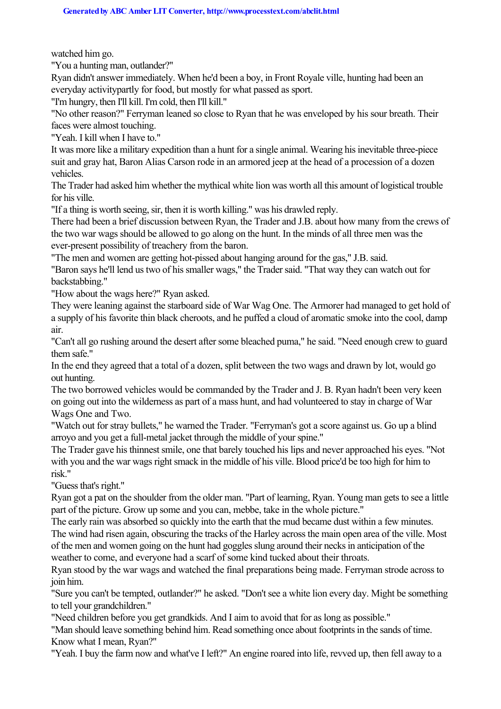watched him go.

"You a hunting man, outlander?"

Ryan didn't answer immediately. When he'd been a boy, in Front Royale ville, hunting had been an everyday activitypartly for food, but mostly for what passed as sport.

"I'm hungry, then I'll kill. I'm cold, then I'll kill."

"No other reason?" Ferryman leaned so close to Ryan that he was enveloped by his sour breath. Their faces were almost touching.

"Yeah. I kill when I have to."

It was more like a military expedition than a hunt for a single animal. Wearing his inevitable three-piece suit and gray hat, Baron Alias Carson rode in an armored jeep at the head of a procession of a dozen vehicles.

The Trader had asked him whether the mythical white lion was worth all this amount of logistical trouble for his ville.

"If a thing is worth seeing, sir, then it is worth killing." was his drawled reply.

There had been a brief discussion between Ryan, the Trader and J.B. about how many from the crews of the two war wags should be allowed to go along on the hunt. In the minds of all three men was the ever-present possibility of treachery from the baron.

"The men and women are getting hot-pissed about hanging around for the gas," J.B. said.

"Baron says he'll lend us two of his smaller wags," the Trader said. "That way they can watch out for backstabbing."

"How about the wags here?" Ryan asked.

They were leaning against the starboard side of War Wag One. The Armorer had managed to get hold of a supply of his favorite thin black cheroots, and he puffed a cloud of aromatic smoke into the cool, damp air.

"Can't all go rushing around the desert after some bleached puma," he said. "Need enough crew to guard them safe."

In the end they agreed that a total of a dozen, split between the two wags and drawn by lot, would go out hunting.

The two borrowed vehicles would be commanded by the Trader and J. B. Ryan hadn't been very keen on going out into the wilderness as part of a mass hunt, and had volunteered to stay in charge of War Wags One and Two.

"Watch out for stray bullets," he warned the Trader. "Ferryman's got a score against us. Go up a blind arroyo and you get a full-metal jacket through the middle of your spine."

The Trader gave his thinnest smile, one that barely touched his lips and never approached his eyes. "Not with you and the war wags right smack in the middle of his ville. Blood price'd be too high for him to risk."

"Guess that's right."

Ryan got a pat on the shoulder from the older man. "Part of learning, Ryan. Young man gets to see a little part of the picture. Grow up some and you can, mebbe, take in the whole picture."

The early rain was absorbed so quickly into the earth that the mud became dust within a few minutes. The wind had risen again, obscuring the tracks of the Harley across the main open area of the ville. Most of the men and women going on the hunt had goggles slung around their necks in anticipation of the weather to come, and everyone had a scarf of some kind tucked about their throats.

Ryan stood by the war wags and watched the final preparations being made. Ferryman strode across to join him.

"Sure you can't be tempted, outlander?" he asked. "Don't see a white lion every day. Might be something to tell your grandchildren."

"Need children before you get grandkids. And I aim to avoid that for as long as possible."

"Man should leave something behind him. Read something once about footprints in the sands of time. Know what I mean, Ryan?"

"Yeah. I buy the farm now and what've I left?" An engine roared into life, revved up, then fell away to a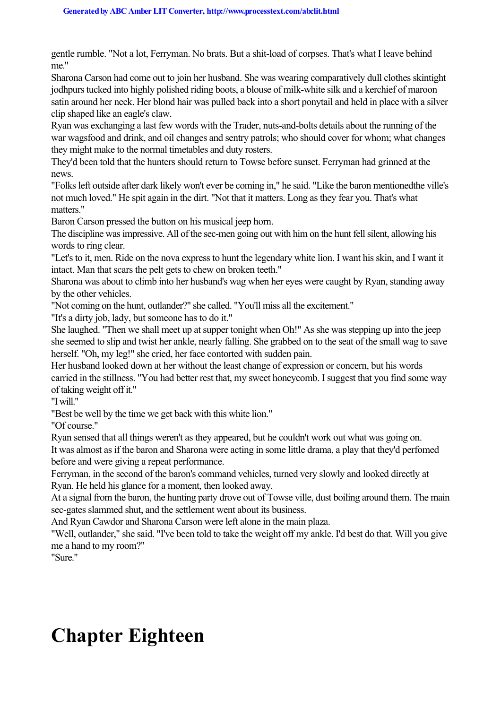gentle rumble. "Not a lot, Ferryman. No brats. But a shit-load of corpses. That's what I leave behind me."

Sharona Carson had come out to join her husband. She was wearing comparatively dull clothes skintight jodhpurs tucked into highly polished riding boots, a blouse of milk-white silk and a kerchief of maroon satin around her neck. Her blond hair was pulled back into a short ponytail and held in place with a silver clip shaped like an eagle's claw.

Ryan was exchanging a last few words with the Trader, nuts-and-bolts details about the running of the war wagsfood and drink, and oil changes and sentry patrols; who should cover for whom; what changes they might make to the normal timetables and duty rosters.

They'd been told that the hunters should return to Towse before sunset. Ferryman had grinned at the news.

"Folks left outside after dark likely won't ever be coming in," he said. "Like the baron mentionedthe ville's not much loved." He spit again in the dirt. "Not that it matters. Long as they fear you. That's what matters."

Baron Carson pressed the button on his musical jeep horn.

The discipline was impressive. All of the sec-men going out with him on the hunt fell silent, allowing his words to ring clear.

"Let's to it, men. Ride on the nova express to hunt the legendary white lion. I want his skin, and I want it intact. Man that scars the pelt gets to chew on broken teeth."

Sharona was about to climb into her husband's wag when her eyes were caught by Ryan, standing away by the other vehicles.

"Not coming on the hunt, outlander?" she called. "You'll miss all the excitement."

"It's a dirty job, lady, but someone has to do it."

She laughed. "Then we shall meet up at supper tonight when Oh!" As she was stepping up into the jeep she seemed to slip and twist her ankle, nearly falling. She grabbed on to the seat of the small wag to save herself. "Oh, my leg!" she cried, her face contorted with sudden pain.

Her husband looked down at her without the least change of expression or concern, but his words carried in the stillness. "You had better rest that, my sweet honeycomb. I suggest that you find some way of taking weight off it."

"I will."

"Best be well by the time we get back with this white lion."

"Of course."

Ryan sensed that all things weren't as they appeared, but he couldn't work out what was going on. It was almost as if the baron and Sharona were acting in some little drama, a play that they'd perfomed before and were giving a repeat performance.

Ferryman, in the second of the baron's command vehicles, turned very slowly and looked directly at Ryan. He held his glance for a moment, then looked away.

At a signal from the baron, the hunting party drove out of Towse ville, dust boiling around them. The main sec-gates slammed shut, and the settlement went about its business.

And Ryan Cawdor and Sharona Carson were left alone in the main plaza.

"Well, outlander," she said. "I've been told to take the weight off my ankle. I'd best do that. Will you give me a hand to my room?"

"Sure."

## **Chapter Eighteen**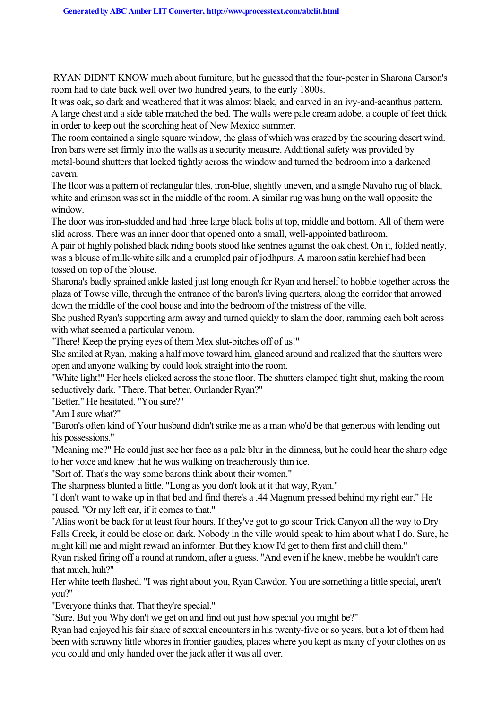RYAN DIDN'T KNOW much about furniture, but he guessed that the four-poster in Sharona Carson's room had to date back well over two hundred years, to the early 1800s.

It was oak, so dark and weathered that it was almost black, and carved in an ivy-and-acanthus pattern. A large chest and a side table matched the bed. The walls were pale cream adobe, a couple of feet thick in order to keep out the scorching heat of New Mexico summer.

The room contained a single square window, the glass of which was crazed by the scouring desert wind. Iron bars were set firmly into the walls as a security measure. Additional safety was provided by metal-bound shutters that locked tightly across the window and turned the bedroom into a darkened cavern.

The floor was a pattern of rectangular tiles, iron-blue, slightly uneven, and a single Navaho rug of black, white and crimson was set in the middle of the room. A similar rug was hung on the wall opposite the window.

The door was iron-studded and had three large black bolts at top, middle and bottom. All of them were slid across. There was an inner door that opened onto a small, well-appointed bathroom.

A pair of highly polished black riding boots stood like sentries against the oak chest. On it, folded neatly, was a blouse of milk-white silk and a crumpled pair of jodhpurs. A maroon satin kerchief had been tossed on top of the blouse.

Sharona's badly sprained ankle lasted just long enough for Ryan and herself to hobble together across the plaza of Towse ville, through the entrance of the baron's living quarters, along the corridor that arrowed down the middle of the cool house and into the bedroom of the mistress of the ville.

She pushed Ryan's supporting arm away and turned quickly to slam the door, ramming each bolt across with what seemed a particular venom.

"There! Keep the prying eyes of them Mex slut-bitches off of us!"

She smiled at Ryan, making a half move toward him, glanced around and realized that the shutters were open and anyone walking by could look straight into the room.

"White light!" Her heels clicked across the stone floor. The shutters clamped tight shut, making the room seductively dark. "There. That better, Outlander Ryan?"

"Better." He hesitated. "You sure?"

"Am I sure what?"

"Baron's often kind of Your husband didn't strike me as a man who'd be that generous with lending out his possessions."

"Meaning me?" He could just see her face as a pale blur in the dimness, but he could hear the sharp edge to her voice and knew that he was walking on treacherously thin ice.

"Sort of. That's the way some barons think about their women."

The sharpness blunted a little. "Long as you don't look at it that way, Ryan."

"I don't want to wake up in that bed and find there's a .44 Magnum pressed behind my right ear." He paused. "Or my left ear, if it comes to that."

"Alias won't be back for at least four hours. If they've got to go scour Trick Canyon all the way to Dry Falls Creek, it could be close on dark. Nobody in the ville would speak to him about what I do. Sure, he might kill me and might reward an informer. But they know I'd get to them first and chill them."

Ryan risked firing off a round at random, after a guess. "And even if he knew, mebbe he wouldn't care that much, huh?"

Her white teeth flashed. "I was right about you, Ryan Cawdor. You are something a little special, aren't you?"

"Everyone thinks that. That they're special."

"Sure. But you Why don't we get on and find out just how special you might be?"

Ryan had enjoyed his fair share of sexual encounters in his twenty-five or so years, but a lot of them had been with scrawny little whores in frontier gaudies, places where you kept as many of your clothes on as you could and only handed over the jack after it was all over.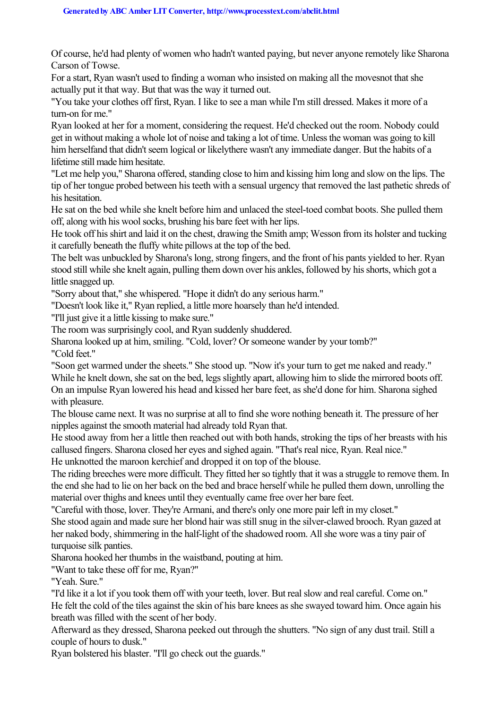Of course, he'd had plenty of women who hadn't wanted paying, but never anyone remotely like Sharona Carson of Towse.

For a start, Ryan wasn't used to finding a woman who insisted on making all the movesnot that she actually put it that way. But that was the way it turned out.

"You take your clothes off first, Ryan. I like to see a man while I'm still dressed. Makes it more of a turn-on for me."

Ryan looked at her for a moment, considering the request. He'd checked out the room. Nobody could get in without making a whole lot of noise and taking a lot of time. Unless the woman was going to kill him herselfand that didn't seem logical or likelythere wasn't any immediate danger. But the habits of a lifetime still made him hesitate.

"Let me help you," Sharona offered, standing close to him and kissing him long and slow on the lips. The tip of her tongue probed between his teeth with a sensual urgency that removed the last pathetic shreds of his hesitation.

He sat on the bed while she knelt before him and unlaced the steel-toed combat boots. She pulled them off, along with his wool socks, brushing his bare feet with her lips.

He took off his shirt and laid it on the chest, drawing the Smith amp; Wesson from its holster and tucking it carefully beneath the fluffy white pillows at the top of the bed.

The belt was unbuckled by Sharona's long, strong fingers, and the front of his pants yielded to her. Ryan stood still while she knelt again, pulling them down over his ankles, followed by his shorts, which got a little snagged up.

"Sorry about that," she whispered. "Hope it didn't do any serious harm."

"Doesn't look like it," Ryan replied, a little more hoarsely than he'd intended.

"I'll just give it a little kissing to make sure."

The room was surprisingly cool, and Ryan suddenly shuddered.

Sharona looked up at him, smiling. "Cold, lover? Or someone wander by your tomb?" "Cold feet."

"Soon get warmed under the sheets." She stood up. "Now it's your turn to get me naked and ready." While he knelt down, she sat on the bed, legs slightly apart, allowing him to slide the mirrored boots off.

On an impulse Ryan lowered his head and kissed her bare feet, as she'd done for him. Sharona sighed with pleasure

The blouse came next. It was no surprise at all to find she wore nothing beneath it. The pressure of her nipples against the smooth material had already told Ryan that.

He stood away from her a little then reached out with both hands, stroking the tips of her breasts with his callused fingers. Sharona closed her eyes and sighed again. "That's real nice, Ryan. Real nice." He unknotted the maroon kerchief and dropped it on top of the blouse.

The riding breeches were more difficult. They fitted her so tightly that it was a struggle to remove them. In the end she had to lie on her back on the bed and brace herself while he pulled them down, unrolling the material over thighs and knees until they eventually came free over her bare feet.

"Careful with those, lover. They're Armani, and there's only one more pair left in my closet."

She stood again and made sure her blond hair was still snug in the silver-clawed brooch. Ryan gazed at her naked body, shimmering in the half-light of the shadowed room. All she wore was a tiny pair of turquoise silk panties.

Sharona hooked her thumbs in the waistband, pouting at him.

"Want to take these off for me, Ryan?"

"Yeah. Sure."

"I'd like it a lot if you took them off with your teeth, lover. But real slow and real careful. Come on." He felt the cold of the tiles against the skin of his bare knees as she swayed toward him. Once again his breath was filled with the scent of her body.

Afterward as they dressed, Sharona peeked out through the shutters. "No sign of any dust trail. Still a couple of hours to dusk."

Ryan bolstered his blaster. "I'll go check out the guards."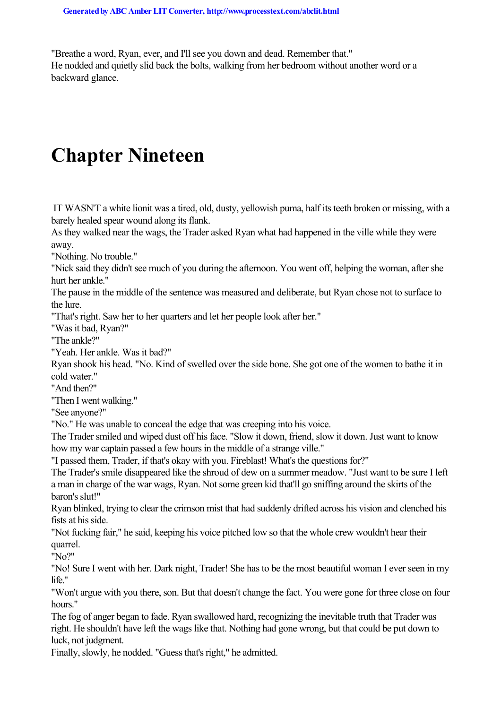"Breathe a word, Ryan, ever, and I'll see you down and dead. Remember that." He nodded and quietly slid back the bolts, walking from her bedroom without another word or a backward glance.

## **Chapter Nineteen**

 IT WASN'T a white lionit was a tired, old, dusty, yellowish puma, half its teeth broken or missing, with a barely healed spear wound along its flank.

As they walked near the wags, the Trader asked Ryan what had happened in the ville while they were away.

"Nothing. No trouble."

"Nick said they didn't see much of you during the afternoon. You went off, helping the woman, after she hurt her ankle."

The pause in the middle of the sentence was measured and deliberate, but Ryan chose not to surface to the lure.

"That's right. Saw her to her quarters and let her people look after her."

"Was it bad, Ryan?"

"The ankle?"

"Yeah. Her ankle. Was it bad?"

Ryan shook his head. "No. Kind of swelled over the side bone. She got one of the women to bathe it in cold water."

"And then?"

"Then I went walking."

"See anyone?"

"No." He was unable to conceal the edge that was creeping into his voice.

The Trader smiled and wiped dust off his face. "Slow it down, friend, slow it down. Just want to know how my war captain passed a few hours in the middle of a strange ville."

"I passed them, Trader, if that's okay with you. Fireblast! What's the questions for?"

The Trader's smile disappeared like the shroud of dew on a summer meadow. "Just want to be sure I left a man in charge of the war wags, Ryan. Not some green kid that'll go sniffing around the skirts of the baron's slut!"

Ryan blinked, trying to clear the crimson mist that had suddenly drifted across his vision and clenched his fists at his side.

"Not fucking fair," he said, keeping his voice pitched low so that the whole crew wouldn't hear their quarrel.

"No?"

"No! Sure I went with her. Dark night, Trader! She has to be the most beautiful woman I ever seen in my life."

"Won't argue with you there, son. But that doesn't change the fact. You were gone for three close on four hours."

The fog of anger began to fade. Ryan swallowed hard, recognizing the inevitable truth that Trader was right. He shouldn't have left the wags like that. Nothing had gone wrong, but that could be put down to luck, not judgment.

Finally, slowly, he nodded. "Guess that's right," he admitted.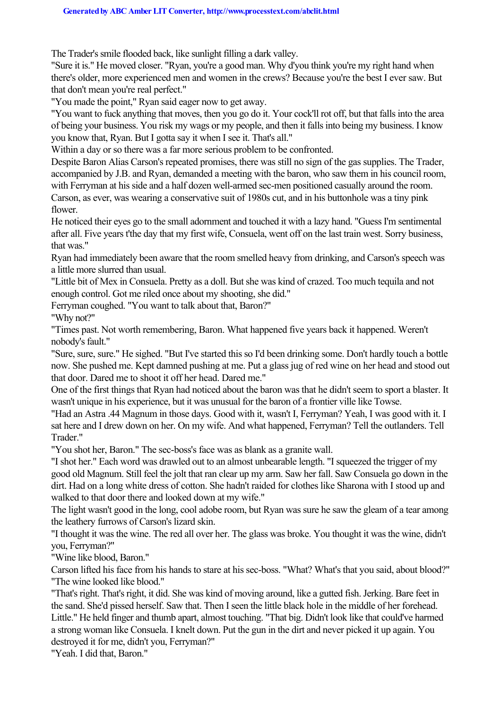The Trader's smile flooded back, like sunlight filling a dark valley.

"Sure it is." He moved closer. "Ryan, you're a good man. Why d'you think you're my right hand when there's older, more experienced men and women in the crews? Because you're the best I ever saw. But that don't mean you're real perfect."

"You made the point," Ryan said eager now to get away.

"You want to fuck anything that moves, then you go do it. Your cock'll rot off, but that falls into the area of being your business. You risk my wags or my people, and then it falls into being my business. I know you know that, Ryan. But I gotta say it when I see it. That's all."

Within a day or so there was a far more serious problem to be confronted.

Despite Baron Alias Carson's repeated promises, there was still no sign of the gas supplies. The Trader, accompanied by J.B. and Ryan, demanded a meeting with the baron, who saw them in his council room, with Ferryman at his side and a half dozen well-armed sec-men positioned casually around the room. Carson, as ever, was wearing a conservative suit of 1980s cut, and in his buttonhole was a tiny pink flower.

He noticed their eyes go to the small adornment and touched it with a lazy hand. "Guess I'm sentimental after all. Five years t'the day that my first wife, Consuela, went off on the last train west. Sorry business, that was."

Ryan had immediately been aware that the room smelled heavy from drinking, and Carson's speech was a little more slurred than usual.

"Little bit of Mex in Consuela. Pretty as a doll. But she was kind of crazed. Too much tequila and not enough control. Got me riled once about my shooting, she did."

Ferryman coughed. "You want to talk about that, Baron?"

"Why not?"

"Times past. Not worth remembering, Baron. What happened five years back it happened. Weren't nobody's fault."

"Sure, sure, sure." He sighed. "But I've started this so I'd been drinking some. Don't hardly touch a bottle now. She pushed me. Kept damned pushing at me. Put a glass jug of red wine on her head and stood out that door. Dared me to shoot it off her head. Dared me."

One of the first things that Ryan had noticed about the baron was that he didn't seem to sport a blaster. It wasn't unique in his experience, but it was unusual for the baron of a frontier ville like Towse.

"Had an Astra .44 Magnum in those days. Good with it, wasn't I, Ferryman? Yeah, I was good with it. I sat here and I drew down on her. On my wife. And what happened, Ferryman? Tell the outlanders. Tell Trader"

"You shot her, Baron." The sec-boss's face was as blank as a granite wall.

"I shot her." Each word was drawled out to an almost unbearable length. "I squeezed the trigger of my good old Magnum. Still feel the jolt that ran clear up my arm. Saw her fall. Saw Consuela go down in the dirt. Had on a long white dress of cotton. She hadn't raided for clothes like Sharona with I stood up and walked to that door there and looked down at my wife."

The light wasn't good in the long, cool adobe room, but Ryan was sure he saw the gleam of a tear among the leathery furrows of Carson's lizard skin.

"I thought it was the wine. The red all over her. The glass was broke. You thought it was the wine, didn't you, Ferryman?"

"Wine like blood, Baron."

Carson lifted his face from his hands to stare at his sec-boss. "What? What's that you said, about blood?" "The wine looked like blood."

"That's right. That's right, it did. She was kind of moving around, like a gutted fish. Jerking. Bare feet in the sand. She'd pissed herself. Saw that. Then I seen the little black hole in the middle of her forehead. Little." He held finger and thumb apart, almost touching. "That big. Didn't look like that could've harmed a strong woman like Consuela. I knelt down. Put the gun in the dirt and never picked it up again. You destroyed it for me, didn't you, Ferryman?"

"Yeah. I did that, Baron."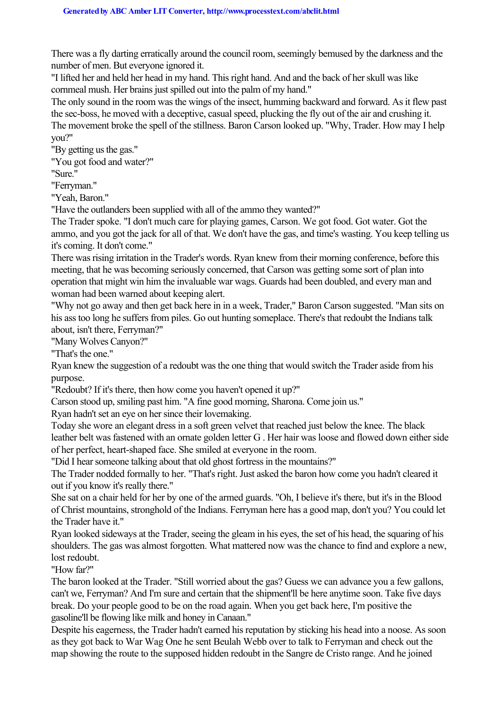There was a fly darting erratically around the council room, seemingly bemused by the darkness and the number of men. But everyone ignored it.

"I lifted her and held her head in my hand. This right hand. And and the back of her skull was like cornmeal mush. Her brains just spilled out into the palm of my hand."

The only sound in the room was the wings of the insect, humming backward and forward. As it flew past the sec-boss, he moved with a deceptive, casual speed, plucking the fly out of the air and crushing it. The movement broke the spell of the stillness. Baron Carson looked up. "Why, Trader. How may I help you?"

"By getting us the gas."

"You got food and water?"

"Sure."

"Ferryman."

"Yeah, Baron."

"Have the outlanders been supplied with all of the ammo they wanted?"

The Trader spoke. "I don't much care for playing games, Carson. We got food. Got water. Got the ammo, and you got the jack for all of that. We don't have the gas, and time's wasting. You keep telling us it's coming. It don't come."

There was rising irritation in the Trader's words. Ryan knew from their morning conference, before this meeting, that he was becoming seriously concerned, that Carson was getting some sort of plan into operation that might win him the invaluable war wags. Guards had been doubled, and every man and woman had been warned about keeping alert.

"Why not go away and then get back here in in a week, Trader," Baron Carson suggested. "Man sits on his ass too long he suffers from piles. Go out hunting someplace. There's that redoubt the Indians talk about, isn't there, Ferryman?"

"Many Wolves Canyon?"

"That's the one."

Ryan knew the suggestion of a redoubt was the one thing that would switch the Trader aside from his purpose.

"Redoubt? If it's there, then how come you haven't opened it up?"

Carson stood up, smiling past him. "A fine good morning, Sharona. Come join us."

Ryan hadn't set an eye on her since their lovemaking.

Today she wore an elegant dress in a soft green velvet that reached just below the knee. The black leather belt was fastened with an ornate golden letter G . Her hair was loose and flowed down either side of her perfect, heart-shaped face. She smiled at everyone in the room.

"Did I hear someone talking about that old ghost fortress in the mountains?"

The Trader nodded formally to her. "That's right. Just asked the baron how come you hadn't cleared it out if you know it's really there."

She sat on a chair held for her by one of the armed guards. "Oh, I believe it's there, but it's in the Blood of Christ mountains, stronghold of the Indians. Ferryman here has a good map, don't you? You could let the Trader have it."

Ryan looked sideways at the Trader, seeing the gleam in his eyes, the set of his head, the squaring of his shoulders. The gas was almost forgotten. What mattered now was the chance to find and explore a new, lost redoubt.

"How far?"

The baron looked at the Trader. "Still worried about the gas? Guess we can advance you a few gallons, can't we, Ferryman? And I'm sure and certain that the shipment'll be here anytime soon. Take five days break. Do your people good to be on the road again. When you get back here, I'm positive the gasoline'll be flowing like milk and honey in Canaan."

Despite his eagerness, the Trader hadn't earned his reputation by sticking his head into a noose. As soon as they got back to War Wag One he sent Beulah Webb over to talk to Ferryman and check out the map showing the route to the supposed hidden redoubt in the Sangre de Cristo range. And he joined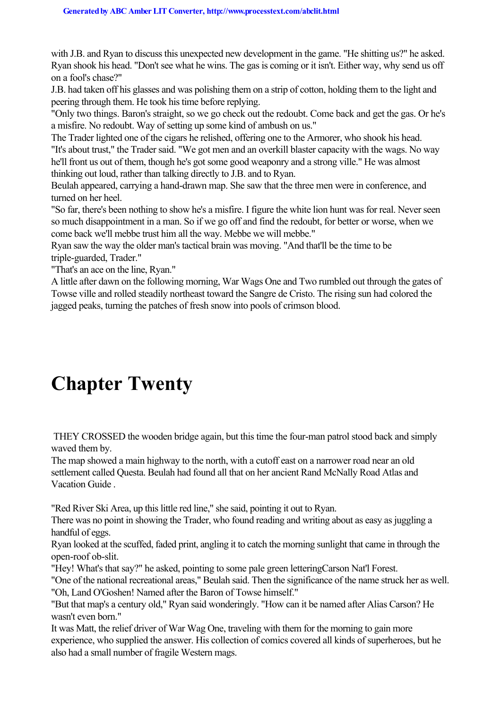with J.B. and Ryan to discuss this unexpected new development in the game. "He shitting us?" he asked. Ryan shook his head. "Don't see what he wins. The gas is coming or it isn't. Either way, why send us off on a fool's chase?"

J.B. had taken off his glasses and was polishing them on a strip of cotton, holding them to the light and peering through them. He took his time before replying.

"Only two things. Baron's straight, so we go check out the redoubt. Come back and get the gas. Or he's a misfire. No redoubt. Way of setting up some kind of ambush on us."

The Trader lighted one of the cigars he relished, offering one to the Armorer, who shook his head. "It's about trust," the Trader said. "We got men and an overkill blaster capacity with the wags. No way he'll front us out of them, though he's got some good weaponry and a strong ville." He was almost thinking out loud, rather than talking directly to J.B. and to Ryan.

Beulah appeared, carrying a hand-drawn map. She saw that the three men were in conference, and turned on her heel.

"So far, there's been nothing to show he's a misfire. I figure the white lion hunt was for real. Never seen so much disappointment in a man. So if we go off and find the redoubt, for better or worse, when we come back we'll mebbe trust him all the way. Mebbe we will mebbe."

Ryan saw the way the older man's tactical brain was moving. "And that'll be the time to be triple-guarded, Trader."

"That's an ace on the line, Ryan."

A little after dawn on the following morning, War Wags One and Two rumbled out through the gates of Towse ville and rolled steadily northeast toward the Sangre de Cristo. The rising sun had colored the jagged peaks, turning the patches of fresh snow into pools of crimson blood.

# **Chapter Twenty**

 THEY CROSSED the wooden bridge again, but this time the four-man patrol stood back and simply waved them by

The map showed a main highway to the north, with a cutoff east on a narrower road near an old settlement called Questa. Beulah had found all that on her ancient Rand McNally Road Atlas and Vacation Guide .

"Red River Ski Area, up this little red line," she said, pointing it out to Ryan.

There was no point in showing the Trader, who found reading and writing about as easy as juggling a handful of eggs.

Ryan looked at the scuffed, faded print, angling it to catch the morning sunlight that came in through the open-roof ob-slit.

"Hey! What's that say?" he asked, pointing to some pale green letteringCarson Nat'l Forest.

"One of the national recreational areas," Beulah said. Then the significance of the name struck her as well. "Oh, Land O'Goshen! Named after the Baron of Towse himself."

"But that map's a century old," Ryan said wonderingly. "How can it be named after Alias Carson? He wasn't even born."

It was Matt, the relief driver of War Wag One, traveling with them for the morning to gain more experience, who supplied the answer. His collection of comics covered all kinds of superheroes, but he also had a small number of fragile Western mags.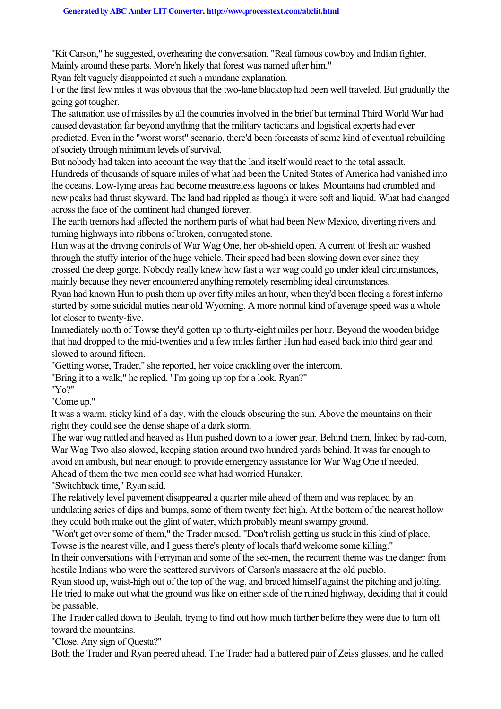"Kit Carson," he suggested, overhearing the conversation. "Real famous cowboy and Indian fighter. Mainly around these parts. More'n likely that forest was named after him."

Ryan felt vaguely disappointed at such a mundane explanation.

For the first few miles it was obvious that the two-lane blacktop had been well traveled. But gradually the going got tougher.

The saturation use of missiles by all the countries involved in the brief but terminal Third World War had caused devastation far beyond anything that the military tacticians and logistical experts had ever predicted. Even in the "worst worst" scenario, there'd been forecasts of some kind of eventual rebuilding of society through minimum levels of survival.

But nobody had taken into account the way that the land itself would react to the total assault. Hundreds of thousands of square miles of what had been the United States of America had vanished into the oceans. Low-lying areas had become measureless lagoons or lakes. Mountains had crumbled and new peaks had thrust skyward. The land had rippled as though it were soft and liquid. What had changed across the face of the continent had changed forever.

The earth tremors had affected the northern parts of what had been New Mexico, diverting rivers and turning highways into ribbons of broken, corrugated stone.

Hun was at the driving controls of War Wag One, her ob-shield open. A current of fresh air washed through the stuffy interior of the huge vehicle. Their speed had been slowing down ever since they crossed the deep gorge. Nobody really knew how fast a war wag could go under ideal circumstances, mainly because they never encountered anything remotely resembling ideal circumstances.

Ryan had known Hun to push them up over fifty miles an hour, when they'd been fleeing a forest inferno started by some suicidal muties near old Wyoming. A more normal kind of average speed was a whole lot closer to twenty-five.

Immediately north of Towse they'd gotten up to thirty-eight miles per hour. Beyond the wooden bridge that had dropped to the mid-twenties and a few miles farther Hun had eased back into third gear and slowed to around fifteen.

"Getting worse, Trader," she reported, her voice crackling over the intercom.

"Bring it to a walk," he replied. "I'm going up top for a look. Ryan?"

"Yo?"

"Come up."

It was a warm, sticky kind of a day, with the clouds obscuring the sun. Above the mountains on their right they could see the dense shape of a dark storm.

The war wag rattled and heaved as Hun pushed down to a lower gear. Behind them, linked by rad-com, War Wag Two also slowed, keeping station around two hundred yards behind. It was far enough to avoid an ambush, but near enough to provide emergency assistance for War Wag One if needed. Ahead of them the two men could see what had worried Hunaker.

"Switchback time," Ryan said.

The relatively level pavement disappeared a quarter mile ahead of them and was replaced by an undulating series of dips and bumps, some of them twenty feet high. At the bottom of the nearest hollow they could both make out the glint of water, which probably meant swampy ground.

"Won't get over some of them," the Trader mused. "Don't relish getting us stuck in this kind of place. Towse is the nearest ville, and I guess there's plenty of locals that'd welcome some killing."

In their conversations with Ferryman and some of the sec-men, the recurrent theme was the danger from hostile Indians who were the scattered survivors of Carson's massacre at the old pueblo.

Ryan stood up, waist-high out of the top of the wag, and braced himself against the pitching and jolting. He tried to make out what the ground was like on either side of the ruined highway, deciding that it could be passable.

The Trader called down to Beulah, trying to find out how much farther before they were due to turn off toward the mountains.

"Close. Any sign of Questa?"

Both the Trader and Ryan peered ahead. The Trader had a battered pair of Zeiss glasses, and he called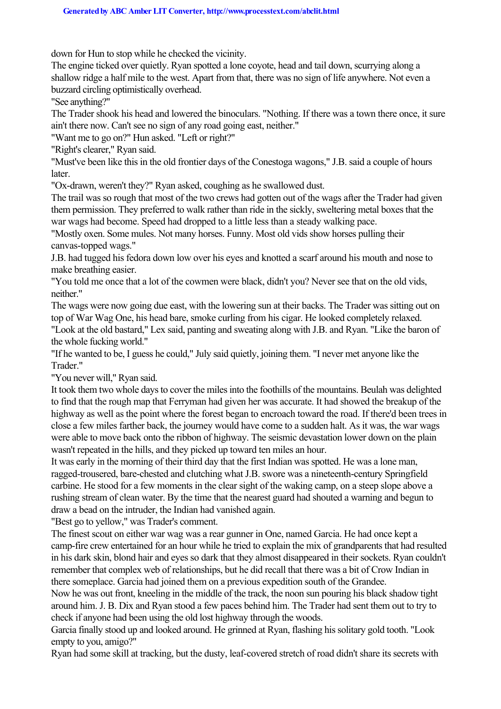down for Hun to stop while he checked the vicinity.

The engine ticked over quietly. Ryan spotted a lone coyote, head and tail down, scurrying along a shallow ridge a half mile to the west. Apart from that, there was no sign of life anywhere. Not even a buzzard circling optimistically overhead.

"See anything?"

The Trader shook his head and lowered the binoculars. "Nothing. If there was a town there once, it sure ain't there now. Can't see no sign of any road going east, neither."

"Want me to go on?" Hun asked. "Left or right?"

"Right's clearer," Ryan said.

"Must've been like this in the old frontier days of the Conestoga wagons," J.B. said a couple of hours **later** 

"Ox-drawn, weren't they?" Ryan asked, coughing as he swallowed dust.

The trail was so rough that most of the two crews had gotten out of the wags after the Trader had given them permission. They preferred to walk rather than ride in the sickly, sweltering metal boxes that the war wags had become. Speed had dropped to a little less than a steady walking pace.

"Mostly oxen. Some mules. Not many horses. Funny. Most old vids show horses pulling their canvas-topped wags."

J.B. had tugged his fedora down low over his eyes and knotted a scarf around his mouth and nose to make breathing easier.

"You told me once that a lot of the cowmen were black, didn't you? Never see that on the old vids, neither."

The wags were now going due east, with the lowering sun at their backs. The Trader was sitting out on top of War Wag One, his head bare, smoke curling from his cigar. He looked completely relaxed.

"Look at the old bastard," Lex said, panting and sweating along with J.B. and Ryan. "Like the baron of the whole fucking world."

"If he wanted to be, I guess he could," July said quietly, joining them. "I never met anyone like the Trader."

"You never will," Ryan said.

It took them two whole days to cover the miles into the foothills of the mountains. Beulah was delighted to find that the rough map that Ferryman had given her was accurate. It had showed the breakup of the highway as well as the point where the forest began to encroach toward the road. If there'd been trees in close a few miles farther back, the journey would have come to a sudden halt. As it was, the war wags were able to move back onto the ribbon of highway. The seismic devastation lower down on the plain wasn't repeated in the hills, and they picked up toward ten miles an hour.

It was early in the morning of their third day that the first Indian was spotted. He was a lone man, ragged-trousered, bare-chested and clutching what J.B. swore was a nineteenth-century Springfield carbine. He stood for a few moments in the clear sight of the waking camp, on a steep slope above a rushing stream of clean water. By the time that the nearest guard had shouted a warning and begun to draw a bead on the intruder, the Indian had vanished again.

"Best go to yellow," was Trader's comment.

The finest scout on either war wag was a rear gunner in One, named Garcia. He had once kept a camp-fire crew entertained for an hour while he tried to explain the mix of grandparents that had resulted in his dark skin, blond hair and eyes so dark that they almost disappeared in their sockets. Ryan couldn't remember that complex web of relationships, but he did recall that there was a bit of Crow Indian in there someplace. Garcia had joined them on a previous expedition south of the Grandee.

Now he was out front, kneeling in the middle of the track, the noon sun pouring his black shadow tight around him. J. B. Dix and Ryan stood a few paces behind him. The Trader had sent them out to try to check if anyone had been using the old lost highway through the woods.

Garcia finally stood up and looked around. He grinned at Ryan, flashing his solitary gold tooth. "Look empty to you, amigo?"

Ryan had some skill at tracking, but the dusty, leaf-covered stretch of road didn't share its secrets with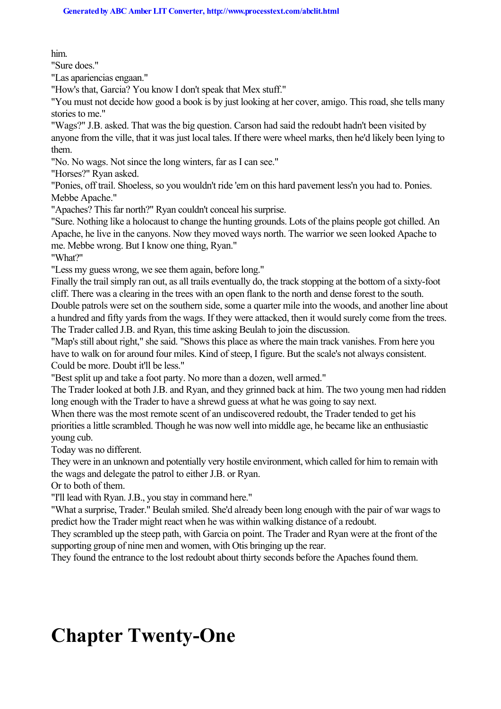him.

"Sure does."

"Las apariencias engaan."

"How's that, Garcia? You know I don't speak that Mex stuff."

"You must not decide how good a book is by just looking at her cover, amigo. This road, she tells many stories to me."

"Wags?" J.B. asked. That was the big question. Carson had said the redoubt hadn't been visited by anyone from the ville, that it was just local tales. If there were wheel marks, then he'd likely been lying to them.

"No. No wags. Not since the long winters, far as I can see."

"Horses?" Ryan asked.

"Ponies, off trail. Shoeless, so you wouldn't ride 'em on this hard pavement less'n you had to. Ponies. Mebbe Apache."

"Apaches? This far north?" Ryan couldn't conceal his surprise.

"Sure. Nothing like a holocaust to change the hunting grounds. Lots of the plains people got chilled. An Apache, he live in the canyons. Now they moved ways north. The warrior we seen looked Apache to me. Mebbe wrong. But I know one thing, Ryan."

"What?"

"Less my guess wrong, we see them again, before long."

Finally the trail simply ran out, as all trails eventually do, the track stopping at the bottom of a sixty-foot cliff. There was a clearing in the trees with an open flank to the north and dense forest to the south. Double patrols were set on the southern side, some a quarter mile into the woods, and another line about a hundred and fifty yards from the wags. If they were attacked, then it would surely come from the trees. The Trader called J.B. and Ryan, this time asking Beulah to join the discussion.

"Map's still about right," she said. "Shows this place as where the main track vanishes. From here you have to walk on for around four miles. Kind of steep, I figure. But the scale's not always consistent. Could be more. Doubt it'll be less."

"Best split up and take a foot party. No more than a dozen, well armed."

The Trader looked at both J.B. and Ryan, and they grinned back at him. The two young men had ridden long enough with the Trader to have a shrewd guess at what he was going to say next.

When there was the most remote scent of an undiscovered redoubt, the Trader tended to get his priorities a little scrambled. Though he was now well into middle age, he became like an enthusiastic young cub.

Today was no different.

They were in an unknown and potentially very hostile environment, which called for him to remain with the wags and delegate the patrol to either J.B. or Ryan.

Or to both of them.

"I'll lead with Ryan. J.B., you stay in command here."

"What a surprise, Trader." Beulah smiled. She'd already been long enough with the pair of war wags to predict how the Trader might react when he was within walking distance of a redoubt.

They scrambled up the steep path, with Garcia on point. The Trader and Ryan were at the front of the supporting group of nine men and women, with Otis bringing up the rear.

They found the entrance to the lost redoubt about thirty seconds before the Apaches found them.

### **Chapter Twenty-One**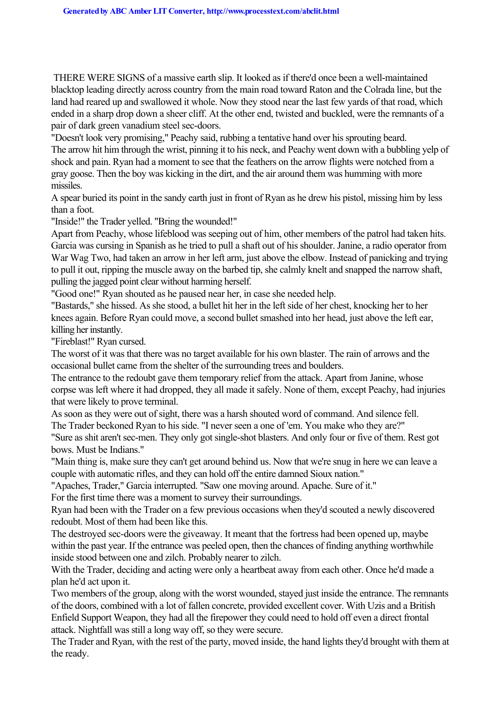THERE WERE SIGNS of a massive earth slip. It looked as if there'd once been a well-maintained blacktop leading directly across country from the main road toward Raton and the Colrada line, but the land had reared up and swallowed it whole. Now they stood near the last few yards of that road, which ended in a sharp drop down a sheer cliff. At the other end, twisted and buckled, were the remnants of a pair of dark green vanadium steel sec-doors.

"Doesn't look very promising," Peachy said, rubbing a tentative hand over his sprouting beard. The arrow hit him through the wrist, pinning it to his neck, and Peachy went down with a bubbling yelp of shock and pain. Ryan had a moment to see that the feathers on the arrow flights were notched from a gray goose. Then the boy was kicking in the dirt, and the air around them was humming with more missiles.

A spear buried its point in the sandy earth just in front of Ryan as he drew his pistol, missing him by less than a foot.

"Inside!" the Trader yelled. "Bring the wounded!"

Apart from Peachy, whose lifeblood was seeping out of him, other members of the patrol had taken hits. Garcia was cursing in Spanish as he tried to pull a shaft out of his shoulder. Janine, a radio operator from War Wag Two, had taken an arrow in her left arm, just above the elbow. Instead of panicking and trying to pull it out, ripping the muscle away on the barbed tip, she calmly knelt and snapped the narrow shaft, pulling the jagged point clear without harming herself.

"Good one!" Ryan shouted as he paused near her, in case she needed help.

"Bastards," she hissed. As she stood, a bullet hit her in the left side of her chest, knocking her to her knees again. Before Ryan could move, a second bullet smashed into her head, just above the left ear, killing her instantly.

"Fireblast!" Ryan cursed.

The worst of it was that there was no target available for his own blaster. The rain of arrows and the occasional bullet came from the shelter of the surrounding trees and boulders.

The entrance to the redoubt gave them temporary relief from the attack. Apart from Janine, whose corpse was left where it had dropped, they all made it safely. None of them, except Peachy, had injuries that were likely to prove terminal.

As soon as they were out of sight, there was a harsh shouted word of command. And silence fell. The Trader beckoned Ryan to his side. "I never seen a one of 'em. You make who they are?" "Sure as shit aren't sec-men. They only got single-shot blasters. And only four or five of them. Rest got bows. Must be Indians."

"Main thing is, make sure they can't get around behind us. Now that we're snug in here we can leave a couple with automatic rifles, and they can hold off the entire damned Sioux nation."

"Apaches, Trader," Garcia interrupted. "Saw one moving around. Apache. Sure of it."

For the first time there was a moment to survey their surroundings.

Ryan had been with the Trader on a few previous occasions when they'd scouted a newly discovered redoubt. Most of them had been like this.

The destroyed sec-doors were the giveaway. It meant that the fortress had been opened up, maybe within the past year. If the entrance was peeled open, then the chances of finding anything worthwhile inside stood between one and zilch. Probably nearer to zilch.

With the Trader, deciding and acting were only a heartbeat away from each other. Once he'd made a plan he'd act upon it.

Two members of the group, along with the worst wounded, stayed just inside the entrance. The remnants of the doors, combined with a lot of fallen concrete, provided excellent cover. With Uzis and a British Enfield Support Weapon, they had all the firepower they could need to hold off even a direct frontal attack. Nightfall was still a long way off, so they were secure.

The Trader and Ryan, with the rest of the party, moved inside, the hand lights they'd brought with them at the ready.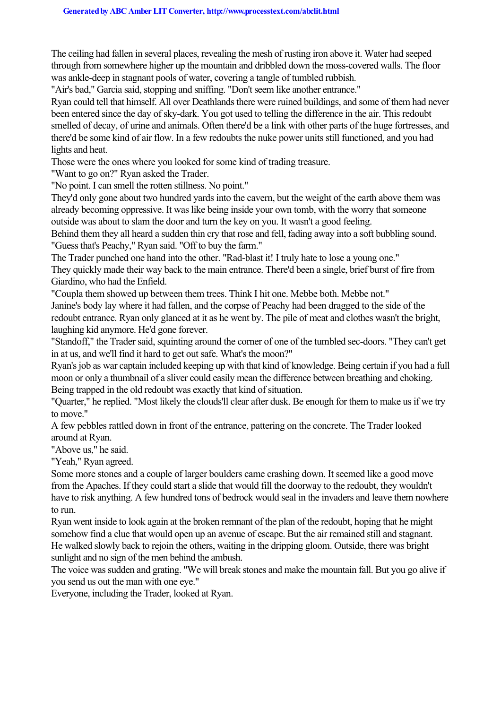The ceiling had fallen in several places, revealing the mesh of rusting iron above it. Water had seeped through from somewhere higher up the mountain and dribbled down the moss-covered walls. The floor was ankle-deep in stagnant pools of water, covering a tangle of tumbled rubbish.

"Air's bad," Garcia said, stopping and sniffing. "Don't seem like another entrance."

Ryan could tell that himself. All over Deathlands there were ruined buildings, and some of them had never been entered since the day of sky-dark. You got used to telling the difference in the air. This redoubt smelled of decay, of urine and animals. Often there'd be a link with other parts of the huge fortresses, and there'd be some kind of air flow. In a few redoubts the nuke power units still functioned, and you had lights and heat.

Those were the ones where you looked for some kind of trading treasure.

"Want to go on?" Ryan asked the Trader.

"No point. I can smell the rotten stillness. No point."

They'd only gone about two hundred yards into the cavern, but the weight of the earth above them was already becoming oppressive. It was like being inside your own tomb, with the worry that someone outside was about to slam the door and turn the key on you. It wasn't a good feeling.

Behind them they all heard a sudden thin cry that rose and fell, fading away into a soft bubbling sound. "Guess that's Peachy," Ryan said. "Off to buy the farm."

The Trader punched one hand into the other. "Rad-blast it! I truly hate to lose a young one." They quickly made their way back to the main entrance. There'd been a single, brief burst of fire from Giardino, who had the Enfield.

"Coupla them showed up between them trees. Think I hit one. Mebbe both. Mebbe not." Janine's body lay where it had fallen, and the corpse of Peachy had been dragged to the side of the redoubt entrance. Ryan only glanced at it as he went by. The pile of meat and clothes wasn't the bright, laughing kid anymore. He'd gone forever.

"Standoff," the Trader said, squinting around the corner of one of the tumbled sec-doors. "They can't get in at us, and we'll find it hard to get out safe. What's the moon?"

Ryan's job as war captain included keeping up with that kind of knowledge. Being certain if you had a full moon or only a thumbnail of a sliver could easily mean the difference between breathing and choking. Being trapped in the old redoubt was exactly that kind of situation.

"Quarter," he replied. "Most likely the clouds'll clear after dusk. Be enough for them to make us if we try to move."

A few pebbles rattled down in front of the entrance, pattering on the concrete. The Trader looked around at Ryan.

"Above us," he said.

"Yeah," Ryan agreed.

Some more stones and a couple of larger boulders came crashing down. It seemed like a good move from the Apaches. If they could start a slide that would fill the doorway to the redoubt, they wouldn't have to risk anything. A few hundred tons of bedrock would seal in the invaders and leave them nowhere to run.

Ryan went inside to look again at the broken remnant of the plan of the redoubt, hoping that he might somehow find a clue that would open up an avenue of escape. But the air remained still and stagnant. He walked slowly back to rejoin the others, waiting in the dripping gloom. Outside, there was bright sunlight and no sign of the men behind the ambush.

The voice was sudden and grating. "We will break stones and make the mountain fall. But you go alive if you send us out the man with one eye."

Everyone, including the Trader, looked at Ryan.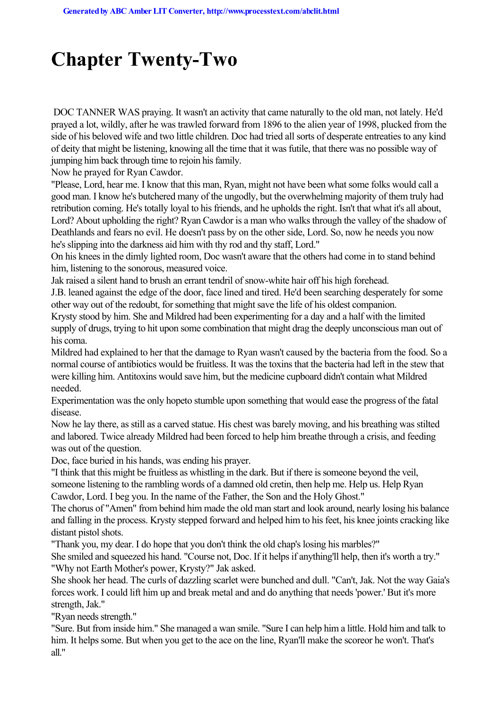# **Chapter Twenty-Two**

 DOC TANNER WAS praying. It wasn't an activity that came naturally to the old man, not lately. He'd prayed a lot, wildly, after he was trawled forward from 1896 to the alien year of 1998, plucked from the side of his beloved wife and two little children. Doc had tried all sorts of desperate entreaties to any kind of deity that might be listening, knowing all the time that it was futile, that there was no possible way of jumping him back through time to rejoin his family.

Now he prayed for Ryan Cawdor.

"Please, Lord, hear me. I know that this man, Ryan, might not have been what some folks would call a good man. I know he's butchered many of the ungodly, but the overwhelming majority of them truly had retribution coming. He's totally loyal to his friends, and he upholds the right. Isn't that what it's all about, Lord? About upholding the right? Ryan Cawdor is a man who walks through the valley of the shadow of Deathlands and fears no evil. He doesn't pass by on the other side, Lord. So, now he needs you now he's slipping into the darkness aid him with thy rod and thy staff, Lord."

On his knees in the dimly lighted room, Doc wasn't aware that the others had come in to stand behind him, listening to the sonorous, measured voice.

Jak raised a silent hand to brush an errant tendril of snow-white hair off his high forehead.

J.B. leaned against the edge of the door, face lined and tired. He'd been searching desperately for some other way out of the redoubt, for something that might save the life of his oldest companion.

Krysty stood by him. She and Mildred had been experimenting for a day and a half with the limited supply of drugs, trying to hit upon some combination that might drag the deeply unconscious man out of his coma.

Mildred had explained to her that the damage to Ryan wasn't caused by the bacteria from the food. So a normal course of antibiotics would be fruitless. It was the toxins that the bacteria had left in the stew that were killing him. Antitoxins would save him, but the medicine cupboard didn't contain what Mildred needed.

Experimentation was the only hopeto stumble upon something that would ease the progress of the fatal disease.

Now he lay there, as still as a carved statue. His chest was barely moving, and his breathing was stilted and labored. Twice already Mildred had been forced to help him breathe through a crisis, and feeding was out of the question.

Doc, face buried in his hands, was ending his prayer.

"I think that this might be fruitless as whistling in the dark. But if there is someone beyond the veil, someone listening to the rambling words of a damned old cretin, then help me. Help us. Help Ryan Cawdor, Lord. I beg you. In the name of the Father, the Son and the Holy Ghost."

The chorus of "Amen" from behind him made the old man start and look around, nearly losing his balance and falling in the process. Krysty stepped forward and helped him to his feet, his knee joints cracking like distant pistol shots.

"Thank you, my dear. I do hope that you don't think the old chap's losing his marbles?"

She smiled and squeezed his hand. "Course not, Doc. If it helps if anything'll help, then it's worth a try." "Why not Earth Mother's power, Krysty?" Jak asked.

She shook her head. The curls of dazzling scarlet were bunched and dull. "Can't, Jak. Not the way Gaia's forces work. I could lift him up and break metal and and do anything that needs 'power.' But it's more strength, Jak."

"Ryan needs strength."

"Sure. But from inside him." She managed a wan smile. "Sure I can help him a little. Hold him and talk to him. It helps some. But when you get to the ace on the line, Ryan'll make the scoreor he won't. That's all."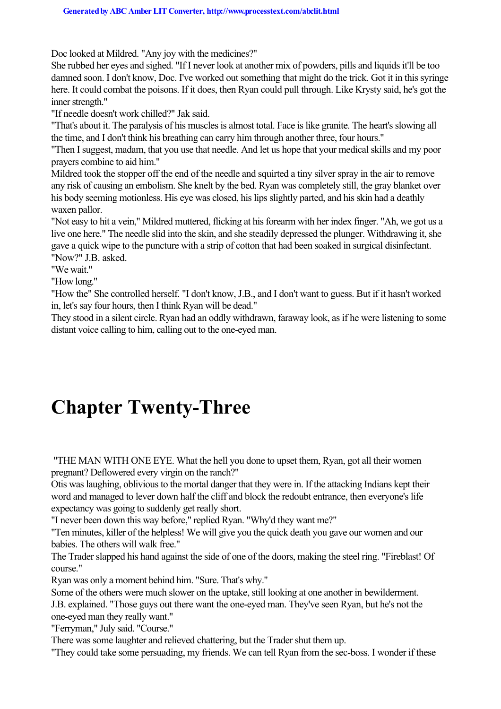Doc looked at Mildred. "Any joy with the medicines?"

She rubbed her eyes and sighed. "If I never look at another mix of powders, pills and liquids it'll be too damned soon. I don't know, Doc. I've worked out something that might do the trick. Got it in this syringe here. It could combat the poisons. If it does, then Ryan could pull through. Like Krysty said, he's got the inner strength."

"If needle doesn't work chilled?" Jak said.

"That's about it. The paralysis of his muscles is almost total. Face is like granite. The heart's slowing all the time, and I don't think his breathing can carry him through another three, four hours."

"Then I suggest, madam, that you use that needle. And let us hope that your medical skills and my poor prayers combine to aid him."

Mildred took the stopper off the end of the needle and squirted a tiny silver spray in the air to remove any risk of causing an embolism. She knelt by the bed. Ryan was completely still, the gray blanket over his body seeming motionless. His eye was closed, his lips slightly parted, and his skin had a deathly waxen pallor.

"Not easy to hit a vein," Mildred muttered, flicking at his forearm with her index finger. "Ah, we got us a live one here." The needle slid into the skin, and she steadily depressed the plunger. Withdrawing it, she gave a quick wipe to the puncture with a strip of cotton that had been soaked in surgical disinfectant. "Now?" J.B. asked.

"We wait."

"How long."

"How the" She controlled herself. "I don't know, J.B., and I don't want to guess. But if it hasn't worked in, let's say four hours, then I think Ryan will be dead."

They stood in a silent circle. Ryan had an oddly withdrawn, faraway look, as if he were listening to some distant voice calling to him, calling out to the one-eyed man.

### **Chapter Twenty-Three**

 "THE MAN WITH ONE EYE. What the hell you done to upset them, Ryan, got all their women pregnant? Deflowered every virgin on the ranch?"

Otis was laughing, oblivious to the mortal danger that they were in. If the attacking Indians kept their word and managed to lever down half the cliff and block the redoubt entrance, then everyone's life expectancy was going to suddenly get really short.

"I never been down this way before," replied Ryan. "Why'd they want me?"

"Ten minutes, killer of the helpless! We will give you the quick death you gave our women and our babies. The others will walk free."

The Trader slapped his hand against the side of one of the doors, making the steel ring. "Fireblast! Of course."

Ryan was only a moment behind him. "Sure. That's why."

Some of the others were much slower on the uptake, still looking at one another in bewilderment. J.B. explained. "Those guys out there want the one-eyed man. They've seen Ryan, but he's not the one-eyed man they really want."

"Ferryman," July said. "Course."

There was some laughter and relieved chattering, but the Trader shut them up.

"They could take some persuading, my friends. We can tell Ryan from the sec-boss. I wonder if these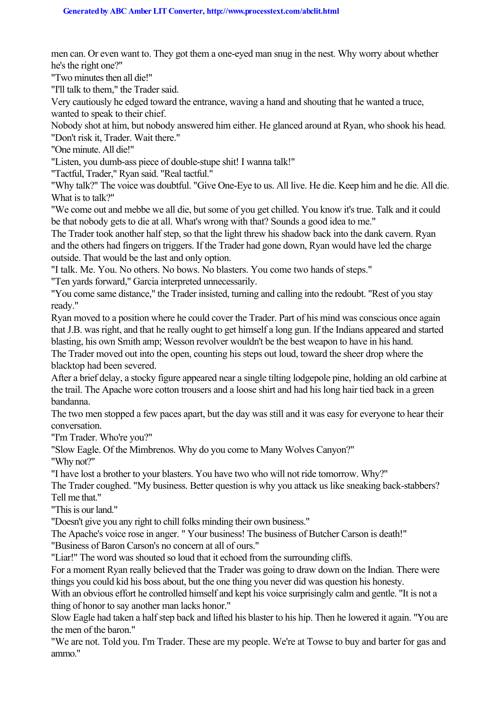men can. Or even want to. They got them a one-eyed man snug in the nest. Why worry about whether he's the right one?"

"Two minutes then all die!"

"I'll talk to them," the Trader said.

Very cautiously he edged toward the entrance, waving a hand and shouting that he wanted a truce, wanted to speak to their chief.

Nobody shot at him, but nobody answered him either. He glanced around at Ryan, who shook his head. "Don't risk it, Trader. Wait there."

"One minute. All die!"

"Listen, you dumb-ass piece of double-stupe shit! I wanna talk!"

"Tactful, Trader," Ryan said. "Real tactful."

"Why talk?" The voice was doubtful. "Give One-Eye to us. All live. He die. Keep him and he die. All die. What is to talk?"

"We come out and mebbe we all die, but some of you get chilled. You know it's true. Talk and it could be that nobody gets to die at all. What's wrong with that? Sounds a good idea to me."

The Trader took another half step, so that the light threw his shadow back into the dank cavern. Ryan and the others had fingers on triggers. If the Trader had gone down, Ryan would have led the charge outside. That would be the last and only option.

"I talk. Me. You. No others. No bows. No blasters. You come two hands of steps."

"Ten yards forward," Garcia interpreted unnecessarily.

"You come same distance," the Trader insisted, turning and calling into the redoubt. "Rest of you stay ready."

Ryan moved to a position where he could cover the Trader. Part of his mind was conscious once again that J.B. was right, and that he really ought to get himself a long gun. If the Indians appeared and started blasting, his own Smith amp; Wesson revolver wouldn't be the best weapon to have in his hand.

The Trader moved out into the open, counting his steps out loud, toward the sheer drop where the blacktop had been severed.

After a brief delay, a stocky figure appeared near a single tilting lodgepole pine, holding an old carbine at the trail. The Apache wore cotton trousers and a loose shirt and had his long hair tied back in a green bandanna.

The two men stopped a few paces apart, but the day was still and it was easy for everyone to hear their conversation.

"I'm Trader. Who're you?"

"Slow Eagle. Of the Mimbrenos. Why do you come to Many Wolves Canyon?"

"Why not?"

"I have lost a brother to your blasters. You have two who will not ride tomorrow. Why?"

The Trader coughed. "My business. Better question is why you attack us like sneaking back-stabbers? Tell me that."

"This is our land."

"Doesn't give you any right to chill folks minding their own business."

The Apache's voice rose in anger. " Your business! The business of Butcher Carson is death!"

"Business of Baron Carson's no concern at all of ours."

"Liar!" The word was shouted so loud that it echoed from the surrounding cliffs.

For a moment Ryan really believed that the Trader was going to draw down on the Indian. There were things you could kid his boss about, but the one thing you never did was question his honesty.

With an obvious effort he controlled himself and kept his voice surprisingly calm and gentle. "It is not a thing of honor to say another man lacks honor."

Slow Eagle had taken a half step back and lifted his blaster to his hip. Then he lowered it again. "You are the men of the baron."

"We are not. Told you. I'm Trader. These are my people. We're at Towse to buy and barter for gas and ammo."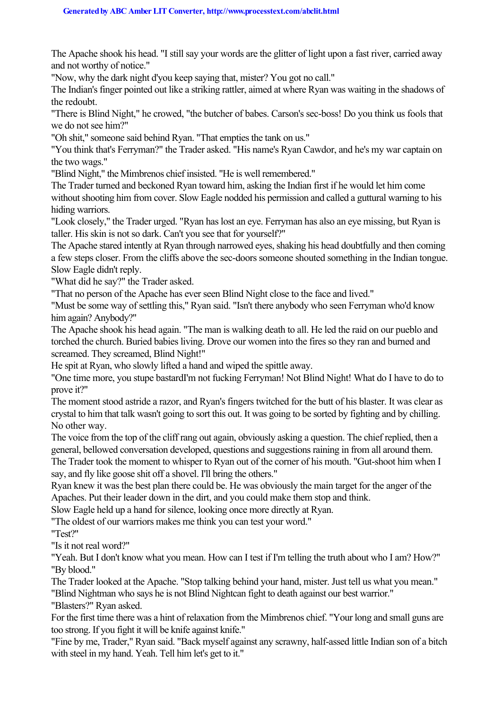The Apache shook his head. "I still say your words are the glitter of light upon a fast river, carried away and not worthy of notice."

"Now, why the dark night d'you keep saying that, mister? You got no call."

The Indian's finger pointed out like a striking rattler, aimed at where Ryan was waiting in the shadows of the redoubt.

"There is Blind Night," he crowed, "the butcher of babes. Carson's sec-boss! Do you think us fools that we do not see him?"

"Oh shit," someone said behind Ryan. "That empties the tank on us."

"You think that's Ferryman?" the Trader asked. "His name's Ryan Cawdor, and he's my war captain on the two wags."

"Blind Night," the Mimbrenos chief insisted. "He is well remembered."

The Trader turned and beckoned Ryan toward him, asking the Indian first if he would let him come without shooting him from cover. Slow Eagle nodded his permission and called a guttural warning to his hiding warriors.

"Look closely," the Trader urged. "Ryan has lost an eye. Ferryman has also an eye missing, but Ryan is taller. His skin is not so dark. Can't you see that for yourself?"

The Apache stared intently at Ryan through narrowed eyes, shaking his head doubtfully and then coming a few steps closer. From the cliffs above the sec-doors someone shouted something in the Indian tongue. Slow Eagle didn't reply.

"What did he say?" the Trader asked.

"That no person of the Apache has ever seen Blind Night close to the face and lived."

"Must be some way of settling this," Ryan said. "Isn't there anybody who seen Ferryman who'd know him again? Anybody?"

The Apache shook his head again. "The man is walking death to all. He led the raid on our pueblo and torched the church. Buried babies living. Drove our women into the fires so they ran and burned and screamed. They screamed, Blind Night!"

He spit at Ryan, who slowly lifted a hand and wiped the spittle away.

"One time more, you stupe bastardI'm not fucking Ferryman! Not Blind Night! What do I have to do to prove it?"

The moment stood astride a razor, and Ryan's fingers twitched for the butt of his blaster. It was clear as crystal to him that talk wasn't going to sort this out. It was going to be sorted by fighting and by chilling. No other way.

The voice from the top of the cliff rang out again, obviously asking a question. The chief replied, then a general, bellowed conversation developed, questions and suggestions raining in from all around them.

The Trader took the moment to whisper to Ryan out of the corner of his mouth. "Gut-shoot him when I say, and fly like goose shit off a shovel. I'll bring the others."

Ryan knew it was the best plan there could be. He was obviously the main target for the anger of the Apaches. Put their leader down in the dirt, and you could make them stop and think.

Slow Eagle held up a hand for silence, looking once more directly at Ryan.

"The oldest of our warriors makes me think you can test your word."

"Test?"

"Is it not real word?"

"Yeah. But I don't know what you mean. How can I test if I'm telling the truth about who I am? How?" "By blood."

The Trader looked at the Apache. "Stop talking behind your hand, mister. Just tell us what you mean." "Blind Nightman who says he is not Blind Nightcan fight to death against our best warrior."

"Blasters?" Ryan asked.

For the first time there was a hint of relaxation from the Mimbrenos chief. "Your long and small guns are too strong. If you fight it will be knife against knife."

"Fine by me, Trader," Ryan said. "Back myself against any scrawny, half-assed little Indian son of a bitch with steel in my hand. Yeah. Tell him let's get to it."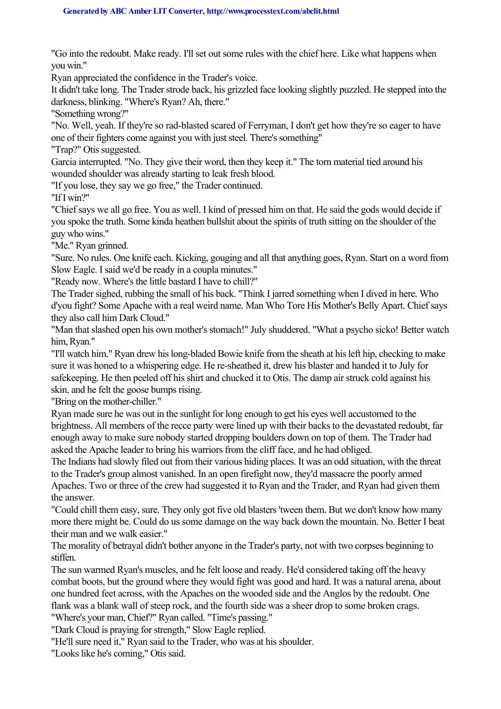"Go into the redoubt. Make ready. I'll set out some rules with the chief here. Like what happens when you win."

Ryan appreciated the confidence in the Trader's voice.

It didn't take long. The Trader strode back, his grizzled face looking slightly puzzled. He stepped into the darkness, blinking. "Where's Ryan? Ah, there."

"Something wrong?"

"No. Well, yeah. If they're so rad-blasted scared of Ferryman, I don't get how they're so eager to have one of their fighters come against you with just steel. There's something"

"Trap?" Otis suggested.

Garcia interrupted. "No. They give their word, then they keep it." The torn material tied around his wounded shoulder was already starting to leak fresh blood.

"If you lose, they say we go free," the Trader continued.

"If I win?"

"Chief says we all go free. You as well. I kind of pressed him on that. He said the gods would decide if you spoke the truth. Some kinda heathen bullshit about the spirits of truth sitting on the shoulder of the guy who wins."

"Me." Ryan grinned.

"Sure. No rules. One knife each. Kicking, gouging and all that anything goes, Ryan. Start on a word from Slow Eagle. I said we'd be ready in a coupla minutes."

"Ready now. Where's the little bastard I have to chill?"

The Trader sighed, rubbing the small of his back. "Think I jarred something when I dived in here. Who d'you fight? Some Apache with a real weird name. Man Who Tore His Mother's Belly Apart. Chief says they also call him Dark Cloud."

"Man that slashed open his own mother's stomach!" July shuddered. "What a psycho sicko! Better watch him, Ryan."

"I'll watch him." Ryan drew his long-bladed Bowie knife from the sheath at his left hip, checking to make sure it was honed to a whispering edge. He re-sheathed it, drew his blaster and handed it to July for safekeeping. He then peeled off his shirt and chucked it to Otis. The damp air struck cold against his skin, and he felt the goose bumps rising.

"Bring on the mother-chiller."

Ryan made sure he was out in the sunlight for long enough to get his eyes well accustomed to the brightness. All members of the recce party were lined up with their backs to the devastated redoubt, far enough away to make sure nobody started dropping boulders down on top of them. The Trader had asked the Apache leader to bring his warriors from the cliff face, and he had obliged.

The Indians had slowly filed out from their various hiding places. It was an odd situation, with the threat to the Trader's group almost vanished. In an open firefight now, they'd massacre the poorly armed Apaches. Two or three of the crew had suggested it to Ryan and the Trader, and Ryan had given them the answer.

"Could chill them easy, sure. They only got five old blasters 'tween them. But we don't know how many more there might be. Could do us some damage on the way back down the mountain. No. Better I beat their man and we walk easier."

The morality of betrayal didn't bother anyone in the Trader's party, not with two corpses beginning to stiffen.

The sun warmed Ryan's muscles, and he felt loose and ready. He'd considered taking off the heavy combat boots, but the ground where they would fight was good and hard. It was a natural arena, about one hundred feet across, with the Apaches on the wooded side and the Anglos by the redoubt. One flank was a blank wall of steep rock, and the fourth side was a sheer drop to some broken crags. "Where's your man, Chief?" Ryan called. "Time's passing."

"Dark Cloud is praying for strength," Slow Eagle replied.

"He'll sure need it," Ryan said to the Trader, who was at his shoulder.

"Looks like he's coming," Otis said.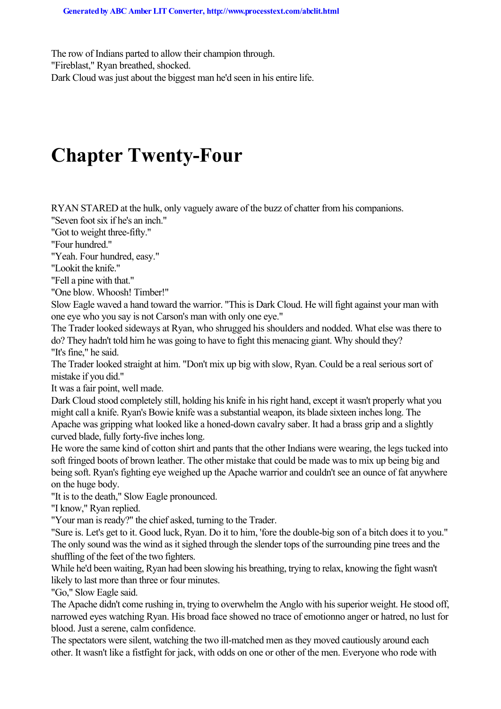#### **Generated by ABC Amber LIT Converter, <http://www.processtext.com/abclit.html>**

The row of Indians parted to allow their champion through. "Fireblast," Ryan breathed, shocked. Dark Cloud was just about the biggest man he'd seen in his entire life.

#### **Chapter Twenty-Four**

RYAN STARED at the hulk, only vaguely aware of the buzz of chatter from his companions.

"Seven foot six if he's an inch."

"Got to weight three-fifty."

"Four hundred."

"Yeah. Four hundred, easy."

"Lookit the knife."

"Fell a pine with that."

"One blow. Whoosh! Timber!"

Slow Eagle waved a hand toward the warrior. "This is Dark Cloud. He will fight against your man with one eye who you say is not Carson's man with only one eye."

The Trader looked sideways at Ryan, who shrugged his shoulders and nodded. What else was there to do? They hadn't told him he was going to have to fight this menacing giant. Why should they? "It's fine," he said.

The Trader looked straight at him. "Don't mix up big with slow, Ryan. Could be a real serious sort of mistake if you did."

It was a fair point, well made.

Dark Cloud stood completely still, holding his knife in his right hand, except it wasn't properly what you might call a knife. Ryan's Bowie knife was a substantial weapon, its blade sixteen inches long. The Apache was gripping what looked like a honed-down cavalry saber. It had a brass grip and a slightly curved blade, fully forty-five inches long.

He wore the same kind of cotton shirt and pants that the other Indians were wearing, the legs tucked into soft fringed boots of brown leather. The other mistake that could be made was to mix up being big and being soft. Ryan's fighting eye weighed up the Apache warrior and couldn't see an ounce of fat anywhere on the huge body.

"It is to the death," Slow Eagle pronounced.

"I know," Ryan replied.

"Your man is ready?" the chief asked, turning to the Trader.

"Sure is. Let's get to it. Good luck, Ryan. Do it to him, 'fore the double-big son of a bitch does it to you." The only sound was the wind as it sighed through the slender tops of the surrounding pine trees and the shuffling of the feet of the two fighters.

While he'd been waiting, Ryan had been slowing his breathing, trying to relax, knowing the fight wasn't likely to last more than three or four minutes.

"Go," Slow Eagle said.

The Apache didn't come rushing in, trying to overwhelm the Anglo with his superior weight. He stood off, narrowed eyes watching Ryan. His broad face showed no trace of emotionno anger or hatred, no lust for blood. Just a serene, calm confidence.

The spectators were silent, watching the two ill-matched men as they moved cautiously around each other. It wasn't like a fistfight for jack, with odds on one or other of the men. Everyone who rode with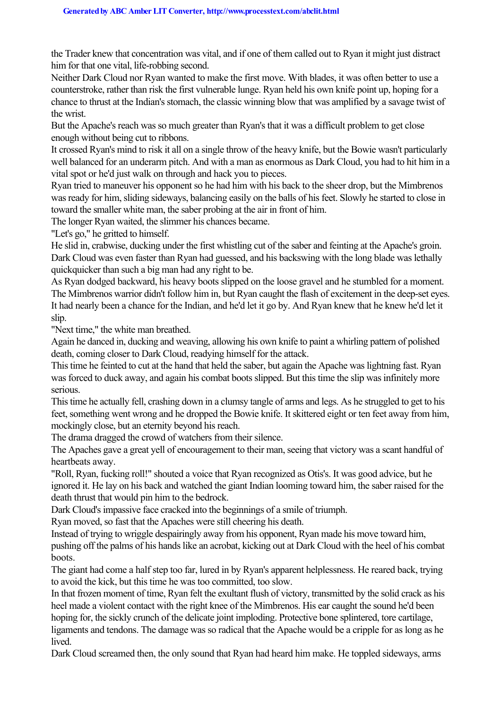the Trader knew that concentration was vital, and if one of them called out to Ryan it might just distract him for that one vital, life-robbing second.

Neither Dark Cloud nor Ryan wanted to make the first move. With blades, it was often better to use a counterstroke, rather than risk the first vulnerable lunge. Ryan held his own knife point up, hoping for a chance to thrust at the Indian's stomach, the classic winning blow that was amplified by a savage twist of the wrist.

But the Apache's reach was so much greater than Ryan's that it was a difficult problem to get close enough without being cut to ribbons.

It crossed Ryan's mind to risk it all on a single throw of the heavy knife, but the Bowie wasn't particularly well balanced for an underarm pitch. And with a man as enormous as Dark Cloud, you had to hit him in a vital spot or he'd just walk on through and hack you to pieces.

Ryan tried to maneuver his opponent so he had him with his back to the sheer drop, but the Mimbrenos was ready for him, sliding sideways, balancing easily on the balls of his feet. Slowly he started to close in toward the smaller white man, the saber probing at the air in front of him.

The longer Ryan waited, the slimmer his chances became.

"Let's go," he gritted to himself.

He slid in, crabwise, ducking under the first whistling cut of the saber and feinting at the Apache's groin. Dark Cloud was even faster than Ryan had guessed, and his backswing with the long blade was lethally quickquicker than such a big man had any right to be.

As Ryan dodged backward, his heavy boots slipped on the loose gravel and he stumbled for a moment. The Mimbrenos warrior didn't follow him in, but Ryan caught the flash of excitement in the deep-set eyes. It had nearly been a chance for the Indian, and he'd let it go by. And Ryan knew that he knew he'd let it slip.

"Next time," the white man breathed.

Again he danced in, ducking and weaving, allowing his own knife to paint a whirling pattern of polished death, coming closer to Dark Cloud, readying himself for the attack.

This time he feinted to cut at the hand that held the saber, but again the Apache was lightning fast. Ryan was forced to duck away, and again his combat boots slipped. But this time the slip was infinitely more serious.

This time he actually fell, crashing down in a clumsy tangle of arms and legs. As he struggled to get to his feet, something went wrong and he dropped the Bowie knife. It skittered eight or ten feet away from him, mockingly close, but an eternity beyond his reach.

The drama dragged the crowd of watchers from their silence.

The Apaches gave a great yell of encouragement to their man, seeing that victory was a scant handful of heartbeats away.

"Roll, Ryan, fucking roll!" shouted a voice that Ryan recognized as Otis's. It was good advice, but he ignored it. He lay on his back and watched the giant Indian looming toward him, the saber raised for the death thrust that would pin him to the bedrock.

Dark Cloud's impassive face cracked into the beginnings of a smile of triumph.

Ryan moved, so fast that the Apaches were still cheering his death.

Instead of trying to wriggle despairingly away from his opponent, Ryan made his move toward him, pushing off the palms of his hands like an acrobat, kicking out at Dark Cloud with the heel of his combat boots.

The giant had come a half step too far, lured in by Ryan's apparent helplessness. He reared back, trying to avoid the kick, but this time he was too committed, too slow.

In that frozen moment of time, Ryan felt the exultant flush of victory, transmitted by the solid crack as his heel made a violent contact with the right knee of the Mimbrenos. His ear caught the sound he'd been hoping for, the sickly crunch of the delicate joint imploding. Protective bone splintered, tore cartilage, ligaments and tendons. The damage was so radical that the Apache would be a cripple for as long as he lived.

Dark Cloud screamed then, the only sound that Ryan had heard him make. He toppled sideways, arms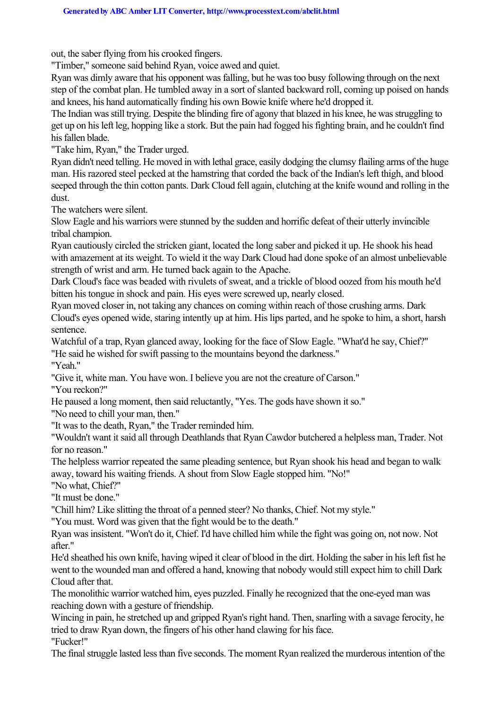out, the saber flying from his crooked fingers.

"Timber," someone said behind Ryan, voice awed and quiet.

Ryan was dimly aware that his opponent was falling, but he was too busy following through on the next step of the combat plan. He tumbled away in a sort of slanted backward roll, coming up poised on hands and knees, his hand automatically finding his own Bowie knife where he'd dropped it.

The Indian was still trying. Despite the blinding fire of agony that blazed in his knee, he was struggling to get up on his left leg, hopping like a stork. But the pain had fogged his fighting brain, and he couldn't find his fallen blade.

"Take him, Ryan," the Trader urged.

Ryan didn't need telling. He moved in with lethal grace, easily dodging the clumsy flailing arms of the huge man. His razored steel pecked at the hamstring that corded the back of the Indian's left thigh, and blood seeped through the thin cotton pants. Dark Cloud fell again, clutching at the knife wound and rolling in the dust.

The watchers were silent.

Slow Eagle and his warriors were stunned by the sudden and horrific defeat of their utterly invincible tribal champion.

Ryan cautiously circled the stricken giant, located the long saber and picked it up. He shook his head with amazement at its weight. To wield it the way Dark Cloud had done spoke of an almost unbelievable strength of wrist and arm. He turned back again to the Apache.

Dark Cloud's face was beaded with rivulets of sweat, and a trickle of blood oozed from his mouth he'd bitten his tongue in shock and pain. His eyes were screwed up, nearly closed.

Ryan moved closer in, not taking any chances on coming within reach of those crushing arms. Dark Cloud's eyes opened wide, staring intently up at him. His lips parted, and he spoke to him, a short, harsh sentence.

Watchful of a trap, Ryan glanced away, looking for the face of Slow Eagle. "What'd he say, Chief?" "He said he wished for swift passing to the mountains beyond the darkness."

"Yeah"

"Give it, white man. You have won. I believe you are not the creature of Carson."

"You reckon?"

He paused a long moment, then said reluctantly, "Yes. The gods have shown it so."

"No need to chill your man, then."

"It was to the death, Ryan," the Trader reminded him.

"Wouldn't want it said all through Deathlands that Ryan Cawdor butchered a helpless man, Trader. Not for no reason."

The helpless warrior repeated the same pleading sentence, but Ryan shook his head and began to walk away, toward his waiting friends. A shout from Slow Eagle stopped him. "No!"

"No what, Chief?"

"It must be done."

"Chill him? Like slitting the throat of a penned steer? No thanks, Chief. Not my style."

"You must. Word was given that the fight would be to the death."

Ryan was insistent. "Won't do it, Chief. I'd have chilled him while the fight was going on, not now. Not after."

He'd sheathed his own knife, having wiped it clear of blood in the dirt. Holding the saber in his left fist he went to the wounded man and offered a hand, knowing that nobody would still expect him to chill Dark Cloud after that.

The monolithic warrior watched him, eyes puzzled. Finally he recognized that the one-eyed man was reaching down with a gesture of friendship.

Wincing in pain, he stretched up and gripped Ryan's right hand. Then, snarling with a savage ferocity, he tried to draw Ryan down, the fingers of his other hand clawing for his face.

"Fucker!"

The final struggle lasted less than five seconds. The moment Ryan realized the murderous intention of the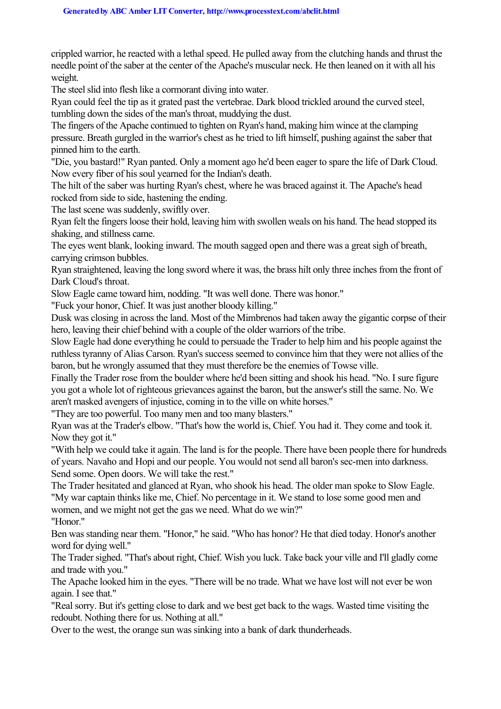crippled warrior, he reacted with a lethal speed. He pulled away from the clutching hands and thrust the needle point of the saber at the center of the Apache's muscular neck. He then leaned on it with all his weight.

The steel slid into flesh like a cormorant diving into water.

Ryan could feel the tip as it grated past the vertebrae. Dark blood trickled around the curved steel, tumbling down the sides of the man's throat, muddying the dust.

The fingers of the Apache continued to tighten on Ryan's hand, making him wince at the clamping pressure. Breath gurgled in the warrior's chest as he tried to lift himself, pushing against the saber that pinned him to the earth.

"Die, you bastard!" Ryan panted. Only a moment ago he'd been eager to spare the life of Dark Cloud. Now every fiber of his soul yearned for the Indian's death.

The hilt of the saber was hurting Ryan's chest, where he was braced against it. The Apache's head rocked from side to side, hastening the ending.

The last scene was suddenly, swiftly over.

Ryan felt the fingers loose their hold, leaving him with swollen weals on his hand. The head stopped its shaking, and stillness came.

The eyes went blank, looking inward. The mouth sagged open and there was a great sigh of breath, carrying crimson bubbles.

Ryan straightened, leaving the long sword where it was, the brass hilt only three inches from the front of Dark Cloud's throat.

Slow Eagle came toward him, nodding. "It was well done. There was honor."

"Fuck your honor, Chief. It was just another bloody killing."

Dusk was closing in across the land. Most of the Mimbrenos had taken away the gigantic corpse of their hero, leaving their chief behind with a couple of the older warriors of the tribe.

Slow Eagle had done everything he could to persuade the Trader to help him and his people against the ruthless tyranny of Alias Carson. Ryan's success seemed to convince him that they were not allies of the baron, but he wrongly assumed that they must therefore be the enemies of Towse ville.

Finally the Trader rose from the boulder where he'd been sitting and shook his head. "No. I sure figure you got a whole lot of righteous grievances against the baron, but the answer's still the same. No. We aren't masked avengers of injustice, coming in to the ville on white horses."

"They are too powerful. Too many men and too many blasters."

Ryan was at the Trader's elbow. "That's how the world is, Chief. You had it. They come and took it. Now they got it."

"With help we could take it again. The land is for the people. There have been people there for hundreds of years. Navaho and Hopi and our people. You would not send all baron's sec-men into darkness. Send some. Open doors. We will take the rest."

The Trader hesitated and glanced at Ryan, who shook his head. The older man spoke to Slow Eagle. "My war captain thinks like me, Chief. No percentage in it. We stand to lose some good men and women, and we might not get the gas we need. What do we win?" "Honor"

Ben was standing near them. "Honor," he said. "Who has honor? He that died today. Honor's another word for dying well."

The Trader sighed. "That's about right, Chief. Wish you luck. Take back your ville and I'll gladly come and trade with you."

The Apache looked him in the eyes. "There will be no trade. What we have lost will not ever be won again. I see that."

"Real sorry. But it's getting close to dark and we best get back to the wags. Wasted time visiting the redoubt. Nothing there for us. Nothing at all."

Over to the west, the orange sun was sinking into a bank of dark thunderheads.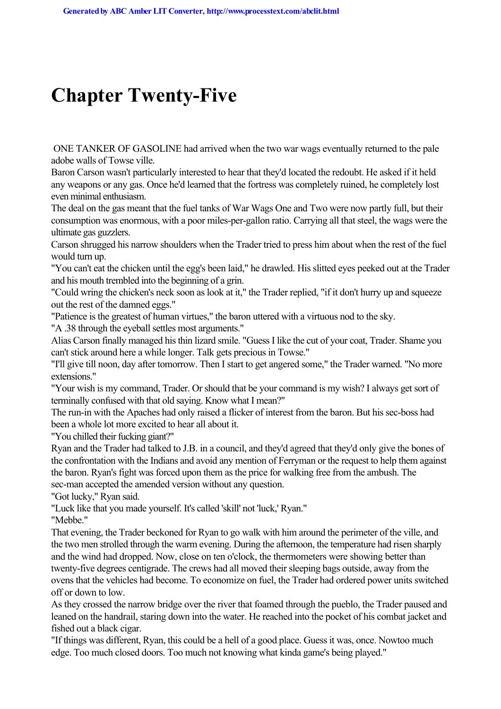### **Chapter Twenty-Five**

 ONE TANKER OF GASOLINE had arrived when the two war wags eventually returned to the pale adobe walls of Towse ville.

Baron Carson wasn't particularly interested to hear that they'd located the redoubt. He asked if it held any weapons or any gas. Once he'd learned that the fortress was completely ruined, he completely lost even minimal enthusiasm.

The deal on the gas meant that the fuel tanks of War Wags One and Two were now partly full, but their consumption was enormous, with a poor miles-per-gallon ratio. Carrying all that steel, the wags were the ultimate gas guzzlers.

Carson shrugged his narrow shoulders when the Trader tried to press him about when the rest of the fuel would turn up.

"You can't eat the chicken until the egg's been laid," he drawled. His slitted eyes peeked out at the Trader and his mouth trembled into the beginning of a grin.

"Could wring the chicken's neck soon as look at it," the Trader replied, "if it don't hurry up and squeeze out the rest of the damned eggs."

"Patience is the greatest of human virtues," the baron uttered with a virtuous nod to the sky.

"A .38 through the eyeball settles most arguments."

Alias Carson finally managed his thin lizard smile. "Guess I like the cut of your coat, Trader. Shame you can't stick around here a while longer. Talk gets precious in Towse."

"I'll give till noon, day after tomorrow. Then I start to get angered some," the Trader warned. "No more extensions."

"Your wish is my command, Trader. Or should that be your command is my wish? I always get sort of terminally confused with that old saying. Know what I mean?"

The run-in with the Apaches had only raised a flicker of interest from the baron. But his sec-boss had been a whole lot more excited to hear all about it.

"You chilled their fucking giant?"

Ryan and the Trader had talked to J.B. in a council, and they'd agreed that they'd only give the bones of the confrontation with the Indians and avoid any mention of Ferryman or the request to help them against the baron. Ryan's fight was forced upon them as the price for walking free from the ambush. The sec-man accepted the amended version without any question.

"Got lucky," Ryan said.

"Luck like that you made yourself. It's called 'skill' not 'luck,' Ryan."

"Mebbe."

That evening, the Trader beckoned for Ryan to go walk with him around the perimeter of the ville, and the two men strolled through the warm evening. During the afternoon, the temperature had risen sharply and the wind had dropped. Now, close on ten o'clock, the thermometers were showing better than twenty-five degrees centigrade. The crews had all moved their sleeping bags outside, away from the ovens that the vehicles had become. To economize on fuel, the Trader had ordered power units switched off or down to low.

As they crossed the narrow bridge over the river that foamed through the pueblo, the Trader paused and leaned on the handrail, staring down into the water. He reached into the pocket of his combat jacket and fished out a black cigar.

"If things was different, Ryan, this could be a hell of a good place. Guess it was, once. Nowtoo much edge. Too much closed doors. Too much not knowing what kinda game's being played."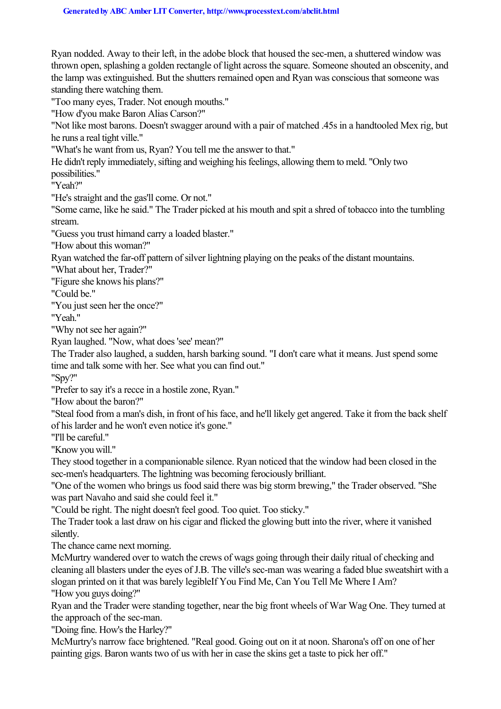Ryan nodded. Away to their left, in the adobe block that housed the sec-men, a shuttered window was thrown open, splashing a golden rectangle of light across the square. Someone shouted an obscenity, and the lamp was extinguished. But the shutters remained open and Ryan was conscious that someone was standing there watching them.

"Too many eyes, Trader. Not enough mouths."

"How d'you make Baron Alias Carson?"

"Not like most barons. Doesn't swagger around with a pair of matched .45s in a handtooled Mex rig, but he runs a real tight ville."

"What's he want from us, Ryan? You tell me the answer to that."

He didn't reply immediately, sifting and weighing his feelings, allowing them to meld. "Only two possibilities."

"Yeah?"

"He's straight and the gas'll come. Or not."

"Some came, like he said." The Trader picked at his mouth and spit a shred of tobacco into the tumbling stream.

"Guess you trust himand carry a loaded blaster."

"How about this woman?"

Ryan watched the far-off pattern of silver lightning playing on the peaks of the distant mountains.

"What about her, Trader?"

"Figure she knows his plans?"

"Could be."

"You just seen her the once?"

"Yeah"

"Why not see her again?"

Ryan laughed. "Now, what does 'see' mean?"

The Trader also laughed, a sudden, harsh barking sound. "I don't care what it means. Just spend some time and talk some with her. See what you can find out."

"Spy?"

"Prefer to say it's a recce in a hostile zone, Ryan."

"How about the baron?"

"Steal food from a man's dish, in front of his face, and he'll likely get angered. Take it from the back shelf of his larder and he won't even notice it's gone."

"I'll be careful."

"Know you will."

They stood together in a companionable silence. Ryan noticed that the window had been closed in the sec-men's headquarters. The lightning was becoming ferociously brilliant.

"One of the women who brings us food said there was big storm brewing," the Trader observed. "She was part Navaho and said she could feel it."

"Could be right. The night doesn't feel good. Too quiet. Too sticky."

The Trader took a last draw on his cigar and flicked the glowing butt into the river, where it vanished silently.

The chance came next morning.

McMurtry wandered over to watch the crews of wags going through their daily ritual of checking and cleaning all blasters under the eyes of J.B. The ville's sec-man was wearing a faded blue sweatshirt with a slogan printed on it that was barely legibleIf You Find Me, Can You Tell Me Where I Am? "How you guys doing?"

Ryan and the Trader were standing together, near the big front wheels of War Wag One. They turned at the approach of the sec-man.

"Doing fine. How's the Harley?"

McMurtry's narrow face brightened. "Real good. Going out on it at noon. Sharona's off on one of her painting gigs. Baron wants two of us with her in case the skins get a taste to pick her off."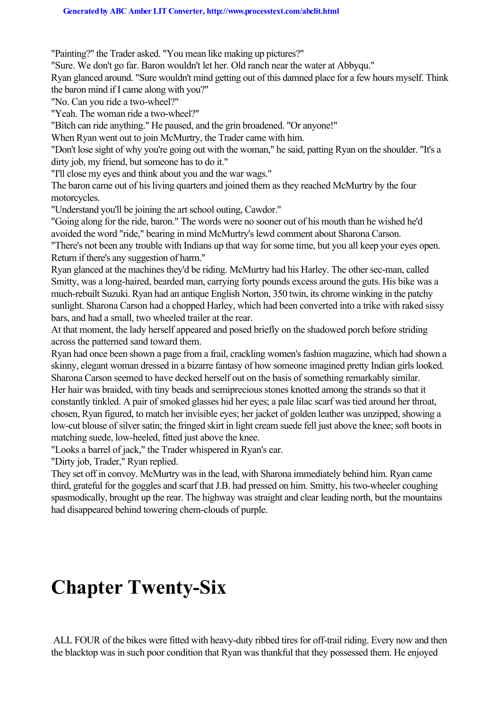"Painting?" the Trader asked. "You mean like making up pictures?"

"Sure. We don't go far. Baron wouldn't let her. Old ranch near the water at Abbyqu."

Ryan glanced around. "Sure wouldn't mind getting out of this damned place for a few hours myself. Think the baron mind if I came along with you?"

"No. Can you ride a two-wheel?"

"Yeah. The woman ride a two-wheel?"

"Bitch can ride anything." He paused, and the grin broadened. "Or anyone!"

When Ryan went out to join McMurtry, the Trader came with him.

"Don't lose sight of why you're going out with the woman," he said, patting Ryan on the shoulder. "It's a dirty job, my friend, but someone has to do it."

"I'll close my eyes and think about you and the war wags."

The baron came out of his living quarters and joined them as they reached McMurtry by the four motorcycles.

"Understand you'll be joining the art school outing, Cawdor."

"Going along for the ride, baron." The words were no sooner out of his mouth than he wished he'd avoided the word "ride," bearing in mind McMurtry's lewd comment about Sharona Carson. "There's not been any trouble with Indians up that way for some time, but you all keep your eyes open. Return if there's any suggestion of harm."

Ryan glanced at the machines they'd be riding. McMurtry had his Harley. The other sec-man, called Smitty, was a long-haired, bearded man, carrying forty pounds excess around the guts. His bike was a much-rebuilt Suzuki. Ryan had an antique English Norton, 350 twin, its chrome winking in the patchy sunlight. Sharona Carson had a chopped Harley, which had been converted into a trike with raked sissy bars, and had a small, two wheeled trailer at the rear.

At that moment, the lady herself appeared and posed briefly on the shadowed porch before striding across the patterned sand toward them.

Ryan had once been shown a page from a frail, crackling women's fashion magazine, which had shown a skinny, elegant woman dressed in a bizarre fantasy of how someone imagined pretty Indian girls looked. Sharona Carson seemed to have decked herself out on the basis of something remarkably similar. Her hair was braided, with tiny beads and semiprecious stones knotted among the strands so that it constantly tinkled. A pair of smoked glasses hid her eyes; a pale lilac scarf was tied around her throat, chosen, Ryan figured, to match her invisible eyes; her jacket of golden leather was unzipped, showing a low-cut blouse of silver satin; the fringed skirt in light cream suede fell just above the knee; soft boots in matching suede, low-heeled, fitted just above the knee.

"Looks a barrel of jack," the Trader whispered in Ryan's ear.

"Dirty job, Trader," Ryan replied.

They set off in convoy. McMurtry was in the lead, with Sharona immediately behind him. Ryan came third, grateful for the goggles and scarf that J.B. had pressed on him. Smitty, his two-wheeler coughing spasmodically, brought up the rear. The highway was straight and clear leading north, but the mountains had disappeared behind towering chem-clouds of purple.

# **Chapter Twenty-Six**

 ALL FOUR of the bikes were fitted with heavy-duty ribbed tires for off-trail riding. Every now and then the blacktop was in such poor condition that Ryan was thankful that they possessed them. He enjoyed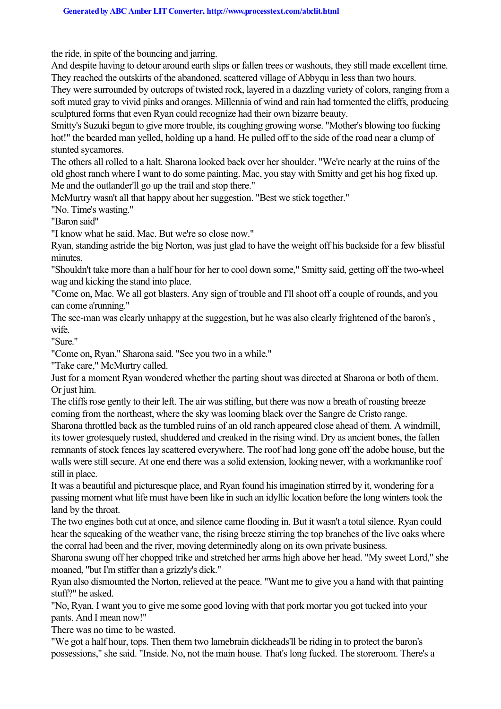the ride, in spite of the bouncing and jarring.

And despite having to detour around earth slips or fallen trees or washouts, they still made excellent time. They reached the outskirts of the abandoned, scattered village of Abbyqu in less than two hours.

They were surrounded by outcrops of twisted rock, layered in a dazzling variety of colors, ranging from a soft muted gray to vivid pinks and oranges. Millennia of wind and rain had tormented the cliffs, producing sculptured forms that even Ryan could recognize had their own bizarre beauty.

Smitty's Suzuki began to give more trouble, its coughing growing worse. "Mother's blowing too fucking hot!" the bearded man yelled, holding up a hand. He pulled off to the side of the road near a clump of stunted sycamores.

The others all rolled to a halt. Sharona looked back over her shoulder. "We're nearly at the ruins of the old ghost ranch where I want to do some painting. Mac, you stay with Smitty and get his hog fixed up. Me and the outlander'll go up the trail and stop there."

McMurtry wasn't all that happy about her suggestion. "Best we stick together."

"No. Time's wasting."

"Baron said"

"I know what he said, Mac. But we're so close now."

Ryan, standing astride the big Norton, was just glad to have the weight off his backside for a few blissful minutes.

"Shouldn't take more than a half hour for her to cool down some," Smitty said, getting off the two-wheel wag and kicking the stand into place.

"Come on, Mac. We all got blasters. Any sign of trouble and I'll shoot off a couple of rounds, and you can come a'running."

The sec-man was clearly unhappy at the suggestion, but he was also clearly frightened of the baron's , wife

"Sure."

"Come on, Ryan," Sharona said. "See you two in a while."

"Take care," McMurtry called.

Just for a moment Ryan wondered whether the parting shout was directed at Sharona or both of them. Or just him.

The cliffs rose gently to their left. The air was stifling, but there was now a breath of roasting breeze coming from the northeast, where the sky was looming black over the Sangre de Cristo range.

Sharona throttled back as the tumbled ruins of an old ranch appeared close ahead of them. A windmill, its tower grotesquely rusted, shuddered and creaked in the rising wind. Dry as ancient bones, the fallen remnants of stock fences lay scattered everywhere. The roof had long gone off the adobe house, but the walls were still secure. At one end there was a solid extension, looking newer, with a workmanlike roof still in place.

It was a beautiful and picturesque place, and Ryan found his imagination stirred by it, wondering for a passing moment what life must have been like in such an idyllic location before the long winters took the land by the throat.

The two engines both cut at once, and silence came flooding in. But it wasn't a total silence. Ryan could hear the squeaking of the weather vane, the rising breeze stirring the top branches of the live oaks where the corral had been and the river, moving determinedly along on its own private business.

Sharona swung off her chopped trike and stretched her arms high above her head. "My sweet Lord," she moaned, "but I'm stiffer than a grizzly's dick."

Ryan also dismounted the Norton, relieved at the peace. "Want me to give you a hand with that painting stuff?" he asked.

"No, Ryan. I want you to give me some good loving with that pork mortar you got tucked into your pants. And I mean now!"

There was no time to be wasted.

"We got a half hour, tops. Then them two lamebrain dickheads'll be riding in to protect the baron's possessions," she said. "Inside. No, not the main house. That's long fucked. The storeroom. There's a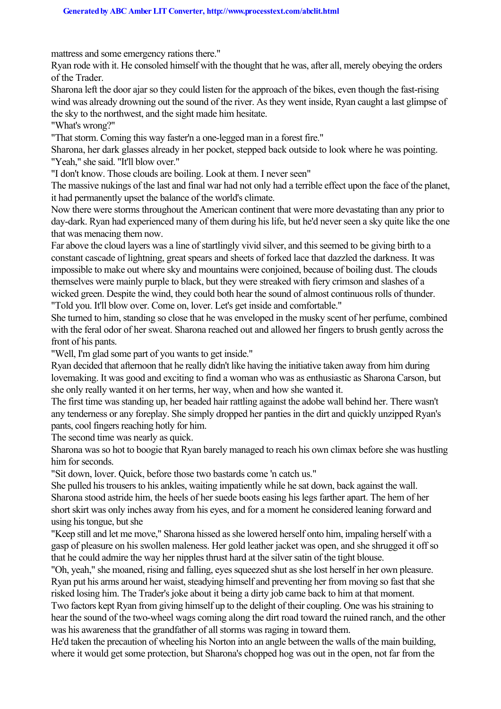mattress and some emergency rations there."

Ryan rode with it. He consoled himself with the thought that he was, after all, merely obeying the orders of the Trader.

Sharona left the door ajar so they could listen for the approach of the bikes, even though the fast-rising wind was already drowning out the sound of the river. As they went inside, Ryan caught a last glimpse of the sky to the northwest, and the sight made him hesitate.

"What's wrong?"

"That storm. Coming this way faster'n a one-legged man in a forest fire."

Sharona, her dark glasses already in her pocket, stepped back outside to look where he was pointing. "Yeah," she said. "It'll blow over."

"I don't know. Those clouds are boiling. Look at them. I never seen"

The massive nukings of the last and final war had not only had a terrible effect upon the face of the planet, it had permanently upset the balance of the world's climate.

Now there were storms throughout the American continent that were more devastating than any prior to day-dark. Ryan had experienced many of them during his life, but he'd never seen a sky quite like the one that was menacing them now.

Far above the cloud layers was a line of startlingly vivid silver, and this seemed to be giving birth to a constant cascade of lightning, great spears and sheets of forked lace that dazzled the darkness. It was impossible to make out where sky and mountains were conjoined, because of boiling dust. The clouds themselves were mainly purple to black, but they were streaked with fiery crimson and slashes of a wicked green. Despite the wind, they could both hear the sound of almost continuous rolls of thunder. "Told you. It'll blow over. Come on, lover. Let's get inside and comfortable."

She turned to him, standing so close that he was enveloped in the musky scent of her perfume, combined with the feral odor of her sweat. Sharona reached out and allowed her fingers to brush gently across the front of his pants.

"Well, I'm glad some part of you wants to get inside."

Ryan decided that afternoon that he really didn't like having the initiative taken away from him during lovemaking. It was good and exciting to find a woman who was as enthusiastic as Sharona Carson, but she only really wanted it on her terms, her way, when and how she wanted it.

The first time was standing up, her beaded hair rattling against the adobe wall behind her. There wasn't any tenderness or any foreplay. She simply dropped her panties in the dirt and quickly unzipped Ryan's pants, cool fingers reaching hotly for him.

The second time was nearly as quick.

Sharona was so hot to boogie that Ryan barely managed to reach his own climax before she was hustling him for seconds

"Sit down, lover. Quick, before those two bastards come 'n catch us."

She pulled his trousers to his ankles, waiting impatiently while he sat down, back against the wall. Sharona stood astride him, the heels of her suede boots easing his legs farther apart. The hem of her short skirt was only inches away from his eyes, and for a moment he considered leaning forward and using his tongue, but she

"Keep still and let me move," Sharona hissed as she lowered herself onto him, impaling herself with a gasp of pleasure on his swollen maleness. Her gold leather jacket was open, and she shrugged it off so that he could admire the way her nipples thrust hard at the silver satin of the tight blouse.

"Oh, yeah," she moaned, rising and falling, eyes squeezed shut as she lost herself in her own pleasure. Ryan put his arms around her waist, steadying himself and preventing her from moving so fast that she risked losing him. The Trader's joke about it being a dirty job came back to him at that moment.

Two factors kept Ryan from giving himself up to the delight of their coupling. One was his straining to hear the sound of the two-wheel wags coming along the dirt road toward the ruined ranch, and the other was his awareness that the grandfather of all storms was raging in toward them.

He'd taken the precaution of wheeling his Norton into an angle between the walls of the main building, where it would get some protection, but Sharona's chopped hog was out in the open, not far from the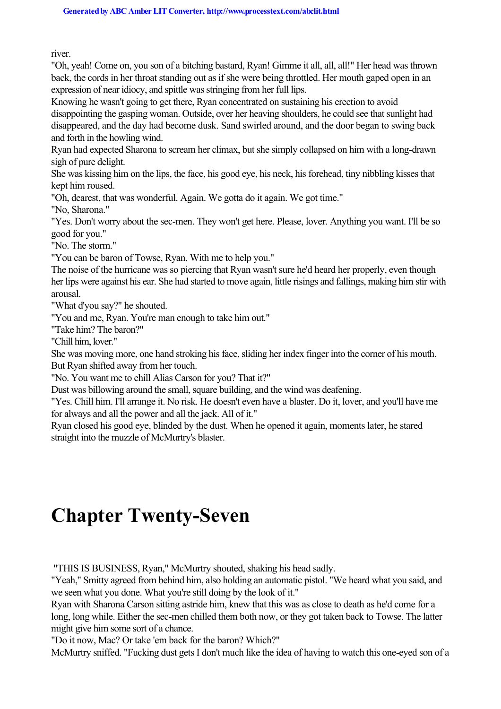river.

"Oh, yeah! Come on, you son of a bitching bastard, Ryan! Gimme it all, all, all!" Her head was thrown back, the cords in her throat standing out as if she were being throttled. Her mouth gaped open in an expression of near idiocy, and spittle was stringing from her full lips.

Knowing he wasn't going to get there, Ryan concentrated on sustaining his erection to avoid disappointing the gasping woman. Outside, over her heaving shoulders, he could see that sunlight had disappeared, and the day had become dusk. Sand swirled around, and the door began to swing back and forth in the howling wind.

Ryan had expected Sharona to scream her climax, but she simply collapsed on him with a long-drawn sigh of pure delight.

She was kissing him on the lips, the face, his good eye, his neck, his forehead, tiny nibbling kisses that kept him roused.

"Oh, dearest, that was wonderful. Again. We gotta do it again. We got time."

"No, Sharona."

"Yes. Don't worry about the sec-men. They won't get here. Please, lover. Anything you want. I'll be so good for you."

"No. The storm."

"You can be baron of Towse, Ryan. With me to help you."

The noise of the hurricane was so piercing that Ryan wasn't sure he'd heard her properly, even though her lips were against his ear. She had started to move again, little risings and fallings, making him stir with arousal.

"What d'you say?" he shouted.

"You and me, Ryan. You're man enough to take him out."

"Take him? The baron?"

"Chill him, lover."

She was moving more, one hand stroking his face, sliding her index finger into the corner of his mouth. But Ryan shifted away from her touch.

"No. You want me to chill Alias Carson for you? That it?"

Dust was billowing around the small, square building, and the wind was deafening.

"Yes. Chill him. I'll arrange it. No risk. He doesn't even have a blaster. Do it, lover, and you'll have me for always and all the power and all the jack. All of it."

Ryan closed his good eye, blinded by the dust. When he opened it again, moments later, he stared straight into the muzzle of McMurtry's blaster.

### **Chapter Twenty-Seven**

"THIS IS BUSINESS, Ryan," McMurtry shouted, shaking his head sadly.

"Yeah," Smitty agreed from behind him, also holding an automatic pistol. "We heard what you said, and we seen what you done. What you're still doing by the look of it."

Ryan with Sharona Carson sitting astride him, knew that this was as close to death as he'd come for a long, long while. Either the sec-men chilled them both now, or they got taken back to Towse. The latter might give him some sort of a chance.

"Do it now, Mac? Or take 'em back for the baron? Which?"

McMurtry sniffed. "Fucking dust gets I don't much like the idea of having to watch this one-eyed son of a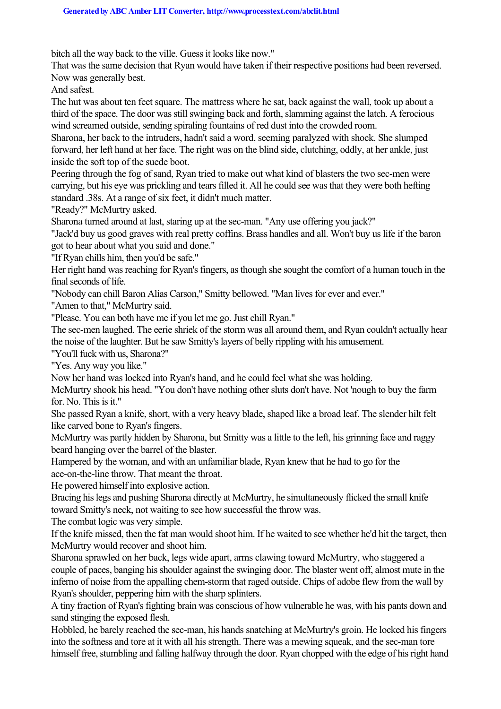bitch all the way back to the ville. Guess it looks like now."

That was the same decision that Ryan would have taken if their respective positions had been reversed. Now was generally best.

And safest.

The hut was about ten feet square. The mattress where he sat, back against the wall, took up about a third of the space. The door was still swinging back and forth, slamming against the latch. A ferocious wind screamed outside, sending spiraling fountains of red dust into the crowded room.

Sharona, her back to the intruders, hadn't said a word, seeming paralyzed with shock. She slumped forward, her left hand at her face. The right was on the blind side, clutching, oddly, at her ankle, just inside the soft top of the suede boot.

Peering through the fog of sand, Ryan tried to make out what kind of blasters the two sec-men were carrying, but his eye was prickling and tears filled it. All he could see was that they were both hefting standard .38s. At a range of six feet, it didn't much matter.

"Ready?" McMurtry asked.

Sharona turned around at last, staring up at the sec-man. "Any use offering you jack?"

"Jack'd buy us good graves with real pretty coffins. Brass handles and all. Won't buy us life if the baron got to hear about what you said and done."

"If Ryan chills him, then you'd be safe."

Her right hand was reaching for Ryan's fingers, as though she sought the comfort of a human touch in the final seconds of life.

"Nobody can chill Baron Alias Carson," Smitty bellowed. "Man lives for ever and ever."

"Amen to that," McMurtry said.

"Please. You can both have me if you let me go. Just chill Ryan."

The sec-men laughed. The eerie shriek of the storm was all around them, and Ryan couldn't actually hear the noise of the laughter. But he saw Smitty's layers of belly rippling with his amusement.

"You'll fuck with us, Sharona?"

"Yes. Any way you like."

Now her hand was locked into Ryan's hand, and he could feel what she was holding.

McMurtry shook his head. "You don't have nothing other sluts don't have. Not 'nough to buy the farm for. No. This is it."

She passed Ryan a knife, short, with a very heavy blade, shaped like a broad leaf. The slender hilt felt like carved bone to Ryan's fingers.

McMurtry was partly hidden by Sharona, but Smitty was a little to the left, his grinning face and raggy beard hanging over the barrel of the blaster.

Hampered by the woman, and with an unfamiliar blade, Ryan knew that he had to go for the ace-on-the-line throw. That meant the throat.

He powered himself into explosive action.

Bracing his legs and pushing Sharona directly at McMurtry, he simultaneously flicked the small knife toward Smitty's neck, not waiting to see how successful the throw was.

The combat logic was very simple.

If the knife missed, then the fat man would shoot him. If he waited to see whether he'd hit the target, then McMurtry would recover and shoot him.

Sharona sprawled on her back, legs wide apart, arms clawing toward McMurtry, who staggered a couple of paces, banging his shoulder against the swinging door. The blaster went off, almost mute in the inferno of noise from the appalling chem-storm that raged outside. Chips of adobe flew from the wall by Ryan's shoulder, peppering him with the sharp splinters.

A tiny fraction of Ryan's fighting brain was conscious of how vulnerable he was, with his pants down and sand stinging the exposed flesh.

Hobbled, he barely reached the sec-man, his hands snatching at McMurtry's groin. He locked his fingers into the softness and tore at it with all his strength. There was a mewing squeak, and the sec-man tore himself free, stumbling and falling halfway through the door. Ryan chopped with the edge of his right hand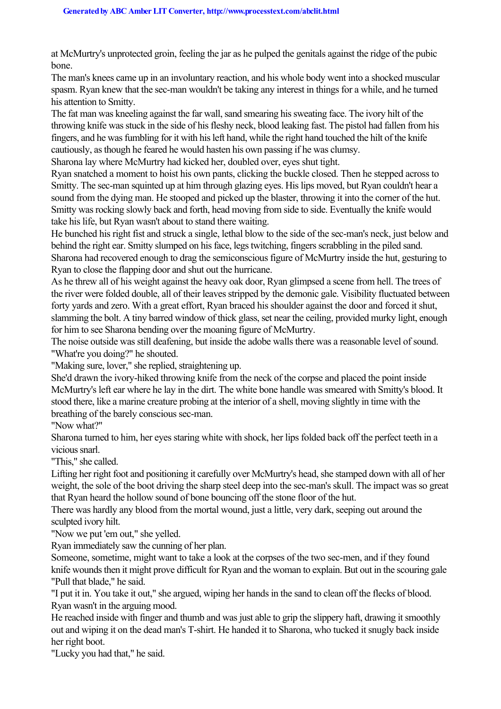at McMurtry's unprotected groin, feeling the jar as he pulped the genitals against the ridge of the pubic bone.

The man's knees came up in an involuntary reaction, and his whole body went into a shocked muscular spasm. Ryan knew that the sec-man wouldn't be taking any interest in things for a while, and he turned his attention to Smitty.

The fat man was kneeling against the far wall, sand smearing his sweating face. The ivory hilt of the throwing knife was stuck in the side of his fleshy neck, blood leaking fast. The pistol had fallen from his fingers, and he was fumbling for it with his left hand, while the right hand touched the hilt of the knife cautiously, as though he feared he would hasten his own passing if he was clumsy.

Sharona lay where McMurtry had kicked her, doubled over, eyes shut tight.

Ryan snatched a moment to hoist his own pants, clicking the buckle closed. Then he stepped across to Smitty. The sec-man squinted up at him through glazing eyes. His lips moved, but Ryan couldn't hear a sound from the dying man. He stooped and picked up the blaster, throwing it into the corner of the hut. Smitty was rocking slowly back and forth, head moving from side to side. Eventually the knife would take his life, but Ryan wasn't about to stand there waiting.

He bunched his right fist and struck a single, lethal blow to the side of the sec-man's neck, just below and behind the right ear. Smitty slumped on his face, legs twitching, fingers scrabbling in the piled sand. Sharona had recovered enough to drag the semiconscious figure of McMurtry inside the hut, gesturing to Ryan to close the flapping door and shut out the hurricane.

As he threw all of his weight against the heavy oak door, Ryan glimpsed a scene from hell. The trees of the river were folded double, all of their leaves stripped by the demonic gale. Visibility fluctuated between forty yards and zero. With a great effort, Ryan braced his shoulder against the door and forced it shut, slamming the bolt. A tiny barred window of thick glass, set near the ceiling, provided murky light, enough for him to see Sharona bending over the moaning figure of McMurtry.

The noise outside was still deafening, but inside the adobe walls there was a reasonable level of sound. "What're you doing?" he shouted.

"Making sure, lover," she replied, straightening up.

She'd drawn the ivory-hiked throwing knife from the neck of the corpse and placed the point inside McMurtry's left ear where he lay in the dirt. The white bone handle was smeared with Smitty's blood. It stood there, like a marine creature probing at the interior of a shell, moving slightly in time with the breathing of the barely conscious sec-man.

"Now what?"

Sharona turned to him, her eyes staring white with shock, her lips folded back off the perfect teeth in a vicious snarl.

"This," she called.

Lifting her right foot and positioning it carefully over McMurtry's head, she stamped down with all of her weight, the sole of the boot driving the sharp steel deep into the sec-man's skull. The impact was so great that Ryan heard the hollow sound of bone bouncing off the stone floor of the hut.

There was hardly any blood from the mortal wound, just a little, very dark, seeping out around the sculpted ivory hilt.

"Now we put 'em out," she yelled.

Ryan immediately saw the cunning of her plan.

Someone, sometime, might want to take a look at the corpses of the two sec-men, and if they found knife wounds then it might prove difficult for Ryan and the woman to explain. But out in the scouring gale "Pull that blade," he said.

"I put it in. You take it out," she argued, wiping her hands in the sand to clean off the flecks of blood. Ryan wasn't in the arguing mood.

He reached inside with finger and thumb and was just able to grip the slippery haft, drawing it smoothly out and wiping it on the dead man's T-shirt. He handed it to Sharona, who tucked it snugly back inside her right boot.

"Lucky you had that," he said.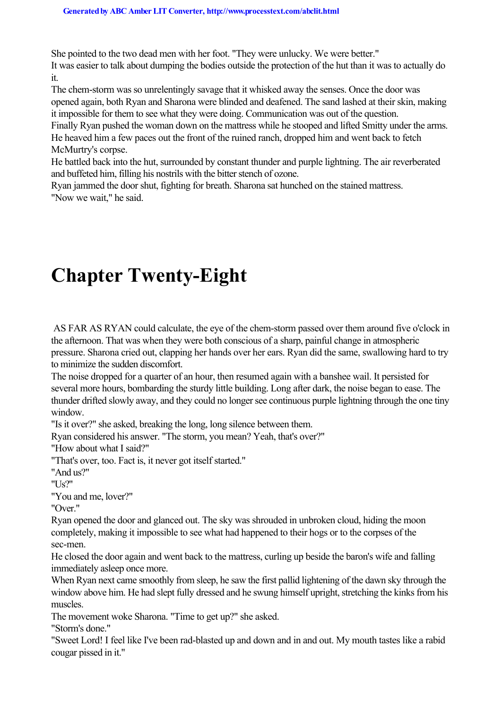She pointed to the two dead men with her foot. "They were unlucky. We were better." It was easier to talk about dumping the bodies outside the protection of the hut than it was to actually do it.

The chem-storm was so unrelentingly savage that it whisked away the senses. Once the door was opened again, both Ryan and Sharona were blinded and deafened. The sand lashed at their skin, making it impossible for them to see what they were doing. Communication was out of the question.

Finally Ryan pushed the woman down on the mattress while he stooped and lifted Smitty under the arms. He heaved him a few paces out the front of the ruined ranch, dropped him and went back to fetch McMurtry's corpse.

He battled back into the hut, surrounded by constant thunder and purple lightning. The air reverberated and buffeted him, filling his nostrils with the bitter stench of ozone.

Ryan jammed the door shut, fighting for breath. Sharona sat hunched on the stained mattress. "Now we wait," he said.

# **Chapter Twenty-Eight**

 AS FAR AS RYAN could calculate, the eye of the chem-storm passed over them around five o'clock in the afternoon. That was when they were both conscious of a sharp, painful change in atmospheric pressure. Sharona cried out, clapping her hands over her ears. Ryan did the same, swallowing hard to try to minimize the sudden discomfort.

The noise dropped for a quarter of an hour, then resumed again with a banshee wail. It persisted for several more hours, bombarding the sturdy little building. Long after dark, the noise began to ease. The thunder drifted slowly away, and they could no longer see continuous purple lightning through the one tiny window.

"Is it over?" she asked, breaking the long, long silence between them.

Ryan considered his answer. "The storm, you mean? Yeah, that's over?"

"How about what I said?"

"That's over, too. Fact is, it never got itself started."

"And us?"

"Us?"

"You and me, lover?"

"Over"

Ryan opened the door and glanced out. The sky was shrouded in unbroken cloud, hiding the moon completely, making it impossible to see what had happened to their hogs or to the corpses of the sec-men.

He closed the door again and went back to the mattress, curling up beside the baron's wife and falling immediately asleep once more.

When Ryan next came smoothly from sleep, he saw the first pallid lightening of the dawn sky through the window above him. He had slept fully dressed and he swung himself upright, stretching the kinks from his muscles.

The movement woke Sharona. "Time to get up?" she asked.

"Storm's done."

"Sweet Lord! I feel like I've been rad-blasted up and down and in and out. My mouth tastes like a rabid cougar pissed in it."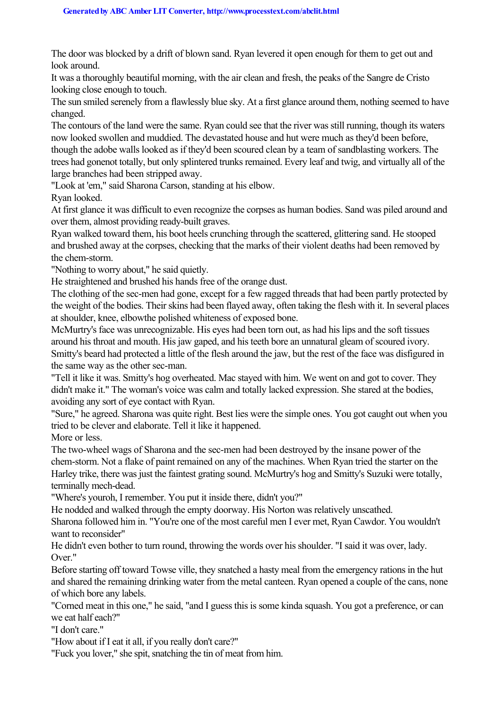The door was blocked by a drift of blown sand. Ryan levered it open enough for them to get out and look around.

It was a thoroughly beautiful morning, with the air clean and fresh, the peaks of the Sangre de Cristo looking close enough to touch.

The sun smiled serenely from a flawlessly blue sky. At a first glance around them, nothing seemed to have changed.

The contours of the land were the same. Ryan could see that the river was still running, though its waters now looked swollen and muddied. The devastated house and hut were much as they'd been before, though the adobe walls looked as if they'd been scoured clean by a team of sandblasting workers. The trees had gonenot totally, but only splintered trunks remained. Every leaf and twig, and virtually all of the large branches had been stripped away.

"Look at 'em," said Sharona Carson, standing at his elbow.

Ryan looked.

At first glance it was difficult to even recognize the corpses as human bodies. Sand was piled around and over them, almost providing ready-built graves.

Ryan walked toward them, his boot heels crunching through the scattered, glittering sand. He stooped and brushed away at the corpses, checking that the marks of their violent deaths had been removed by the chem-storm.

"Nothing to worry about," he said quietly.

He straightened and brushed his hands free of the orange dust.

The clothing of the sec-men had gone, except for a few ragged threads that had been partly protected by the weight of the bodies. Their skins had been flayed away, often taking the flesh with it. In several places at shoulder, knee, elbowthe polished whiteness of exposed bone.

McMurtry's face was unrecognizable. His eyes had been torn out, as had his lips and the soft tissues around his throat and mouth. His jaw gaped, and his teeth bore an unnatural gleam of scoured ivory. Smitty's beard had protected a little of the flesh around the jaw, but the rest of the face was disfigured in the same way as the other sec-man.

"Tell it like it was. Smitty's hog overheated. Mac stayed with him. We went on and got to cover. They didn't make it." The woman's voice was calm and totally lacked expression. She stared at the bodies, avoiding any sort of eye contact with Ryan.

"Sure," he agreed. Sharona was quite right. Best lies were the simple ones. You got caught out when you tried to be clever and elaborate. Tell it like it happened.

More or less.

The two-wheel wags of Sharona and the sec-men had been destroyed by the insane power of the chem-storm. Not a flake of paint remained on any of the machines. When Ryan tried the starter on the Harley trike, there was just the faintest grating sound. McMurtry's hog and Smitty's Suzuki were totally, terminally mech-dead.

"Where's youroh, I remember. You put it inside there, didn't you?"

He nodded and walked through the empty doorway. His Norton was relatively unscathed.

Sharona followed him in. "You're one of the most careful men I ever met, Ryan Cawdor. You wouldn't want to reconsider"

He didn't even bother to turn round, throwing the words over his shoulder. "I said it was over, lady. Over."

Before starting off toward Towse ville, they snatched a hasty meal from the emergency rations in the hut and shared the remaining drinking water from the metal canteen. Ryan opened a couple of the cans, none of which bore any labels.

"Corned meat in this one," he said, "and I guess this is some kinda squash. You got a preference, or can we eat half each?"

"I don't care."

"How about if I eat it all, if you really don't care?"

"Fuck you lover," she spit, snatching the tin of meat from him.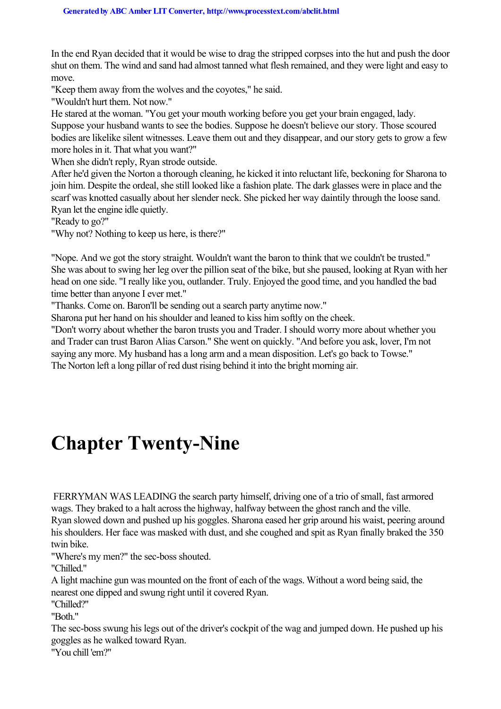In the end Ryan decided that it would be wise to drag the stripped corpses into the hut and push the door shut on them. The wind and sand had almost tanned what flesh remained, and they were light and easy to move.

"Keep them away from the wolves and the coyotes," he said.

"Wouldn't hurt them. Not now."

He stared at the woman. "You get your mouth working before you get your brain engaged, lady. Suppose your husband wants to see the bodies. Suppose he doesn't believe our story. Those scoured bodies are likelike silent witnesses. Leave them out and they disappear, and our story gets to grow a few more holes in it. That what you want?"

When she didn't reply, Ryan strode outside.

After he'd given the Norton a thorough cleaning, he kicked it into reluctant life, beckoning for Sharona to join him. Despite the ordeal, she still looked like a fashion plate. The dark glasses were in place and the scarf was knotted casually about her slender neck. She picked her way daintily through the loose sand. Ryan let the engine idle quietly.

"Ready to go?"

"Why not? Nothing to keep us here, is there?"

"Nope. And we got the story straight. Wouldn't want the baron to think that we couldn't be trusted." She was about to swing her leg over the pillion seat of the bike, but she paused, looking at Ryan with her head on one side. "I really like you, outlander. Truly. Enjoyed the good time, and you handled the bad time better than anyone I ever met."

"Thanks. Come on. Baron'll be sending out a search party anytime now."

Sharona put her hand on his shoulder and leaned to kiss him softly on the cheek.

"Don't worry about whether the baron trusts you and Trader. I should worry more about whether you and Trader can trust Baron Alias Carson." She went on quickly. "And before you ask, lover, I'm not saying any more. My husband has a long arm and a mean disposition. Let's go back to Towse." The Norton left a long pillar of red dust rising behind it into the bright morning air.

### **Chapter Twenty-Nine**

 FERRYMAN WAS LEADING the search party himself, driving one of a trio of small, fast armored wags. They braked to a halt across the highway, halfway between the ghost ranch and the ville. Ryan slowed down and pushed up his goggles. Sharona eased her grip around his waist, peering around his shoulders. Her face was masked with dust, and she coughed and spit as Ryan finally braked the 350 twin bike.

"Where's my men?" the sec-boss shouted.

"Chilled."

A light machine gun was mounted on the front of each of the wags. Without a word being said, the nearest one dipped and swung right until it covered Ryan.

"Chilled?"

"Both"

The sec-boss swung his legs out of the driver's cockpit of the wag and jumped down. He pushed up his goggles as he walked toward Ryan.

"You chill 'em?"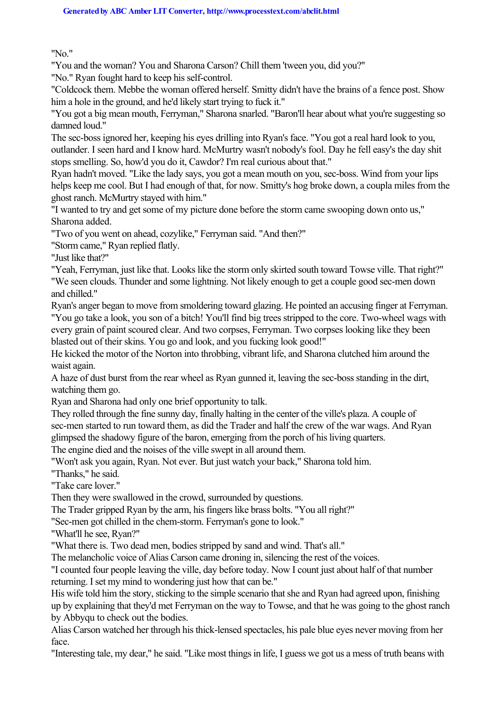"No."

"You and the woman? You and Sharona Carson? Chill them 'tween you, did you?"

"No." Ryan fought hard to keep his self-control.

"Coldcock them. Mebbe the woman offered herself. Smitty didn't have the brains of a fence post. Show him a hole in the ground, and he'd likely start trying to fuck it."

"You got a big mean mouth, Ferryman," Sharona snarled. "Baron'll hear about what you're suggesting so damned loud."

The sec-boss ignored her, keeping his eyes drilling into Ryan's face. "You got a real hard look to you, outlander. I seen hard and I know hard. McMurtry wasn't nobody's fool. Day he fell easy's the day shit stops smelling. So, how'd you do it, Cawdor? I'm real curious about that."

Ryan hadn't moved. "Like the lady says, you got a mean mouth on you, sec-boss. Wind from your lips helps keep me cool. But I had enough of that, for now. Smitty's hog broke down, a coupla miles from the ghost ranch. McMurtry stayed with him."

"I wanted to try and get some of my picture done before the storm came swooping down onto us," Sharona added.

"Two of you went on ahead, cozylike," Ferryman said. "And then?"

"Storm came," Ryan replied flatly.

"Just like that?"

"Yeah, Ferryman, just like that. Looks like the storm only skirted south toward Towse ville. That right?" "We seen clouds. Thunder and some lightning. Not likely enough to get a couple good sec-men down and chilled."

Ryan's anger began to move from smoldering toward glazing. He pointed an accusing finger at Ferryman. "You go take a look, you son of a bitch! You'll find big trees stripped to the core. Two-wheel wags with every grain of paint scoured clear. And two corpses, Ferryman. Two corpses looking like they been blasted out of their skins. You go and look, and you fucking look good!"

He kicked the motor of the Norton into throbbing, vibrant life, and Sharona clutched him around the waist again.

A haze of dust burst from the rear wheel as Ryan gunned it, leaving the sec-boss standing in the dirt, watching them go.

Ryan and Sharona had only one brief opportunity to talk.

They rolled through the fine sunny day, finally halting in the center of the ville's plaza. A couple of sec-men started to run toward them, as did the Trader and half the crew of the war wags. And Ryan glimpsed the shadowy figure of the baron, emerging from the porch of his living quarters.

The engine died and the noises of the ville swept in all around them.

"Won't ask you again, Ryan. Not ever. But just watch your back," Sharona told him.

"Thanks," he said.

"Take care lover."

Then they were swallowed in the crowd, surrounded by questions.

The Trader gripped Ryan by the arm, his fingers like brass bolts. "You all right?"

"Sec-men got chilled in the chem-storm. Ferryman's gone to look."

"What'll he see, Ryan?"

"What there is. Two dead men, bodies stripped by sand and wind. That's all."

The melancholic voice of Alias Carson came droning in, silencing the rest of the voices.

"I counted four people leaving the ville, day before today. Now I count just about half of that number returning. I set my mind to wondering just how that can be."

His wife told him the story, sticking to the simple scenario that she and Ryan had agreed upon, finishing up by explaining that they'd met Ferryman on the way to Towse, and that he was going to the ghost ranch by Abbyqu to check out the bodies.

Alias Carson watched her through his thick-lensed spectacles, his pale blue eyes never moving from her face.

"Interesting tale, my dear," he said. "Like most things in life, I guess we got us a mess of truth beans with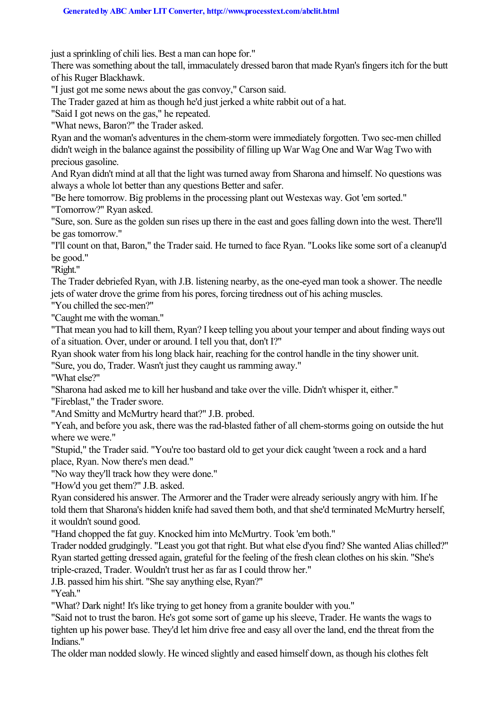just a sprinkling of chili lies. Best a man can hope for."

There was something about the tall, immaculately dressed baron that made Ryan's fingers itch for the butt of his Ruger Blackhawk.

"I just got me some news about the gas convoy," Carson said.

The Trader gazed at him as though he'd just jerked a white rabbit out of a hat.

"Said I got news on the gas," he repeated.

"What news, Baron?" the Trader asked.

Ryan and the woman's adventures in the chem-storm were immediately forgotten. Two sec-men chilled didn't weigh in the balance against the possibility of filling up War Wag One and War Wag Two with precious gasoline.

And Ryan didn't mind at all that the light was turned away from Sharona and himself. No questions was always a whole lot better than any questions Better and safer.

"Be here tomorrow. Big problems in the processing plant out Westexas way. Got 'em sorted." "Tomorrow?" Ryan asked.

"Sure, son. Sure as the golden sun rises up there in the east and goes falling down into the west. There'll be gas tomorrow."

"I'll count on that, Baron," the Trader said. He turned to face Ryan. "Looks like some sort of a cleanup'd be good."

"Right."

The Trader debriefed Ryan, with J.B. listening nearby, as the one-eyed man took a shower. The needle jets of water drove the grime from his pores, forcing tiredness out of his aching muscles.

"You chilled the sec-men?"

"Caught me with the woman."

"That mean you had to kill them, Ryan? I keep telling you about your temper and about finding ways out of a situation. Over, under or around. I tell you that, don't I?"

Ryan shook water from his long black hair, reaching for the control handle in the tiny shower unit.

"Sure, you do, Trader. Wasn't just they caught us ramming away."

"What else?"

"Sharona had asked me to kill her husband and take over the ville. Didn't whisper it, either."

"Fireblast." the Trader swore.

"And Smitty and McMurtry heard that?" J.B. probed.

"Yeah, and before you ask, there was the rad-blasted father of all chem-storms going on outside the hut where we were."

"Stupid," the Trader said. "You're too bastard old to get your dick caught 'tween a rock and a hard place, Ryan. Now there's men dead."

"No way they'll track how they were done."

"How'd you get them?" J.B. asked.

Ryan considered his answer. The Armorer and the Trader were already seriously angry with him. If he told them that Sharona's hidden knife had saved them both, and that she'd terminated McMurtry herself, it wouldn't sound good.

"Hand chopped the fat guy. Knocked him into McMurtry. Took 'em both."

Trader nodded grudgingly. "Least you got that right. But what else d'you find? She wanted Alias chilled?" Ryan started getting dressed again, grateful for the feeling of the fresh clean clothes on his skin. "She's triple-crazed, Trader. Wouldn't trust her as far as I could throw her."

J.B. passed him his shirt. "She say anything else, Ryan?"

"Yeah."

"What? Dark night! It's like trying to get honey from a granite boulder with you."

"Said not to trust the baron. He's got some sort of game up his sleeve, Trader. He wants the wags to tighten up his power base. They'd let him drive free and easy all over the land, end the threat from the Indians."

The older man nodded slowly. He winced slightly and eased himself down, as though his clothes felt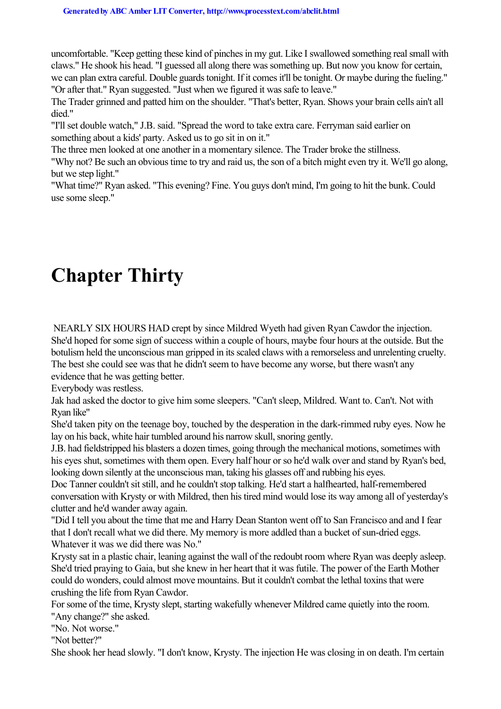uncomfortable. "Keep getting these kind of pinches in my gut. Like I swallowed something real small with claws." He shook his head. "I guessed all along there was something up. But now you know for certain, we can plan extra careful. Double guards tonight. If it comes it'll be tonight. Or maybe during the fueling." "Or after that." Ryan suggested. "Just when we figured it was safe to leave."

The Trader grinned and patted him on the shoulder. "That's better, Ryan. Shows your brain cells ain't all died."

"I'll set double watch," J.B. said. "Spread the word to take extra care. Ferryman said earlier on something about a kids' party. Asked us to go sit in on it."

The three men looked at one another in a momentary silence. The Trader broke the stillness.

"Why not? Be such an obvious time to try and raid us, the son of a bitch might even try it. We'll go along, but we step light."

"What time?" Ryan asked. "This evening? Fine. You guys don't mind, I'm going to hit the bunk. Could use some sleep."

# **Chapter Thirty**

 NEARLY SIX HOURS HAD crept by since Mildred Wyeth had given Ryan Cawdor the injection. She'd hoped for some sign of success within a couple of hours, maybe four hours at the outside. But the botulism held the unconscious man gripped in its scaled claws with a remorseless and unrelenting cruelty. The best she could see was that he didn't seem to have become any worse, but there wasn't any evidence that he was getting better.

Everybody was restless.

Jak had asked the doctor to give him some sleepers. "Can't sleep, Mildred. Want to. Can't. Not with Ryan like"

She'd taken pity on the teenage boy, touched by the desperation in the dark-rimmed ruby eyes. Now he lay on his back, white hair tumbled around his narrow skull, snoring gently.

J.B. had fieldstripped his blasters a dozen times, going through the mechanical motions, sometimes with his eyes shut, sometimes with them open. Every half hour or so he'd walk over and stand by Ryan's bed, looking down silently at the unconscious man, taking his glasses off and rubbing his eyes.

Doc Tanner couldn't sit still, and he couldn't stop talking. He'd start a halfhearted, half-remembered conversation with Krysty or with Mildred, then his tired mind would lose its way among all of yesterday's clutter and he'd wander away again.

"Did I tell you about the time that me and Harry Dean Stanton went off to San Francisco and and I fear that I don't recall what we did there. My memory is more addled than a bucket of sun-dried eggs. Whatever it was we did there was No."

Krysty sat in a plastic chair, leaning against the wall of the redoubt room where Ryan was deeply asleep. She'd tried praying to Gaia, but she knew in her heart that it was futile. The power of the Earth Mother could do wonders, could almost move mountains. But it couldn't combat the lethal toxins that were crushing the life from Ryan Cawdor.

For some of the time, Krysty slept, starting wakefully whenever Mildred came quietly into the room. "Any change?" she asked.

"No. Not worse."

"Not better?"

She shook her head slowly. "I don't know, Krysty. The injection He was closing in on death. I'm certain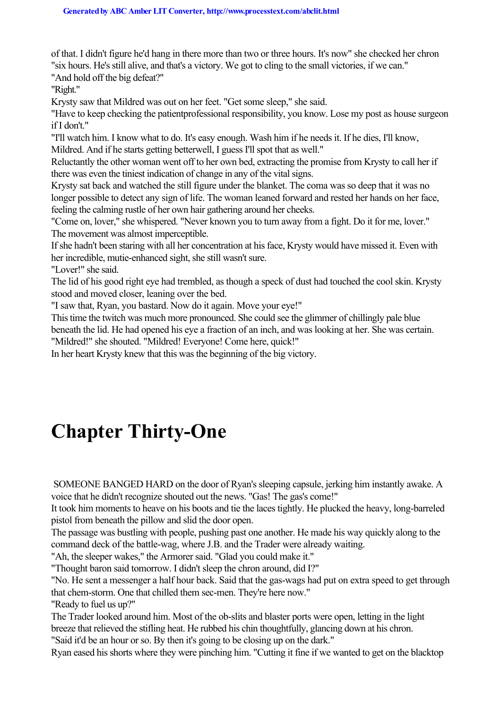of that. I didn't figure he'd hang in there more than two or three hours. It's now" she checked her chron "six hours. He's still alive, and that's a victory. We got to cling to the small victories, if we can." "And hold off the big defeat?"

"Right."

Krysty saw that Mildred was out on her feet. "Get some sleep," she said.

"Have to keep checking the patientprofessional responsibility, you know. Lose my post as house surgeon if I don't."

"I'll watch him. I know what to do. It's easy enough. Wash him if he needs it. If he dies, I'll know, Mildred. And if he starts getting betterwell, I guess I'll spot that as well."

Reluctantly the other woman went off to her own bed, extracting the promise from Krysty to call her if there was even the tiniest indication of change in any of the vital signs.

Krysty sat back and watched the still figure under the blanket. The coma was so deep that it was no longer possible to detect any sign of life. The woman leaned forward and rested her hands on her face, feeling the calming rustle of her own hair gathering around her cheeks.

"Come on, lover," she whispered. "Never known you to turn away from a fight. Do it for me, lover." The movement was almost imperceptible.

If she hadn't been staring with all her concentration at his face, Krysty would have missed it. Even with her incredible, mutie-enhanced sight, she still wasn't sure.

"Lover!" she said.

The lid of his good right eye had trembled, as though a speck of dust had touched the cool skin. Krysty stood and moved closer, leaning over the bed.

"I saw that, Ryan, you bastard. Now do it again. Move your eye!"

This time the twitch was much more pronounced. She could see the glimmer of chillingly pale blue beneath the lid. He had opened his eye a fraction of an inch, and was looking at her. She was certain. "Mildred!" she shouted. "Mildred! Everyone! Come here, quick!"

In her heart Krysty knew that this was the beginning of the big victory.

### **Chapter Thirty-One**

 SOMEONE BANGED HARD on the door of Ryan's sleeping capsule, jerking him instantly awake. A voice that he didn't recognize shouted out the news. "Gas! The gas's come!"

It took him moments to heave on his boots and tie the laces tightly. He plucked the heavy, long-barreled pistol from beneath the pillow and slid the door open.

The passage was bustling with people, pushing past one another. He made his way quickly along to the command deck of the battle-wag, where J.B. and the Trader were already waiting.

"Ah, the sleeper wakes," the Armorer said. "Glad you could make it."

"Thought baron said tomorrow. I didn't sleep the chron around, did I?"

"No. He sent a messenger a half hour back. Said that the gas-wags had put on extra speed to get through that chem-storm. One that chilled them sec-men. They're here now."

"Ready to fuel us up?"

The Trader looked around him. Most of the ob-slits and blaster ports were open, letting in the light breeze that relieved the stifling heat. He rubbed his chin thoughtfully, glancing down at his chron.

"Said it'd be an hour or so. By then it's going to be closing up on the dark."

Ryan eased his shorts where they were pinching him. "Cutting it fine if we wanted to get on the blacktop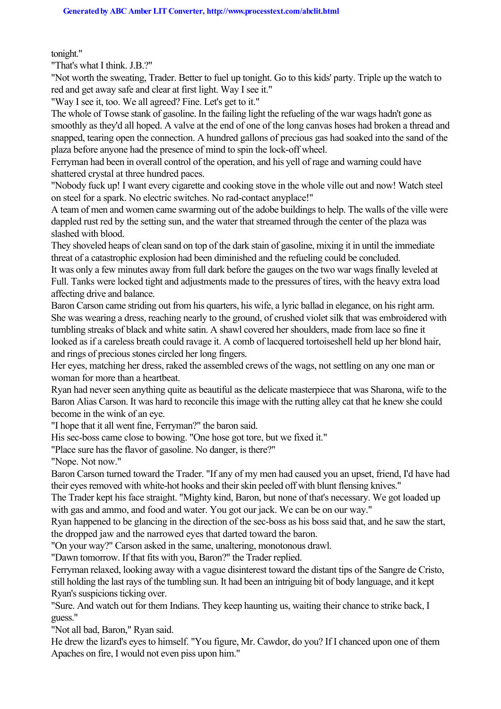tonight."

"That's what I think. J.B.?"

"Not worth the sweating, Trader. Better to fuel up tonight. Go to this kids' party. Triple up the watch to red and get away safe and clear at first light. Way I see it."

"Way I see it, too. We all agreed? Fine. Let's get to it."

The whole of Towse stank of gasoline. In the failing light the refueling of the war wags hadn't gone as smoothly as they'd all hoped. A valve at the end of one of the long canvas hoses had broken a thread and snapped, tearing open the connection. A hundred gallons of precious gas had soaked into the sand of the plaza before anyone had the presence of mind to spin the lock-off wheel.

Ferryman had been in overall control of the operation, and his yell of rage and warning could have shattered crystal at three hundred paces.

"Nobody fuck up! I want every cigarette and cooking stove in the whole ville out and now! Watch steel on steel for a spark. No electric switches. No rad-contact anyplace!"

A team of men and women came swarming out of the adobe buildings to help. The walls of the ville were dappled rust red by the setting sun, and the water that streamed through the center of the plaza was slashed with blood.

They shoveled heaps of clean sand on top of the dark stain of gasoline, mixing it in until the immediate threat of a catastrophic explosion had been diminished and the refueling could be concluded.

It was only a few minutes away from full dark before the gauges on the two war wags finally leveled at Full. Tanks were locked tight and adjustments made to the pressures of tires, with the heavy extra load affecting drive and balance.

Baron Carson came striding out from his quarters, his wife, a lyric ballad in elegance, on his right arm. She was wearing a dress, reaching nearly to the ground, of crushed violet silk that was embroidered with tumbling streaks of black and white satin. A shawl covered her shoulders, made from lace so fine it looked as if a careless breath could ravage it. A comb of lacquered tortoiseshell held up her blond hair, and rings of precious stones circled her long fingers.

Her eyes, matching her dress, raked the assembled crews of the wags, not settling on any one man or woman for more than a heartbeat.

Ryan had never seen anything quite as beautiful as the delicate masterpiece that was Sharona, wife to the Baron Alias Carson. It was hard to reconcile this image with the rutting alley cat that he knew she could become in the wink of an eye.

"I hope that it all went fine, Ferryman?" the baron said.

His sec-boss came close to bowing. "One hose got tore, but we fixed it."

"Place sure has the flavor of gasoline. No danger, is there?"

"Nope. Not now."

Baron Carson turned toward the Trader. "If any of my men had caused you an upset, friend, I'd have had their eyes removed with white-hot hooks and their skin peeled off with blunt flensing knives."

The Trader kept his face straight. "Mighty kind, Baron, but none of that's necessary. We got loaded up with gas and ammo, and food and water. You got our jack. We can be on our way."

Ryan happened to be glancing in the direction of the sec-boss as his boss said that, and he saw the start, the dropped jaw and the narrowed eyes that darted toward the baron.

"On your way?" Carson asked in the same, unaltering, monotonous drawl.

"Dawn tomorrow. If that fits with you, Baron?" the Trader replied.

Ferryman relaxed, looking away with a vague disinterest toward the distant tips of the Sangre de Cristo, still holding the last rays of the tumbling sun. It had been an intriguing bit of body language, and it kept Ryan's suspicions ticking over.

"Sure. And watch out for them Indians. They keep haunting us, waiting their chance to strike back, I guess."

"Not all bad, Baron," Ryan said.

He drew the lizard's eyes to himself. "You figure, Mr. Cawdor, do you? If I chanced upon one of them Apaches on fire, I would not even piss upon him."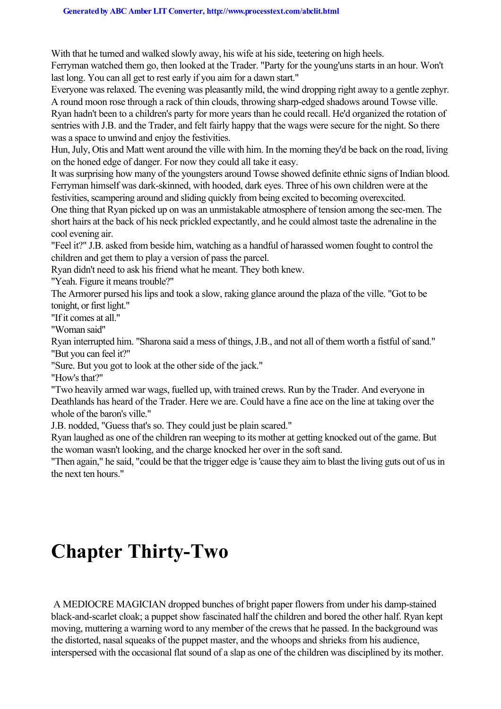With that he turned and walked slowly away, his wife at his side, teetering on high heels.

Ferryman watched them go, then looked at the Trader. "Party for the young'uns starts in an hour. Won't last long. You can all get to rest early if you aim for a dawn start."

Everyone was relaxed. The evening was pleasantly mild, the wind dropping right away to a gentle zephyr. A round moon rose through a rack of thin clouds, throwing sharp-edged shadows around Towse ville. Ryan hadn't been to a children's party for more years than he could recall. He'd organized the rotation of sentries with J.B. and the Trader, and felt fairly happy that the wags were secure for the night. So there was a space to unwind and enjoy the festivities.

Hun, July, Otis and Matt went around the ville with him. In the morning they'd be back on the road, living on the honed edge of danger. For now they could all take it easy.

It was surprising how many of the youngsters around Towse showed definite ethnic signs of Indian blood. Ferryman himself was dark-skinned, with hooded, dark eyes. Three of his own children were at the festivities, scampering around and sliding quickly from being excited to becoming overexcited.

One thing that Ryan picked up on was an unmistakable atmosphere of tension among the sec-men. The short hairs at the back of his neck prickled expectantly, and he could almost taste the adrenaline in the cool evening air.

"Feel it?" J.B. asked from beside him, watching as a handful of harassed women fought to control the children and get them to play a version of pass the parcel.

Ryan didn't need to ask his friend what he meant. They both knew.

"Yeah. Figure it means trouble?"

The Armorer pursed his lips and took a slow, raking glance around the plaza of the ville. "Got to be tonight, or first light."

"If it comes at all."

"Woman said"

Ryan interrupted him. "Sharona said a mess of things, J.B., and not all of them worth a fistful of sand." "But you can feel it?"

"Sure. But you got to look at the other side of the jack."

"How's that?"

"Two heavily armed war wags, fuelled up, with trained crews. Run by the Trader. And everyone in Deathlands has heard of the Trader. Here we are. Could have a fine ace on the line at taking over the whole of the baron's ville."

J.B. nodded, "Guess that's so. They could just be plain scared."

Ryan laughed as one of the children ran weeping to its mother at getting knocked out of the game. But the woman wasn't looking, and the charge knocked her over in the soft sand.

"Then again," he said, "could be that the trigger edge is 'cause they aim to blast the living guts out of us in the next ten hours."

### **Chapter Thirty-Two**

 A MEDIOCRE MAGICIAN dropped bunches of bright paper flowers from under his damp-stained black-and-scarlet cloak; a puppet show fascinated half the children and bored the other half. Ryan kept moving, muttering a warning word to any member of the crews that he passed. In the background was the distorted, nasal squeaks of the puppet master, and the whoops and shrieks from his audience, interspersed with the occasional flat sound of a slap as one of the children was disciplined by its mother.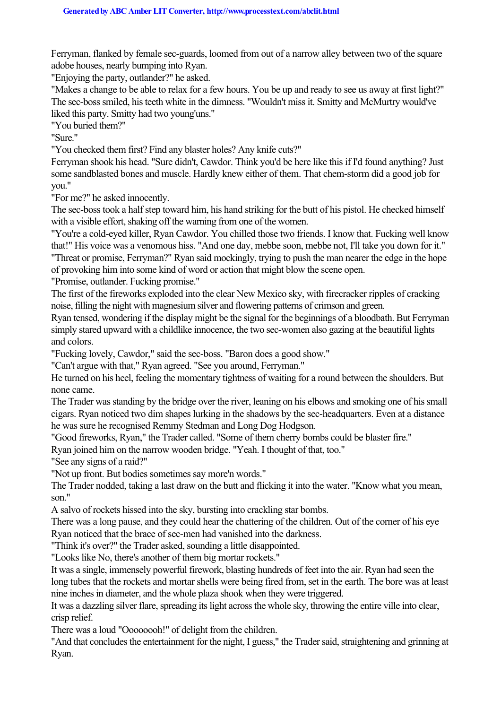Ferryman, flanked by female sec-guards, loomed from out of a narrow alley between two of the square adobe houses, nearly bumping into Ryan.

"Enjoying the party, outlander?" he asked.

"Makes a change to be able to relax for a few hours. You be up and ready to see us away at first light?" The sec-boss smiled, his teeth white in the dimness. "Wouldn't miss it. Smitty and McMurtry would've liked this party. Smitty had two young'uns."

"You buried them?"

"Sure."

"You checked them first? Find any blaster holes? Any knife cuts?"

Ferryman shook his head. "Sure didn't, Cawdor. Think you'd be here like this if I'd found anything? Just some sandblasted bones and muscle. Hardly knew either of them. That chem-storm did a good job for you."

"For me?" he asked innocently.

The sec-boss took a half step toward him, his hand striking for the butt of his pistol. He checked himself with a visible effort, shaking off the warning from one of the women.

"You're a cold-eyed killer, Ryan Cawdor. You chilled those two friends. I know that. Fucking well know that!" His voice was a venomous hiss. "And one day, mebbe soon, mebbe not, I'll take you down for it." "Threat or promise, Ferryman?" Ryan said mockingly, trying to push the man nearer the edge in the hope

of provoking him into some kind of word or action that might blow the scene open.

"Promise, outlander. Fucking promise."

The first of the fireworks exploded into the clear New Mexico sky, with firecracker ripples of cracking noise, filling the night with magnesium silver and flowering patterns of crimson and green.

Ryan tensed, wondering if the display might be the signal for the beginnings of a bloodbath. But Ferryman simply stared upward with a childlike innocence, the two sec-women also gazing at the beautiful lights and colors.

"Fucking lovely, Cawdor," said the sec-boss. "Baron does a good show."

"Can't argue with that," Ryan agreed. "See you around, Ferryman."

He turned on his heel, feeling the momentary tightness of waiting for a round between the shoulders. But none came.

The Trader was standing by the bridge over the river, leaning on his elbows and smoking one of his small cigars. Ryan noticed two dim shapes lurking in the shadows by the sec-headquarters. Even at a distance he was sure he recognised Remmy Stedman and Long Dog Hodgson.

"Good fireworks, Ryan," the Trader called. "Some of them cherry bombs could be blaster fire."

Ryan joined him on the narrow wooden bridge. "Yeah. I thought of that, too."

"See any signs of a raid?"

"Not up front. But bodies sometimes say more'n words."

The Trader nodded, taking a last draw on the butt and flicking it into the water. "Know what you mean, son."

A salvo of rockets hissed into the sky, bursting into crackling star bombs.

There was a long pause, and they could hear the chattering of the children. Out of the corner of his eye Ryan noticed that the brace of sec-men had vanished into the darkness.

"Think it's over?" the Trader asked, sounding a little disappointed.

"Looks like No, there's another of them big mortar rockets."

It was a single, immensely powerful firework, blasting hundreds of feet into the air. Ryan had seen the long tubes that the rockets and mortar shells were being fired from, set in the earth. The bore was at least nine inches in diameter, and the whole plaza shook when they were triggered.

It was a dazzling silver flare, spreading its light across the whole sky, throwing the entire ville into clear, crisp relief.

There was a loud "Oooooooh!" of delight from the children.

"And that concludes the entertainment for the night, I guess," the Trader said, straightening and grinning at Ryan.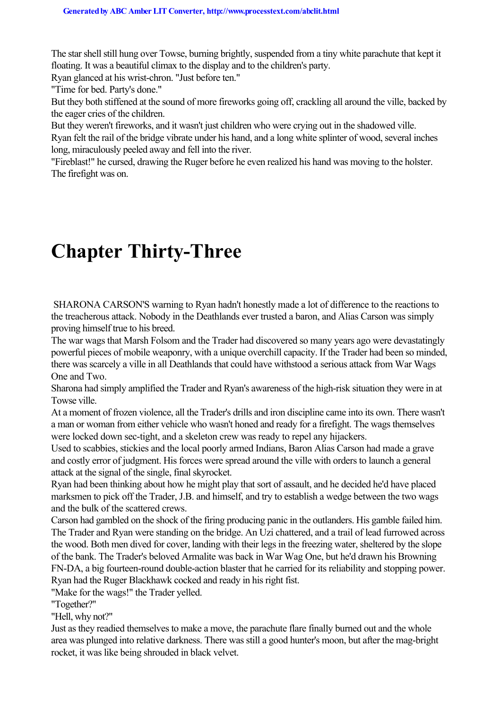The star shell still hung over Towse, burning brightly, suspended from a tiny white parachute that kept it floating. It was a beautiful climax to the display and to the children's party.

Ryan glanced at his wrist-chron. "Just before ten."

"Time for bed. Party's done."

But they both stiffened at the sound of more fireworks going off, crackling all around the ville, backed by the eager cries of the children.

But they weren't fireworks, and it wasn't just children who were crying out in the shadowed ville. Ryan felt the rail of the bridge vibrate under his hand, and a long white splinter of wood, several inches long, miraculously peeled away and fell into the river.

"Fireblast!" he cursed, drawing the Ruger before he even realized his hand was moving to the holster. The firefight was on.

# **Chapter Thirty-Three**

 SHARONA CARSON'S warning to Ryan hadn't honestly made a lot of difference to the reactions to the treacherous attack. Nobody in the Deathlands ever trusted a baron, and Alias Carson was simply proving himself true to his breed.

The war wags that Marsh Folsom and the Trader had discovered so many years ago were devastatingly powerful pieces of mobile weaponry, with a unique overchill capacity. If the Trader had been so minded, there was scarcely a ville in all Deathlands that could have withstood a serious attack from War Wags One and Two.

Sharona had simply amplified the Trader and Ryan's awareness of the high-risk situation they were in at Towse ville.

At a moment of frozen violence, all the Trader's drills and iron discipline came into its own. There wasn't a man or woman from either vehicle who wasn't honed and ready for a firefight. The wags themselves were locked down sec-tight, and a skeleton crew was ready to repel any hijackers.

Used to scabbies, stickies and the local poorly armed Indians, Baron Alias Carson had made a grave and costly error of judgment. His forces were spread around the ville with orders to launch a general attack at the signal of the single, final skyrocket.

Ryan had been thinking about how he might play that sort of assault, and he decided he'd have placed marksmen to pick off the Trader, J.B. and himself, and try to establish a wedge between the two wags and the bulk of the scattered crews.

Carson had gambled on the shock of the firing producing panic in the outlanders. His gamble failed him. The Trader and Ryan were standing on the bridge. An Uzi chattered, and a trail of lead furrowed across the wood. Both men dived for cover, landing with their legs in the freezing water, sheltered by the slope of the bank. The Trader's beloved Armalite was back in War Wag One, but he'd drawn his Browning FN-DA, a big fourteen-round double-action blaster that he carried for its reliability and stopping power. Ryan had the Ruger Blackhawk cocked and ready in his right fist.

"Make for the wags!" the Trader yelled.

"Together?"

"Hell, why not?"

Just as they readied themselves to make a move, the parachute flare finally burned out and the whole area was plunged into relative darkness. There was still a good hunter's moon, but after the mag-bright rocket, it was like being shrouded in black velvet.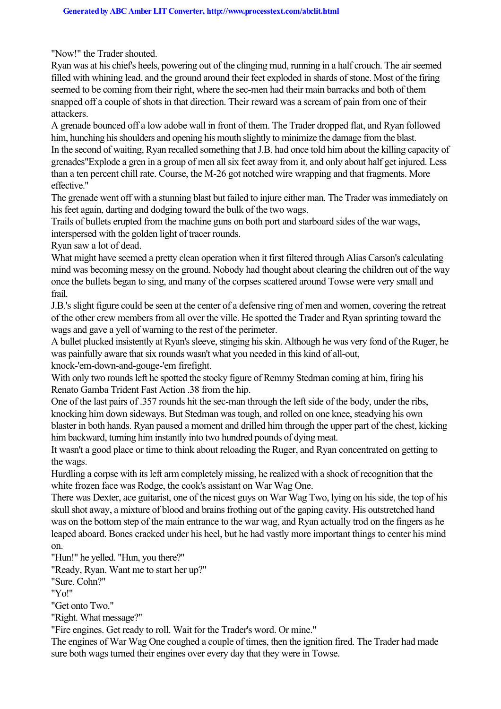"Now!" the Trader shouted.

Ryan was at his chief's heels, powering out of the clinging mud, running in a half crouch. The air seemed filled with whining lead, and the ground around their feet exploded in shards of stone. Most of the firing seemed to be coming from their right, where the sec-men had their main barracks and both of them snapped off a couple of shots in that direction. Their reward was a scream of pain from one of their attackers.

A grenade bounced off a low adobe wall in front of them. The Trader dropped flat, and Ryan followed him, hunching his shoulders and opening his mouth slightly to minimize the damage from the blast. In the second of waiting, Ryan recalled something that J.B. had once told him about the killing capacity of grenades"Explode a gren in a group of men all six feet away from it, and only about half get injured. Less than a ten percent chill rate. Course, the M-26 got notched wire wrapping and that fragments. More effective."

The grenade went off with a stunning blast but failed to injure either man. The Trader was immediately on his feet again, darting and dodging toward the bulk of the two wags.

Trails of bullets erupted from the machine guns on both port and starboard sides of the war wags, interspersed with the golden light of tracer rounds.

Ryan saw a lot of dead.

What might have seemed a pretty clean operation when it first filtered through Alias Carson's calculating mind was becoming messy on the ground. Nobody had thought about clearing the children out of the way once the bullets began to sing, and many of the corpses scattered around Towse were very small and frail.

J.B.'s slight figure could be seen at the center of a defensive ring of men and women, covering the retreat of the other crew members from all over the ville. He spotted the Trader and Ryan sprinting toward the wags and gave a yell of warning to the rest of the perimeter.

A bullet plucked insistently at Ryan's sleeve, stinging his skin. Although he was very fond of the Ruger, he was painfully aware that six rounds wasn't what you needed in this kind of all-out, knock-'em-down-and-gouge-'em firefight.

With only two rounds left he spotted the stocky figure of Remmy Stedman coming at him, firing his Renato Gamba Trident Fast Action .38 from the hip.

One of the last pairs of .357 rounds hit the sec-man through the left side of the body, under the ribs, knocking him down sideways. But Stedman was tough, and rolled on one knee, steadying his own blaster in both hands. Ryan paused a moment and drilled him through the upper part of the chest, kicking him backward, turning him instantly into two hundred pounds of dying meat.

It wasn't a good place or time to think about reloading the Ruger, and Ryan concentrated on getting to the wags.

Hurdling a corpse with its left arm completely missing, he realized with a shock of recognition that the white frozen face was Rodge, the cook's assistant on War Wag One.

There was Dexter, ace guitarist, one of the nicest guys on War Wag Two, lying on his side, the top of his skull shot away, a mixture of blood and brains frothing out of the gaping cavity. His outstretched hand was on the bottom step of the main entrance to the war wag, and Ryan actually trod on the fingers as he leaped aboard. Bones cracked under his heel, but he had vastly more important things to center his mind on.

"Hun!" he yelled. "Hun, you there?"

"Ready, Ryan. Want me to start her up?"

"Sure. Cohn?"

"Yo!"

"Get onto Two."

"Right. What message?"

"Fire engines. Get ready to roll. Wait for the Trader's word. Or mine."

The engines of War Wag One coughed a couple of times, then the ignition fired. The Trader had made sure both wags turned their engines over every day that they were in Towse.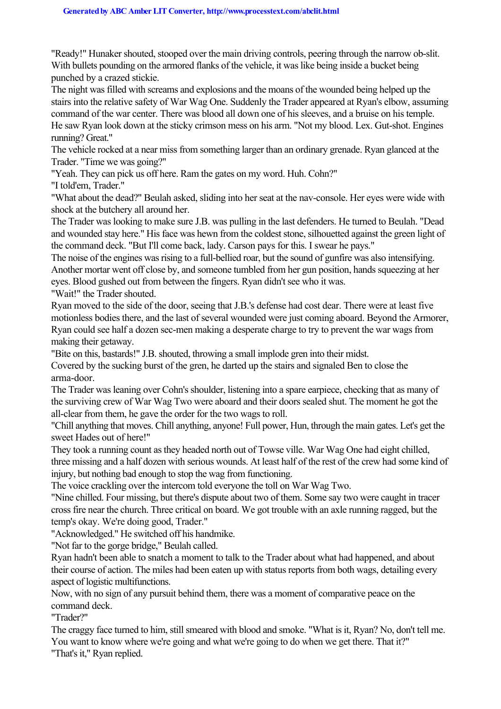"Ready!" Hunaker shouted, stooped over the main driving controls, peering through the narrow ob-slit. With bullets pounding on the armored flanks of the vehicle, it was like being inside a bucket being punched by a crazed stickie.

The night was filled with screams and explosions and the moans of the wounded being helped up the stairs into the relative safety of War Wag One. Suddenly the Trader appeared at Ryan's elbow, assuming command of the war center. There was blood all down one of his sleeves, and a bruise on his temple. He saw Ryan look down at the sticky crimson mess on his arm. "Not my blood. Lex. Gut-shot. Engines running? Great."

The vehicle rocked at a near miss from something larger than an ordinary grenade. Ryan glanced at the Trader. "Time we was going?"

"Yeah. They can pick us off here. Ram the gates on my word. Huh. Cohn?"

"I told'em, Trader."

"What about the dead?" Beulah asked, sliding into her seat at the nav-console. Her eyes were wide with shock at the butchery all around her.

The Trader was looking to make sure J.B. was pulling in the last defenders. He turned to Beulah. "Dead and wounded stay here." His face was hewn from the coldest stone, silhouetted against the green light of the command deck. "But I'll come back, lady. Carson pays for this. I swear he pays."

The noise of the engines was rising to a full-bellied roar, but the sound of gunfire was also intensifying. Another mortar went off close by, and someone tumbled from her gun position, hands squeezing at her eyes. Blood gushed out from between the fingers. Ryan didn't see who it was.

"Wait!" the Trader shouted.

Ryan moved to the side of the door, seeing that J.B.'s defense had cost dear. There were at least five motionless bodies there, and the last of several wounded were just coming aboard. Beyond the Armorer, Ryan could see half a dozen sec-men making a desperate charge to try to prevent the war wags from making their getaway.

"Bite on this, bastards!" J.B. shouted, throwing a small implode gren into their midst.

Covered by the sucking burst of the gren, he darted up the stairs and signaled Ben to close the arma-door.

The Trader was leaning over Cohn's shoulder, listening into a spare earpiece, checking that as many of the surviving crew of War Wag Two were aboard and their doors sealed shut. The moment he got the all-clear from them, he gave the order for the two wags to roll.

"Chill anything that moves. Chill anything, anyone! Full power, Hun, through the main gates. Let's get the sweet Hades out of here!"

They took a running count as they headed north out of Towse ville. War Wag One had eight chilled, three missing and a half dozen with serious wounds. At least half of the rest of the crew had some kind of injury, but nothing bad enough to stop the wag from functioning.

The voice crackling over the intercom told everyone the toll on War Wag Two.

"Nine chilled. Four missing, but there's dispute about two of them. Some say two were caught in tracer cross fire near the church. Three critical on board. We got trouble with an axle running ragged, but the temp's okay. We're doing good, Trader."

"Acknowledged." He switched off his handmike.

"Not far to the gorge bridge," Beulah called.

Ryan hadn't been able to snatch a moment to talk to the Trader about what had happened, and about their course of action. The miles had been eaten up with status reports from both wags, detailing every aspect of logistic multifunctions.

Now, with no sign of any pursuit behind them, there was a moment of comparative peace on the command deck.

"Trader?"

The craggy face turned to him, still smeared with blood and smoke. "What is it, Ryan? No, don't tell me. You want to know where we're going and what we're going to do when we get there. That it?" "That's it," Ryan replied.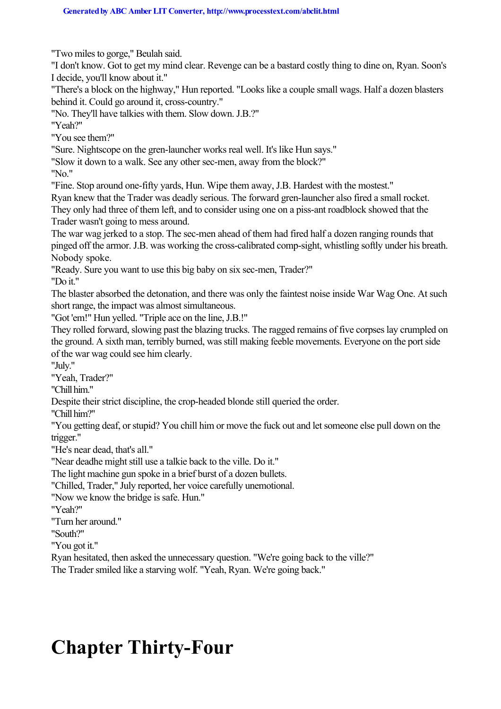"Two miles to gorge," Beulah said.

"I don't know. Got to get my mind clear. Revenge can be a bastard costly thing to dine on, Ryan. Soon's I decide, you'll know about it."

"There's a block on the highway," Hun reported. "Looks like a couple small wags. Half a dozen blasters behind it. Could go around it, cross-country."

"No. They'll have talkies with them. Slow down. J.B.?"

"Yeah?"

"You see them?"

"Sure. Nightscope on the gren-launcher works real well. It's like Hun says."

"Slow it down to a walk. See any other sec-men, away from the block?"

"No."

"Fine. Stop around one-fifty yards, Hun. Wipe them away, J.B. Hardest with the mostest."

Ryan knew that the Trader was deadly serious. The forward gren-launcher also fired a small rocket. They only had three of them left, and to consider using one on a piss-ant roadblock showed that the Trader wasn't going to mess around.

The war wag jerked to a stop. The sec-men ahead of them had fired half a dozen ranging rounds that pinged off the armor. J.B. was working the cross-calibrated comp-sight, whistling softly under his breath. Nobody spoke.

"Ready. Sure you want to use this big baby on six sec-men, Trader?"

"Do it."

The blaster absorbed the detonation, and there was only the faintest noise inside War Wag One. At such short range, the impact was almost simultaneous.

"Got 'em!" Hun yelled. "Triple ace on the line, J.B.!"

They rolled forward, slowing past the blazing trucks. The ragged remains of five corpses lay crumpled on the ground. A sixth man, terribly burned, was still making feeble movements. Everyone on the port side of the war wag could see him clearly.

"July."

"Yeah, Trader?"

"Chill him."

Despite their strict discipline, the crop-headed blonde still queried the order.

"Chill him?"

"You getting deaf, or stupid? You chill him or move the fuck out and let someone else pull down on the trigger."

"He's near dead, that's all."

"Near deadhe might still use a talkie back to the ville. Do it."

The light machine gun spoke in a brief burst of a dozen bullets.

"Chilled, Trader," July reported, her voice carefully unemotional.

"Now we know the bridge is safe. Hun."

"Yeah?"

"Turn her around."

"South?"

"You got it."

Ryan hesitated, then asked the unnecessary question. "We're going back to the ville?"

The Trader smiled like a starving wolf. "Yeah, Ryan. We're going back."

# **Chapter Thirty-Four**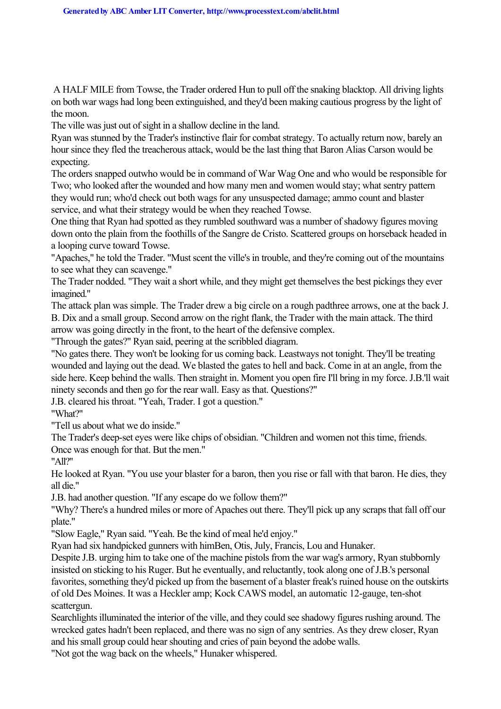A HALF MILE from Towse, the Trader ordered Hun to pull off the snaking blacktop. All driving lights on both war wags had long been extinguished, and they'd been making cautious progress by the light of the moon.

The ville was just out of sight in a shallow decline in the land.

Ryan was stunned by the Trader's instinctive flair for combat strategy. To actually return now, barely an hour since they fled the treacherous attack, would be the last thing that Baron Alias Carson would be expecting.

The orders snapped outwho would be in command of War Wag One and who would be responsible for Two; who looked after the wounded and how many men and women would stay; what sentry pattern they would run; who'd check out both wags for any unsuspected damage; ammo count and blaster service, and what their strategy would be when they reached Towse.

One thing that Ryan had spotted as they rumbled southward was a number of shadowy figures moving down onto the plain from the foothills of the Sangre de Cristo. Scattered groups on horseback headed in a looping curve toward Towse.

"Apaches," he told the Trader. "Must scent the ville's in trouble, and they're coming out of the mountains to see what they can scavenge."

The Trader nodded. "They wait a short while, and they might get themselves the best pickings they ever imagined."

The attack plan was simple. The Trader drew a big circle on a rough padthree arrows, one at the back J. B. Dix and a small group. Second arrow on the right flank, the Trader with the main attack. The third arrow was going directly in the front, to the heart of the defensive complex.

"Through the gates?" Ryan said, peering at the scribbled diagram.

"No gates there. They won't be looking for us coming back. Leastways not tonight. They'll be treating wounded and laying out the dead. We blasted the gates to hell and back. Come in at an angle, from the side here. Keep behind the walls. Then straight in. Moment you open fire I'll bring in my force. J.B.'ll wait ninety seconds and then go for the rear wall. Easy as that. Questions?"

J.B. cleared his throat. "Yeah, Trader. I got a question."

"What?"

"Tell us about what we do inside."

The Trader's deep-set eyes were like chips of obsidian. "Children and women not this time, friends.

Once was enough for that. But the men."

"All?"

He looked at Ryan. "You use your blaster for a baron, then you rise or fall with that baron. He dies, they all die."

J.B. had another question. "If any escape do we follow them?"

"Why? There's a hundred miles or more of Apaches out there. They'll pick up any scraps that fall off our plate."

"Slow Eagle," Ryan said. "Yeah. Be the kind of meal he'd enjoy."

Ryan had six handpicked gunners with himBen, Otis, July, Francis, Lou and Hunaker.

Despite J.B. urging him to take one of the machine pistols from the war wag's armory, Ryan stubbornly insisted on sticking to his Ruger. But he eventually, and reluctantly, took along one of J.B.'s personal favorites, something they'd picked up from the basement of a blaster freak's ruined house on the outskirts of old Des Moines. It was a Heckler amp; Kock CAWS model, an automatic 12-gauge, ten-shot scattergun.

Searchlights illuminated the interior of the ville, and they could see shadowy figures rushing around. The wrecked gates hadn't been replaced, and there was no sign of any sentries. As they drew closer, Ryan and his small group could hear shouting and cries of pain beyond the adobe walls.

"Not got the wag back on the wheels," Hunaker whispered.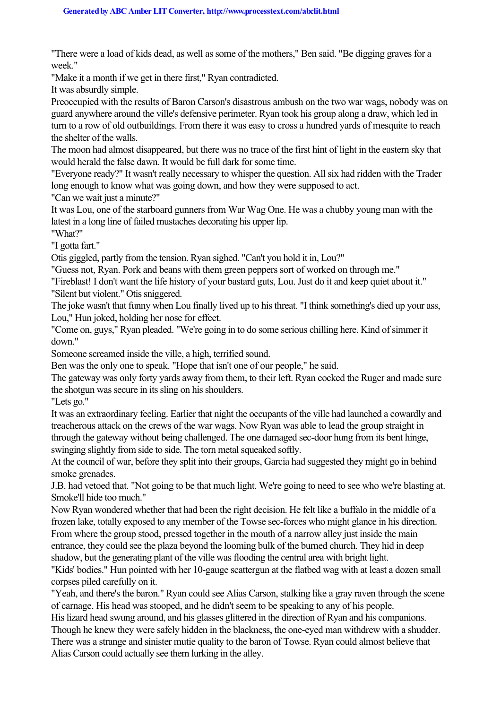"There were a load of kids dead, as well as some of the mothers," Ben said. "Be digging graves for a week."

"Make it a month if we get in there first," Ryan contradicted.

It was absurdly simple.

Preoccupied with the results of Baron Carson's disastrous ambush on the two war wags, nobody was on guard anywhere around the ville's defensive perimeter. Ryan took his group along a draw, which led in turn to a row of old outbuildings. From there it was easy to cross a hundred yards of mesquite to reach the shelter of the walls.

The moon had almost disappeared, but there was no trace of the first hint of light in the eastern sky that would herald the false dawn. It would be full dark for some time.

"Everyone ready?" It wasn't really necessary to whisper the question. All six had ridden with the Trader long enough to know what was going down, and how they were supposed to act.

"Can we wait just a minute?"

It was Lou, one of the starboard gunners from War Wag One. He was a chubby young man with the latest in a long line of failed mustaches decorating his upper lip.

"What?"

"I gotta fart."

Otis giggled, partly from the tension. Ryan sighed. "Can't you hold it in, Lou?"

"Guess not, Ryan. Pork and beans with them green peppers sort of worked on through me."

"Fireblast! I don't want the life history of your bastard guts, Lou. Just do it and keep quiet about it." "Silent but violent." Otis sniggered.

The joke wasn't that funny when Lou finally lived up to his threat. "I think something's died up your ass, Lou," Hun joked, holding her nose for effect.

"Come on, guys," Ryan pleaded. "We're going in to do some serious chilling here. Kind of simmer it down."

Someone screamed inside the ville, a high, terrified sound.

Ben was the only one to speak. "Hope that isn't one of our people," he said.

The gateway was only forty yards away from them, to their left. Ryan cocked the Ruger and made sure the shotgun was secure in its sling on his shoulders.

"Lets go."

It was an extraordinary feeling. Earlier that night the occupants of the ville had launched a cowardly and treacherous attack on the crews of the war wags. Now Ryan was able to lead the group straight in through the gateway without being challenged. The one damaged sec-door hung from its bent hinge, swinging slightly from side to side. The torn metal squeaked softly.

At the council of war, before they split into their groups, Garcia had suggested they might go in behind smoke grenades.

J.B. had vetoed that. "Not going to be that much light. We're going to need to see who we're blasting at. Smoke'll hide too much."

Now Ryan wondered whether that had been the right decision. He felt like a buffalo in the middle of a frozen lake, totally exposed to any member of the Towse sec-forces who might glance in his direction. From where the group stood, pressed together in the mouth of a narrow alley just inside the main entrance, they could see the plaza beyond the looming bulk of the burned church. They hid in deep shadow, but the generating plant of the ville was flooding the central area with bright light.

"Kids' bodies." Hun pointed with her 10-gauge scattergun at the flatbed wag with at least a dozen small corpses piled carefully on it.

"Yeah, and there's the baron." Ryan could see Alias Carson, stalking like a gray raven through the scene of carnage. His head was stooped, and he didn't seem to be speaking to any of his people.

His lizard head swung around, and his glasses glittered in the direction of Ryan and his companions. Though he knew they were safely hidden in the blackness, the one-eyed man withdrew with a shudder.

There was a strange and sinister mutie quality to the baron of Towse. Ryan could almost believe that Alias Carson could actually see them lurking in the alley.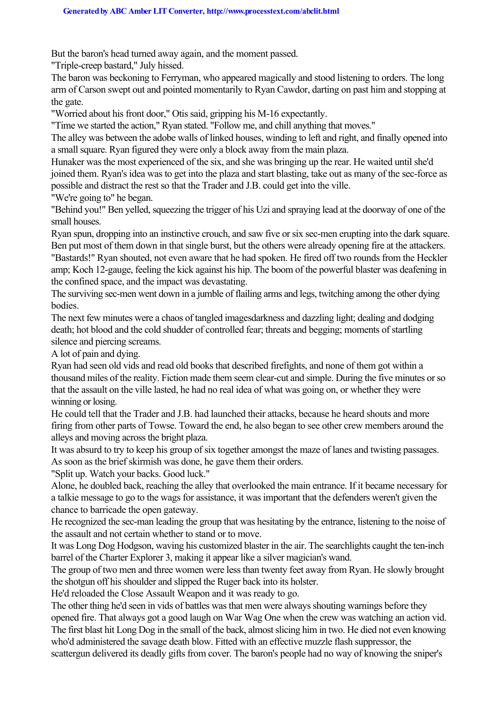But the baron's head turned away again, and the moment passed.

"Triple-creep bastard," July hissed.

The baron was beckoning to Ferryman, who appeared magically and stood listening to orders. The long arm of Carson swept out and pointed momentarily to Ryan Cawdor, darting on past him and stopping at the gate.

"Worried about his front door," Otis said, gripping his M-16 expectantly.

"Time we started the action," Ryan stated. "Follow me, and chill anything that moves."

The alley was between the adobe walls of linked houses, winding to left and right, and finally opened into a small square. Ryan figured they were only a block away from the main plaza.

Hunaker was the most experienced of the six, and she was bringing up the rear. He waited until she'd joined them. Ryan's idea was to get into the plaza and start blasting, take out as many of the sec-force as possible and distract the rest so that the Trader and J.B. could get into the ville. "We're going to" he began.

"Behind you!" Ben yelled, squeezing the trigger of his Uzi and spraying lead at the doorway of one of the small houses.

Ryan spun, dropping into an instinctive crouch, and saw five or six sec-men erupting into the dark square. Ben put most of them down in that single burst, but the others were already opening fire at the attackers. "Bastards!" Ryan shouted, not even aware that he had spoken. He fired off two rounds from the Heckler

amp; Koch 12-gauge, feeling the kick against his hip. The boom of the powerful blaster was deafening in the confined space, and the impact was devastating.

The surviving sec-men went down in a jumble of flailing arms and legs, twitching among the other dying **bodies** 

The next few minutes were a chaos of tangled imagesdarkness and dazzling light; dealing and dodging death; hot blood and the cold shudder of controlled fear; threats and begging; moments of startling silence and piercing screams.

A lot of pain and dying.

Ryan had seen old vids and read old books that described firefights, and none of them got within a thousand miles of the reality. Fiction made them seem clear-cut and simple. During the five minutes or so that the assault on the ville lasted, he had no real idea of what was going on, or whether they were winning or losing.

He could tell that the Trader and J.B. had launched their attacks, because he heard shouts and more firing from other parts of Towse. Toward the end, he also began to see other crew members around the alleys and moving across the bright plaza.

It was absurd to try to keep his group of six together amongst the maze of lanes and twisting passages. As soon as the brief skirmish was done, he gave them their orders.

"Split up. Watch your backs. Good luck."

Alone, he doubled back, reaching the alley that overlooked the main entrance. If it became necessary for a talkie message to go to the wags for assistance, it was important that the defenders weren't given the chance to barricade the open gateway.

He recognized the sec-man leading the group that was hesitating by the entrance, listening to the noise of the assault and not certain whether to stand or to move.

It was Long Dog Hodgson, waving his customized blaster in the air. The searchlights caught the ten-inch barrel of the Charter Explorer 3, making it appear like a silver magician's wand.

The group of two men and three women were less than twenty feet away from Ryan. He slowly brought the shotgun off his shoulder and slipped the Ruger back into its holster.

He'd reloaded the Close Assault Weapon and it was ready to go.

The other thing he'd seen in vids of battles was that men were always shouting warnings before they opened fire. That always got a good laugh on War Wag One when the crew was watching an action vid. The first blast hit Long Dog in the small of the back, almost slicing him in two. He died not even knowing who'd administered the savage death blow. Fitted with an effective muzzle flash suppressor, the scattergun delivered its deadly gifts from cover. The baron's people had no way of knowing the sniper's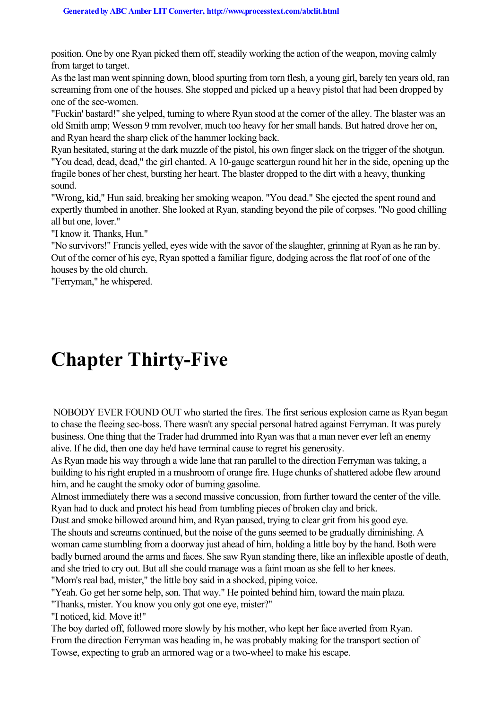position. One by one Ryan picked them off, steadily working the action of the weapon, moving calmly from target to target.

As the last man went spinning down, blood spurting from torn flesh, a young girl, barely ten years old, ran screaming from one of the houses. She stopped and picked up a heavy pistol that had been dropped by one of the sec-women.

"Fuckin' bastard!" she yelped, turning to where Ryan stood at the corner of the alley. The blaster was an old Smith amp; Wesson 9 mm revolver, much too heavy for her small hands. But hatred drove her on, and Ryan heard the sharp click of the hammer locking back.

Ryan hesitated, staring at the dark muzzle of the pistol, his own finger slack on the trigger of the shotgun. "You dead, dead, dead," the girl chanted. A 10-gauge scattergun round hit her in the side, opening up the fragile bones of her chest, bursting her heart. The blaster dropped to the dirt with a heavy, thunking sound.

"Wrong, kid," Hun said, breaking her smoking weapon. "You dead." She ejected the spent round and expertly thumbed in another. She looked at Ryan, standing beyond the pile of corpses. "No good chilling all but one, lover."

"I know it. Thanks, Hun."

"No survivors!" Francis yelled, eyes wide with the savor of the slaughter, grinning at Ryan as he ran by. Out of the corner of his eye, Ryan spotted a familiar figure, dodging across the flat roof of one of the houses by the old church.

"Ferryman," he whispered.

## **Chapter Thirty-Five**

 NOBODY EVER FOUND OUT who started the fires. The first serious explosion came as Ryan began to chase the fleeing sec-boss. There wasn't any special personal hatred against Ferryman. It was purely business. One thing that the Trader had drummed into Ryan was that a man never ever left an enemy alive. If he did, then one day he'd have terminal cause to regret his generosity.

As Ryan made his way through a wide lane that ran parallel to the direction Ferryman was taking, a building to his right erupted in a mushroom of orange fire. Huge chunks of shattered adobe flew around him, and he caught the smoky odor of burning gasoline.

Almost immediately there was a second massive concussion, from further toward the center of the ville. Ryan had to duck and protect his head from tumbling pieces of broken clay and brick.

Dust and smoke billowed around him, and Ryan paused, trying to clear grit from his good eye. The shouts and screams continued, but the noise of the guns seemed to be gradually diminishing. A

woman came stumbling from a doorway just ahead of him, holding a little boy by the hand. Both were badly burned around the arms and faces. She saw Ryan standing there, like an inflexible apostle of death, and she tried to cry out. But all she could manage was a faint moan as she fell to her knees.

"Mom's real bad, mister," the little boy said in a shocked, piping voice.

"Yeah. Go get her some help, son. That way." He pointed behind him, toward the main plaza.

"Thanks, mister. You know you only got one eye, mister?"

"I noticed, kid. Move it!"

The boy darted off, followed more slowly by his mother, who kept her face averted from Ryan. From the direction Ferryman was heading in, he was probably making for the transport section of Towse, expecting to grab an armored wag or a two-wheel to make his escape.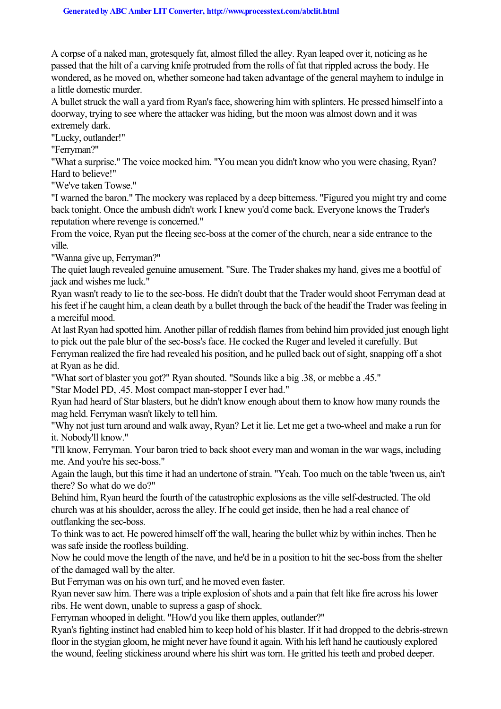A corpse of a naked man, grotesquely fat, almost filled the alley. Ryan leaped over it, noticing as he passed that the hilt of a carving knife protruded from the rolls of fat that rippled across the body. He wondered, as he moved on, whether someone had taken advantage of the general mayhem to indulge in a little domestic murder.

A bullet struck the wall a yard from Ryan's face, showering him with splinters. He pressed himself into a doorway, trying to see where the attacker was hiding, but the moon was almost down and it was extremely dark.

"Lucky, outlander!"

"Ferryman?"

"What a surprise." The voice mocked him. "You mean you didn't know who you were chasing, Ryan? Hard to believe!"

"We've taken Towse."

"I warned the baron." The mockery was replaced by a deep bitterness. "Figured you might try and come back tonight. Once the ambush didn't work I knew you'd come back. Everyone knows the Trader's reputation where revenge is concerned."

From the voice, Ryan put the fleeing sec-boss at the corner of the church, near a side entrance to the ville.

"Wanna give up, Ferryman?"

The quiet laugh revealed genuine amusement. "Sure. The Trader shakes my hand, gives me a bootful of jack and wishes me luck."

Ryan wasn't ready to lie to the sec-boss. He didn't doubt that the Trader would shoot Ferryman dead at his feet if he caught him, a clean death by a bullet through the back of the headif the Trader was feeling in a merciful mood.

At last Ryan had spotted him. Another pillar of reddish flames from behind him provided just enough light to pick out the pale blur of the sec-boss's face. He cocked the Ruger and leveled it carefully. But

Ferryman realized the fire had revealed his position, and he pulled back out of sight, snapping off a shot at Ryan as he did.

"What sort of blaster you got?" Ryan shouted. "Sounds like a big .38, or mebbe a .45."

"Star Model PD, .45. Most compact man-stopper I ever had."

Ryan had heard of Star blasters, but he didn't know enough about them to know how many rounds the mag held. Ferryman wasn't likely to tell him.

"Why not just turn around and walk away, Ryan? Let it lie. Let me get a two-wheel and make a run for it. Nobody'll know."

"I'll know, Ferryman. Your baron tried to back shoot every man and woman in the war wags, including me. And you're his sec-boss."

Again the laugh, but this time it had an undertone of strain. "Yeah. Too much on the table 'tween us, ain't there? So what do we do?"

Behind him, Ryan heard the fourth of the catastrophic explosions as the ville self-destructed. The old church was at his shoulder, across the alley. If he could get inside, then he had a real chance of outflanking the sec-boss.

To think was to act. He powered himself off the wall, hearing the bullet whiz by within inches. Then he was safe inside the roofless building.

Now he could move the length of the nave, and he'd be in a position to hit the sec-boss from the shelter of the damaged wall by the alter.

But Ferryman was on his own turf, and he moved even faster.

Ryan never saw him. There was a triple explosion of shots and a pain that felt like fire across his lower ribs. He went down, unable to supress a gasp of shock.

Ferryman whooped in delight. "How'd you like them apples, outlander?"

Ryan's fighting instinct had enabled him to keep hold of his blaster. If it had dropped to the debris-strewn floor in the stygian gloom, he might never have found it again. With his left hand he cautiously explored the wound, feeling stickiness around where his shirt was torn. He gritted his teeth and probed deeper.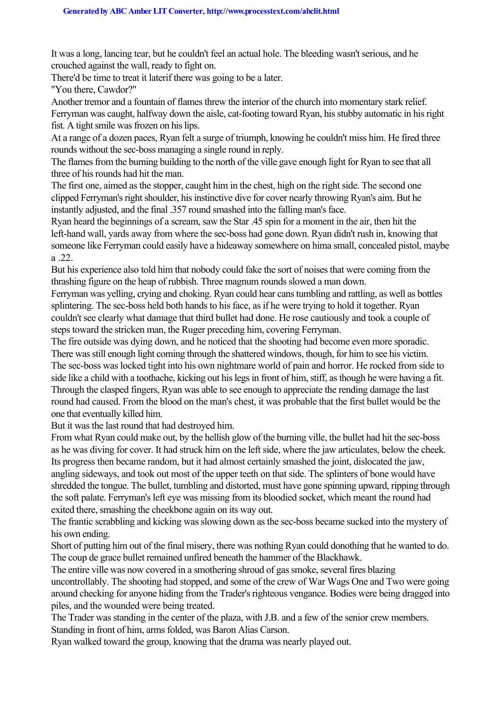It was a long, lancing tear, but he couldn't feel an actual hole. The bleeding wasn't serious, and he crouched against the wall, ready to fight on.

There'd be time to treat it laterif there was going to be a later.

"You there, Cawdor?"

Another tremor and a fountain of flames threw the interior of the church into momentary stark relief. Ferryman was caught, halfway down the aisle, cat-footing toward Ryan, his stubby automatic in his right fist. A tight smile was frozen on his lips.

At a range of a dozen paces, Ryan felt a surge of triumph, knowing he couldn't miss him. He fired three rounds without the sec-boss managing a single round in reply.

The flames from the burning building to the north of the ville gave enough light for Ryan to see that all three of his rounds had hit the man.

The first one, aimed as the stopper, caught him in the chest, high on the right side. The second one clipped Ferryman's right shoulder, his instinctive dive for cover nearly throwing Ryan's aim. But he instantly adjusted, and the final .357 round smashed into the falling man's face.

Ryan heard the beginnings of a scream, saw the Star .45 spin for a moment in the air, then hit the left-hand wall, yards away from where the sec-boss had gone down. Ryan didn't rush in, knowing that someone like Ferryman could easily have a hideaway somewhere on hima small, concealed pistol, maybe a .22.

But his experience also told him that nobody could fake the sort of noises that were coming from the thrashing figure on the heap of rubbish. Three magnum rounds slowed a man down.

Ferryman was yelling, crying and choking. Ryan could hear cans tumbling and rattling, as well as bottles splintering. The sec-boss held both hands to his face, as if he were trying to hold it together. Ryan couldn't see clearly what damage that third bullet had done. He rose cautiously and took a couple of steps toward the stricken man, the Ruger preceding him, covering Ferryman.

The fire outside was dying down, and he noticed that the shooting had become even more sporadic. There was still enough light coming through the shattered windows, though, for him to see his victim. The sec-boss was locked tight into his own nightmare world of pain and horror. He rocked from side to side like a child with a toothache, kicking out his legs in front of him, stiff, as though he were having a fit. Through the clasped fingers, Ryan was able to see enough to appreciate the rending damage the last round had caused. From the blood on the man's chest, it was probable that the first bullet would be the one that eventually killed him.

But it was the last round that had destroyed him.

From what Ryan could make out, by the hellish glow of the burning ville, the bullet had hit the sec-boss as he was diving for cover. It had struck him on the left side, where the jaw articulates, below the cheek. Its progress then became random, but it had almost certainly smashed the joint, dislocated the jaw, angling sideways, and took out most of the upper teeth on that side. The splinters of bone would have shredded the tongue. The bullet, tumbling and distorted, must have gone spinning upward, ripping through the soft palate. Ferryman's left eye was missing from its bloodied socket, which meant the round had exited there, smashing the cheekbone again on its way out.

The frantic scrabbling and kicking was slowing down as the sec-boss became sucked into the mystery of his own ending.

Short of putting him out of the final misery, there was nothing Ryan could donothing that he wanted to do. The coup de grace bullet remained unfired beneath the hammer of the Blackhawk.

The entire ville was now covered in a smothering shroud of gas smoke, several fires blazing uncontrollably. The shooting had stopped, and some of the crew of War Wags One and Two were going around checking for anyone hiding from the Trader's righteous vengance. Bodies were being dragged into piles, and the wounded were being treated.

The Trader was standing in the center of the plaza, with J.B. and a few of the senior crew members. Standing in front of him, arms folded, was Baron Alias Carson.

Ryan walked toward the group, knowing that the drama was nearly played out.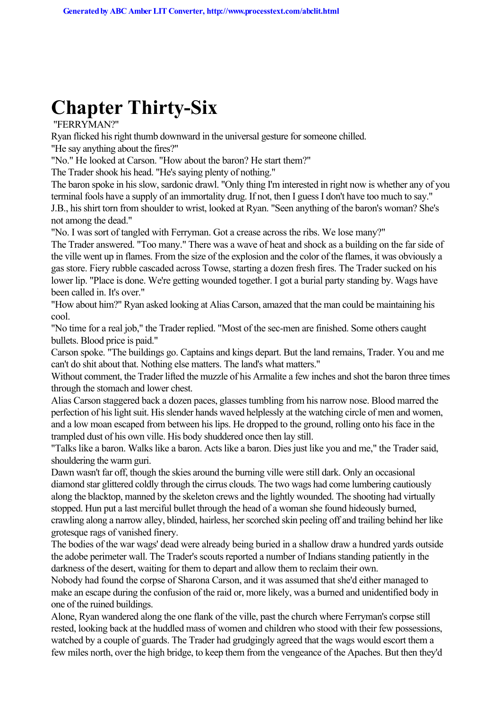# **Chapter Thirty-Six**

#### "FERRYMAN?"

Ryan flicked his right thumb downward in the universal gesture for someone chilled.

"He say anything about the fires?"

"No." He looked at Carson. "How about the baron? He start them?"

The Trader shook his head. "He's saying plenty of nothing."

The baron spoke in his slow, sardonic drawl. "Only thing I'm interested in right now is whether any of you terminal fools have a supply of an immortality drug. If not, then I guess I don't have too much to say." J.B., his shirt torn from shoulder to wrist, looked at Ryan. "Seen anything of the baron's woman? She's not among the dead."

"No. I was sort of tangled with Ferryman. Got a crease across the ribs. We lose many?"

The Trader answered. "Too many." There was a wave of heat and shock as a building on the far side of the ville went up in flames. From the size of the explosion and the color of the flames, it was obviously a gas store. Fiery rubble cascaded across Towse, starting a dozen fresh fires. The Trader sucked on his lower lip. "Place is done. We're getting wounded together. I got a burial party standing by. Wags have been called in. It's over."

"How about him?" Ryan asked looking at Alias Carson, amazed that the man could be maintaining his cool.

"No time for a real job," the Trader replied. "Most of the sec-men are finished. Some others caught bullets. Blood price is paid."

Carson spoke. "The buildings go. Captains and kings depart. But the land remains, Trader. You and me can't do shit about that. Nothing else matters. The land's what matters."

Without comment, the Trader lifted the muzzle of his Armalite a few inches and shot the baron three times through the stomach and lower chest.

Alias Carson staggered back a dozen paces, glasses tumbling from his narrow nose. Blood marred the perfection of his light suit. His slender hands waved helplessly at the watching circle of men and women, and a low moan escaped from between his lips. He dropped to the ground, rolling onto his face in the trampled dust of his own ville. His body shuddered once then lay still.

"Talks like a baron. Walks like a baron. Acts like a baron. Dies just like you and me," the Trader said, shouldering the warm guri.

Dawn wasn't far off, though the skies around the burning ville were still dark. Only an occasional diamond star glittered coldly through the cirrus clouds. The two wags had come lumbering cautiously along the blacktop, manned by the skeleton crews and the lightly wounded. The shooting had virtually stopped. Hun put a last merciful bullet through the head of a woman she found hideously burned, crawling along a narrow alley, blinded, hairless, her scorched skin peeling off and trailing behind her like grotesque rags of vanished finery.

The bodies of the war wags' dead were already being buried in a shallow draw a hundred yards outside the adobe perimeter wall. The Trader's scouts reported a number of Indians standing patiently in the darkness of the desert, waiting for them to depart and allow them to reclaim their own.

Nobody had found the corpse of Sharona Carson, and it was assumed that she'd either managed to make an escape during the confusion of the raid or, more likely, was a burned and unidentified body in one of the ruined buildings.

Alone, Ryan wandered along the one flank of the ville, past the church where Ferryman's corpse still rested, looking back at the huddled mass of women and children who stood with their few possessions, watched by a couple of guards. The Trader had grudgingly agreed that the wags would escort them a few miles north, over the high bridge, to keep them from the vengeance of the Apaches. But then they'd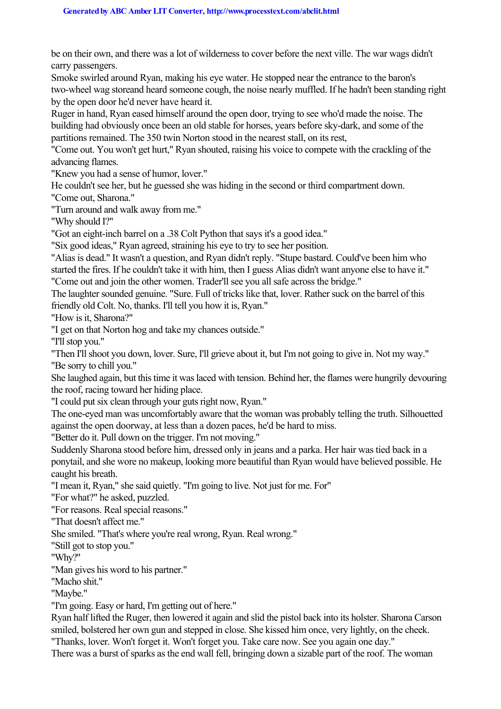be on their own, and there was a lot of wilderness to cover before the next ville. The war wags didn't carry passengers.

Smoke swirled around Ryan, making his eye water. He stopped near the entrance to the baron's two-wheel wag storeand heard someone cough, the noise nearly muffled. If he hadn't been standing right by the open door he'd never have heard it.

Ruger in hand, Ryan eased himself around the open door, trying to see who'd made the noise. The building had obviously once been an old stable for horses, years before sky-dark, and some of the partitions remained. The 350 twin Norton stood in the nearest stall, on its rest,

"Come out. You won't get hurt," Ryan shouted, raising his voice to compete with the crackling of the advancing flames.

"Knew you had a sense of humor, lover."

He couldn't see her, but he guessed she was hiding in the second or third compartment down.

"Come out, Sharona."

"Turn around and walk away from me."

"Why should I?"

"Got an eight-inch barrel on a .38 Colt Python that says it's a good idea."

"Six good ideas," Ryan agreed, straining his eye to try to see her position.

"Alias is dead." It wasn't a question, and Ryan didn't reply. "Stupe bastard. Could've been him who started the fires. If he couldn't take it with him, then I guess Alias didn't want anyone else to have it." "Come out and join the other women. Trader'll see you all safe across the bridge."

The laughter sounded genuine. "Sure. Full of tricks like that, lover. Rather suck on the barrel of this friendly old Colt. No, thanks. I'll tell you how it is, Ryan."

"How is it, Sharona?"

"I get on that Norton hog and take my chances outside."

"I'll stop you."

"Then I'll shoot you down, lover. Sure, I'll grieve about it, but I'm not going to give in. Not my way." "Be sorry to chill you."

She laughed again, but this time it was laced with tension. Behind her, the flames were hungrily devouring the roof, racing toward her hiding place.

"I could put six clean through your guts right now, Ryan."

The one-eyed man was uncomfortably aware that the woman was probably telling the truth. Silhouetted against the open doorway, at less than a dozen paces, he'd be hard to miss.

"Better do it. Pull down on the trigger. I'm not moving."

Suddenly Sharona stood before him, dressed only in jeans and a parka. Her hair was tied back in a ponytail, and she wore no makeup, looking more beautiful than Ryan would have believed possible. He caught his breath.

"I mean it, Ryan," she said quietly. "I'm going to live. Not just for me. For"

"For what?" he asked, puzzled.

"For reasons. Real special reasons."

"That doesn't affect me."

She smiled. "That's where you're real wrong, Ryan. Real wrong."

"Still got to stop you."

"Why?"

"Man gives his word to his partner."

"Macho shit."

"Maybe."

"I'm going. Easy or hard, I'm getting out of here."

Ryan half lifted the Ruger, then lowered it again and slid the pistol back into its holster. Sharona Carson smiled, bolstered her own gun and stepped in close. She kissed him once, very lightly, on the cheek.

"Thanks, lover. Won't forget it. Won't forget you. Take care now. See you again one day."

There was a burst of sparks as the end wall fell, bringing down a sizable part of the roof. The woman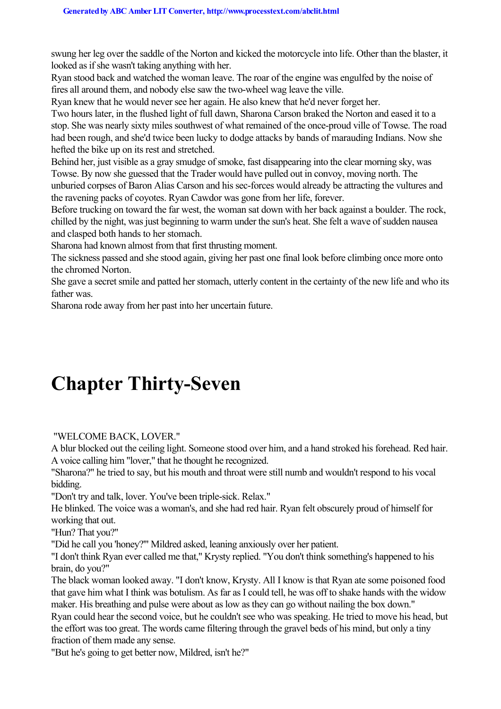swung her leg over the saddle of the Norton and kicked the motorcycle into life. Other than the blaster, it looked as if she wasn't taking anything with her.

Ryan stood back and watched the woman leave. The roar of the engine was engulfed by the noise of fires all around them, and nobody else saw the two-wheel wag leave the ville.

Ryan knew that he would never see her again. He also knew that he'd never forget her.

Two hours later, in the flushed light of full dawn, Sharona Carson braked the Norton and eased it to a stop. She was nearly sixty miles southwest of what remained of the once-proud ville of Towse. The road had been rough, and she'd twice been lucky to dodge attacks by bands of marauding Indians. Now she hefted the bike up on its rest and stretched.

Behind her, just visible as a gray smudge of smoke, fast disappearing into the clear morning sky, was Towse. By now she guessed that the Trader would have pulled out in convoy, moving north. The

unburied corpses of Baron Alias Carson and his sec-forces would already be attracting the vultures and the ravening packs of coyotes. Ryan Cawdor was gone from her life, forever.

Before trucking on toward the far west, the woman sat down with her back against a boulder. The rock, chilled by the night, was just beginning to warm under the sun's heat. She felt a wave of sudden nausea and clasped both hands to her stomach.

Sharona had known almost from that first thrusting moment.

The sickness passed and she stood again, giving her past one final look before climbing once more onto the chromed Norton.

She gave a secret smile and patted her stomach, utterly content in the certainty of the new life and who its father was.

Sharona rode away from her past into her uncertain future.

# **Chapter Thirty-Seven**

#### "WELCOME BACK, LOVER."

A blur blocked out the ceiling light. Someone stood over him, and a hand stroked his forehead. Red hair. A voice calling him "lover," that he thought he recognized.

"Sharona?" he tried to say, but his mouth and throat were still numb and wouldn't respond to his vocal bidding.

"Don't try and talk, lover. You've been triple-sick. Relax."

He blinked. The voice was a woman's, and she had red hair. Ryan felt obscurely proud of himself for working that out.

"Hun? That you?"

"Did he call you 'honey?'" Mildred asked, leaning anxiously over her patient.

"I don't think Ryan ever called me that," Krysty replied. "You don't think something's happened to his brain, do you?"

The black woman looked away. "I don't know, Krysty. All I know is that Ryan ate some poisoned food that gave him what I think was botulism. As far as I could tell, he was off to shake hands with the widow maker. His breathing and pulse were about as low as they can go without nailing the box down." Ryan could hear the second voice, but he couldn't see who was speaking. He tried to move his head, but the effort was too great. The words came filtering through the gravel beds of his mind, but only a tiny fraction of them made any sense.

"But he's going to get better now, Mildred, isn't he?"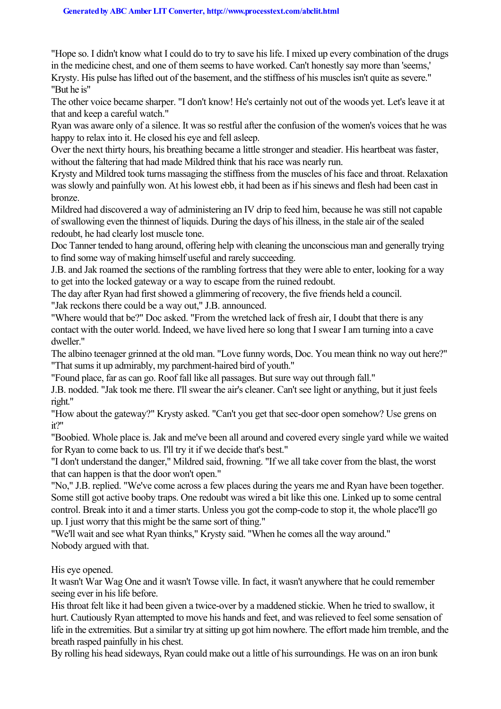"Hope so. I didn't know what I could do to try to save his life. I mixed up every combination of the drugs in the medicine chest, and one of them seems to have worked. Can't honestly say more than 'seems,' Krysty. His pulse has lifted out of the basement, and the stiffness of his muscles isn't quite as severe." "But he is"

The other voice became sharper. "I don't know! He's certainly not out of the woods yet. Let's leave it at that and keep a careful watch."

Ryan was aware only of a silence. It was so restful after the confusion of the women's voices that he was happy to relax into it. He closed his eye and fell asleep.

Over the next thirty hours, his breathing became a little stronger and steadier. His heartbeat was faster, without the faltering that had made Mildred think that his race was nearly run.

Krysty and Mildred took turns massaging the stiffness from the muscles of his face and throat. Relaxation was slowly and painfully won. At his lowest ebb, it had been as if his sinews and flesh had been cast in bronze.

Mildred had discovered a way of administering an IV drip to feed him, because he was still not capable of swallowing even the thinnest of liquids. During the days of his illness, in the stale air of the sealed redoubt, he had clearly lost muscle tone.

Doc Tanner tended to hang around, offering help with cleaning the unconscious man and generally trying to find some way of making himself useful and rarely succeeding.

J.B. and Jak roamed the sections of the rambling fortress that they were able to enter, looking for a way to get into the locked gateway or a way to escape from the ruined redoubt.

The day after Ryan had first showed a glimmering of recovery, the five friends held a council.

"Jak reckons there could be a way out," J.B. announced.

"Where would that be?" Doc asked. "From the wretched lack of fresh air, I doubt that there is any contact with the outer world. Indeed, we have lived here so long that I swear I am turning into a cave dweller."

The albino teenager grinned at the old man. "Love funny words, Doc. You mean think no way out here?" "That sums it up admirably, my parchment-haired bird of youth."

"Found place, far as can go. Roof fall like all passages. But sure way out through fall."

J.B. nodded. "Jak took me there. I'll swear the air's cleaner. Can't see light or anything, but it just feels right."

"How about the gateway?" Krysty asked. "Can't you get that sec-door open somehow? Use grens on it?"

"Boobied. Whole place is. Jak and me've been all around and covered every single yard while we waited for Ryan to come back to us. I'll try it if we decide that's best."

"I don't understand the danger," Mildred said, frowning. "If we all take cover from the blast, the worst that can happen is that the door won't open."

"No," J.B. replied. "We've come across a few places during the years me and Ryan have been together. Some still got active booby traps. One redoubt was wired a bit like this one. Linked up to some central control. Break into it and a timer starts. Unless you got the comp-code to stop it, the whole place'll go up. I just worry that this might be the same sort of thing."

"We'll wait and see what Ryan thinks," Krysty said. "When he comes all the way around." Nobody argued with that.

His eye opened.

It wasn't War Wag One and it wasn't Towse ville. In fact, it wasn't anywhere that he could remember seeing ever in his life before.

His throat felt like it had been given a twice-over by a maddened stickie. When he tried to swallow, it hurt. Cautiously Ryan attempted to move his hands and feet, and was relieved to feel some sensation of life in the extremities. But a similar try at sitting up got him nowhere. The effort made him tremble, and the breath rasped painfully in his chest.

By rolling his head sideways, Ryan could make out a little of his surroundings. He was on an iron bunk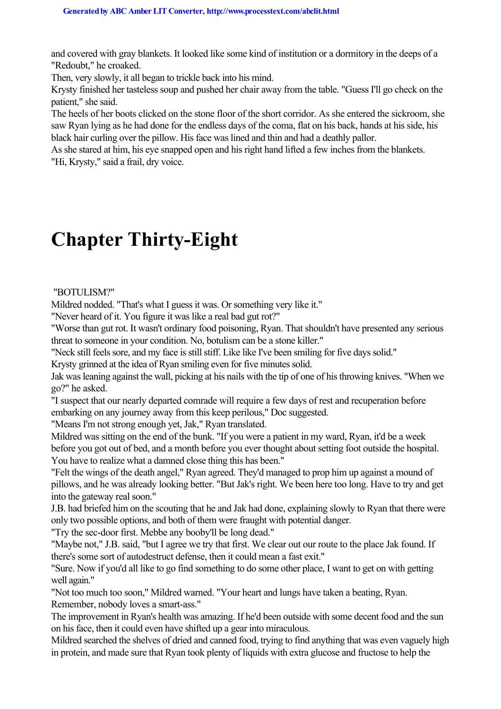and covered with gray blankets. It looked like some kind of institution or a dormitory in the deeps of a "Redoubt," he croaked.

Then, very slowly, it all began to trickle back into his mind.

Krysty finished her tasteless soup and pushed her chair away from the table. "Guess I'll go check on the patient," she said.

The heels of her boots clicked on the stone floor of the short corridor. As she entered the sickroom, she saw Ryan lying as he had done for the endless days of the coma, flat on his back, hands at his side, his black hair curling over the pillow. His face was lined and thin and had a deathly pallor.

As she stared at him, his eye snapped open and his right hand lifted a few inches from the blankets. "Hi, Krysty," said a frail, dry voice.

## **Chapter Thirty-Eight**

"BOTULISM?"

Mildred nodded. "That's what I guess it was. Or something very like it."

"Never heard of it. You figure it was like a real bad gut rot?"

"Worse than gut rot. It wasn't ordinary food poisoning, Ryan. That shouldn't have presented any serious threat to someone in your condition. No, botulism can be a stone killer."

"Neck still feels sore, and my face is still stiff. Like like I've been smiling for five days solid."

Krysty grinned at the idea of Ryan smiling even for five minutes solid.

Jak was leaning against the wall, picking at his nails with the tip of one of his throwing knives. "When we go?" he asked.

"I suspect that our nearly departed comrade will require a few days of rest and recuperation before embarking on any journey away from this keep perilous," Doc suggested.

"Means I'm not strong enough yet, Jak," Ryan translated.

Mildred was sitting on the end of the bunk. "If you were a patient in my ward, Ryan, it'd be a week before you got out of bed, and a month before you ever thought about setting foot outside the hospital. You have to realize what a damned close thing this has been."

"Felt the wings of the death angel," Ryan agreed. They'd managed to prop him up against a mound of pillows, and he was already looking better. "But Jak's right. We been here too long. Have to try and get into the gateway real soon."

J.B. had briefed him on the scouting that he and Jak had done, explaining slowly to Ryan that there were only two possible options, and both of them were fraught with potential danger.

"Try the sec-door first. Mebbe any booby'll be long dead."

"Maybe not," J.B. said, "but I agree we try that first. We clear out our route to the place Jak found. If there's some sort of autodestruct defense, then it could mean a fast exit."

"Sure. Now if you'd all like to go find something to do some other place, I want to get on with getting well again."

"Not too much too soon," Mildred warned. "Your heart and lungs have taken a beating, Ryan. Remember, nobody loves a smart-ass."

The improvement in Ryan's health was amazing. If he'd been outside with some decent food and the sun on his face, then it could even have shifted up a gear into miraculous.

Mildred searched the shelves of dried and canned food, trying to find anything that was even vaguely high in protein, and made sure that Ryan took plenty of liquids with extra glucose and fructose to help the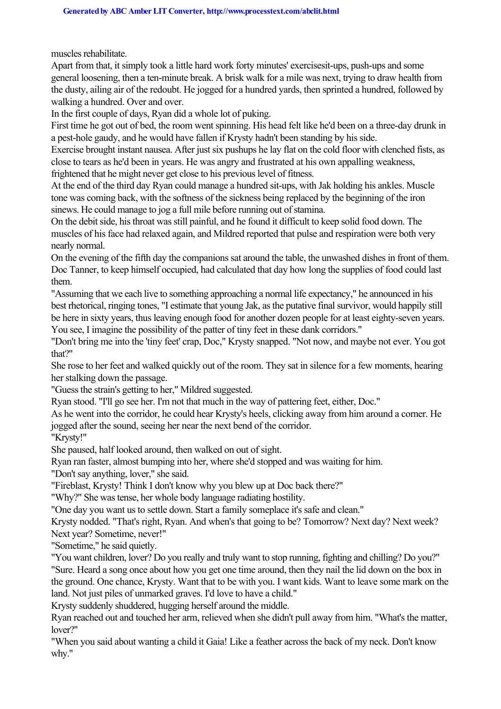muscles rehabilitate.

Apart from that, it simply took a little hard work forty minutes' exercisesit-ups, push-ups and some general loosening, then a ten-minute break. A brisk walk for a mile was next, trying to draw health from the dusty, ailing air of the redoubt. He jogged for a hundred yards, then sprinted a hundred, followed by walking a hundred. Over and over.

In the first couple of days, Ryan did a whole lot of puking.

First time he got out of bed, the room went spinning. His head felt like he'd been on a three-day drunk in a pest-hole gaudy, and he would have fallen if Krysty hadn't been standing by his side.

Exercise brought instant nausea. After just six pushups he lay flat on the cold floor with clenched fists, as close to tears as he'd been in years. He was angry and frustrated at his own appalling weakness, frightened that he might never get close to his previous level of fitness.

At the end of the third day Ryan could manage a hundred sit-ups, with Jak holding his ankles. Muscle tone was coming back, with the softness of the sickness being replaced by the beginning of the iron sinews. He could manage to jog a full mile before running out of stamina.

On the debit side, his throat was still painful, and he found it difficult to keep solid food down. The muscles of his face had relaxed again, and Mildred reported that pulse and respiration were both very nearly normal.

On the evening of the fifth day the companions sat around the table, the unwashed dishes in front of them. Doc Tanner, to keep himself occupied, had calculated that day how long the supplies of food could last them.

"Assuming that we each live to something approaching a normal life expectancy," he announced in his best rhetorical, ringing tones, "I estimate that young Jak, as the putative final survivor, would happily still be here in sixty years, thus leaving enough food for another dozen people for at least eighty-seven years. You see, I imagine the possibility of the patter of tiny feet in these dank corridors."

"Don't bring me into the 'tiny feet' crap, Doc," Krysty snapped. "Not now, and maybe not ever. You got that?"

She rose to her feet and walked quickly out of the room. They sat in silence for a few moments, hearing her stalking down the passage.

"Guess the strain's getting to her," Mildred suggested.

Ryan stood. "I'll go see her. I'm not that much in the way of pattering feet, either, Doc."

As he went into the corridor, he could hear Krysty's heels, clicking away from him around a corner. He jogged after the sound, seeing her near the next bend of the corridor.

"Krysty!"

She paused, half looked around, then walked on out of sight.

Ryan ran faster, almost bumping into her, where she'd stopped and was waiting for him.

"Don't say anything, lover," she said.

"Fireblast, Krysty! Think I don't know why you blew up at Doc back there?"

"Why?" She was tense, her whole body language radiating hostility.

"One day you want us to settle down. Start a family someplace it's safe and clean."

Krysty nodded. "That's right, Ryan. And when's that going to be? Tomorrow? Next day? Next week? Next year? Sometime, never!"

"Sometime," he said quietly.

"You want children, lover? Do you really and truly want to stop running, fighting and chilling? Do you?" "Sure. Heard a song once about how you get one time around, then they nail the lid down on the box in the ground. One chance, Krysty. Want that to be with you. I want kids. Want to leave some mark on the land. Not just piles of unmarked graves. I'd love to have a child."

Krysty suddenly shuddered, hugging herself around the middle.

Ryan reached out and touched her arm, relieved when she didn't pull away from him. "What's the matter, lover?"

"When you said about wanting a child it Gaia! Like a feather across the back of my neck. Don't know why."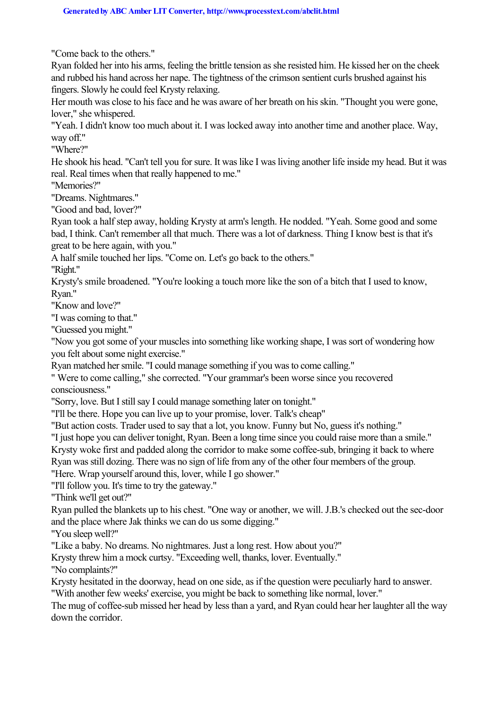"Come back to the others."

Ryan folded her into his arms, feeling the brittle tension as she resisted him. He kissed her on the cheek and rubbed his hand across her nape. The tightness of the crimson sentient curls brushed against his fingers. Slowly he could feel Krysty relaxing.

Her mouth was close to his face and he was aware of her breath on his skin. "Thought you were gone, lover," she whispered.

"Yeah. I didn't know too much about it. I was locked away into another time and another place. Way, way off"

"Where?"

He shook his head. "Can't tell you for sure. It was like I was living another life inside my head. But it was real. Real times when that really happened to me."

"Memories?"

"Dreams. Nightmares."

"Good and bad, lover?"

Ryan took a half step away, holding Krysty at arm's length. He nodded. "Yeah. Some good and some bad, I think. Can't remember all that much. There was a lot of darkness. Thing I know best is that it's great to be here again, with you."

A half smile touched her lips. "Come on. Let's go back to the others." "Right."

Krysty's smile broadened. "You're looking a touch more like the son of a bitch that I used to know, Ryan."

"Know and love?"

"I was coming to that."

"Guessed you might."

"Now you got some of your muscles into something like working shape, I was sort of wondering how you felt about some night exercise."

Ryan matched her smile. "I could manage something if you was to come calling."

" Were to come calling," she corrected. "Your grammar's been worse since you recovered consciousness."

"Sorry, love. But I still say I could manage something later on tonight."

"I'll be there. Hope you can live up to your promise, lover. Talk's cheap"

"But action costs. Trader used to say that a lot, you know. Funny but No, guess it's nothing."

"I just hope you can deliver tonight, Ryan. Been a long time since you could raise more than a smile."

Krysty woke first and padded along the corridor to make some coffee-sub, bringing it back to where

Ryan was still dozing. There was no sign of life from any of the other four members of the group.

"Here. Wrap yourself around this, lover, while I go shower."

"I'll follow you. It's time to try the gateway."

"Think we'll get out?"

Ryan pulled the blankets up to his chest. "One way or another, we will. J.B.'s checked out the sec-door and the place where Jak thinks we can do us some digging."

"You sleep well?"

"Like a baby. No dreams. No nightmares. Just a long rest. How about you?"

Krysty threw him a mock curtsy. "Exceeding well, thanks, lover. Eventually."

"No complaints?"

Krysty hesitated in the doorway, head on one side, as if the question were peculiarly hard to answer.

"With another few weeks' exercise, you might be back to something like normal, lover."

The mug of coffee-sub missed her head by less than a yard, and Ryan could hear her laughter all the way down the corridor.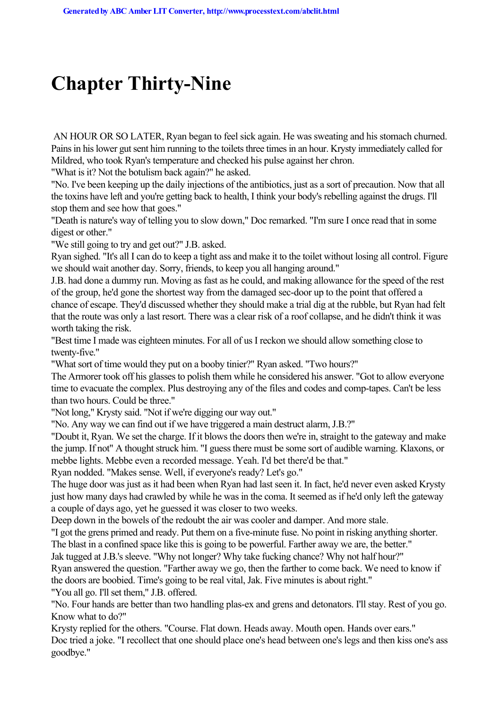## **Chapter Thirty-Nine**

 AN HOUR OR SO LATER, Ryan began to feel sick again. He was sweating and his stomach churned. Pains in his lower gut sent him running to the toilets three times in an hour. Krysty immediately called for Mildred, who took Ryan's temperature and checked his pulse against her chron.

"What is it? Not the botulism back again?" he asked.

"No. I've been keeping up the daily injections of the antibiotics, just as a sort of precaution. Now that all the toxins have left and you're getting back to health, I think your body's rebelling against the drugs. I'll stop them and see how that goes."

"Death is nature's way of telling you to slow down," Doc remarked. "I'm sure I once read that in some digest or other."

"We still going to try and get out?" J.B. asked.

Ryan sighed. "It's all I can do to keep a tight ass and make it to the toilet without losing all control. Figure we should wait another day. Sorry, friends, to keep you all hanging around."

J.B. had done a dummy run. Moving as fast as he could, and making allowance for the speed of the rest of the group, he'd gone the shortest way from the damaged sec-door up to the point that offered a chance of escape. They'd discussed whether they should make a trial dig at the rubble, but Ryan had felt that the route was only a last resort. There was a clear risk of a roof collapse, and he didn't think it was worth taking the risk.

"Best time I made was eighteen minutes. For all of us I reckon we should allow something close to twenty-five."

"What sort of time would they put on a booby tinier?" Ryan asked. "Two hours?"

The Armorer took off his glasses to polish them while he considered his answer. "Got to allow everyone time to evacuate the complex. Plus destroying any of the files and codes and comp-tapes. Can't be less than two hours. Could be three."

"Not long," Krysty said. "Not if we're digging our way out."

"No. Any way we can find out if we have triggered a main destruct alarm, J.B.?"

"Doubt it, Ryan. We set the charge. If it blows the doors then we're in, straight to the gateway and make the jump. If not" A thought struck him. "I guess there must be some sort of audible warning. Klaxons, or mebbe lights. Mebbe even a recorded message. Yeah. I'd bet there'd be that."

Ryan nodded. "Makes sense. Well, if everyone's ready? Let's go."

The huge door was just as it had been when Ryan had last seen it. In fact, he'd never even asked Krysty just how many days had crawled by while he was in the coma. It seemed as if he'd only left the gateway a couple of days ago, yet he guessed it was closer to two weeks.

Deep down in the bowels of the redoubt the air was cooler and damper. And more stale.

"I got the grens primed and ready. Put them on a five-minute fuse. No point in risking anything shorter.

The blast in a confined space like this is going to be powerful. Farther away we are, the better."

Jak tugged at J.B.'s sleeve. "Why not longer? Why take fucking chance? Why not half hour?"

Ryan answered the question. "Farther away we go, then the farther to come back. We need to know if the doors are boobied. Time's going to be real vital, Jak. Five minutes is about right."

"You all go. I'll set them," J.B. offered.

"No. Four hands are better than two handling plas-ex and grens and detonators. I'll stay. Rest of you go. Know what to do?"

Krysty replied for the others. "Course. Flat down. Heads away. Mouth open. Hands over ears." Doc tried a joke. "I recollect that one should place one's head between one's legs and then kiss one's ass goodbye."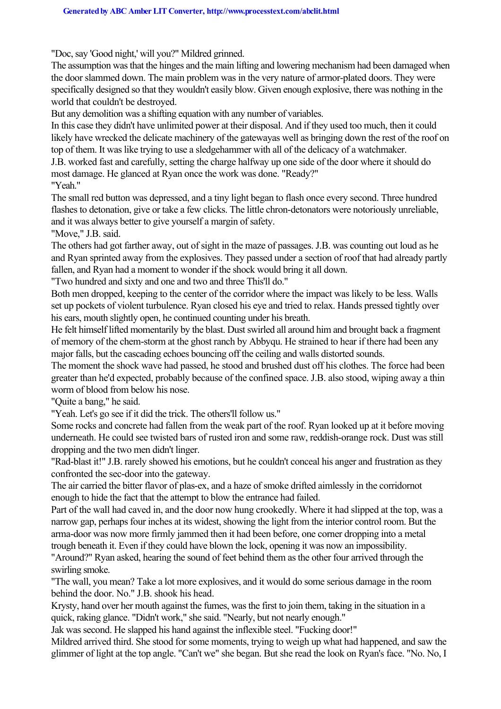"Doc, say 'Good night,' will you?" Mildred grinned.

The assumption was that the hinges and the main lifting and lowering mechanism had been damaged when the door slammed down. The main problem was in the very nature of armor-plated doors. They were specifically designed so that they wouldn't easily blow. Given enough explosive, there was nothing in the world that couldn't be destroyed.

But any demolition was a shifting equation with any number of variables.

In this case they didn't have unlimited power at their disposal. And if they used too much, then it could likely have wrecked the delicate machinery of the gatewayas well as bringing down the rest of the roof on top of them. It was like trying to use a sledgehammer with all of the delicacy of a watchmaker.

J.B. worked fast and carefully, setting the charge halfway up one side of the door where it should do most damage. He glanced at Ryan once the work was done. "Ready?"

"Yeah"

The small red button was depressed, and a tiny light began to flash once every second. Three hundred flashes to detonation, give or take a few clicks. The little chron-detonators were notoriously unreliable, and it was always better to give yourself a margin of safety.

"Move." J.B. said.

The others had got farther away, out of sight in the maze of passages. J.B. was counting out loud as he and Ryan sprinted away from the explosives. They passed under a section of roof that had already partly fallen, and Ryan had a moment to wonder if the shock would bring it all down.

"Two hundred and sixty and one and two and three This'll do."

Both men dropped, keeping to the center of the corridor where the impact was likely to be less. Walls set up pockets of violent turbulence. Ryan closed his eye and tried to relax. Hands pressed tightly over his ears, mouth slightly open, he continued counting under his breath.

He felt himself lifted momentarily by the blast. Dust swirled all around him and brought back a fragment of memory of the chem-storm at the ghost ranch by Abbyqu. He strained to hear if there had been any major falls, but the cascading echoes bouncing off the ceiling and walls distorted sounds.

The moment the shock wave had passed, he stood and brushed dust off his clothes. The force had been greater than he'd expected, probably because of the confined space. J.B. also stood, wiping away a thin worm of blood from below his nose.

"Quite a bang," he said.

"Yeah. Let's go see if it did the trick. The others'll follow us."

Some rocks and concrete had fallen from the weak part of the roof. Ryan looked up at it before moving underneath. He could see twisted bars of rusted iron and some raw, reddish-orange rock. Dust was still dropping and the two men didn't linger.

"Rad-blast it!" J.B. rarely showed his emotions, but he couldn't conceal his anger and frustration as they confronted the sec-door into the gateway.

The air carried the bitter flavor of plas-ex, and a haze of smoke drifted aimlessly in the corridornot enough to hide the fact that the attempt to blow the entrance had failed.

Part of the wall had caved in, and the door now hung crookedly. Where it had slipped at the top, was a narrow gap, perhaps four inches at its widest, showing the light from the interior control room. But the arma-door was now more firmly jammed then it had been before, one corner dropping into a metal trough beneath it. Even if they could have blown the lock, opening it was now an impossibility.

"Around?" Ryan asked, hearing the sound of feet behind them as the other four arrived through the swirling smoke.

"The wall, you mean? Take a lot more explosives, and it would do some serious damage in the room behind the door. No." J.B. shook his head.

Krysty, hand over her mouth against the fumes, was the first to join them, taking in the situation in a quick, raking glance. "Didn't work," she said. "Nearly, but not nearly enough."

Jak was second. He slapped his hand against the inflexible steel. "Fucking door!"

Mildred arrived third. She stood for some moments, trying to weigh up what had happened, and saw the glimmer of light at the top angle. "Can't we" she began. But she read the look on Ryan's face. "No. No, I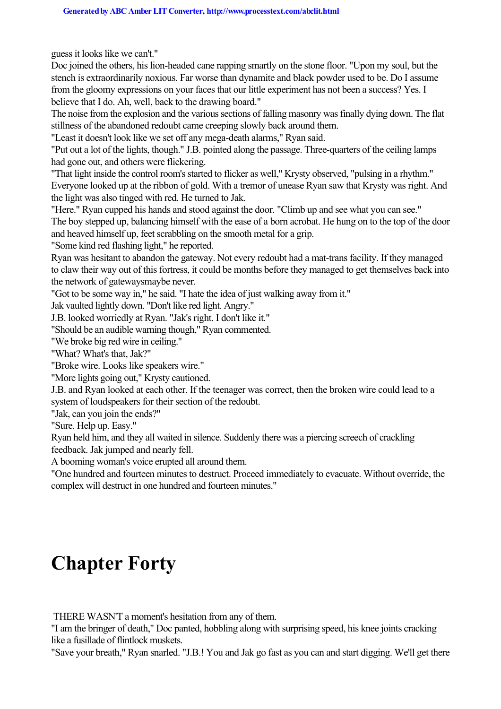guess it looks like we can't."

Doc joined the others, his lion-headed cane rapping smartly on the stone floor. "Upon my soul, but the stench is extraordinarily noxious. Far worse than dynamite and black powder used to be. Do I assume from the gloomy expressions on your faces that our little experiment has not been a success? Yes. I believe that I do. Ah, well, back to the drawing board."

The noise from the explosion and the various sections of falling masonry was finally dying down. The flat stillness of the abandoned redoubt came creeping slowly back around them.

"Least it doesn't look like we set off any mega-death alarms," Ryan said.

"Put out a lot of the lights, though." J.B. pointed along the passage. Three-quarters of the ceiling lamps had gone out, and others were flickering.

"That light inside the control room's started to flicker as well," Krysty observed, "pulsing in a rhythm." Everyone looked up at the ribbon of gold. With a tremor of unease Ryan saw that Krysty was right. And the light was also tinged with red. He turned to Jak.

"Here." Ryan cupped his hands and stood against the door. "Climb up and see what you can see." The boy stepped up, balancing himself with the ease of a born acrobat. He hung on to the top of the door and heaved himself up, feet scrabbling on the smooth metal for a grip.

"Some kind red flashing light," he reported.

Ryan was hesitant to abandon the gateway. Not every redoubt had a mat-trans facility. If they managed to claw their way out of this fortress, it could be months before they managed to get themselves back into the network of gatewaysmaybe never.

"Got to be some way in," he said. "I hate the idea of just walking away from it."

Jak vaulted lightly down. "Don't like red light. Angry."

J.B. looked worriedly at Ryan. "Jak's right. I don't like it."

"Should be an audible warning though," Ryan commented.

"We broke big red wire in ceiling."

"What? What's that, Jak?"

"Broke wire. Looks like speakers wire."

"More lights going out," Krysty cautioned.

J.B. and Ryan looked at each other. If the teenager was correct, then the broken wire could lead to a system of loudspeakers for their section of the redoubt.

"Jak, can you join the ends?"

"Sure. Help up. Easy."

Ryan held him, and they all waited in silence. Suddenly there was a piercing screech of crackling feedback. Jak jumped and nearly fell.

A booming woman's voice erupted all around them.

"One hundred and fourteen minutes to destruct. Proceed immediately to evacuate. Without override, the complex will destruct in one hundred and fourteen minutes."

## **Chapter Forty**

THERE WASN'T a moment's hesitation from any of them.

"I am the bringer of death," Doc panted, hobbling along with surprising speed, his knee joints cracking like a fusillade of flintlock muskets.

"Save your breath," Ryan snarled. "J.B.! You and Jak go fast as you can and start digging. We'll get there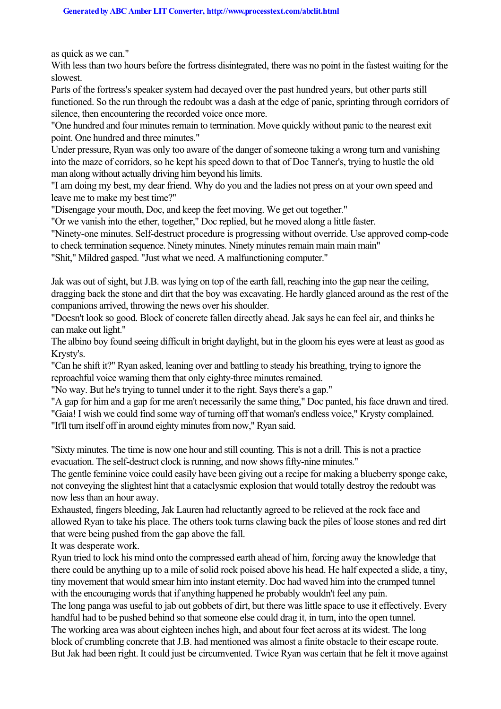as quick as we can."

With less than two hours before the fortress disintegrated, there was no point in the fastest waiting for the slowest.

Parts of the fortress's speaker system had decayed over the past hundred years, but other parts still functioned. So the run through the redoubt was a dash at the edge of panic, sprinting through corridors of silence, then encountering the recorded voice once more.

"One hundred and four minutes remain to termination. Move quickly without panic to the nearest exit point. One hundred and three minutes."

Under pressure, Ryan was only too aware of the danger of someone taking a wrong turn and vanishing into the maze of corridors, so he kept his speed down to that of Doc Tanner's, trying to hustle the old man along without actually driving him beyond his limits.

"I am doing my best, my dear friend. Why do you and the ladies not press on at your own speed and leave me to make my best time?"

"Disengage your mouth, Doc, and keep the feet moving. We get out together."

"Or we vanish into the ether, together," Doc replied, but he moved along a little faster.

"Ninety-one minutes. Self-destruct procedure is progressing without override. Use approved comp-code to check termination sequence. Ninety minutes. Ninety minutes remain main main main"

"Shit," Mildred gasped. "Just what we need. A malfunctioning computer."

Jak was out of sight, but J.B. was lying on top of the earth fall, reaching into the gap near the ceiling, dragging back the stone and dirt that the boy was excavating. He hardly glanced around as the rest of the companions arrived, throwing the news over his shoulder.

"Doesn't look so good. Block of concrete fallen directly ahead. Jak says he can feel air, and thinks he can make out light."

The albino boy found seeing difficult in bright daylight, but in the gloom his eyes were at least as good as Krysty's.

"Can he shift it?" Ryan asked, leaning over and battling to steady his breathing, trying to ignore the reproachful voice warning them that only eighty-three minutes remained.

"No way. But he's trying to tunnel under it to the right. Says there's a gap."

"A gap for him and a gap for me aren't necessarily the same thing," Doc panted, his face drawn and tired. "Gaia! I wish we could find some way of turning off that woman's endless voice," Krysty complained. "It'll turn itself off in around eighty minutes from now," Ryan said.

"Sixty minutes. The time is now one hour and still counting. This is not a drill. This is not a practice evacuation. The self-destruct clock is running, and now shows fifty-nine minutes."

The gentle feminine voice could easily have been giving out a recipe for making a blueberry sponge cake, not conveying the slightest hint that a cataclysmic explosion that would totally destroy the redoubt was now less than an hour away.

Exhausted, fingers bleeding, Jak Lauren had reluctantly agreed to be relieved at the rock face and allowed Ryan to take his place. The others took turns clawing back the piles of loose stones and red dirt that were being pushed from the gap above the fall.

It was desperate work.

Ryan tried to lock his mind onto the compressed earth ahead of him, forcing away the knowledge that there could be anything up to a mile of solid rock poised above his head. He half expected a slide, a tiny, tiny movement that would smear him into instant eternity. Doc had waved him into the cramped tunnel with the encouraging words that if anything happened he probably wouldn't feel any pain.

The long panga was useful to jab out gobbets of dirt, but there was little space to use it effectively. Every handful had to be pushed behind so that someone else could drag it, in turn, into the open tunnel. The working area was about eighteen inches high, and about four feet across at its widest. The long block of crumbling concrete that J.B. had mentioned was almost a finite obstacle to their escape route. But Jak had been right. It could just be circumvented. Twice Ryan was certain that he felt it move against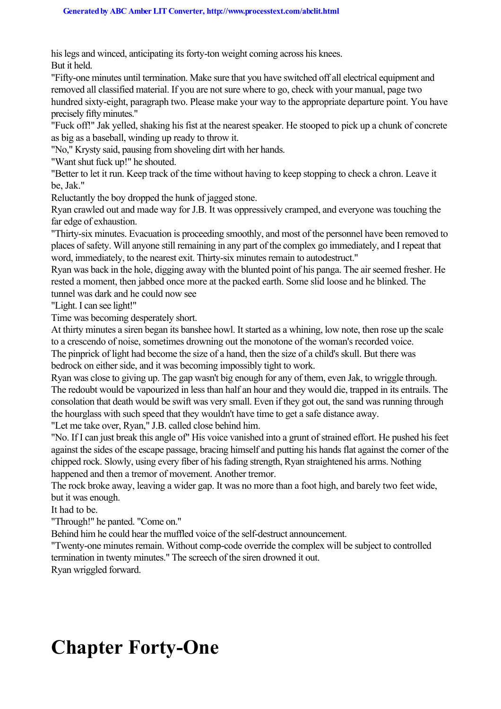his legs and winced, anticipating its forty-ton weight coming across his knees. But it held.

"Fifty-one minutes until termination. Make sure that you have switched off all electrical equipment and removed all classified material. If you are not sure where to go, check with your manual, page two hundred sixty-eight, paragraph two. Please make your way to the appropriate departure point. You have precisely fifty minutes."

"Fuck off!" Jak yelled, shaking his fist at the nearest speaker. He stooped to pick up a chunk of concrete as big as a baseball, winding up ready to throw it.

"No," Krysty said, pausing from shoveling dirt with her hands.

"Want shut fuck up!" he shouted.

"Better to let it run. Keep track of the time without having to keep stopping to check a chron. Leave it be, Jak."

Reluctantly the boy dropped the hunk of jagged stone.

Ryan crawled out and made way for J.B. It was oppressively cramped, and everyone was touching the far edge of exhaustion.

"Thirty-six minutes. Evacuation is proceeding smoothly, and most of the personnel have been removed to places of safety. Will anyone still remaining in any part of the complex go immediately, and I repeat that word, immediately, to the nearest exit. Thirty-six minutes remain to autodestruct."

Ryan was back in the hole, digging away with the blunted point of his panga. The air seemed fresher. He rested a moment, then jabbed once more at the packed earth. Some slid loose and he blinked. The tunnel was dark and he could now see

"Light. I can see light!"

Time was becoming desperately short.

At thirty minutes a siren began its banshee howl. It started as a whining, low note, then rose up the scale to a crescendo of noise, sometimes drowning out the monotone of the woman's recorded voice.

The pinprick of light had become the size of a hand, then the size of a child's skull. But there was bedrock on either side, and it was becoming impossibly tight to work.

Ryan was close to giving up. The gap wasn't big enough for any of them, even Jak, to wriggle through. The redoubt would be vapourized in less than half an hour and they would die, trapped in its entrails. The consolation that death would be swift was very small. Even if they got out, the sand was running through the hourglass with such speed that they wouldn't have time to get a safe distance away.

"Let me take over, Ryan," J.B. called close behind him.

"No. If I can just break this angle of" His voice vanished into a grunt of strained effort. He pushed his feet against the sides of the escape passage, bracing himself and putting his hands flat against the corner of the chipped rock. Slowly, using every fiber of his fading strength, Ryan straightened his arms. Nothing happened and then a tremor of movement. Another tremor.

The rock broke away, leaving a wider gap. It was no more than a foot high, and barely two feet wide, but it was enough.

It had to be.

"Through!" he panted. "Come on."

Behind him he could hear the muffled voice of the self-destruct announcement.

"Twenty-one minutes remain. Without comp-code override the complex will be subject to controlled termination in twenty minutes." The screech of the siren drowned it out.

Ryan wriggled forward.

## **Chapter Forty-One**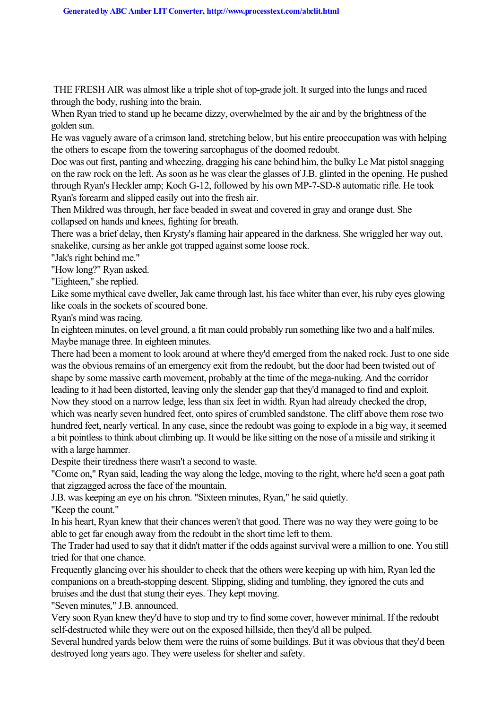THE FRESH AIR was almost like a triple shot of top-grade jolt. It surged into the lungs and raced through the body, rushing into the brain.

When Ryan tried to stand up he became dizzy, overwhelmed by the air and by the brightness of the golden sun.

He was vaguely aware of a crimson land, stretching below, but his entire preoccupation was with helping the others to escape from the towering sarcophagus of the doomed redoubt.

Doc was out first, panting and wheezing, dragging his cane behind him, the bulky Le Mat pistol snagging on the raw rock on the left. As soon as he was clear the glasses of J.B. glinted in the opening. He pushed through Ryan's Heckler amp; Koch G-12, followed by his own MP-7-SD-8 automatic rifle. He took Ryan's forearm and slipped easily out into the fresh air.

Then Mildred was through, her face beaded in sweat and covered in gray and orange dust. She collapsed on hands and knees, fighting for breath.

There was a brief delay, then Krysty's flaming hair appeared in the darkness. She wriggled her way out, snakelike, cursing as her ankle got trapped against some loose rock.

"Jak's right behind me."

"How long?" Ryan asked.

"Eighteen," she replied.

Like some mythical cave dweller, Jak came through last, his face whiter than ever, his ruby eyes glowing like coals in the sockets of scoured bone.

Ryan's mind was racing.

In eighteen minutes, on level ground, a fit man could probably run something like two and a half miles. Maybe manage three. In eighteen minutes.

There had been a moment to look around at where they'd emerged from the naked rock. Just to one side was the obvious remains of an emergency exit from the redoubt, but the door had been twisted out of shape by some massive earth movement, probably at the time of the mega-nuking. And the corridor leading to it had been distorted, leaving only the slender gap that they'd managed to find and exploit. Now they stood on a narrow ledge, less than six feet in width. Ryan had already checked the drop, which was nearly seven hundred feet, onto spires of crumbled sandstone. The cliff above them rose two hundred feet, nearly vertical. In any case, since the redoubt was going to explode in a big way, it seemed a bit pointless to think about climbing up. It would be like sitting on the nose of a missile and striking it with a large hammer.

Despite their tiredness there wasn't a second to waste.

"Come on," Ryan said, leading the way along the ledge, moving to the right, where he'd seen a goat path that zigzagged across the face of the mountain.

J.B. was keeping an eye on his chron. "Sixteen minutes, Ryan," he said quietly.

"Keep the count."

In his heart, Ryan knew that their chances weren't that good. There was no way they were going to be able to get far enough away from the redoubt in the short time left to them.

The Trader had used to say that it didn't matter if the odds against survival were a million to one. You still tried for that one chance.

Frequently glancing over his shoulder to check that the others were keeping up with him, Ryan led the companions on a breath-stopping descent. Slipping, sliding and tumbling, they ignored the cuts and bruises and the dust that stung their eyes. They kept moving.

"Seven minutes," J.B. announced.

Very soon Ryan knew they'd have to stop and try to find some cover, however minimal. If the redoubt self-destructed while they were out on the exposed hillside, then they'd all be pulped.

Several hundred yards below them were the ruins of some buildings. But it was obvious that they'd been destroyed long years ago. They were useless for shelter and safety.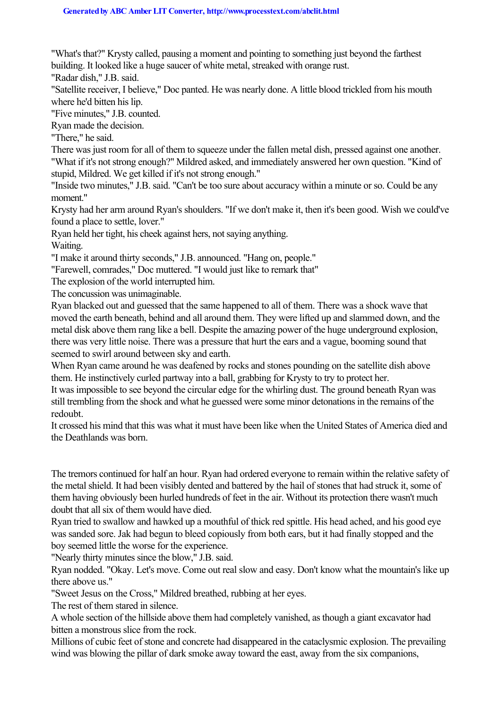"What's that?" Krysty called, pausing a moment and pointing to something just beyond the farthest building. It looked like a huge saucer of white metal, streaked with orange rust.

"Radar dish," J.B. said.

"Satellite receiver, I believe," Doc panted. He was nearly done. A little blood trickled from his mouth where he'd bitten his lip.

"Five minutes," J.B. counted.

Ryan made the decision.

"There," he said.

There was just room for all of them to squeeze under the fallen metal dish, pressed against one another. "What if it's not strong enough?" Mildred asked, and immediately answered her own question. "Kind of stupid, Mildred. We get killed if it's not strong enough."

"Inside two minutes," J.B. said. "Can't be too sure about accuracy within a minute or so. Could be any moment."

Krysty had her arm around Ryan's shoulders. "If we don't make it, then it's been good. Wish we could've found a place to settle, lover."

Ryan held her tight, his cheek against hers, not saying anything.

Waiting.

"I make it around thirty seconds," J.B. announced. "Hang on, people."

"Farewell, comrades," Doc muttered. "I would just like to remark that"

The explosion of the world interrupted him.

The concussion was unimaginable.

Ryan blacked out and guessed that the same happened to all of them. There was a shock wave that moved the earth beneath, behind and all around them. They were lifted up and slammed down, and the metal disk above them rang like a bell. Despite the amazing power of the huge underground explosion, there was very little noise. There was a pressure that hurt the ears and a vague, booming sound that seemed to swirl around between sky and earth.

When Ryan came around he was deafened by rocks and stones pounding on the satellite dish above them. He instinctively curled partway into a ball, grabbing for Krysty to try to protect her.

It was impossible to see beyond the circular edge for the whirling dust. The ground beneath Ryan was still trembling from the shock and what he guessed were some minor detonations in the remains of the redoubt.

It crossed his mind that this was what it must have been like when the United States of America died and the Deathlands was born.

The tremors continued for half an hour. Ryan had ordered everyone to remain within the relative safety of the metal shield. It had been visibly dented and battered by the hail of stones that had struck it, some of them having obviously been hurled hundreds of feet in the air. Without its protection there wasn't much doubt that all six of them would have died.

Ryan tried to swallow and hawked up a mouthful of thick red spittle. His head ached, and his good eye was sanded sore. Jak had begun to bleed copiously from both ears, but it had finally stopped and the boy seemed little the worse for the experience.

"Nearly thirty minutes since the blow," J.B. said.

Ryan nodded. "Okay. Let's move. Come out real slow and easy. Don't know what the mountain's like up there above us."

"Sweet Jesus on the Cross," Mildred breathed, rubbing at her eyes.

The rest of them stared in silence.

A whole section of the hillside above them had completely vanished, as though a giant excavator had bitten a monstrous slice from the rock.

Millions of cubic feet of stone and concrete had disappeared in the cataclysmic explosion. The prevailing wind was blowing the pillar of dark smoke away toward the east, away from the six companions,